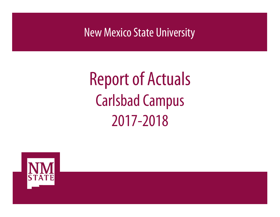New Mexico State University

# Report of Actuals Carlsbad Campus 2017-2018

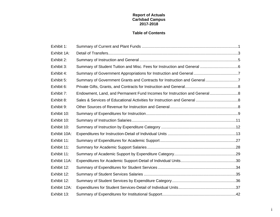### **Report of Actuals Carlsbad Campus 2017-2018**

### **Table of Contents**

| Exhibit 1:   |                                                                           |  |
|--------------|---------------------------------------------------------------------------|--|
| Exhibit 1A:  |                                                                           |  |
| Exhibit 2:   |                                                                           |  |
| Exhibit 3:   |                                                                           |  |
| Exhibit 4:   |                                                                           |  |
| Exhibit 5:   | Summary of Government Grants and Contracts for Instruction and General7   |  |
| Exhibit 6:   |                                                                           |  |
| Exhibit 7:   | Endowment, Land, and Permanent Fund Incomes for Instruction and General 8 |  |
| Exhibit 8:   |                                                                           |  |
| Exhibit 9:   |                                                                           |  |
| Exhibit 10:  |                                                                           |  |
| Exhibit 10:  |                                                                           |  |
| Exhibit 10:  |                                                                           |  |
| Exhibit 10A: |                                                                           |  |
| Exhibit 11:  |                                                                           |  |
| Exhibit 11:  |                                                                           |  |
| Exhibit 11:  |                                                                           |  |
| Exhibit 11A: |                                                                           |  |
| Exhibit 12:  |                                                                           |  |
| Exhibit 12:  |                                                                           |  |
| Exhibit 12:  |                                                                           |  |
| Exhibit 12A: |                                                                           |  |
| Exhibit 13:  |                                                                           |  |

i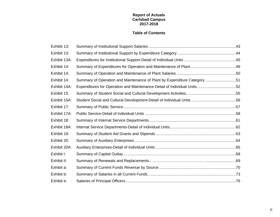### **Report of Actuals Carlsbad Campus 2017-2018**

### **Table of Contents**

| Exhibit 13:  |                                                                          |  |
|--------------|--------------------------------------------------------------------------|--|
| Exhibit 13:  |                                                                          |  |
| Exhibit 13A: |                                                                          |  |
| Exhibit 14:  |                                                                          |  |
| Exhibit 14:  |                                                                          |  |
| Exhibit 14:  | Summary of Operation and Maintenance of Plant by Expenditure Category 51 |  |
| Exhibit 14A: | Expenditures for Operation and Maintenance-Detail of Individual Units52  |  |
| Exhibit 15:  |                                                                          |  |
| Exhibit 15A: |                                                                          |  |
| Exhibit 17:  |                                                                          |  |
| Exhibit 17A: |                                                                          |  |
| Exhibit 18:  |                                                                          |  |
| Exhibit 18A: |                                                                          |  |
| Exhibit 19:  |                                                                          |  |
| Exhibit 20:  |                                                                          |  |
| Exhibit 20A: |                                                                          |  |
| Exhibit I:   |                                                                          |  |
| Exhibit II:  |                                                                          |  |
| Exhibit a:   |                                                                          |  |
| Exhibit b:   |                                                                          |  |
| Exhibit e:   |                                                                          |  |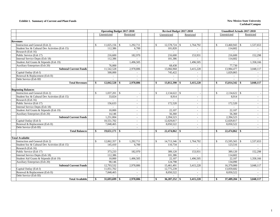#### **Exhibit 1. Summary of Current and Plant Funds New Mexico State University**

|                                                | <b>Operating Budget 2017-2018</b> |                          |  |     | Revised Budget 2017-2018 |                          |  | <b>Unaudited Actuals 2017-2018</b> |  |                          |  |
|------------------------------------------------|-----------------------------------|--------------------------|--|-----|--------------------------|--------------------------|--|------------------------------------|--|--------------------------|--|
|                                                | Unrestricted                      | Restricted               |  |     | Unrestricted             | Restricted               |  | Unrestricted                       |  | Restricted               |  |
|                                                |                                   |                          |  |     |                          |                          |  |                                    |  |                          |  |
| <b>Revenues</b>                                |                                   |                          |  |     |                          |                          |  |                                    |  |                          |  |
| Instruction and General (Exh 2)                | $11,025,156$ \$<br>\$.            | 1,292,711                |  | \$  | 12,578,724 \$            | 1,764,792                |  | \$<br>$13,460,943$ \$              |  | 1,537,653                |  |
| Student Soc & Cultural Dev Activities (Exh 15) | 112,386                           | 6,700                    |  |     | 101,820                  | $\sim$                   |  | 114,602                            |  | $\overline{\phantom{a}}$ |  |
| Research (Exh 16)                              |                                   |                          |  |     | ÷                        |                          |  |                                    |  |                          |  |
| Public Service (Exh 17)                        | 216,600                           | 182,970                  |  |     | 216,600                  | 153,931                  |  | 216,600                            |  | 152,298                  |  |
| <b>Internal Service Depts (Exh 18)</b>         | 112,386                           |                          |  |     | 101,386                  | $\overline{a}$           |  | 114,602                            |  |                          |  |
| Student Aid Grants & Stipends (Exh 19)         |                                   | 1,496,505                |  |     |                          | 1,496,505                |  |                                    |  | 1,358,166                |  |
| Auxiliary Enterprises (Exh 20)                 | 76,000                            |                          |  |     | 68,438                   |                          |  | 77,730                             |  |                          |  |
| <b>Subtotal Current Funds</b>                  | 11,542,528                        | 2,978,886                |  |     | 13,066,968               | 3,415,228                |  | 13,984,477                         |  | 3,048,117                |  |
| Capital Outlay (Exh I)                         | 500,000                           |                          |  |     | 745,422                  |                          |  | 1,029,865                          |  |                          |  |
| Renewal & Replacement (Exh II)                 | $\sim$                            | $\overline{\phantom{a}}$ |  |     | $\sim$                   | $\sim$                   |  | $\sim$                             |  | $\overline{\phantom{a}}$ |  |
| Debt Service (Exh III)                         |                                   |                          |  |     | $\overline{a}$           |                          |  |                                    |  |                          |  |
| <b>Total Revenues</b>                          | $12,042,528$ \$<br>\$             | 2,978,886                |  | \$  | $13,812,390$ \$          | 3,415,228                |  | $15,014,342$ \$<br>\$              |  | 3,048,117                |  |
|                                                |                                   |                          |  |     |                          |                          |  |                                    |  |                          |  |
| <b>Beginning Balances</b>                      |                                   |                          |  |     |                          |                          |  |                                    |  |                          |  |
| Instruction and General (Exh 2)                | \$.<br>$1,037,201$ \$             |                          |  | \$  |                          |                          |  | \$<br>$2,134,622$ \$               |  |                          |  |
| Student Soc & Cultural Dev Activities (Exh 15) | 33,024                            |                          |  |     | 8,914                    | $\sim$                   |  | 8,914                              |  |                          |  |
| Research (Exh 16)                              |                                   |                          |  |     |                          | $\overline{\phantom{a}}$ |  |                                    |  |                          |  |
| Public Service (Exh 17)                        | 156,633                           | $\sim$                   |  |     | 172,520                  | $\sim$                   |  | 172,520                            |  | $\overline{a}$           |  |
| Internal Service Depts (Exh 18)                |                                   |                          |  |     |                          | $\sim$                   |  |                                    |  |                          |  |
| Student Aid Grants & Stipends (Exh 19)         | 10,000                            | $\sim$                   |  |     | 22,107                   | $\sim$                   |  | 22,107                             |  | $\overline{\phantom{a}}$ |  |
| Auxiliary Enterprises (Exh 20)                 | 14,146                            | $\sim$                   |  |     | 56,360                   | $\sim$                   |  | 56,360                             |  | $\sim$                   |  |
| <b>Subtotal Current Funds</b>                  | 1,251,004                         | $\sim$                   |  |     | 2,394,523                | $\sim$                   |  | 2,394,523                          |  | $\sim$                   |  |
| Capital Outlay (Exh I)                         | 10,551,702                        | $\sim$                   |  |     | 12,029,817               | $\sim$                   |  | 12,029,817                         |  | $\sim$                   |  |
| Renewal & Replacement (Exh II)                 | 7,848,465                         | $\sim$                   |  |     | 8,050,522                | $\overline{\phantom{a}}$ |  | 8,050,522                          |  | $\sim$                   |  |
| Debt Service (Exh III)                         | $\sim$                            | $\sim$                   |  |     | $\sim$                   | $\sim$                   |  |                                    |  | $\overline{\phantom{a}}$ |  |
| <b>Total Balances</b>                          | \$<br>$19,651,171$ \$             |                          |  | \$  | $22,474,862$ \$          |                          |  | $22,474,862$ \$<br>\$              |  |                          |  |
|                                                |                                   |                          |  |     |                          |                          |  |                                    |  |                          |  |
| <b>Total Available</b>                         |                                   |                          |  |     |                          |                          |  |                                    |  |                          |  |
| Instruction and General (Exh 2)                | $12,062,357$ \$<br>$\mathcal{S}$  | 1,292,711                |  | \$. | $14,713,346$ \$          | 1,764,792                |  | \$.                                |  | 1,537,653                |  |
| Student Soc & Cultural Dev Activities (Exh 15) | 145,410                           | 6,700                    |  |     | 110,734                  | $\sim$                   |  | 123,516                            |  |                          |  |
| Research (Exh 16)                              | $\overline{a}$                    |                          |  |     | $\sim$                   | $\sim$                   |  | $\sim$                             |  |                          |  |
| Public Service (Exh 17)                        | 373,233                           | 182,970                  |  |     | 389,120                  | 153,931                  |  | 389,120                            |  | 152,298                  |  |
| Internal Service Depts (Exh 18)                | 112,386                           |                          |  |     | 101,386                  | -                        |  | 114,602                            |  |                          |  |
| Student Aid Grants & Stipends (Exh 19)         | 10,000                            | 1,496,505                |  |     | 22,107                   | 1,496,505                |  | 22,107                             |  | 1,358,166                |  |
| Auxiliary Enterprises (Exh 20)                 | 90,146                            |                          |  |     | 124,798                  |                          |  | 134,090                            |  |                          |  |
| <b>Subtotal Current Funds</b>                  | 12,793,532                        | 2,978,886                |  |     | 15,461,491               | 3,415,228                |  | 16,379,000                         |  | 3,048,117                |  |
| Capital Outlay (Exh I)                         | 11,051,702                        |                          |  |     | 12,775,239               |                          |  | 13,059,682                         |  |                          |  |
| Renewal & Replacement (Exh II)                 | 7,848,465                         | $\sim$                   |  |     | 8,050,522                | $\sim$                   |  | 8,050,522                          |  | $\sim$                   |  |
| Debt Service (Exh III)                         | $\overline{a}$                    |                          |  |     | $\sim$                   | $\sim$                   |  | ÷                                  |  |                          |  |
| <b>Total Available</b>                         | $31,693,699$ \$<br>\$             | 2,978,886                |  | \$  | $36,287,252$ \$          | 3,415,228                |  | 37,489,204 \$<br>\$                |  | 3,048,117                |  |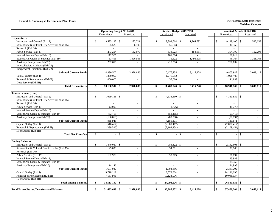#### **Exhibit 1. Summary of Current and Plant Funds New Mexico State University**

| Unrestricted<br>Restricted<br>Unrestricted<br>Restricted<br>Unrestricted                                                                                                                | Restricted               |
|-----------------------------------------------------------------------------------------------------------------------------------------------------------------------------------------|--------------------------|
|                                                                                                                                                                                         |                          |
| <b>Expenditures</b>                                                                                                                                                                     |                          |
| Instruction and General (Exh 2)<br>$9,523,122$ \$<br>1,292,711<br>$\mathbb{S}$<br>9,392,664<br>1,764,792<br>$\mathcal{S}$<br>$\mathbb{S}$<br><sup>\$</sup><br>9,119,100<br>$\mathbb{S}$ | 1,537,653                |
| Student Soc & Cultural Dev Activities (Exh 15)<br>95,520<br>44,350<br>6,700<br>56,643                                                                                                   |                          |
| Research (Exh 16)<br>$\overline{a}$                                                                                                                                                     |                          |
| 273,254<br>Public Service (Exh 17)<br>182,970<br>336,923<br>153,931<br>304,799                                                                                                          | 152,298                  |
| Internal Service Depts (Exh 18)<br>112,386<br>101,386<br>90,619<br>$\overline{a}$<br>$\sim$                                                                                             |                          |
| 75,522<br>1,496,505<br>Student Aid Grants & Stipends (Exh 19)<br>63,415<br>1,496,505<br>46,167                                                                                          | 1,358,166                |
| Auxiliary Enterprises (Exh 20)<br>262,810<br>213,596<br>200,892                                                                                                                         |                          |
| Intercollegiate Athletics (Exh 21)                                                                                                                                                      |                          |
| Independent Operations (Exh 22)<br>$\sim$<br>$\overline{a}$<br>$\sim$                                                                                                                   |                          |
| <b>Subtotal Current Funds</b><br>3,415,228<br>10,330,507<br>2,978,886<br>10,176,734<br>9,805,927                                                                                        | 3,048,117                |
| Capital Outlay (Exh I)<br>1,276,992<br>1,850,000<br>1,028,403<br>$\overline{a}$<br>$\sim$                                                                                               | $\sim$                   |
| Renewal & Replacement (Exh II)<br>1,000,000<br>35,000<br>111,839<br>$\overline{a}$<br>$\sim$                                                                                            |                          |
| Debt Service (Exh III)<br>$\sim$                                                                                                                                                        |                          |
| <b>Total Expenditures</b><br>$13,180,507$ \$<br>$11,488,726$ \$<br>\$<br>2.978.886<br>\$<br>3,415,228<br>$10,946,169$ \$<br>-\$                                                         | 3.048.117                |
| Transfers to or (from)                                                                                                                                                                  |                          |
| Instruction and General (Exh 2)<br>$\mathbf S$<br>$1,099,168$ \$<br>$\mathbb{S}$<br>4,333,860 \$<br><sup>\$</sup><br>4,333,859 \$                                                       |                          |
| Student Soc & Cultural Dev Activities (Exh 15)<br>$\overline{\phantom{a}}$<br>$\overline{\phantom{a}}$                                                                                  |                          |
| Research (Exh 16)<br>$\mathcal{L}$<br>$\sim$<br>$\sim$<br>$\sim$                                                                                                                        | $\blacksquare$           |
| (3,000)<br>(1,776)<br>(1,776)<br>Public Service (Exh 17)<br>$\sim$<br>$\overline{\phantom{a}}$                                                                                          |                          |
| Internal Service Depts (Exh 18)<br>$\sim$<br>$\sim$                                                                                                                                     | $\blacksquare$           |
| Student Aid Grants & Stipends (Exh 19)<br>(53, 415)<br>(53, 415)<br>(53, 415)<br>$\overline{\phantom{a}}$<br>$\sim$                                                                     | $\overline{a}$           |
| Auxiliary Enterprises (Exh 20)<br>(186, 810)<br>(88, 798)<br>(88, 797)<br>$\overline{a}$<br>$\sim$                                                                                      | $\overline{a}$           |
| <b>Subtotal Current Funds</b><br>855,943<br>4,189,871<br>4,189,871<br>$\overline{\phantom{a}}$<br>$\overline{\phantom{a}}$                                                              | $\sim$                   |
| Capital Outlay (Exh I)<br>(516.417)<br>(2,080,417)<br>(2,080,417)<br>$\overline{a}$<br>$\overline{a}$                                                                                   |                          |
| Renewal & Replacement (Exh II)<br>(339, 526)<br>(2,109,454)<br>(2,109,454)<br>$\sim$<br>$\sim$                                                                                          | $\overline{\phantom{a}}$ |
| Debt Service (Exh III)<br>$\overline{\phantom{a}}$<br>$\sim$                                                                                                                            |                          |
| <b>Total Net Transfers</b><br>\$<br>$-1$ \$<br>\$<br>l \$<br>\$<br>-S<br>$\sim$<br>$\sim$<br>$\blacksquare$                                                                             | ÷.                       |
| <b>Ending Balances</b>                                                                                                                                                                  |                          |
| Instruction and General (Exh 2)<br>986,822 \$<br>$\mathcal{S}$<br>$\mathcal{S}$<br>$\mathcal{S}$                                                                                        |                          |
| Student Soc & Cultural Dev Activities (Exh 15)<br>49,890<br>54,091<br>79,166<br>$\sim$<br>$\overline{\phantom{a}}$                                                                      | $\overline{\phantom{a}}$ |
| Research (Exh 16)<br>$\overline{a}$<br>$\overline{a}$<br>$\overline{\phantom{a}}$<br>$\sim$                                                                                             | $\blacksquare$           |
| Public Service (Exh 17)<br>102,979<br>53,973<br>86.097<br>$\sim$<br>$\sim$                                                                                                              | $\overline{a}$           |
| Internal Service Depts (Exh 18)<br>23,983<br>$\overline{a}$<br>$\mathcal{L}^{\pm}$<br>$\sim$<br>$\sim$                                                                                  | $\overline{a}$           |
| Student Aid Grants & Stipends (Exh 19)<br>29,355<br>$\overline{a}$<br>$\sim$<br>$\sim$<br>$\overline{\phantom{a}}$                                                                      | $\overline{a}$           |
| Auxiliary Enterprises (Exh 20)<br>14,146<br>21,995<br>$\sim$<br>$\overline{\phantom{a}}$                                                                                                |                          |
| 2,383,202<br><b>Subtotal Current Funds</b><br>1,607,082<br>1,094,886<br>$\sim$<br>$\sim$                                                                                                | $\blacksquare$           |
| Capital Outlay (Exh I)<br>9,718,119<br>13,578,664<br>14,111,696<br>$\sim$<br>$\sim$                                                                                                     | $\overline{a}$           |
| Renewal & Replacement (Exh II)<br>7.187.991<br>10,124,976<br>10,048,137<br>$\sim$<br>$\sim$                                                                                             | $\sim$                   |
| Debt Service (Exh III)<br>$\overline{\phantom{a}}$<br>$\overline{\phantom{a}}$                                                                                                          |                          |
| $18,513,192$ \$<br>24,798,526 \$<br>$26,543,035$ \$<br><b>Total Ending Balances</b><br>-\$<br>-\$<br>-\$<br>$\overline{a}$                                                              |                          |
| $31,693,699$ \$<br>$36,287,252$ \$<br>3,415,228<br>37,489,204<br><b>Total Expenditures, Transfers and Balances</b><br>\$<br>2,978,886<br>\$<br>\$<br>-\$                                | 3,048,117                |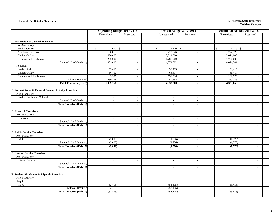#### **Exhibit 1A. Detail of Transfers**

#### **New Mexico State University Carlsbad Campus**

|                                                                    | <b>Operating Budget 2017-2018</b> |                          |  |  | <b>Revised Budget 2017-2018</b>        |                          | <b>Unaudited Actuals 2017-2018</b> |                                       |                          |  |  |
|--------------------------------------------------------------------|-----------------------------------|--------------------------|--|--|----------------------------------------|--------------------------|------------------------------------|---------------------------------------|--------------------------|--|--|
|                                                                    | Unrestricted                      | Restricted               |  |  | Unrestricted                           | Restricted               |                                    | Unrestricted                          | Restricted               |  |  |
|                                                                    |                                   |                          |  |  |                                        |                          |                                    |                                       |                          |  |  |
| A. Instruction & General Transfers                                 |                                   |                          |  |  |                                        |                          |                                    |                                       |                          |  |  |
| Non-Mandatory                                                      |                                   |                          |  |  |                                        |                          |                                    |                                       |                          |  |  |
| Public Service                                                     | $3,000$ \$<br>$\mathcal{S}$       | $\overline{\phantom{a}}$ |  |  | $\mathbb{S}$<br>1,776<br>$\mathcal{S}$ |                          |                                    | $\mathbb{S}$<br>1,776<br>$\mathbb{S}$ | $\overline{a}$           |  |  |
| <b>Auxiliary Enterprises</b>                                       | 186,810                           | $\overline{\phantom{a}}$ |  |  | 272,726                                | $\overline{\phantom{a}}$ |                                    | 272,725                               | $\overline{a}$           |  |  |
| Capital Outlay                                                     | 450,000                           | $\overline{\phantom{a}}$ |  |  | 2,014,000                              | $\overline{\phantom{a}}$ |                                    | 2,014,000                             |                          |  |  |
| Renewal and Replacement                                            | 200,000                           | $\overline{\phantom{a}}$ |  |  | 1,786,000                              | $\sim$                   |                                    | 1,786,000                             | $\sim$                   |  |  |
| Subtotal Non-Mandatory                                             | 839,810                           | $\overline{\phantom{a}}$ |  |  | 4,074,502                              | $\sim$                   |                                    | 4,074,501                             |                          |  |  |
| Required                                                           |                                   |                          |  |  |                                        |                          |                                    |                                       |                          |  |  |
| Student Aid                                                        | 53,415                            | $\overline{\phantom{a}}$ |  |  | 53,415                                 | $\sim$                   |                                    | 53,415                                | $\overline{a}$           |  |  |
| Capital Outlay                                                     | 66,417                            | $\sim$                   |  |  | 66,417                                 | $\sim$                   |                                    | 66,417                                | $\sim$                   |  |  |
| Renewal and Replacement                                            | 139,526                           | $\overline{\phantom{a}}$ |  |  | 139,526                                | $\overline{\phantom{a}}$ |                                    | 139,526                               | $\sim$                   |  |  |
| <b>Subtotal Required</b>                                           | 259,358                           | $\sim$                   |  |  | 259,358                                | $\sim$                   |                                    | 259,358                               | $\sim$                   |  |  |
| <b>Total Transfers (Exh 2)</b>                                     | 1,099,168                         | $\blacksquare$           |  |  | 4,333,860                              | $\sim$                   |                                    | 4,333,859                             | $\blacksquare$           |  |  |
| <b>B. Student Social &amp; Cultural Develop Activity Transfers</b> |                                   |                          |  |  |                                        |                          |                                    |                                       |                          |  |  |
| Non-Mandatory                                                      |                                   |                          |  |  |                                        |                          |                                    |                                       |                          |  |  |
| Student Social and Cultural                                        | $\sim$                            | $\overline{\phantom{a}}$ |  |  | $\sim$                                 | $\blacksquare$           |                                    | $\sim$                                | $\overline{\phantom{a}}$ |  |  |
| Subtotal Non-Mandatory                                             | $\sim$                            | $\overline{\phantom{a}}$ |  |  | $\overline{\phantom{a}}$               | $\overline{\phantom{a}}$ |                                    | $\overline{\phantom{a}}$              |                          |  |  |
| <b>Total Transfers (Exh 15)</b>                                    | $\mathbf{r}$                      | $\blacksquare$           |  |  | $\blacksquare$                         | $\blacksquare$           |                                    | $\blacksquare$                        | $\blacksquare$           |  |  |
| <b>C. Research Transfers</b>                                       |                                   |                          |  |  |                                        |                          |                                    |                                       |                          |  |  |
| Non-Mandatory                                                      |                                   |                          |  |  |                                        |                          |                                    |                                       |                          |  |  |
| Research                                                           | $\sim$                            | $\sim$                   |  |  | $\sim$                                 | $\sim$                   |                                    | $\blacksquare$                        | $\sim$                   |  |  |
| Subtotal Non-Mandatory                                             | $\sim$                            | $\sim$                   |  |  | $\sim$                                 | $\sim$                   |                                    | $\overline{\phantom{a}}$              | $\overline{a}$           |  |  |
| <b>Total Transfers (Exh 16)</b>                                    | $\mathbf{r}$                      | $\mathbf{r}$             |  |  | $\sim$                                 | $\mathbf{r}$             |                                    | $\mathbf{r}$                          | $\mathbf{r}$             |  |  |
|                                                                    |                                   |                          |  |  |                                        |                          |                                    |                                       |                          |  |  |
| <b>D. Public Service Transfers</b>                                 |                                   |                          |  |  |                                        |                          |                                    |                                       |                          |  |  |
| Non-Mandatory                                                      |                                   |                          |  |  |                                        |                          |                                    |                                       |                          |  |  |
| I & G                                                              | (3,000)                           | $\overline{\phantom{a}}$ |  |  | (1,776)                                | $\sim$                   |                                    | (1,776)                               | $\sim$                   |  |  |
| Subtotal Non-Mandatory                                             | (3,000)                           | $\sim$                   |  |  | (1,776)                                | $\sim$                   |                                    | (1,776)                               | $\sim$                   |  |  |
| <b>Total Transfers (Exh 17)</b>                                    | (3,000)                           | $\blacksquare$           |  |  | (1,776)                                | $\sim$                   |                                    | (1,776)                               | $\blacksquare$           |  |  |
| <b>E. Internal Service Transfers</b>                               |                                   |                          |  |  |                                        |                          |                                    |                                       |                          |  |  |
| Non-Mandatory                                                      |                                   |                          |  |  |                                        |                          |                                    |                                       |                          |  |  |
| <b>Internal Service</b>                                            | $\overline{a}$                    | $\overline{\phantom{a}}$ |  |  | $\overline{\phantom{a}}$               | $\overline{\phantom{a}}$ |                                    | $\overline{\phantom{a}}$              |                          |  |  |
| Subtotal Non-Mandatory                                             | $\overline{a}$                    | $\overline{\phantom{a}}$ |  |  | $\overline{\phantom{a}}$               | $\overline{\phantom{a}}$ |                                    | $\overline{\phantom{a}}$              |                          |  |  |
| <b>Total Transfers (Exh 18)</b>                                    | $\mathbf{r}$                      | $\sim$                   |  |  | $\blacksquare$                         | $\sim$                   |                                    | $\sim$                                | $\blacksquare$           |  |  |
|                                                                    |                                   |                          |  |  |                                        |                          |                                    |                                       |                          |  |  |
| F. Student Aid Grants & Stipends Transfers                         |                                   |                          |  |  |                                        |                          |                                    |                                       |                          |  |  |
| Non-Mandatory                                                      |                                   |                          |  |  |                                        |                          |                                    |                                       |                          |  |  |
| Required                                                           |                                   |                          |  |  |                                        |                          |                                    |                                       |                          |  |  |
| I & G                                                              | (53, 415)                         | $\sim$                   |  |  | (53, 415)                              | $\sim$                   |                                    | (53, 415)                             | $\overline{a}$           |  |  |
| <b>Subtotal Required</b>                                           | (53, 415)                         | $\sim$                   |  |  | (53, 415)                              | $\sim$                   |                                    | (53, 415)                             | $\overline{\phantom{a}}$ |  |  |
| <b>Total Transfers (Exh 19)</b>                                    | (53, 415)                         | $\blacksquare$           |  |  | (53, 415)                              | $\blacksquare$           |                                    | (53, 415)                             | $\blacksquare$           |  |  |
|                                                                    |                                   |                          |  |  |                                        |                          |                                    |                                       |                          |  |  |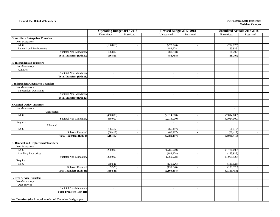#### **Exhibit 1A. Detail of Transfers**

#### **New Mexico State University Carlsbad Campus**

|                                                                  | <b>Operating Budget 2017-2018</b> |                             | Revised Budget 2017-2018 |                          | <b>Unaudited Actuals 2017-2018</b> |                          |  |  |
|------------------------------------------------------------------|-----------------------------------|-----------------------------|--------------------------|--------------------------|------------------------------------|--------------------------|--|--|
|                                                                  | Unrestricted                      | Restricted                  | Unrestricted             | Restricted               | Unrestricted                       | Restricted               |  |  |
| <b>G. Auxiliary Enterprises Transfers</b>                        |                                   |                             |                          |                          |                                    |                          |  |  |
| Non-Mandatory                                                    |                                   |                             |                          |                          |                                    |                          |  |  |
| I & G                                                            | (186, 810)                        | $\sim$                      | (272, 726)               | $\sim$                   | (272, 725)                         | $\overline{\phantom{a}}$ |  |  |
| Renewal and Replacement                                          | $\blacksquare$                    | $\sim$                      | 183,928                  | $\sim$                   | 183,928                            | $\overline{\phantom{a}}$ |  |  |
| Subtotal Non-Mandatory                                           | (186, 810)                        | $\sim$                      | (88, 798)                | $\sim$                   | (88,797)                           | $\overline{a}$           |  |  |
| <b>Total Transfers (Exh 20)</b>                                  | (186, 810)                        | $\sim$                      | (88,798)                 | $\sim$                   | (88,797)                           | $\blacksquare$           |  |  |
|                                                                  |                                   |                             |                          |                          |                                    |                          |  |  |
| H. Intercollegiate Transfers                                     |                                   |                             |                          |                          |                                    |                          |  |  |
| Non-Mandatory                                                    |                                   |                             |                          |                          |                                    |                          |  |  |
| Athletics                                                        | $\sim$                            | $\mathcal{L}_{\mathcal{A}}$ | $\overline{\phantom{a}}$ | $\sim$                   | $\overline{\phantom{a}}$           | $\sim$                   |  |  |
| Subtotal Non-Mandatory                                           | $\overline{\phantom{a}}$          | $\mathbb{L}$                | $\sim$                   | $\sim$                   | $\sim$                             | $\overline{\phantom{a}}$ |  |  |
| <b>Total Transfers (Exh 21)</b>                                  | $\sim$                            | $\sim$                      | $\sim$                   | $\sim$                   | $\sim$                             | $\sim$                   |  |  |
|                                                                  |                                   |                             |                          |                          |                                    |                          |  |  |
| <b>I. Independent Operations Transfers</b>                       |                                   |                             |                          |                          |                                    |                          |  |  |
| Non-Mandatory                                                    |                                   |                             |                          |                          |                                    |                          |  |  |
| <b>Independent Operations</b>                                    | $\overline{\phantom{a}}$          | $\sim$                      | $\sim$                   | $\sim$                   | $\sim$                             | $\overline{a}$           |  |  |
| Subtotal Non-Mandatory                                           | $\overline{a}$                    | $\sim$                      | $\overline{a}$           | $\overline{a}$           | $\overline{\phantom{a}}$           | $\overline{a}$           |  |  |
| <b>Total Transfers (Exh 22)</b>                                  | $\blacksquare$                    | $\sim$                      | $\mathbf{r}$             | $\blacksquare$           | $\mathbf{r}$                       | $\blacksquare$           |  |  |
|                                                                  |                                   |                             |                          |                          |                                    |                          |  |  |
| <b>J. Capital Outlay Transfers</b>                               |                                   |                             |                          |                          |                                    |                          |  |  |
| Non-Mandatory                                                    |                                   |                             |                          |                          | $\overline{\phantom{a}}$           | $\overline{a}$           |  |  |
| Unallocated                                                      |                                   |                             |                          |                          |                                    |                          |  |  |
| I & G                                                            | (450,000)                         | $\overline{\phantom{a}}$    | (2,014,000)              | $\overline{\phantom{a}}$ | (2,014,000)                        | $\overline{a}$           |  |  |
| Subtotal Non-Mandatory                                           | (450,000)                         | $\overline{\phantom{a}}$    | (2,014,000)              | $\overline{\phantom{a}}$ | (2,014,000)                        | $\overline{a}$           |  |  |
| Required<br>Allocated                                            |                                   |                             | $\overline{\phantom{a}}$ | $\overline{\phantom{a}}$ |                                    |                          |  |  |
| I & G                                                            | (66, 417)                         | $\sim$                      | (66, 417)                | $\sim$                   | (66, 417)                          | $\overline{a}$           |  |  |
| <b>Subtotal Required</b>                                         | (66, 417)                         | $\overline{a}$              | (66, 417)                | $\mathbf{r}$             | (66, 417)                          | $\overline{a}$           |  |  |
| <b>Total Transfers (Exh I)</b>                                   | (516, 417)                        | $\blacksquare$              | (2,080,417)              | $\blacksquare$           | (2,080,417)                        | $\blacksquare$           |  |  |
|                                                                  |                                   |                             |                          |                          |                                    |                          |  |  |
| K. Renewal and Replacement Transfers                             |                                   |                             |                          |                          |                                    |                          |  |  |
| Non-Mandatory                                                    |                                   |                             |                          |                          |                                    |                          |  |  |
| I & G                                                            | (200,000)                         | $\overline{\phantom{a}}$    | (1,786,000)              | $\overline{\phantom{a}}$ | (1,786,000)                        | $\overline{a}$           |  |  |
| <b>Auxiliary Enterprises</b>                                     |                                   |                             | (183,928)                | $\sim$                   | (183, 928)                         |                          |  |  |
| Subtotal Non-Mandatory                                           | (200,000)                         | $\overline{\phantom{a}}$    | (1,969,928)              | $\overline{a}$           | (1,969,928)                        | $\overline{\phantom{a}}$ |  |  |
| Required                                                         |                                   |                             |                          |                          |                                    |                          |  |  |
| I & G                                                            | (139, 526)                        | $\overline{\phantom{a}}$    | (139, 526)               | $\overline{\phantom{a}}$ | (139, 526)                         | $\overline{a}$           |  |  |
| Subtotal Required                                                | (139, 526)                        | $\overline{\phantom{a}}$    | (139, 526)               | $\blacksquare$           | (139, 526)                         | $\overline{a}$           |  |  |
| <b>Total Transfers (Exh II)</b>                                  | (339, 526)                        | $\sim$                      | (2,109,454)              | $\blacksquare$           | (2,109,454)                        | $\blacksquare$           |  |  |
|                                                                  |                                   |                             |                          |                          |                                    |                          |  |  |
| <b>L. Debt Service Transfers</b>                                 |                                   |                             |                          |                          |                                    |                          |  |  |
| Non-Mandatory                                                    |                                   |                             |                          |                          |                                    |                          |  |  |
| Debt Service                                                     | $\overline{\phantom{a}}$          | $\sim$                      | $\sim$                   | $\sim$                   | $\overline{\phantom{a}}$           | $\overline{\phantom{a}}$ |  |  |
| Subtotal Non-Mandatory                                           |                                   |                             | $\overline{a}$           | $\overline{a}$           | $\overline{\phantom{a}}$           |                          |  |  |
| <b>Total Transfers (Exh III)</b>                                 | $\sim$                            | $\sim$                      | $\blacksquare$           | $\sim$                   | $\blacksquare$                     | $\sim$                   |  |  |
|                                                                  |                                   |                             |                          |                          |                                    |                          |  |  |
| Net Transfers (should equal transfer to LC or other fund groups) | $\overline{a}$                    | $\overline{a}$              | $\sim$                   | $\sim$                   | $\overline{a}$                     | $\overline{a}$           |  |  |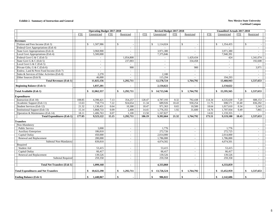#### **Exhibit 2. Summary of Instruction and General New Mexico State University**

|                                             |            | <b>Operating Budget 2017-2018</b> |            |                 |            | Revised Budget 2017-2018 |            |                 | <b>Unaudited Actuals 2017-2018</b> |                                          |        |                    |                          |  |  |  |
|---------------------------------------------|------------|-----------------------------------|------------|-----------------|------------|--------------------------|------------|-----------------|------------------------------------|------------------------------------------|--------|--------------------|--------------------------|--|--|--|
|                                             | <b>FTE</b> | Unrestricted                      | <b>FTE</b> | Restricted      | <b>FTE</b> | Unrestricted             | <b>FTE</b> | Restricted      | <b>FTE</b>                         | Unrestricted<br><b>FTE</b><br>Restricted |        |                    |                          |  |  |  |
|                                             |            |                                   |            |                 |            |                          |            |                 |                                    |                                          |        |                    |                          |  |  |  |
| <b>Revenues</b>                             |            |                                   |            |                 |            |                          |            |                 |                                    |                                          |        |                    |                          |  |  |  |
| Tuition and Fees Income (Exh 3)             |            | 1,507,986<br>$\mathbf{\hat{S}}$   |            | $\mathbb{S}$    |            | \$<br>1,114,024          |            | $\mathbb{S}$    |                                    | \$<br>1,354,455                          |        | $\mathbf{\hat{S}}$ |                          |  |  |  |
| Federal Govt Appropriations (Exh 4)         |            |                                   |            | $\sim$          |            |                          |            |                 |                                    |                                          |        |                    | $\sim$                   |  |  |  |
| State Govt Appropriations (Exh 4)           |            | 3,968,900                         |            | $\blacksquare$  |            | 3,971,380                |            | $\sim$          |                                    | 3,971,380                                |        |                    | $\sim$                   |  |  |  |
| Local Govt Appropriations (Exh 4)           |            | 5,500,000                         |            |                 |            | 7,375,846                |            |                 |                                    | 7,940,391                                |        |                    |                          |  |  |  |
| Federal Govt G & C (Exh 5)                  |            | $\sim$                            |            | 1.054.808       |            | $\blacksquare$           |            | 1.429.434       |                                    | 424                                      |        |                    | 1,341,074                |  |  |  |
| State Govt G & C (Exh 5)                    |            | $\overline{\phantom{a}}$          |            | 237,003         |            | $\overline{\phantom{a}}$ |            | 334,458         |                                    | $\sim$                                   |        |                    | 192,608                  |  |  |  |
| Local Govt G & C (Exh 5)                    |            |                                   |            |                 |            | $\sim$                   |            |                 |                                    |                                          |        |                    |                          |  |  |  |
| Private Gifts, G & C (Exh 6)                |            | $\sim$                            |            | 900             |            | $\sim$                   |            | 900             |                                    | $\sim$                                   |        |                    | 3,971                    |  |  |  |
| Endow, Land & Perm Fund Income (Exh 7)      |            | $\sim$                            |            | $\sim$          |            | $\overline{a}$           |            |                 |                                    | $\sim$                                   |        |                    | $\sim$                   |  |  |  |
| Sales & Services of Educ Activities (Exh 8) |            | 2,270                             |            | $\bar{a}$       |            | 2,180                    |            |                 |                                    |                                          |        |                    | $\overline{\phantom{a}}$ |  |  |  |
| Other Sources (Exh 9)                       |            | 46,000                            |            | $\sim$          |            | 115,294                  |            |                 |                                    | 194,293                                  |        |                    |                          |  |  |  |
| <b>Total Revenues (Exh 1)</b>               |            | 11,025,156                        |            | 1,292,711       |            | 12,578,724               |            | 1,764,792       |                                    | 13,460,943                               |        |                    | 1,537,653                |  |  |  |
| <b>Beginning Balance (Exh 1)</b>            |            | 1,037,201                         |            |                 |            | 2,134,622                |            |                 |                                    | 2,134,622                                |        |                    |                          |  |  |  |
| <b>Total Available (Exh 1)</b>              |            | \$<br>12,062,357                  |            | \$<br>1,292,711 |            | \$14,713,346             |            | \$<br>1,764,792 |                                    | \$15,595,565                             |        | \$                 | 1,537,653                |  |  |  |
| <b>Expenditures</b>                         |            |                                   |            |                 |            |                          |            |                 |                                    |                                          |        |                    |                          |  |  |  |
| Instruction (Exh 10)                        | 108.85     | 4,398,421                         | 7.13       | 354,257         | 128.47     | 4,787,193                | 8.32       | 792,438         | 114.34                             | 4,535,630                                | 7.20   |                    | 688,153                  |  |  |  |
| Academic Support (Exh 11)                   | 13.63      | 718,774                           | 7.22       | 924,654         | 11.34      | 689,926                  | 10.43      | 930,254         | 11.75                              | 698,571                                  | 10.40  |                    | 836,292                  |  |  |  |
| Student Services (Exh 12)                   | 21.32      | 1,130,431                         | 0.64       | 10,300          | 18.47      | 971,363                  | 0.65       | 10,500          | 18.64                              | 1,017,610                                | 0.34   |                    | 5,343                    |  |  |  |
| <b>Institutional Support (Exh 13)</b>       | 15.14      | 1,868,733                         | 0.09       | 2,400           | 14.41      | 1,776,355                | 1.92       | 31,600          | 14.76                              | 1,707,934                                | 0.49   |                    | 7,865                    |  |  |  |
| Operation & Maintenance (Exh 14)            | 18.11      | 1,406,763                         | 0.07       | 1,100           | 13.50      | 1,167,827                | $\sim$     | $\sim$          | 14.02                              | 1,159,355                                | $\sim$ |                    | $\sim$                   |  |  |  |
| <b>Total Expenditures (Exh 1)</b>           | 177.05     | 9,523,122                         | 15.15      | 1,292,711       | 186.19     | 9,392,664                | 21.32      | 1,764,792       | 173.51                             | 9,119,100                                | 18.43  |                    | 1,537,653                |  |  |  |
| <b>Transfers</b>                            |            |                                   |            |                 |            |                          |            |                 |                                    |                                          |        |                    |                          |  |  |  |
| Non-Mandatory                               |            |                                   |            |                 |            |                          |            |                 |                                    |                                          |        |                    |                          |  |  |  |
| <b>Public Service</b>                       |            | 3.000                             |            | $\sim$          |            | 1.776                    |            | $\sim$          |                                    | 1.776                                    |        |                    | $\sim$                   |  |  |  |
| <b>Auxiliary Enterprises</b>                |            | 186,810                           |            | $\sim$          |            | 272,726                  |            | $\sim$          |                                    | 272,725                                  |        |                    | $\sim$                   |  |  |  |
| Capital Outlay                              |            | 450,000                           |            | $\sim$          |            | 2,014,000                |            |                 |                                    | 2,014,000                                |        |                    | $\overline{a}$           |  |  |  |
| Renewal and Replacement                     |            | 200,000                           |            | $\sim$          |            | 1,786,000                |            | $\sim$          |                                    | 1,786,000                                |        |                    | $\sim$                   |  |  |  |
| Subtotal Non-Mandator                       |            | 839,810                           |            | $\sim$          |            | 4,074,502                |            | $\sim$          |                                    | 4,074,501                                |        |                    | $\sim$                   |  |  |  |
| Required                                    |            |                                   |            |                 |            |                          |            |                 |                                    |                                          |        |                    |                          |  |  |  |
| Student Aid                                 |            | 53,415                            |            | $\sim$          |            | 53,415                   |            | $\sim$          |                                    | 53,415                                   |        |                    | $\sim$                   |  |  |  |
| Capital Outlay                              |            | 66,417                            |            | $\sim$          |            | 66,417                   |            | $\sim$          |                                    | 66,417                                   |        |                    | $\sim$                   |  |  |  |
| Renewal and Replacement                     |            | 139,526                           |            | $\blacksquare$  |            | 139,526                  |            | $\sim$          |                                    | 139,526                                  |        |                    | $\blacksquare$           |  |  |  |
| <b>Subtotal Required</b>                    |            | 259,358                           |            | $\sim$          |            | 259,358                  |            |                 |                                    | 259,358                                  |        |                    | $\sim$                   |  |  |  |
| <b>Total Net Transfers (Exh 1)</b>          |            | 1,099,168                         |            | ÷               |            | 4,333,860                |            | $\sim$          |                                    | 4,333,859                                |        |                    | $\sim$                   |  |  |  |
| <b>Total Expenditures and Net Transfers</b> |            | 10,622,290<br>\$                  |            | \$<br>1,292,711 |            | 13,726,524<br>\$         |            | 1,764,792<br>\$ |                                    | \$<br>13,452,959                         |        | \$                 | 1,537,653                |  |  |  |
| <b>Ending Balance (Exh 1)</b>               |            | \$<br>1,440,067                   |            | \$              |            | 986,822<br>\$            |            | \$              |                                    | 2,142,606<br>\$                          |        | \$                 |                          |  |  |  |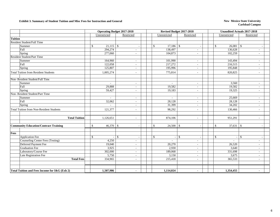#### **Exhibit 3. Summary of Student Tuition and Misc Fees for Instruction and General New Mexico State University**

|                                                 |                              | <b>Operating Budget 2017-2018</b> | Revised Budget 2017-2018                  |                          | Unaudited Actuals 2017-2018 |              |                          |  |  |
|-------------------------------------------------|------------------------------|-----------------------------------|-------------------------------------------|--------------------------|-----------------------------|--------------|--------------------------|--|--|
|                                                 | Unrestricted                 | Restricted                        | Unrestricted                              | Restricted               |                             | Unrestricted | Restricted               |  |  |
| <b>Tuition</b>                                  |                              |                                   |                                           |                          |                             |              |                          |  |  |
| <b>Resident Student/Full Time</b>               |                              |                                   |                                           |                          |                             |              |                          |  |  |
| Summer                                          | $21,115$ \$<br>$\mathcal{S}$ |                                   | $\mathbb{S}$<br>$17,186$ \$               |                          | \$                          | 26,081       | -S                       |  |  |
| Fall                                            | 294,274                      | $\overline{\phantom{a}}$          | 138,497                                   | $\sim$                   |                             | 136,628      | $\sim$                   |  |  |
| Spring                                          | 277,060                      | $\sim$                            | 104,873                                   | $\overline{\phantom{a}}$ |                             | 102,259      | $\sim$                   |  |  |
| <b>Resident Student/Part Time</b>               |                              |                                   |                                           |                          |                             |              |                          |  |  |
| Summer                                          | 164,960                      | $\sim$                            | 101,990                                   | $\overline{\phantom{a}}$ |                             | 143,494      |                          |  |  |
| Fall                                            | 122,058                      | $\sim$                            | 217,272                                   | $\sim$                   |                             | 216,515      | ÷.                       |  |  |
| Spring                                          | 125,807                      | $\sim$                            | 195,996                                   | $\sim$                   |                             | 195,848      | $\sim$                   |  |  |
| <b>Total Tuition from Resident Students</b>     | 1,005,274                    | $\sim$                            | 775,814                                   | $\sim$                   |                             | 820,825      | $\sim$                   |  |  |
| Non-Resident Student/Full Time                  |                              |                                   |                                           |                          |                             |              |                          |  |  |
| Summer                                          | $\overline{\phantom{a}}$     | $\sim$                            | $\sim$                                    | $\sim$                   |                             | 3,560        | $\sim$                   |  |  |
| Fall                                            | 29,888                       | $\sim$                            | 19,582                                    | $\sim$                   |                             | 19,582       | $\omega$                 |  |  |
| Spring                                          | 59,427                       | $\sim$                            | 19,183                                    | $\overline{\phantom{a}}$ |                             | 19,325       | $\sim$                   |  |  |
| Non-Resident Student/Part Time                  |                              |                                   |                                           |                          |                             |              |                          |  |  |
| Summer                                          |                              | $\sim$                            |                                           | $\sim$                   |                             | 25,669       |                          |  |  |
| Fall                                            | 32,062                       | $\sim$                            | 28,128                                    | $\sim$                   |                             | 28,128       | $\sim$                   |  |  |
| Spring                                          | $\sim$                       | $\sim$                            | 31,399                                    | $\sim$                   |                             | 34,202       | ÷.                       |  |  |
| <b>Total Tuition from Non-Resident Students</b> | 121,377                      | $\sim$                            | 98,292                                    | $\overline{\phantom{a}}$ |                             | 130,466      | $\sim$                   |  |  |
| <b>Total Tuition</b>                            | 1,126,651                    | $\sim$                            | 874,106                                   |                          |                             | 951,291      |                          |  |  |
| <b>Community Education/Contract Training</b>    | $\mathbb{S}$<br>46,370       | $\mathbb{S}$                      | \$<br>24,500                              | $\mathcal{S}$            | \$                          |              |                          |  |  |
| Fees                                            |                              |                                   |                                           |                          |                             |              |                          |  |  |
| <b>Application Fee</b>                          | \$                           | $\mathbb{S}$<br>$\sim$            | ${\mathbb S}$<br>$\overline{\phantom{a}}$ | $\mathbb{S}$             | \$                          |              | $\mathcal{S}$            |  |  |
| Counseling Center Fees (Testing)                | 4,250                        | $\sim$                            |                                           | $\sim$                   |                             |              | $\sim$                   |  |  |
| Deferred Payment Fee                            | 19,040                       | $\sim$                            | 20,270                                    | $\overline{\phantom{a}}$ |                             | 26,520       |                          |  |  |
| <b>Graduation Fee</b>                           | 3,925                        | $\mathbf{r}$                      | 2,930                                     | $\sim$                   |                             | 3,640        | ÷,                       |  |  |
| Laboratory/Course Fee                           | 302,000                      | $\sim$                            | 189,068                                   | $\sim$                   |                             | 331,698      | $\sim$                   |  |  |
| Late Registration Fee                           | 5,750                        | $\sim$                            | 3,150                                     | $\sim$                   |                             | 3,675        | $\sim$                   |  |  |
| <b>Total Fees</b>                               | 334,965                      | $\sim$                            | 215,418                                   | $\sim$                   |                             | 365,533      | $\sim$                   |  |  |
|                                                 |                              |                                   |                                           |                          |                             |              |                          |  |  |
| Total Tuition and Fees Income for I&G (Exh 2)   | 1,507,986                    | $\blacksquare$                    | 1,114,024                                 |                          |                             | 1,354,455    | $\overline{\phantom{a}}$ |  |  |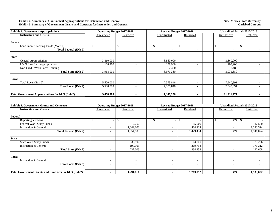#### **Exhibit 4. Summary of Government Appropriations for Instruction and General Exhibit 5. Summary of Government Grants and Contracts for Instruction and General**

#### **New Mexico State University Carlsbad Campus**

| <b>Exhibit 4. Government Appropriations</b>           | <b>Operating Budget 2017-2018</b> |                | Revised Budget 2017-2018 |                          | Unaudited Actuals 2017-2018        |               |  |  |  |  |
|-------------------------------------------------------|-----------------------------------|----------------|--------------------------|--------------------------|------------------------------------|---------------|--|--|--|--|
| <b>Instruction and General</b>                        | Unrestricted                      | Restricted     | Unrestricted             | Restricted               | Unrestricted                       | Restricted    |  |  |  |  |
|                                                       |                                   |                |                          |                          |                                    |               |  |  |  |  |
| Federal                                               |                                   |                |                          |                          |                                    |               |  |  |  |  |
| Land Grant Teaching Funds (Morrill)                   | $\mathcal{S}$                     | $\mathbb{S}$   | $\mathcal{S}$<br>a.      | $\mathbb{S}$             | $\mathbb{S}$                       | $\mathcal{S}$ |  |  |  |  |
| <b>Total Federal (Exh 2)</b>                          |                                   | ÷              |                          |                          |                                    |               |  |  |  |  |
|                                                       |                                   |                |                          |                          |                                    |               |  |  |  |  |
| <b>State</b>                                          |                                   |                |                          |                          |                                    |               |  |  |  |  |
| <b>General Appropriation</b>                          | 3,860,000                         | $\sim$         | 3,860,000                | $\sim$                   | 3,860,000                          | $\sim$        |  |  |  |  |
| I & G Line Item Appropriations                        | 108,900                           | $\sim$         | 108,900                  | $\overline{\phantom{a}}$ | 108,900                            | $\sim$        |  |  |  |  |
| <b>Non-Credit Work Force Training</b>                 |                                   | ÷              | 2,480                    |                          | 2,480                              | $\sim$        |  |  |  |  |
| <b>Total State (Exh 2)</b>                            | 3,968,900                         | $\sim$         | 3,971,380                | $\sim$                   | 3,971,380                          | $\sim$        |  |  |  |  |
|                                                       |                                   |                |                          |                          |                                    |               |  |  |  |  |
| Local                                                 |                                   |                |                          |                          |                                    |               |  |  |  |  |
| Total Local (Exh 2)                                   | 5,500,000                         | ÷.             | 7,375,846                |                          | 7,940,391                          |               |  |  |  |  |
| <b>Total Local (Exh 2)</b>                            | 5,500,000                         | $\sim$         | 7,375,846                | $\sim$                   | 7,940,391                          | ÷.            |  |  |  |  |
|                                                       |                                   |                |                          |                          |                                    |               |  |  |  |  |
| Total Government Appropriations for I&G (Exh 2)       | 9,468,900                         | $\blacksquare$ | 11,347,226               |                          | 11,911,771                         |               |  |  |  |  |
|                                                       |                                   |                |                          |                          |                                    |               |  |  |  |  |
|                                                       |                                   |                |                          |                          |                                    |               |  |  |  |  |
| <b>Exhibit 5. Government Grants and Contracts</b>     | <b>Operating Budget 2017-2018</b> |                | Revised Budget 2017-2018 |                          | <b>Unaudited Actuals 2017-2018</b> |               |  |  |  |  |
| <b>Instruction and General</b>                        | Unrestricted                      | Restricted     | Unrestricted             | Restricted               | Unrestricted                       | Restricted    |  |  |  |  |
|                                                       |                                   |                |                          |                          |                                    |               |  |  |  |  |
| Federal                                               |                                   |                |                          |                          |                                    |               |  |  |  |  |
| <b>Reporting Veterans</b>                             | <sup>\$</sup>                     | $\mathbb{S}$   | <sup>\$</sup>            | $\mathcal{S}$            | 424<br>\$.                         | <b>S</b>      |  |  |  |  |
| Federal Work Study Funds                              |                                   | 12,200         |                          | 15,000                   |                                    | 17,550        |  |  |  |  |
| <b>Instruction &amp; General</b>                      | $\sim$                            | 1,042,608      | $\sim$                   | 1,414,434                | $\sim$                             | 1,323,524     |  |  |  |  |
| <b>Total Federal (Exh 2)</b>                          | ÷.                                | 1.054.808      | $\sim$                   | 1,429,434                | 424                                | 1,341,074     |  |  |  |  |
|                                                       |                                   |                |                          |                          |                                    |               |  |  |  |  |
| <b>State</b>                                          |                                   |                |                          |                          |                                    |               |  |  |  |  |
| <b>State Work Study Funds</b>                         | $\sim$                            | 39,900         | $\sim$                   | 64,700                   | $\sim$                             | 21,296        |  |  |  |  |
| <b>Instruction &amp; General</b>                      | $\sim$                            | 197,103        | $\overline{\phantom{a}}$ | 269,758                  | $\overline{\phantom{a}}$           | 171,312       |  |  |  |  |
| <b>Total State (Exh 2)</b>                            | ÷.                                | 237,003        |                          | 334,458                  | $\overline{\phantom{a}}$           | 192,608       |  |  |  |  |
|                                                       |                                   |                |                          |                          |                                    |               |  |  |  |  |
| Local                                                 |                                   |                |                          |                          |                                    |               |  |  |  |  |
| <b>Instruction &amp; General</b>                      | ٠                                 | $\sim$         | $\overline{\phantom{a}}$ | $\sim$                   | $\overline{\phantom{a}}$           | $\sim$        |  |  |  |  |
| <b>Total Local (Exh 2)</b>                            | $\sim$                            | $\sim$         | $\sim$                   | $\overline{\phantom{a}}$ | $\overline{\phantom{a}}$           | $\sim$        |  |  |  |  |
|                                                       |                                   |                |                          |                          |                                    |               |  |  |  |  |
| Total Government Grants and Contracts for I&G (Exh 2) |                                   | 1,291,811      |                          | 1,763,892                | 424                                | 1,533,682     |  |  |  |  |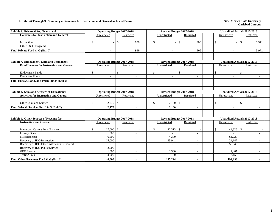#### **Exhibits 6 Through 9. Summary of Revenues for Instruction and General as Listed Below New Mexico State University**

| Exhibit 6. Private Gifts, Grants and                | <b>Operating Budget 2017-2018</b> |                     |                            | Revised Budget 2017-2018 | <b>Unaudited Actuals 2017-2018</b> |                                    |  |  |  |
|-----------------------------------------------------|-----------------------------------|---------------------|----------------------------|--------------------------|------------------------------------|------------------------------------|--|--|--|
| <b>Contracts for Instruction and General</b>        | Unrestricted                      | Restricted          | Unrestricted               | Restricted               | Unrestricted                       | Restricted                         |  |  |  |
|                                                     |                                   |                     |                            |                          |                                    |                                    |  |  |  |
| Instruction                                         | <sup>\$</sup>                     | $\mathbb{S}$<br>900 | \$.                        | $\mathcal{S}$<br>900     | \$                                 | 3,971<br>-S                        |  |  |  |
| Other I & G Programs                                |                                   |                     |                            |                          |                                    |                                    |  |  |  |
| Total Private For I & G (Exh 2)                     |                                   | 900                 |                            | 900                      | $\blacksquare$                     | 3,971                              |  |  |  |
|                                                     |                                   |                     |                            |                          |                                    |                                    |  |  |  |
| <b>Exhibit 7. Endowment, Land and Permanent</b>     | <b>Operating Budget 2017-2018</b> |                     |                            | Revised Budget 2017-2018 | <b>Unaudited Actuals 2017-2018</b> |                                    |  |  |  |
| <b>Fund Incomes for Instruction and General</b>     | Unrestricted                      | Restricted          | Unrestricted               | Restricted               | Unrestricted                       | Restricted                         |  |  |  |
| <b>Endowment Funds</b>                              | $\mathcal{S}$                     | $\mathbb{S}$        | $\mathcal{S}$              | $\mathcal{S}$            | $\mathcal{S}$                      | <sup>\$</sup>                      |  |  |  |
| <b>Permanent Funds</b>                              |                                   |                     |                            |                          |                                    |                                    |  |  |  |
| Total Endow, Land, and Perm Funds (Exh 2)           | $\blacksquare$                    | $\blacksquare$      | $\overline{\phantom{a}}$   | $\overline{\phantom{a}}$ | $\blacksquare$                     |                                    |  |  |  |
|                                                     |                                   |                     |                            |                          |                                    |                                    |  |  |  |
| <b>Exhibit 8. Sales and Services of Educational</b> | <b>Operating Budget 2017-2018</b> |                     |                            | Revised Budget 2017-2018 |                                    | <b>Unaudited Actuals 2017-2018</b> |  |  |  |
| <b>Activities for Instruction and General</b>       | Unrestricted                      | Restricted          | Unrestricted               | Restricted               | Unrestricted                       | Restricted                         |  |  |  |
| Other Sales and Service                             | $2,270$ \$<br><sup>\$</sup>       |                     | $\mathbb{S}$<br>$2,180$ \$ |                          | \$                                 | -S                                 |  |  |  |
| Total Sales & Services For I & G (Exh 2)            | 2,270                             | $\blacksquare$      | 2,180                      | $\overline{\phantom{a}}$ | $\blacksquare$                     |                                    |  |  |  |
|                                                     |                                   |                     |                            |                          |                                    |                                    |  |  |  |
| <b>Exhibit 9. Other Sources of Revenue for</b>      | <b>Operating Budget 2017-2018</b> |                     |                            | Revised Budget 2017-2018 | <b>Unaudited Actuals 2017-2018</b> |                                    |  |  |  |
| <b>Instruction and General</b>                      | Unrestricted                      | Restricted          | Unrestricted               | Restricted               | Unrestricted                       | Restricted                         |  |  |  |
|                                                     | $\mathcal{S}$                     |                     | $\mathcal{S}$              |                          | $\mathcal{S}$                      |                                    |  |  |  |
| <b>Interest on Current Fund Balances</b>            | $17,000$ \$                       |                     |                            |                          |                                    |                                    |  |  |  |
| <b>Library Fines</b><br>Miscellaneous               | 500<br>6,500                      |                     |                            |                          | 61,729                             |                                    |  |  |  |
|                                                     |                                   | $\sim$              | 4,300                      | ÷.                       |                                    |                                    |  |  |  |
| Recovery of IDC-Instruction                         | 15,000                            | $\sim$              | 85,941                     |                          | 24,147                             |                                    |  |  |  |
| Recovery of IDC-Other Instruction & General         |                                   | $\sim$              |                            |                          | 58,945                             |                                    |  |  |  |
| Recovery of IDC-Public Service                      | 2.000                             | $\sim$              |                            | ÷.                       |                                    |                                    |  |  |  |
| <b>GED</b> Income                                   | 1.000                             | $\sim$              | 1,580                      | a.                       | 1,487                              |                                    |  |  |  |
| <b>Testing Fees</b>                                 | 4,000                             | $\sim$              | 1,160                      |                          | 3,159                              |                                    |  |  |  |
| Total Other Revenues For I & G (Exh 2)              | 46,000                            | $\blacksquare$      | 115,294                    | $\blacksquare$           | 194,293                            |                                    |  |  |  |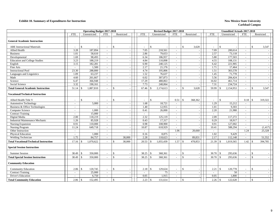#### **Exhibit 10. Summary of Expenditures for Instruction New Mexico State University**

|                                               |                          | <b>Operating Budget 2017-2018</b> |                          |                         |                          | <b>Revised Budget 2017-2018</b> |                          |                          |                          | <b>Unaudited Actuals 2017-2018</b> |                          |                    |            |
|-----------------------------------------------|--------------------------|-----------------------------------|--------------------------|-------------------------|--------------------------|---------------------------------|--------------------------|--------------------------|--------------------------|------------------------------------|--------------------------|--------------------|------------|
|                                               | <b>FTE</b>               | Unrestricted                      | <b>FTE</b>               | Restricted              | <b>FTE</b>               | Unrestricted                    | <b>FTE</b>               | Restricted               | <b>FTE</b>               | Unrestricted                       | <b>FTE</b>               |                    | Restricted |
| <b>General Academic Instruction</b>           |                          |                                   |                          |                         |                          |                                 |                          |                          |                          |                                    |                          |                    |            |
| <b>ABE</b> Instructional Materials            | $\overline{\phantom{a}}$ | \$                                | $\overline{\phantom{a}}$ | $\mathcal{S}$           |                          | $\mathbf{\hat{S}}$              |                          | $\mathbf{s}$<br>3,628    | $\overline{\phantom{a}}$ | $\mathcal{S}$                      | $\overline{\phantom{a}}$ | \$                 | 3,547      |
| Allied Health                                 | 3.28                     | 187.894                           | $\overline{\phantom{a}}$ |                         | 7.05                     | 218,561                         | $\sim$                   |                          | 7.09                     | 200.614                            | $\overline{a}$           |                    |            |
| <b>Business</b>                               | 1.01                     | 58,610                            | $\sim$                   |                         | 2.86                     | 79.653                          | $\sim$                   |                          | 2.57                     | 73.118                             | $\overline{\phantom{a}}$ |                    |            |
| Developmental                                 | 1.69                     | 98,493                            | $\sim$                   |                         | 6.34                     | 186,957                         | $\sim$                   | $\overline{\phantom{a}}$ | 5.80                     | 177,503                            | $\overline{\phantom{a}}$ |                    |            |
| <b>Education and College Studies</b>          | 3.23                     | 188,219                           | $\sim$                   |                         | 4.84                     | 110,898                         | $\sim$                   |                          | 4.55                     | 108,131                            | $\sim$                   |                    |            |
| English                                       | 3.15                     | 182,281                           | $\sim$                   |                         | 6.90                     | 240,125                         | $\sim$                   |                          | 6.42                     | 221,905                            | $\sim$                   |                    |            |
| Fine Arts                                     | $\sim$                   | 1,500                             | $\sim$                   |                         | 2.17                     | 21,176                          | $\sim$                   | $\overline{\phantom{a}}$ | 1.71                     | 17,464                             | $\overline{\phantom{a}}$ |                    |            |
| <b>Instructional Pool</b>                     | 23.30                    | 288,800                           | $\sim$                   |                         | 4.74                     | 195,806                         | $\sim$                   |                          | 1.51                     | 303,578                            | $\sim$                   |                    |            |
| Languages and Linguistics                     | 1.09                     | 63,237                            | $\sim$                   |                         | 1.52                     | 76,637                          | $\sim$                   | $\overline{a}$           | 1.45                     | 71,778                             | $\sim$                   |                    |            |
| Math                                          | 4.60                     | 261,667                           | $\sim$                   |                         | 6.02                     | 307,873                         | $\overline{\phantom{a}}$ | $\overline{\phantom{a}}$ | 5.56                     | 284,424                            | $\overline{\phantom{a}}$ |                    |            |
| Science                                       | 6.47                     | 366,948                           | $\sim$                   | $\overline{a}$          | 17.29                    | 488,863                         | $\sim$                   | $\sim$                   | 16.02                    | 461,714                            | $\sim$                   |                    |            |
| Social Science                                | 3.32                     | 190,161                           | $\sim$                   |                         | 7.73                     | 248,064                         | $\overline{\phantom{a}}$ |                          | 7.31                     | 234,724                            | $\sim$                   |                    |            |
| <b>Total General Academic Instruction</b>     | 51.14                    | 1,887,810<br>$\mathcal{S}$        | $\sim$                   | $\mathcal{S}$           | 67.46                    | 2,174,613<br>-\$                |                          | 3,628<br>$\mathcal{S}$   | 59.99                    | 2,154,953<br>$\mathbf{\hat{s}}$    | $\overline{\phantom{a}}$ | $\mathcal{S}$      | 3,547      |
| Vocational/Technical Instruction              |                          |                                   |                          |                         |                          |                                 |                          |                          |                          |                                    |                          |                    |            |
| Allied Health Title V                         | $\overline{\phantom{a}}$ | $\mathcal{S}$                     | $\sim$                   | $\mathcal{S}$           |                          | $\mathbf{\hat{S}}$              | 0.51                     | $\mathbf{s}$<br>368,362  | $\sim$                   | $\mathbf{\$}$                      | 0.18                     | -S                 | 319,322    |
| <b>Automotive Technology</b>                  | $\sim$                   | 5,000                             | $\sim$                   |                         | 1.68                     | 18,721                          | $\sim$                   |                          | 1.29                     | 15,212                             | $\overline{\phantom{a}}$ |                    |            |
| Business & Office Technologies                | $\sim$                   |                                   | $\overline{\phantom{a}}$ |                         | 1.40                     | 12,955                          | $\sim$                   |                          | 1.01                     | 9,303                              | $\sim$                   |                    |            |
| Computer Science                              | $\sim$                   | 1,000                             | $\sim$                   |                         | 0.41                     | 26,000                          | $\overline{a}$           |                          | 2.20                     | 21,988                             | $\overline{\phantom{a}}$ |                    |            |
| <b>Contract Training</b>                      | $\sim$                   | 15,000                            | $\sim$                   |                         |                          |                                 | $\sim$                   |                          | $\sim$                   |                                    | $\sim$                   |                    |            |
| Digital Media                                 | 2.00                     | 118,219                           | $\sim$                   |                         | 2.32                     | 125,119                         | $\overline{\phantom{a}}$ |                          | 2.09                     | 117,272                            | $\sim$                   |                    |            |
| <b>Industrial Maintenance Mechanic</b>        | 1.26                     | 85,928                            | $\sim$                   |                         | 0.43                     | 17,317                          | $\sim$                   | $\overline{\phantom{a}}$ | 0.29                     | 18,917                             | $\overline{\phantom{a}}$ |                    |            |
| Nursing Expansion                             | 0.91                     | 110,000                           | $\mathbb{Z}^2$           |                         | 0.98                     | 108,900                         | $\sim$                   |                          | 0.91                     | 127,002                            | $\sim$                   |                    |            |
| Nursing Program                               | 11.24                    | 649,718                           | $\sim$                   |                         | 10.87                    | 618,929                         | $\sim$                   |                          | 10.41                    | 588,294                            | $\sim$                   |                    | (1, 417)   |
| Other Instruction                             | $\sim$                   |                                   | $\overline{\phantom{a}}$ |                         | $\overline{\phantom{a}}$ |                                 | 1.06                     | 20,660                   | $\sim$                   |                                    | 1.24                     |                    | 25,328     |
| <b>Physical Education</b>                     | $\sim$                   | 1,000                             | $\sim$                   |                         | 0.16                     | 8,875                           | $\sim$                   |                          | 1.02                     | 9,429                              | $\sim$                   |                    |            |
| Welding Technician                            | 1.75                     | 84,757                            | $\overline{\phantom{a}}$ | 38,000                  | 2.28                     | 118,623                         | $\overline{\phantom{a}}$ | 89,831                   | 2.17                     | 112,148                            | $\sim$                   |                    | 51,552     |
| <b>Total Vocational/Technical Instruction</b> | 17.16                    | 1,070,622<br><sup>\$</sup>        | $\sim$                   | 38,000<br>$\mathbf{\$}$ | 20.53                    | 1,055,439<br>£.                 | 1.57                     | 478,853<br>-\$           | 21.39                    | 1,019,565<br>$\mathbf{\hat{s}}$    | 1.42                     | -8                 | 394,785    |
| <b>Special Session Instruction</b>            |                          |                                   |                          |                         |                          |                                 |                          |                          |                          |                                    |                          |                    |            |
| <b>Summer Session</b>                         | 38.49                    | 350,000<br><sup>\$</sup>          | $\overline{\phantom{a}}$ | $\mathbb{S}$            | 38.25                    | <sup>\$</sup><br>368,361        |                          | \$                       | 30.70                    | <sup>\$</sup><br>295,636           | $\overline{\phantom{a}}$ | <sup>\$</sup>      |            |
| <b>Total Special Session Instruction</b>      | 38.49                    | $\mathcal{S}$<br>350,000          | $\sim$                   | $\mathbf{\hat{S}}$      | 38.25                    | 368,361<br>$\mathcal{S}$        |                          | $\mathbf{\hat{S}}$       | 30.70                    | $\mathcal{S}$<br>295,636           |                          | $\mathbf{\hat{S}}$ |            |
| <b>Community Education</b>                    |                          |                                   |                          |                         |                          |                                 |                          |                          |                          |                                    |                          |                    |            |
| <b>Community Education</b>                    | 2.06                     | $\mathcal{S}$<br>120,745          | $\overline{\phantom{a}}$ | $\mathcal{S}$           | 2.18                     | 129,624<br>-\$                  |                          | $\mathbf{s}$             | 2.21                     | 120,778<br><sup>\$</sup>           | $\sim$                   | \$                 |            |
| <b>Contract Training</b>                      | $\sim$                   | 25,000                            | $\sim$                   |                         | $\sim$                   | 75                              | $\overline{\phantom{a}}$ | $\overline{\phantom{a}}$ | $\sim$                   | 50                                 | $\sim$                   |                    |            |
| Driver's Education                            | $\overline{\phantom{a}}$ | 6,750                             | $\sim$                   |                         | 0.05                     | 1,915                           | $\sim$                   | $\sim$                   | 0.05                     | 1,800                              | $\sim$                   |                    |            |
| <b>Total Community Education</b>              | 2.06                     | 152,495<br>$\mathbf{\$}$          | $\overline{\phantom{a}}$ | $\mathbf{\hat{S}}$      | 2.23                     | <sup>\$</sup><br>131,614        |                          | $\mathcal{S}$            | 2.26                     | $\mathbf{\hat{s}}$<br>122,628      |                          | $\mathcal{S}$      |            |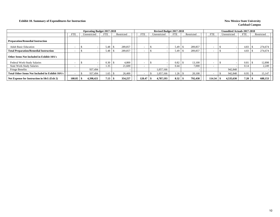#### **Exhibit 10. Summary of Expenditures for Instruction New Mexico State University**

|                                                                                         |            |  | <b>Operating Budget 2017-2018</b> |            |         |            |  |            | Revised Budget 2017-2018 |         |            | <b>Unaudited Actuals 2017-2018</b> |                          |  |              |            |         |            |  |
|-----------------------------------------------------------------------------------------|------------|--|-----------------------------------|------------|---------|------------|--|------------|--------------------------|---------|------------|------------------------------------|--------------------------|--|--------------|------------|---------|------------|--|
|                                                                                         | <b>FTE</b> |  | Unrestricted                      | <b>FTE</b> |         | Restricted |  | <b>FTE</b> | Unrestricted             | FTE     | Restricted |                                    | <b>FTE</b>               |  | Unrestricted | <b>FTE</b> |         | Restricted |  |
| <b>Preparation/Remedial Instruction</b>                                                 |            |  |                                   |            |         |            |  |            |                          |         |            |                                    |                          |  |              |            |         |            |  |
| <b>Adult Basic Education</b>                                                            |            |  | 5.48                              |            | 289,857 |            |  |            | 5.49                     | 289,857 |            |                                    |                          |  | 4.83         |            | 274,674 |            |  |
| <b>Total Preparation/Remedial Instruction</b>                                           |            |  |                                   | 5.48       |         | 289,857    |  |            |                          | 5.49    | 289,857    |                                    |                          |  |              | 4.83       |         | 274,674    |  |
| Other Items Not Included in Exhibit 10A's                                               |            |  |                                   |            |         |            |  |            |                          |         |            |                                    |                          |  |              |            |         |            |  |
| Federal Work-Study Salaries                                                             |            |  |                                   | 0.30       |         | 4.800      |  |            |                          | 0.82    | 13,100     |                                    | $\overline{\phantom{0}}$ |  |              | 0.81       |         | 12,898     |  |
| <b>State Work-Study Salaries</b>                                                        |            |  |                                   | 1.35       |         | 21,600     |  |            |                          | 0.44    | 7,000      |                                    | $\overline{\phantom{0}}$ |  |              | 0.14       |         | 2,249      |  |
| Fringe Benefits                                                                         |            |  | 937,494                           |            |         |            |  |            | 1.057.166                |         |            |                                    |                          |  | 942,848      |            |         |            |  |
| 26,400<br><b>Total Other Items Not Included in Exhibit 10A's</b><br>937,494<br>1.65     |            |  |                                   |            |         |            |  |            | 1,057,166                | 1.26    | 20,100     |                                    | <b>.</b>                 |  | 942.848      | 0.95       |         | 15,147     |  |
| 4,398,421<br>354,257<br>108.85<br>Net Expense for Instruction in $I\&G$ (Exh 2)<br>7.13 |            |  |                                   |            |         |            |  |            | 4,787,193                | 8.32    | 792,438    |                                    | 114.34                   |  | 4,535,630    | 7.20       |         | 688,153    |  |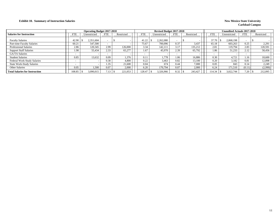#### **Exhibit 10. Summary of Instruction Salaries** New Mexico State University

|                                       |                          | <b>Operating Budget 2017-2018</b> |                          |            |            |       | Revised Budget 2017-2018 |            |            |            | <b>Unaudited Actuals 2017-2018</b> |            |            |
|---------------------------------------|--------------------------|-----------------------------------|--------------------------|------------|------------|-------|--------------------------|------------|------------|------------|------------------------------------|------------|------------|
| <b>Salaries for Instruction</b>       | FTE                      | Unrestricted                      | <b>FTE</b>               | Restricted | <b>FTE</b> |       | Unrestricted             | <b>FTE</b> | Restricted | <b>FTE</b> | Unrestricted                       | <b>FTE</b> | Restricted |
| <b>Faculty Salaries</b>               | 42.90                    | 2,351,604                         |                          |            | 41.22      |       | 2,262,080                |            |            | 37.70      | 2,068,198                          |            |            |
| Part-time Faculty Salaries            | 60.21                    | 547,500                           | $\overline{\phantom{0}}$ |            |            | 75.67 | 700,096                  | 0.37       | 3,437      | 65.18      | 603.263                            | 0.25       | 2,291      |
| <b>Professional Salaries</b>          | 2.86                     | 120,345                           | 2.99                     | 126,000    |            | 3.34  | 142,111                  | 3.17       | 135,212    | 2.81       | 119,794                            | 2.83       | 120,591    |
| <b>Support Staff Salaries</b>         | 1.98                     | 55,434                            | 2.33                     | 65,277     |            | 1.67  | 45,970                   | 2.39       | 65,792     | 1.86       | 51,233                             | 2.12       | 58,456     |
| GA/TA Salaries                        |                          |                                   | $\overline{\phantom{a}}$ |            |            |       |                          |            |            |            |                                    |            |            |
| <b>Student Salaries</b>               | 0.85                     | 13.632                            | 0.09                     | 1,376      |            | 0.11  | 1.778                    | 1.06       | 16.886     | 0.30       | 4,721                              | 1.16       | 18,600     |
| Federal Work-Study Salaries           | $\overline{\phantom{a}}$ |                                   | 0.30                     | 4.800      |            | 0.22  | 3.463                    | 0.82       | 13.100     | 0.20       | 3,182                              | 0.81       | 12,898     |
| <b>State Work-Study Salaries</b>      | $\overline{\phantom{0}}$ |                                   | 1.35                     | 21.600     |            | 0.04  | 674                      | 0.44       | 7,000      | 0.05       | 843                                | 0.14       | 2,249      |
| Other Salaries                        | 0.05                     | 1,500                             | 0.07                     | 2,000      |            | 6.20  | 170,794                  | 0.07       | 2,000      | 6.24       | 171,510                            | (0.11)     | (2,990)    |
| <b>Total Salaries for Instruction</b> | 108.85                   | 3,090,015                         | 7.13                     | 221,053    | 128.47     |       | 3,326,966                | 8.32       | 243.427    | 14.34      | 3,022,744                          | 7.20       | 212,095    |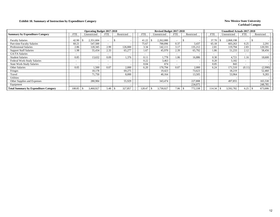### **Exhibit 10. Summary of Instruction by Expenditure Category New Mexico State University**

|                                              |            | <b>Operating Budget 2017-2018</b> |                          |            |            |      | Revised Budget 2017-2018 |                          |            |                          | <b>Unaudited Actuals 2017-2018</b> |                          |            |
|----------------------------------------------|------------|-----------------------------------|--------------------------|------------|------------|------|--------------------------|--------------------------|------------|--------------------------|------------------------------------|--------------------------|------------|
| <b>Summary by Expenditure Category</b>       | <b>FTE</b> | Unrestricted                      | <b>FTE</b>               | Restricted | <b>FTE</b> |      | Unrestricted             | <b>FTE</b>               | Restricted | <b>FTE</b>               | Unrestricted                       | <b>FTE</b>               | Restricted |
| <b>Faculty Salaries</b>                      | 42.90      | 2,351,604                         |                          |            | 41.22      |      | 2,262,080                |                          |            | 37.70                    | 2,068,198                          | $\overline{\phantom{a}}$ |            |
| Part-time Faculty Salaries                   | 60.21      | 547,500                           |                          |            | 75.67      |      | 700,096                  | 0.37                     | 3,437      | 65.18                    | 603,263                            | 0.25                     | 2,291      |
| <b>Professional Salaries</b>                 | 2.86       | 120,345                           | 2.99                     | 126,000    |            | 3.34 | 142,111                  | 3.17                     | 135,212    | 2.81                     | 119,794                            | 2.83                     | 120,591    |
| <b>Support Staff Salaries</b>                | 1.98       | 55,434                            | 2.33                     | 65,277     |            | 1.67 | 45,970                   | 2.39                     | 65,792     | 1.86                     | 51,233                             | 2.12                     | 58,456     |
| GA/TA Salaries                               |            |                                   |                          |            |            |      |                          |                          |            | $\overline{\phantom{0}}$ |                                    |                          |            |
| <b>Student Salaries</b>                      | 0.85       | 13,632                            | 0.09                     | 1,376      |            | 0.11 | 1.778                    | 1.06                     | 16,886     | 0.30                     | 4,721                              | 1.16                     | 18,600     |
| Federal Work-Study Salaries                  |            |                                   |                          |            |            | 0.22 | 3,463                    |                          |            | 0.20                     | 3,182                              | $\overline{\phantom{0}}$ |            |
| <b>State Work-Study Salaries</b>             |            |                                   | $\overline{\phantom{0}}$ |            |            | 0.04 | 674                      | $\overline{\phantom{0}}$ |            | 0.05                     | 843                                | $\overline{\phantom{0}}$ |            |
| Other Salaries                               | 0.05       | .500                              | 0.07                     | 2,000      |            | 6.20 | 170,794                  | 0.07                     | 2,000      | 6.24                     | 171,510                            | (0.11)                   | (2,990)    |
| Fringes                                      |            | 18,178                            |                          | 69,275     |            |      | 19,423                   |                          | 73,623     |                          | 18,219                             |                          | 52,460     |
| Travel                                       |            | 71.750                            |                          | 8,000      |            |      | 40,164                   |                          | 13,505     |                          | 53,964                             |                          | 9,283      |
| <b>Utilities</b>                             |            |                                   |                          |            |            |      |                          |                          |            |                          |                                    |                          |            |
| Other Supplies and Expenses                  |            | 280,984                           |                          | 55,929     |            |      | 343,474                  |                          | 227,808    |                          | 497,855                            |                          | 165,530    |
| Equipment                                    |            |                                   |                          |            |            |      |                          |                          | 234,075    |                          |                                    |                          | 248,785    |
| <b>Total Summary by Expenditure Category</b> | 108.85     | 3,460,927                         | 5.48                     | 327,857    | 128.47     |      | 3,730,027                | 7.06                     | 772,338    | 114.34                   | 3,592,782                          | 6.25                     | 673,006    |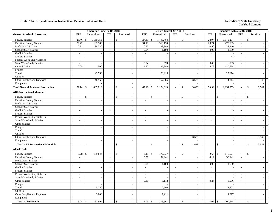|                                           |                          | <b>Operating Budget 2017-2018</b> |                          |                                |                          | Revised Budget 2017-2018                 |                          |                          |                | <b>Unaudited Actuals 2017-2018</b> |                          |              |                          |
|-------------------------------------------|--------------------------|-----------------------------------|--------------------------|--------------------------------|--------------------------|------------------------------------------|--------------------------|--------------------------|----------------|------------------------------------|--------------------------|--------------|--------------------------|
| <b>General Academic Instruction</b>       | ${\rm FTE}$              | Unrestricted                      | <b>FTE</b>               | Restricted                     | <b>FTE</b>               | Unrestricted                             | <b>FTE</b>               | Restricted               | <b>FTE</b>     | Unrestricted                       | <b>FTE</b>               | Restricted   |                          |
| <b>Faculty Salaries</b>                   | 28.46                    | 1,559,755<br>$\mathbb{S}$         | $\sim$                   | \$                             | 27.33                    | \$<br>1,499,464                          | $\overline{\phantom{a}}$ | $\mathbb{S}$             | 24.97          | \$<br>1,370,294                    | $\sim$                   | \$           |                          |
| Part-time Faculty Salaries                | 21.72                    | 197,500                           | $\blacksquare$           | $\sim$                         | 34.18                    | 316,174                                  | $\blacksquare$           | $\sim$                   | 29.24          | 270,585                            | $\blacksquare$           |              | $\sim$                   |
| Professional Salaries                     | 0.91                     | 38,340                            | $\omega$                 | $\sim$                         | 0.90                     | 38,340                                   | $\omega$                 | $\sim$                   | 0.90           | 38,340                             | $\omega$                 |              | $\overline{\phantom{a}}$ |
| <b>Support Staff Salaries</b>             | $\sim$                   |                                   | $\bar{\phantom{a}}$      |                                | 0.04                     | 1,100                                    | $\mathcal{L}$            | $\sim$                   | 0.06           | 1,650                              | $\sim$                   |              |                          |
| GA/TA Salaries                            | $\sim$                   | $\blacksquare$                    | $\blacksquare$           |                                | $\overline{\phantom{a}}$ |                                          | $\blacksquare$           | $\overline{\phantom{a}}$ | $\omega$       |                                    | $\blacksquare$           |              | $\sim$                   |
| <b>Student Salaries</b>                   | $\sim$                   | $\sim$                            | $\sim$                   | $\sim$                         | $\sim$                   | $\sim$                                   | $\omega$                 | $\mathcal{L}$            | $\sim$         | (1)                                | $\sim$                   |              | $\sim$                   |
| Federal Work-Study Salaries               | $\sim$                   | $\sim$                            | $\sim$                   | $\sim$                         | $\sim$                   |                                          | $\omega$                 | $\sim$                   | $\sim$         | $\overline{\phantom{a}}$           | $\sim$                   |              | $\sim$                   |
| State Work-Study Salaries                 | $\sim$                   | $\sim$                            | $\sim$                   | $\overline{\phantom{a}}$       | 0.04                     | 674                                      | $\sim$                   | $\sim$                   | 0.06           | 933                                | $\sim$                   |              | $\sim$                   |
| Other Salaries                            | 0.05                     | 1,500                             | $\overline{\phantom{a}}$ | $\overline{\phantom{a}}$       | 4.97                     | 136,980                                  | $\blacksquare$           | $\sim$                   | 4.76           | 130,664                            | $\blacksquare$           |              | $\sim$                   |
| Fringes                                   |                          | $\sim$                            |                          | $\blacksquare$                 |                          |                                          |                          | $\sim$                   |                |                                    |                          |              | $\overline{\phantom{a}}$ |
| Travel                                    |                          | 43,750                            |                          | $\sim$                         |                          | 23,915                                   |                          | $\sim$                   |                | 27,674                             |                          |              | $\sim$                   |
| <b>Utilities</b>                          |                          |                                   |                          | $\sim$                         |                          |                                          |                          | $\blacksquare$           |                |                                    |                          |              | $\sim$                   |
| Other Supplies and Expenses               |                          | 46,965                            |                          | $\overline{\phantom{a}}$       |                          | 157,966                                  |                          | 3,628                    |                | 314,814                            |                          |              | 3,547                    |
| Equipment                                 |                          |                                   |                          | $\sim$                         |                          |                                          |                          |                          |                |                                    |                          |              |                          |
| <b>Total General Academic Instruction</b> | 51.14                    | 1,887,810<br>-\$                  |                          | $\mathbb{S}$                   | 67.46                    | 2,174,613<br>$\mathbb{S}$                | $\bar{a}$                | 3,628<br>\$              | 59.99          | \$<br>2,154,953                    | $\sim$                   | $\mathbb{S}$ | 3,547                    |
| <b>ABE Instructional Materials</b>        |                          |                                   |                          |                                |                          |                                          |                          |                          |                |                                    |                          |              |                          |
| <b>Faculty Salaries</b>                   |                          | $\mathbb{S}$                      | ÷,                       | \$                             | $\sim$                   | $\$$                                     | $\bar{a}$                | $\mathbf{s}$<br>$\sim$   | $\sim$         | $\mathbb{S}$                       | $\blacksquare$           | $\mathbf{s}$ |                          |
| Part-time Faculty Salaries                | $\sim$                   | $\sim$                            | $\sim$                   | $\overline{\phantom{a}}$       | $\sim$                   | $\overline{\phantom{a}}$                 | $\sim$                   | $\sim$                   | $\sim$         | $\overline{\phantom{a}}$           | $\sim$                   |              | $\sim$                   |
| <b>Professional Salaries</b>              | $\sim$                   | $\blacksquare$                    | $\bar{\phantom{a}}$      |                                | $\sim$                   |                                          | $\blacksquare$           | $\sim$                   | $\sim$         |                                    | $\sim$                   |              | $\sim$                   |
| <b>Support Staff Salaries</b>             | $\sim$                   | $\sim$                            | $\overline{a}$           |                                | $\sim$                   | $\sim$                                   | $\overline{\phantom{a}}$ | $\sim$                   | $\blacksquare$ | $\overline{\phantom{a}}$           | $\sim$                   |              | $\sim$                   |
| GA/TA Salaries                            | $\sim$                   | $\omega$                          | $\sim$                   | $\sim$                         | $\sim$                   | $\sim$                                   | $\mathcal{L}$            | $\omega$                 | $\sim$         | $\overline{\phantom{a}}$           | $\sim$                   |              | $\sim$                   |
| <b>Student Salaries</b>                   | $\sim$                   | $\omega$                          | $\sim$                   | $\sim$                         | $\sim$                   | J.                                       | $\mathcal{L}$            | $\sim$                   | $\sim$         | $\overline{\phantom{a}}$           | $\sim$                   |              | $\overline{\phantom{a}}$ |
| Federal Work-Study Salaries               | $\sim$                   | $\sim$                            | $\bar{\phantom{a}}$      | $\sim$                         | $\sim$                   | $\sim$                                   | $\blacksquare$           | $\sim$                   | $\sim$         | $\overline{\phantom{a}}$           | $\sim$                   |              | $\overline{\phantom{a}}$ |
| State Work-Study Salaries                 | $\sim$                   | $\omega$                          | $\bar{\phantom{a}}$      | $\sim$                         | $\sim$                   |                                          | $\blacksquare$           | $\sim$                   | $\sim$         | $\overline{\phantom{a}}$           | $\sim$                   |              | $\sim$                   |
| Other Salaries                            | $\sim$                   | $\mathbb{Z}^2$                    | $\sim$                   | $\sim$                         | $\sim$                   | $\sim$                                   | $\sim$                   | $\sim$                   | $\sim$         | $\sim$                             | $\sim$                   |              | $\sim$                   |
| Fringes                                   |                          | $\blacksquare$                    |                          | $\sim$                         |                          | $\sim$                                   |                          | $\sim$                   |                | $\sim$                             |                          |              | $\overline{\phantom{a}}$ |
| Travel                                    |                          | $\blacksquare$                    |                          | $\sim$                         |                          | $\overline{\phantom{a}}$                 |                          | $\blacksquare$           |                | $\sim$                             |                          |              | $\overline{\phantom{a}}$ |
| <b>Utilities</b>                          |                          | $\sim$                            |                          |                                |                          |                                          |                          |                          |                |                                    |                          |              |                          |
| Other Supplies and Expenses               |                          | $\sim$                            |                          | $\overline{\phantom{a}}$       |                          | $\overline{\phantom{a}}$                 |                          | 3,628                    |                |                                    |                          |              | 3,547                    |
| Equipment                                 |                          | $\sim$                            |                          | $\sim$                         |                          | $\sim$                                   |                          |                          |                | $\overline{\phantom{a}}$           |                          |              |                          |
| <b>Total ABE Instructional Materials</b>  |                          | $\mathbb{S}$<br>$\sim$            | $\overline{a}$           | $\mathbb{S}$<br>$\overline{a}$ |                          | $\mathbb{S}$<br>$\overline{\phantom{a}}$ | $\overline{a}$           | \$<br>3,628              | $\blacksquare$ | $\mathbb{S}$                       | $\overline{\phantom{a}}$ | $\mathbb{S}$ | 3,547                    |
| <b>Allied Health</b>                      |                          |                                   |                          |                                |                          |                                          |                          |                          |                |                                    |                          |              |                          |
| <b>Faculty Salaries</b>                   | 3.28                     | $\mathbb{S}$<br>179,644           | $\blacksquare$           | \$                             | 3.15                     | \$<br>172,537                            | $\sim$                   | \$<br>$\sim$             | 2.67           | $\mathbb{S}$<br>146,527            | $\sim$                   | \$           |                          |
| Part-time Faculty Salaries                | $\overline{\phantom{a}}$ |                                   | $\blacksquare$           |                                | 3.56                     | 32,941                                   | $\overline{\phantom{a}}$ | $\sim$                   | 4.12           | 38,141                             | $\sim$                   |              | $\sim$                   |
| Professional Salaries                     | $\sim$                   | $\overline{\phantom{a}}$          | $\overline{\phantom{a}}$ |                                | $\overline{a}$           |                                          | $\blacksquare$           | $\blacksquare$           | $\omega$       |                                    | $\overline{\phantom{a}}$ |              | $\sim$                   |
| <b>Support Staff Salaries</b>             | $\sim$                   | $\sim$                            | $\sim$                   | $\sim$                         | 0.04                     | 1,100                                    | $\omega_{\rm c}$         | $\sim$                   | 0.06           | 1,650                              | $\omega$                 |              | $\sim$                   |
| GA/TA Salaries                            | $\sim$                   | $\omega$                          | $\sim$                   | $\sim$                         | $\sim$                   |                                          | $\sim$                   | $\sim$                   | $\sim$         |                                    | $\overline{a}$           |              | $\sim$                   |
| <b>Student Salaries</b>                   | $\sim$                   | $\omega$                          | $\sim$                   | $\sim$                         | $\sim$                   | $\sim$                                   | $\omega$                 | $\sim$                   | $\sim$         | $\overline{\phantom{a}}$           | $\omega$                 |              | $\sim$                   |
| Federal Work-Study Salaries               | $\overline{\phantom{a}}$ | $\blacksquare$                    | ÷,                       | $\overline{\phantom{a}}$       | $\overline{\phantom{a}}$ |                                          | $\blacksquare$           | $\sim$                   | $\sim$         | ÷,                                 | $\overline{\phantom{a}}$ |              | $\sim$                   |
| <b>State Work-Study Salaries</b>          | $\sim$                   | $\mathbb{Z}^2$                    | $\sim$                   | $\sim$                         | $\sim$                   | $\blacksquare$                           | $\omega$                 | $\sim$                   | $\sim$         | ÷,                                 | $\sim$                   |              | $\sim$                   |
| Other Salaries                            | $\sim$                   | $\sim$                            | $\sim$                   | $\sim$                         | 0.30                     | 8,172                                    | $\overline{a}$           | $\sim$                   | 0.24           | 6,576                              | $\sim$                   |              | $\sim$                   |
| Fringes                                   |                          | $\sim$                            |                          | $\sim$                         |                          |                                          |                          | $\sim$                   |                |                                    |                          |              | $\sim$                   |
| Travel                                    |                          | 5,250                             |                          | $\sim$                         |                          | 2,600                                    |                          | $\sim$                   |                | 3,703                              |                          |              | $\sim$                   |
| Utilities                                 |                          |                                   |                          | $\sim$                         |                          |                                          |                          | $\sim$                   |                |                                    |                          |              | $\sim$                   |
| Other Supplies and Expenses               |                          | 3,000                             |                          | $\sim$                         |                          | 1,211                                    |                          | $\sim$                   |                | 4,017                              |                          |              | $\sim$                   |
| Equipment                                 |                          |                                   |                          | $\sim$                         |                          |                                          |                          | $\sim$                   |                |                                    |                          |              | $\overline{\phantom{a}}$ |
| <b>Total Allied Health</b>                | 3.28                     | \$<br>187,894                     |                          | \$                             | 7.05                     | $\frac{1}{2}$<br>218,561                 |                          | \$                       | 7.09           | $\mathbb{S}$<br>200,614            |                          | \$           |                          |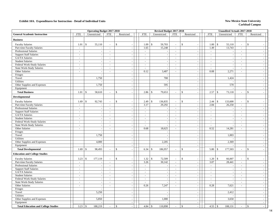|                                            |                | <b>Operating Budget 2017-2018</b> |                          |                                |                          |                    | Revised Budget 2017-2018 |                             |                |                          | <b>Unaudited Actuals 2017-2018</b> |                             |                          |
|--------------------------------------------|----------------|-----------------------------------|--------------------------|--------------------------------|--------------------------|--------------------|--------------------------|-----------------------------|----------------|--------------------------|------------------------------------|-----------------------------|--------------------------|
| <b>General Academic Instruction</b>        | <b>FTE</b>     | Unrestricted                      | <b>FTE</b>               | Restricted                     | <b>FTE</b>               |                    | Unrestricted             | <b>FTE</b>                  | Restricted     | <b>FTE</b>               | Unrestricted                       | <b>FTE</b>                  | Restricted               |
| <b>Business</b>                            |                |                                   |                          |                                |                          |                    |                          |                             |                |                          |                                    |                             |                          |
| <b>Faculty Salaries</b>                    | 1.01           | $\mathbf{\hat{S}}$<br>55,110      | ÷,                       | $\mathbb{S}$                   | 1.09                     | $\mathbb{S}$       | 59,703                   | $\blacksquare$              | $\mathbb{S}$   | 1.00                     | $\mathbf{\hat{S}}$<br>55,110       | $\blacksquare$              | \$                       |
| Part-time Faculty Salaries                 | $\omega$       |                                   | $\overline{a}$           | $\sim$                         | 1.65                     |                    | 15,248                   | $\sim$                      | $\sim$         | 1.49                     | 13,743                             | $\mathcal{L}$               |                          |
| <b>Professional Salaries</b>               | $\blacksquare$ |                                   | $\overline{\phantom{a}}$ | $\mathcal{L}_{\mathcal{A}}$    | $\sim$                   |                    |                          | $\overline{\phantom{a}}$    | $\mathbb{Z}^2$ | $\omega$                 |                                    | $\mathcal{L}_{\mathcal{A}}$ |                          |
| <b>Support Staff Salaries</b>              | $\sim$         |                                   | $\sim$                   | $\sim$                         | $\sim$                   |                    | $\overline{\phantom{a}}$ | $\sim$                      | $\sim$         | $\sim$                   | $\sim$                             | $\sim$                      | $\sim$                   |
| GA/TA Salaries                             | $\sim$         |                                   | $\blacksquare$           | $\sim$                         | $\sim$                   |                    |                          | $\sim$                      | $\sim$         | $\sim$                   |                                    | $\sim$                      | $\overline{\phantom{a}}$ |
| <b>Student Salaries</b>                    | $\blacksquare$ |                                   | ÷,                       | $\sim$                         | $\blacksquare$           |                    |                          | $\blacksquare$              | $\sim$         | $\blacksquare$           | $\overline{\phantom{a}}$           | $\blacksquare$              | $\sim$                   |
| Federal Work-Study Salaries                | $\sim$         |                                   | $\sim$                   | $\sim$                         | $\omega$                 |                    | $\overline{\phantom{a}}$ | $\sim$                      | $\sim$         | $\omega$                 | $\sim$                             | $\sim$                      | $\sim$                   |
| State Work-Study Salaries                  | $\sim$         | $\sim$                            | $\sim$                   | $\mathcal{L}$                  | $\overline{\phantom{a}}$ |                    |                          | $\mathcal{L}$               | $\sim$         | $\overline{\phantom{a}}$ |                                    | $\mathcal{L}$               | $\overline{\phantom{a}}$ |
| Other Salaries                             | $\sim$         | $\sim$                            | $\sim$                   | $\sim$                         | 0.12                     |                    | 3,407                    | $\sim$                      | $\sim$         | 0.08                     | 2,271                              | $\sim$                      | $\sim$                   |
| Fringes                                    |                |                                   |                          | $\sim$                         |                          |                    |                          |                             | $\sim$         |                          |                                    |                             | $\sim$                   |
| Travel                                     |                | 1,750                             |                          | $\sim$                         |                          |                    | 700                      |                             | $\sim$         |                          | 1,424                              |                             |                          |
| Utilities                                  |                |                                   |                          | $\sim$                         |                          |                    |                          |                             | $\sim$         |                          |                                    |                             | $\sim$                   |
| Other Supplies and Expenses                |                | 1,750                             |                          | $\mathbf{r}$                   |                          |                    | 595                      |                             | $\sim$         |                          | 570                                |                             | $\sim$                   |
| Equipment                                  |                |                                   |                          | $\sim$                         |                          |                    |                          |                             | $\sim$         |                          |                                    |                             | $\sim$                   |
| <b>Total Business</b>                      | 1.01           | 58,610<br>\$                      | $\bar{a}$                | $\mathbb{S}$                   | 2.86                     | $\mathbf{s}$       | 79,653                   | $\mathcal{L}$               | \$<br>$\sim$   | 2.57                     | 73,118<br>$\mathcal{S}$            | $\mathbf{r}$                | \$                       |
| Developmental                              |                |                                   |                          |                                |                          |                    |                          |                             |                |                          |                                    |                             |                          |
| <b>Faculty Salaries</b>                    | 1.69           | $\mathbf{\hat{S}}$<br>92,743      | ÷,                       | $\mathbb{S}$                   | 2.49                     | $\mathbb{S}$       | 136,835                  | $\blacksquare$              | \$             | 2.44                     | $\mathbb{S}$<br>133,600            | $\sim$                      | $\mathbb{S}$             |
| Part-time Faculty Salaries                 | $\blacksquare$ |                                   | $\Box$                   | $\mathbb{L}$                   | 3.17                     |                    | 29,292                   | $\mathbb{Z}^2$              | $\sim$         | 2.84                     | 26,250                             | $\sim$                      | $\sim$                   |
| Professional Salaries                      | $\sim$         |                                   | $\sim$                   | $\sim$                         | $\sim$                   |                    |                          | $\sim$                      | $\sim$         | $\sim$                   | $\overline{\phantom{a}}$           | $\sim$                      | $\sim$                   |
| <b>Support Staff Salaries</b>              | $\sim$         |                                   | $\overline{a}$           | $\sim$                         | $\overline{\phantom{a}}$ |                    | ÷,                       | $\overline{\phantom{a}}$    | $\sim$         | $\overline{\phantom{a}}$ | $\overline{\phantom{a}}$           | $\sim$                      | $\sim$                   |
| GA/TA Salaries                             | $\sim$         |                                   | $\bar{a}$                | $\sim$                         | $\overline{\phantom{a}}$ |                    |                          | $\sim$                      | $\blacksquare$ | $\sim$                   | $\sim$                             | $\sim$                      | $\sim$                   |
| <b>Student Salaries</b>                    | $\mathcal{L}$  | $\sim$                            | $\sim$                   | $\sim$                         | $\omega$                 |                    |                          | $\sim$                      | $\sim$         | $\omega$                 | $\sim$                             | $\sim$                      | $\sim$                   |
| Federal Work-Study Salaries                | $\blacksquare$ | $\overline{\phantom{a}}$          | $\overline{\phantom{a}}$ | $\mathbb{L}$                   | $\blacksquare$           |                    | $\overline{\phantom{a}}$ | $\sim$                      | $\sim$         | $\blacksquare$           | $\overline{\phantom{a}}$           | $\sim$                      |                          |
| State Work-Study Salaries                  | $\sim$         | $\overline{a}$                    | $\sim$                   | $\sim$                         | $\sim$                   |                    |                          | $\sim$                      | $\sim$         | $\sim$                   |                                    | $\sim$                      | $\sim$                   |
| Other Salaries                             | $\sim$         | $\sim$                            | $\sim$                   | $\mathcal{L}_{\mathcal{A}}$    | 0.68                     |                    | 18,625                   | $\omega$                    | $\mathbb{Z}^2$ | 0.52                     | 14,281                             | $\sim$                      | $\overline{\phantom{a}}$ |
| Fringes                                    |                |                                   |                          | $\sim$                         |                          |                    |                          |                             | $\blacksquare$ |                          |                                    |                             | $\sim$                   |
| Travel                                     |                | 1,750                             |                          | $\sim$                         |                          |                    | $\overline{\phantom{a}}$ |                             | $\blacksquare$ |                          | 1,003                              |                             | $\sim$                   |
| Utilities                                  |                |                                   |                          | $\blacksquare$                 |                          |                    | $\sim$                   |                             | $\sim$         |                          |                                    |                             | $\overline{\phantom{a}}$ |
| Other Supplies and Expenses                |                | 4,000                             |                          | $\mathcal{L}$                  |                          |                    | 2,205                    |                             | $\sim$         |                          | 2,369                              |                             | $\sim$                   |
| Equipment                                  |                |                                   |                          | $\sim$                         |                          |                    |                          |                             | $\sim$         |                          |                                    |                             | $\sim$                   |
| <b>Total Developmental</b>                 | 1.69           | 98,493<br>\$                      | $\overline{a}$           | \$                             | 6.34                     | $\mathbf{\hat{S}}$ | 186,957                  | $\sim$                      | \$<br>$\sim$   | 5.80                     | $\mathbb{S}$<br>177,503            | $\sim$                      | \$<br>$\sim$             |
| <b>Education and College Studies</b>       |                |                                   |                          |                                |                          |                    |                          |                             |                |                          |                                    |                             |                          |
| <b>Faculty Salaries</b>                    | 3.23           | \$<br>177,119                     | $\sim$                   | $\mathbb{S}$<br>$\overline{a}$ | 1.32                     | \$                 | 72,509                   | $\overline{a}$              | \$             | 1.20                     | \$<br>66,007                       | $\sim$                      | \$                       |
| Part-time Faculty Salaries                 | $\sim$         |                                   | $\sim$                   | $\sim$                         | 3.26                     |                    | 30,142                   | $\sim$                      | $\sim$         | 3.07                     | 28,441                             | $\sim$                      | $\sim$                   |
| <b>Professional Salaries</b>               | $\sim$         |                                   | $\sim$                   | $\sim$                         | $\overline{\phantom{a}}$ |                    |                          | $\bar{\phantom{a}}$         |                | $\sim$                   |                                    | $\sim$                      |                          |
| <b>Support Staff Salaries</b>              | $\sim$         |                                   | ÷,                       | $\sim$                         | $\overline{\phantom{a}}$ |                    |                          | $\blacksquare$              | $\blacksquare$ | $\sim$                   | $\sim$                             | $\sim$                      | $\sim$                   |
| GA/TA Salaries                             | $\mathbb{Z}^2$ |                                   | $\Box$                   | $\mathcal{L}$                  | $\omega$                 |                    | $\sim$                   | $\sim$                      | $\mathbb{Z}^2$ | $\omega$                 | $\overline{\phantom{a}}$           | $\sim$                      | $\overline{\phantom{a}}$ |
| <b>Student Salaries</b>                    | $\blacksquare$ | $\overline{\phantom{a}}$          | $\overline{\phantom{a}}$ | $\blacksquare$                 | $\blacksquare$           |                    |                          | $\blacksquare$              | $\sim$         | $\blacksquare$           |                                    | $\mathcal{L}_{\mathcal{A}}$ |                          |
| Federal Work-Study Salaries                | $\sim$         | $\overline{a}$                    | $\sim$                   | $\sim$                         | $\sim$                   |                    | $\sim$                   | $\sim$                      | $\sim$         | $\sim$                   | $\sim$                             | $\sim$                      | $\sim$                   |
| State Work-Study Salaries                  | $\sim$         |                                   | $\bar{a}$                | $\sim$                         | $\overline{\phantom{a}}$ |                    |                          | $\mathcal{L}$               | $\sim$         | $\overline{\phantom{a}}$ |                                    | $\sim$                      | $\sim$                   |
| Other Salaries                             | $\sim$         | ÷,                                | $\overline{a}$           | $\sim$                         | 0.26                     |                    | 7,247                    | $\mathcal{L}_{\mathcal{A}}$ | $\sim$         | 0.28                     | 7,621                              | $\sim$                      | $\sim$                   |
| Fringes                                    |                |                                   |                          | $\sim$                         |                          |                    |                          |                             | $\sim$         |                          |                                    |                             | $\sim$                   |
| Travel                                     |                | 5,250                             |                          | $\sim$                         |                          |                    |                          |                             |                |                          | 2,412                              |                             |                          |
| Utilities                                  |                |                                   |                          | $\omega$                       |                          |                    | $\overline{\phantom{a}}$ |                             | $\sim$         |                          |                                    |                             | $\sim$                   |
| Other Supplies and Expenses                |                | 5,850                             |                          | $\sim$                         |                          |                    | 1,000                    |                             | $\sim$         |                          | 3,650                              |                             | $\sim$                   |
| Equipment                                  |                |                                   |                          | $\sim$                         |                          |                    |                          |                             | $\sim$         |                          |                                    |                             | $\sim$                   |
| <b>Total Education and College Studies</b> | 3.23           | 188,219<br>\$                     | $\blacksquare$           | \$                             | 4.84                     | \$                 | 110,898                  |                             | \$             | 4.55                     | 108,131<br>\$                      | $\sim$                      | \$                       |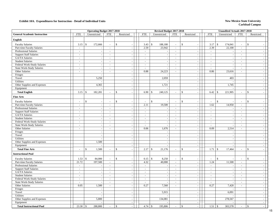|                                     |                          | <b>Operating Budget 2017-2018</b> |                          |                             |                          |                    | Revised Budget 2017-2018 |                             |                                |                          | <b>Unaudited Actuals 2017-2018</b> |                             |                                 |
|-------------------------------------|--------------------------|-----------------------------------|--------------------------|-----------------------------|--------------------------|--------------------|--------------------------|-----------------------------|--------------------------------|--------------------------|------------------------------------|-----------------------------|---------------------------------|
| <b>General Academic Instruction</b> | <b>FTE</b>               | Unrestricted                      | <b>FTE</b>               | Restricted                  | <b>FTE</b>               |                    | Unrestricted             | <b>FTE</b>                  | Restricted                     | <b>FTE</b>               | Unrestricted                       | <b>FTE</b>                  | Restricted                      |
| <b>English</b>                      |                          |                                   |                          |                             |                          |                    |                          |                             |                                |                          |                                    |                             |                                 |
| <b>Faculty Salaries</b>             | 3.15                     | $\mathbf{\hat{S}}$<br>172,666     | $\overline{a}$           | $\mathbb{S}$                | 3.43                     | $\mathbb{S}$       | 188,180                  | $\bar{\phantom{a}}$         | $\mathbb{S}$                   | 3.17                     | $\mathbf{\hat{S}}$<br>174,041      | $\blacksquare$              | $\mathbb{S}$                    |
| Part-time Faculty Salaries          | $\mathcal{L}$            |                                   | $\overline{a}$           | $\sim$                      | 2.59                     |                    | 23,942                   | $\sim$                      | $\sim$                         | 2.39                     | 22,100                             | $\mathcal{L}$               |                                 |
| <b>Professional Salaries</b>        | $\blacksquare$           |                                   | $\blacksquare$           | $\mathcal{L}_{\mathcal{A}}$ | $\sim$                   |                    |                          | $\overline{\phantom{a}}$    | $\sim$                         | $\omega$                 |                                    | $\mathcal{L}_{\mathcal{A}}$ |                                 |
| <b>Support Staff Salaries</b>       | $\sim$                   |                                   | $\blacksquare$           | $\sim$                      | $\sim$                   |                    | $\overline{\phantom{a}}$ | $\sim$                      | $\sim$                         | $\sim$                   | $\sim$                             | $\sim$                      | $\sim$                          |
| GA/TA Salaries                      | $\sim$                   |                                   | $\sim$                   | $\sim$                      | $\sim$                   |                    |                          | $\sim$                      | $\sim$                         | $\sim$                   |                                    | $\sim$                      | $\overline{\phantom{a}}$        |
| <b>Student Salaries</b>             | $\overline{\phantom{a}}$ | $\sim$                            | $\bar{a}$                | $\sim$                      | $\overline{\phantom{a}}$ |                    | $\overline{\phantom{a}}$ | $\omega$                    | $\blacksquare$                 | $\blacksquare$           | $\overline{\phantom{a}}$           | $\mathcal{L}_{\mathcal{A}}$ | $\sim$                          |
| Federal Work-Study Salaries         | $\sim$                   |                                   | $\bar{a}$                | $\sim$                      | $\sim$                   |                    | $\sim$                   | $\sim$                      | $\sim$                         | $\sim$                   | $\overline{\phantom{a}}$           | $\sim$                      | $\sim$                          |
| <b>State Work-Study Salaries</b>    | $\sim$                   | $\sim$                            | $\sim$                   | $\sim$                      | $\sim$                   |                    |                          | $\sim$                      | $\sim$                         | $\sim$                   | $\sim$                             | $\sim$                      |                                 |
| Other Salaries                      | $\sim$                   | $\sim$                            | $\blacksquare$           | $\sim$                      | 0.88                     |                    | 24,223                   | $\sim$                      | $\sim$                         | 0.86                     | 23,616                             | $\sim$                      | $\sim$                          |
| Fringes                             |                          |                                   |                          | $\sim$                      |                          |                    |                          |                             | $\sim$                         |                          |                                    |                             | $\sim$                          |
| Travel                              |                          | 5,250                             |                          | $\sim$                      |                          |                    | 2,059                    |                             | $\omega$                       |                          | 403                                |                             |                                 |
| Utilities                           |                          |                                   |                          | $\overline{\phantom{a}}$    |                          |                    |                          |                             | $\sim$                         |                          |                                    |                             | $\sim$                          |
| Other Supplies and Expenses         |                          | 4,365                             |                          | $\mathbb{L}$                |                          |                    | 1,721                    |                             | $\sim$                         |                          | 1,745                              |                             | $\sim$                          |
| Equipment                           |                          |                                   |                          | $\sim$                      |                          |                    |                          |                             | $\sim$                         |                          |                                    |                             | $\sim$                          |
| <b>Total English</b>                | 3.15                     | 182,281<br>\$                     | $\overline{a}$           | $\mathbb S$                 | 6.90                     | $\mathbb{S}$       | 240,125                  | $\mathcal{L}$               | \$<br>$\sim$                   | 6.42                     | $\mathbf{\hat{S}}$<br>221,905      | $\sim$                      | $\mathsf{\$}$<br>$\overline{a}$ |
| <b>Fine Arts</b>                    |                          |                                   |                          |                             |                          |                    |                          |                             |                                |                          |                                    |                             |                                 |
| <b>Faculty Salaries</b>             |                          | $\mathbf{\hat{S}}$                |                          | $\mathbb{S}$                |                          | $\mathbb{S}$       |                          |                             | $\mathbb{S}$                   |                          | $\mathbb{S}$                       |                             | $\mathbb{S}$                    |
| Part-time Faculty Salaries          | $\sim$                   | $\sim$                            | $\overline{\phantom{a}}$ | $\sim$                      | 2.11                     |                    | 19,500                   | $\sim$                      | $\blacksquare$                 | 1.62                     | 14,950                             | $\sim$                      | $\overline{\phantom{a}}$        |
| <b>Professional Salaries</b>        | $\sim$                   |                                   | $\blacksquare$           | $\mathcal{L}$               | $\sim$                   |                    |                          | $\sim$                      | $\mathbb{Z}^2$                 | $\sim$                   |                                    | $\sim$                      | $\overline{\phantom{a}}$        |
| <b>Support Staff Salaries</b>       | $\sim$                   |                                   | $\overline{a}$           | $\mathbb{Z}$                | $\overline{\phantom{a}}$ |                    | $\sim$                   | $\overline{\phantom{a}}$    | $\blacksquare$                 | $\overline{\phantom{a}}$ | $\overline{\phantom{a}}$           | $\mathcal{L}_{\mathcal{A}}$ |                                 |
| GA/TA Salaries                      | $\sim$                   |                                   | $\sim$                   | $\sim$                      | $\overline{a}$           |                    |                          | $\sim$                      | $\sim$                         | $\sim$                   | $\overline{\phantom{a}}$           | $\sim$                      | $\sim$                          |
| <b>Student Salaries</b>             | $\overline{\phantom{a}}$ | $\sim$                            | $\overline{a}$           | $\sim$                      | $\sim$                   |                    |                          | $\sim$                      | $\sim$                         | $\sim$                   |                                    | $\sim$                      | $\sim$                          |
| Federal Work-Study Salaries         | $\sim$                   | $\sim$                            | $\overline{\phantom{a}}$ | $\sim$                      | $\sim$                   |                    | $\overline{\phantom{a}}$ | $\sim$                      | $\blacksquare$                 | $\sim$                   | $\overline{\phantom{a}}$           | $\sim$                      | $\overline{\phantom{a}}$        |
| State Work-Study Salaries           | $\sim$                   |                                   | $\blacksquare$           | $\sim$                      | $\sim$                   |                    | $\overline{\phantom{a}}$ | $\sim$                      | $\sim$                         | $\sim$                   |                                    | $\sim$                      | $\sim$                          |
| Other Salaries                      | $\sim$                   | $\sim$                            | $\overline{\phantom{a}}$ | $\blacksquare$              | 0.06                     |                    | 1,676                    | $\mathcal{L}_{\mathcal{A}}$ | $\sim$                         | 0.09                     | 2,514                              | $\mathcal{L}_{\mathcal{A}}$ | $\overline{\phantom{a}}$        |
| Fringes                             |                          | $\sim$                            |                          | $\sim$                      |                          |                    |                          |                             | $\sim$                         |                          |                                    |                             |                                 |
| Travel                              |                          | $\overline{a}$                    |                          | $\omega$                    |                          |                    | $\overline{a}$           |                             | $\sim$                         |                          | $\overline{a}$                     |                             | $\sim$                          |
| Utilities                           |                          |                                   |                          | $\omega$                    |                          |                    | $\sim$                   |                             | $\sim$                         |                          | $\overline{\phantom{a}}$           |                             |                                 |
| Other Supplies and Expenses         |                          | 1,500                             |                          | $\sim$                      |                          |                    | $\sim$                   |                             | $\sim$                         |                          | $\sim$                             |                             | $\sim$                          |
| Equipment                           |                          |                                   |                          | $\sim$                      |                          |                    | ÷,                       |                             | $\sim$                         |                          |                                    |                             | $\overline{\phantom{a}}$        |
| <b>Total Fine Arts</b>              | $\sim$                   | $\mathbf{\hat{S}}$<br>1,500       | $\sim$                   | $\mathbb{S}$<br>$\sim$      | 2.17S                    |                    | 21,176                   | $\sim$                      | $\mathbb{S}$<br>$\sim$         | 1.71                     | $\mathbf{\hat{S}}$<br>17,464       | $\sim$                      | \$<br>$\sim$                    |
| <b>Instructional Pool</b>           |                          |                                   |                          |                             |                          |                    |                          |                             |                                |                          |                                    |                             |                                 |
| <b>Faculty Salaries</b>             | 1.53                     | $\mathcal{S}$<br>84,000           | $\overline{\phantom{a}}$ | $\mathbb S$                 | 0.15                     | \$                 | 8,250                    | $\blacksquare$              | \$<br>$\overline{\phantom{a}}$ | ٠                        | $\mathbf{\hat{S}}$                 | $\blacksquare$              | \$                              |
| Part-time Faculty Salaries          | 21.72                    | 197,500                           | $\sim$                   | $\sim$                      | 4.32                     |                    | 40,000                   | $\sim$                      | $\sim$                         | 1.24                     | 11,500                             | $\sim$                      | $\overline{\phantom{a}}$        |
| <b>Professional Salaries</b>        | $\blacksquare$           |                                   | $\overline{\phantom{a}}$ | $\overline{\phantom{a}}$    | $\omega$                 |                    |                          | $\frac{1}{2}$               | $\sim$                         | $\omega$                 |                                    | $\sim$                      |                                 |
| <b>Support Staff Salaries</b>       | $\mathcal{L}$            | $\overline{a}$                    | $\overline{a}$           | $\omega$                    | $\omega$                 |                    | $\overline{a}$           | $\mathbf{r}$                | $\overline{\phantom{a}}$       | $\omega$                 | $\overline{a}$                     | $\sim$                      | $\overline{a}$                  |
| GA/TA Salaries                      | $\sim$                   |                                   | $\sim$                   | $\sim$                      | $\sim$                   |                    | $\sim$                   | $\sim$                      | $\sim$                         | $\sim$                   | $\overline{\phantom{a}}$           | $\sim$                      | $\sim$                          |
| <b>Student Salaries</b>             | $\sim$                   | $\overline{\phantom{a}}$          | $\sim$                   | $\blacksquare$              | $\sim$                   |                    | ÷,                       | $\sim$                      | $\sim$                         | $\sim$                   | $\overline{\phantom{a}}$           | $\sim$                      |                                 |
| Federal Work-Study Salaries         | $\sim$                   |                                   | $\sim$                   | $\sim$                      | $\overline{\phantom{a}}$ |                    | $\sim$                   | $\omega$                    | $\sim$                         | $\sim$                   | $\sim$                             | $\sim$                      | $\overline{\phantom{a}}$        |
| State Work-Study Salaries           | $\sim$                   |                                   | $\overline{\phantom{a}}$ | $\sim$                      | $\sim$                   |                    |                          | $\blacksquare$              | $\sim$                         | $\blacksquare$           |                                    | $\sim$                      | $\overline{\phantom{a}}$        |
| Other Salaries                      | 0.05                     | 1,500                             | $\bar{a}$                | $\omega$                    | 0.27                     |                    | 7,560                    | $\sim$                      | $\mathbb{Z}^2$                 | 0.27                     | 7,420                              | $\sim$                      | $\sim$                          |
| Fringes                             |                          |                                   |                          | $\mathcal{L}$               |                          |                    |                          |                             | $\sim$                         |                          |                                    |                             | $\overline{\phantom{a}}$        |
| Travel                              |                          |                                   |                          | $\sim$                      |                          |                    | 5,915                    |                             | $\sim$                         |                          | 6,091                              |                             | $\overline{\phantom{a}}$        |
| Utilities                           |                          | $\overline{a}$                    |                          | $\sim$                      |                          |                    |                          |                             | $\sim$                         |                          |                                    |                             | $\sim$                          |
| Other Supplies and Expenses         |                          | 5,800                             |                          | $\sim$                      |                          |                    | 134,081                  |                             | $\sim$                         |                          | 278,567                            |                             |                                 |
| Equipment                           |                          |                                   |                          | $\omega$                    |                          |                    |                          |                             | $\sim$                         |                          |                                    |                             | $\sim$                          |
| <b>Total Instructional Pool</b>     | 23.30                    | 288,800<br>$\mathcal{S}$          | $\bar{a}$                | $\mathbf{\hat{S}}$          | 4.74                     | $\mathbf{\hat{S}}$ | 195,806                  |                             | $\mathbf{\hat{S}}$             | 1.51                     | $\mathbf{\hat{S}}$<br>303,578      |                             | $\mathbf{\hat{S}}$              |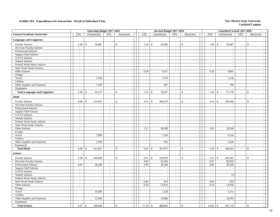|                                        |                          | <b>Operating Budget 2017-2018</b> |                          |                          |                            | Revised Budget 2017-2018 |                             |                                   |            |                             | <b>Unaudited Actuals 2017-2018</b> |                          |                                |  |
|----------------------------------------|--------------------------|-----------------------------------|--------------------------|--------------------------|----------------------------|--------------------------|-----------------------------|-----------------------------------|------------|-----------------------------|------------------------------------|--------------------------|--------------------------------|--|
| <b>General Academic Instruction</b>    | <b>FTE</b>               | Unrestricted                      | <b>FTE</b>               | Restricted               | <b>FTE</b>                 | Unrestricted             | <b>FTE</b>                  | Restricted                        | <b>FTE</b> |                             | Unrestricted                       | <b>FTE</b>               | Restricted                     |  |
| <b>Languages and Linguistics</b>       |                          |                                   |                          |                          |                            |                          |                             |                                   |            |                             |                                    |                          |                                |  |
| <b>Faculty Salaries</b>                | 1.09                     | 59,987<br>\$                      | $\overline{a}$           | $\mathbb{S}$             | $\mathbb{S}$<br>1.18       | 64,986                   | $\overline{\phantom{a}}$    | \$                                |            | 1.09                        | $\mathcal{S}$<br>59,987            | $\overline{\phantom{a}}$ | \$                             |  |
| Part-time Faculty Salaries             | $\overline{a}$           |                                   | $\sim$                   | $\overline{a}$           | $\sim$                     |                          | $\overline{a}$              | $\sim$                            |            | $\omega$                    |                                    | $\overline{a}$           |                                |  |
| <b>Professional Salaries</b>           | $\sim$                   | $\blacksquare$                    | $\sim$                   | $\sim$                   | $\sim$                     | $\sim$                   | $\blacksquare$              | $\sim$                            |            | $\mathcal{L}_{\mathcal{A}}$ |                                    | $\sim$                   |                                |  |
| <b>Support Staff Salaries</b>          | $\sim$                   | $\sim$                            | $\blacksquare$           | $\sim$                   | $\sim$                     | $\overline{\phantom{a}}$ | $\blacksquare$              | $\sim$                            |            | $\sim$                      | $\overline{\phantom{a}}$           | $\blacksquare$           | $\sim$                         |  |
| GA/TA Salaries                         | $\sim$                   | $\sim$                            | $\sim$                   | $\overline{\phantom{a}}$ | $\sim$                     | ÷,                       | $\sim$                      | $\sim$                            |            | $\sim$                      | ÷.                                 | $\sim$                   | $\overline{\phantom{a}}$       |  |
| <b>Student Salaries</b>                | $\sim$                   | $\blacksquare$                    | $\overline{a}$           | J.                       | $\sim$                     | L.                       | $\overline{\phantom{a}}$    | $\blacksquare$                    |            | $\overline{\phantom{a}}$    | $\sim$                             | $\sim$                   | $\sim$                         |  |
| Federal Work-Study Salaries            | $\sim$                   | $\sim$                            | $\overline{a}$           | $\overline{\phantom{a}}$ | $\overline{a}$             |                          | $\omega$                    | $\mathbb{L}$                      |            | $\sim$                      |                                    | $\sim$                   | $\overline{\phantom{a}}$       |  |
| <b>State Work-Study Salaries</b>       | $\sim$                   | $\sim$                            | $\overline{a}$           | $\sim$                   | $\overline{\phantom{a}}$   | L,                       | $\mathbf{r}$                | $\sim$                            |            | $\omega$                    |                                    | $\sim$                   | $\sim$                         |  |
| Other Salaries                         | $\sim$                   | $\omega$                          | $\bar{\phantom{a}}$      | $\sim$                   | 0.34                       | 9,311                    | $\omega$                    | $\sim$                            |            | 0.36                        | 9,841                              | $\sim$                   | $\sim$                         |  |
| Fringes                                |                          | $\sim$                            |                          | $\sim$                   |                            |                          |                             | $\sim$                            |            |                             |                                    |                          | $\overline{\phantom{a}}$       |  |
| Travel                                 |                          | 1,750                             |                          | $\sim$                   |                            | 1,733                    |                             | $\sim$                            |            |                             | 1,156                              |                          | $\overline{\phantom{a}}$       |  |
| <b>Utilities</b>                       |                          |                                   |                          |                          |                            |                          |                             | $\mathbb{Z}^2$                    |            |                             |                                    |                          |                                |  |
| Other Supplies and Expenses            |                          | 1,500                             |                          | $\sim$                   |                            | 607                      |                             | $\sim$                            |            |                             | 794                                |                          | $\sim$                         |  |
| Equipment                              |                          |                                   |                          | $\sim$                   |                            |                          |                             | $\sim$                            |            |                             |                                    |                          | $\sim$                         |  |
| <b>Total Languages and Linguistics</b> | 1.09                     | 63,237<br>$\mathbf{\hat{S}}$      | ÷,                       | $\mathbf{s}$             | 1.52<br>$\mathbf{\hat{S}}$ | 76,637                   | $\sim$                      | $\mathbf{s}$<br>$\sim$            |            | 1.45                        | $\mathbf{\hat{S}}$<br>71,778       | $\blacksquare$           | $\mathbf{s}$<br>$\sim$         |  |
| Math                                   |                          |                                   |                          |                          |                            |                          |                             |                                   |            |                             |                                    |                          |                                |  |
| <b>Faculty Salaries</b>                | 4.60                     | $\mathbb{S}$<br>251,967           |                          | $\mathbb{S}$             | $\mathbb{S}$<br>4.91       | 269,274                  | $\bar{a}$                   | \$                                |            | 4.53                        | $\mathcal{S}$<br>248,449           | $\blacksquare$           | \$                             |  |
| Part-time Faculty Salaries             | $\omega$                 | $\overline{a}$                    | $\omega$                 | $\overline{a}$           | $\omega$                   |                          | $\mathbf{r}$                | $\sim$                            |            | $\mathcal{L}$               |                                    | $\overline{a}$           | $\sim$                         |  |
| Professional Salaries                  | $\sim$                   | $\sim$                            | $\sim$                   | $\sim$                   | $\sim$                     |                          | $\sim$                      | $\sim$                            |            | $\sim$                      |                                    | $\sim$                   |                                |  |
| <b>Support Staff Salaries</b>          | $\sim$                   | $\sim$                            | $\sim$                   | $\sim$                   | $\sim$                     | $\bar{a}$                | $\sim$                      | $\sim$                            |            | $\sim$                      | $\sim$                             | $\blacksquare$           | $\overline{\phantom{a}}$       |  |
| GA/TA Salaries                         | $\overline{\phantom{a}}$ | $\sim$                            | $\overline{\phantom{a}}$ |                          | $\sim$                     |                          | $\sim$                      | $\sim$                            |            | $\sim$                      |                                    | $\blacksquare$           | $\sim$                         |  |
| <b>Student Salaries</b>                | $\sim$                   | $\overline{\phantom{a}}$          | $\overline{a}$           |                          | $\sim$                     |                          | $\overline{\phantom{a}}$    | $\mathbb{Z}^2$                    |            | $\overline{\phantom{a}}$    |                                    | $\overline{a}$           |                                |  |
| Federal Work-Study Salaries            | $\sim$                   | $\sim$                            | $\sim$                   | $\sim$                   | $\sim$                     | $\overline{a}$           | $\omega$                    | $\sim$                            |            | $\sim$                      | ÷,                                 | $\sim$                   | $\sim$                         |  |
| State Work-Study Salaries              | $\sim$                   | $\sim$                            | $\overline{a}$           | $\sim$                   | $\sim$                     |                          | $\blacksquare$              | $\sim$                            |            | $\sim$                      |                                    | $\sim$                   | $\overline{\phantom{a}}$       |  |
| Other Salaries                         | $\blacksquare$           | $\mathcal{L}_{\mathcal{A}}$       | $\overline{\phantom{a}}$ | $\sim$                   | 1.11                       | 30,589                   | $\mathcal{L}_{\mathcal{A}}$ | $\sim$                            |            | 1.03                        | 28,190                             | $\blacksquare$           | $\sim$                         |  |
| Fringes                                |                          | $\sim$                            |                          | $\sim$                   |                            |                          |                             | $\sim$                            |            |                             |                                    |                          | $\sim$                         |  |
| Travel                                 |                          | 7,000                             |                          |                          |                            | 7,160                    |                             | $\sim$                            |            |                             | 6,126                              |                          | $\overline{\phantom{a}}$       |  |
| Utilities                              |                          |                                   |                          | ÷,                       |                            |                          |                             | $\sim$                            |            |                             |                                    |                          | $\sim$                         |  |
| Other Supplies and Expenses            |                          | 2,700                             |                          | $\overline{a}$           |                            | 850                      |                             | $\sim$                            |            |                             | 1,659                              |                          | $\sim$                         |  |
| Equipment                              |                          |                                   |                          | $\sim$                   |                            |                          |                             | $\sim$                            |            |                             |                                    |                          | $\overline{\phantom{a}}$       |  |
| <b>Total Math</b>                      | 4.60                     | 261,667<br>-\$                    | $\sim$                   | \$<br>$\sim$             | 6.02<br>$\mathbb{S}$       | 307,873                  | $\blacksquare$              | \$<br>$\sim$                      |            | 5.56                        | 284,424<br>\$                      | $\sim$                   | \$<br>$\overline{\phantom{a}}$ |  |
| <b>Science</b>                         |                          |                                   |                          |                          |                            |                          |                             |                                   |            |                             |                                    |                          |                                |  |
| <b>Faculty Salaries</b>                | 5.56                     | $\mathcal{S}$<br>304,608          | ÷,                       | \$                       | $\mathbb{S}$<br>6.01       | 329,870                  | $\overline{\phantom{a}}$    | \$<br>$\blacksquare$              |            | 5.55                        | $\mathcal{S}$<br>304,495           | $\overline{\phantom{a}}$ | \$                             |  |
| Part-time Faculty Salaries             |                          |                                   | $\sim$                   | $\overline{a}$           | 9.84                       | 91,026                   | $\mathcal{L}_{\mathcal{A}}$ | $\sim$                            |            | 8.97                        | 83,032                             | $\sim$                   | $\sim$                         |  |
| Professional Salaries                  | 0.91                     | 38,340                            | $\omega$                 | $\sim$                   | 0.90                       | 38,340                   | $\omega_{\rm c}$            | $\omega$                          |            | 0.90                        | 38,340                             | $\overline{\phantom{a}}$ | $\sim$                         |  |
| <b>Support Staff Salaries</b>          | $\sim$                   | $\sim$                            | $\overline{a}$           | $\sim$                   | $\sim$                     |                          | $\sim$                      | $\sim$                            |            | $\sim$                      |                                    | $\sim$                   | $\sim$                         |  |
| GA/TA Salaries                         | $\sim$                   | $\mathcal{L}$                     | $\sim$                   | $\sim$                   | $\mathcal{L}$              | $\sim$                   | $\mathcal{L}^{\mathcal{A}}$ | $\sim$                            |            | $\mathcal{L}_{\mathcal{A}}$ | $\sim$                             | $\sim$                   | $\sim$                         |  |
| <b>Student Salaries</b>                | $\sim$                   | $\sim$                            | ÷,                       | $\sim$                   | $\blacksquare$             | $\sim$                   | $\sim$                      | $\sim$                            |            | $\sim$                      | (1)                                | $\blacksquare$           | $\sim$                         |  |
| Federal Work-Study Salaries            | $\sim$                   | $\blacksquare$                    | $\blacksquare$           | $\sim$                   | $\sim$                     | $\sim$                   | $\sim$                      | $\sim$                            |            | $\sim$                      |                                    | $\blacksquare$           | $\overline{\phantom{a}}$       |  |
| <b>State Work-Study Salaries</b>       | $\overline{\phantom{a}}$ | $\overline{\phantom{a}}$          | $\overline{\phantom{a}}$ |                          | 0.04                       | 674                      | $\blacksquare$              | $\sim$                            |            | 0.06                        | 933                                | $\sim$                   | $\sim$                         |  |
| Other Salaries                         | $\sim$                   | $\overline{\phantom{a}}$          | $\mathbf{r}$             | $\overline{\phantom{a}}$ | 0.50                       | 13,819                   | $\omega_{\rm c}$            | $\omega$                          |            | 0.54                        | 14,950                             | $\overline{a}$           | $\overline{\phantom{a}}$       |  |
| Fringes                                |                          | $\omega$                          |                          | $\sim$                   |                            |                          |                             | $\sim$                            |            |                             |                                    |                          | $\sim$                         |  |
| Travel                                 |                          | 10,500                            |                          | $\sim$                   |                            | 1,128                    |                             | $\sim$                            |            |                             | 3,472                              |                          | $\sim$                         |  |
| <b>Utilities</b>                       |                          |                                   |                          | $\sim$                   |                            |                          |                             | $\sim$                            |            |                             |                                    |                          | $\overline{\phantom{a}}$       |  |
| Other Supplies and Expenses            |                          | 13,500                            |                          | $\sim$                   |                            | 14,006                   |                             | $\sim$                            |            |                             | 16,493                             |                          | $\overline{\phantom{a}}$       |  |
| Equipment                              |                          |                                   |                          | $\overline{\phantom{a}}$ |                            |                          |                             | $\mathcal{L}_{\mathcal{A}}$       |            |                             |                                    |                          | $\sim$                         |  |
| <b>Total Science</b>                   | 6.47                     | 366,948<br>\$                     | $\overline{a}$           | $\mathcal{S}$            | 17.29<br>\$                | 488,863                  | $\overline{a}$              | \$<br>$\mathcal{L}_{\mathcal{A}}$ |            | 16.02                       | $\mathbb{S}$<br>461,714            | $\sim$                   | \$<br>$\overline{\phantom{a}}$ |  |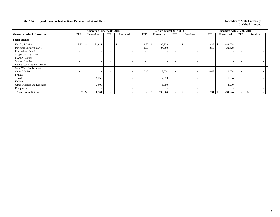|                                     |                          | <b>Operating Budget 2017-2018</b> |                          |            |                          | Revised Budget 2017-2018 |                          |                          |                          | <b>Unaudited Actuals 2017-2018</b> |                          |            |  |
|-------------------------------------|--------------------------|-----------------------------------|--------------------------|------------|--------------------------|--------------------------|--------------------------|--------------------------|--------------------------|------------------------------------|--------------------------|------------|--|
| <b>General Academic Instruction</b> | FTE                      | Unrestricted                      | <b>FTE</b>               | Restricted | FTE                      | Unrestricted             | FTE                      | Restricted               | <b>FTE</b>               | Unrestricted                       | FTE                      | Restricted |  |
| <b>Social Science</b>               |                          |                                   |                          |            |                          |                          |                          |                          |                          |                                    |                          |            |  |
| <b>Faculty Salaries</b>             | 3.32                     | 181,911                           | $\overline{\phantom{0}}$ |            | 3.60                     | 197,320<br>\$            | $\sim$                   |                          | 3.32                     | 182,078<br>- \$                    | $\sim$                   |            |  |
| Part-time Faculty Salaries          | $\overline{\phantom{0}}$ | -                                 | $\overline{\phantom{0}}$ |            | 3.68                     | 34,083                   | $\overline{\phantom{0}}$ | $\overline{\phantom{a}}$ | 3.50                     | 32,428                             | $\overline{\phantom{a}}$ |            |  |
| Professional Salaries               | $\overline{\phantom{a}}$ |                                   | $\overline{\phantom{0}}$ |            | $\overline{\phantom{0}}$ | $\overline{\phantom{a}}$ | $\sim$                   | $\overline{\phantom{a}}$ | $\sim$                   |                                    | $\overline{\phantom{0}}$ |            |  |
| <b>Support Staff Salaries</b>       | $\overline{\phantom{a}}$ |                                   | $\overline{\phantom{0}}$ |            | $\overline{\phantom{0}}$ |                          | $\overline{\phantom{0}}$ | $\overline{\phantom{a}}$ | $\sim$                   |                                    | $\overline{\phantom{a}}$ |            |  |
| GA/TA Salaries                      | $\overline{\phantom{a}}$ |                                   |                          |            | $\overline{\phantom{0}}$ |                          | $\overline{\phantom{0}}$ | $\sim$                   | $\overline{\phantom{0}}$ |                                    | $\sim$                   |            |  |
| <b>Student Salaries</b>             | $\overline{\phantom{a}}$ |                                   | $\overline{\phantom{0}}$ |            | ۰.                       |                          | $\overline{\phantom{0}}$ | $\overline{\phantom{a}}$ | $\overline{\phantom{a}}$ |                                    | $\overline{\phantom{a}}$ |            |  |
| Federal Work-Study Salaries         | $\overline{\phantom{a}}$ |                                   | $\overline{\phantom{0}}$ |            | -                        | -                        | $\overline{\phantom{0}}$ | $\overline{\phantom{a}}$ | $\overline{\phantom{0}}$ |                                    | $\sim$                   |            |  |
| <b>State Work-Study Salaries</b>    | $\overline{\phantom{a}}$ |                                   | $\overline{\phantom{a}}$ |            | $\overline{\phantom{0}}$ | $\overline{\phantom{a}}$ | $-$                      | $\overline{\phantom{a}}$ | $\overline{\phantom{0}}$ |                                    | $\overline{\phantom{a}}$ |            |  |
| Other Salaries                      | -                        | -                                 | $\overline{\phantom{0}}$ |            | 0.45                     | 12,351                   | $\overline{\phantom{0}}$ | $\overline{\phantom{a}}$ | 0.49                     | 13,384                             | $\overline{\phantom{0}}$ |            |  |
| Fringes                             |                          |                                   |                          |            |                          |                          |                          | $\overline{\phantom{a}}$ |                          |                                    |                          |            |  |
| Travel                              |                          | 5,250                             |                          |            |                          | 2,620                    |                          | $\overline{\phantom{a}}$ |                          | 1.884                              |                          |            |  |
| Utilities                           |                          |                                   |                          |            |                          | - 1                      |                          | $\overline{\phantom{a}}$ |                          |                                    |                          |            |  |
| Other Supplies and Expenses         |                          | 3,000                             |                          |            |                          | 1,690                    |                          | $\overline{\phantom{a}}$ |                          | 4,950                              |                          |            |  |
| Equipment                           |                          |                                   |                          |            |                          |                          |                          | $\overline{\phantom{a}}$ |                          |                                    |                          |            |  |
| <b>Total Social Science</b>         | 3.32                     | 190,161                           |                          |            | 7.73                     | 248,064                  |                          |                          | 7.31                     | 234,724                            | $\overline{\phantom{a}}$ |            |  |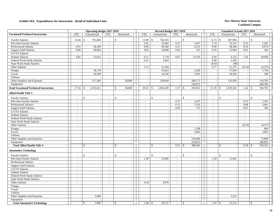|                                               |                             | <b>Operating Budget 2017-2018</b> |                          |                          |                          | Revised Budget 2017-2018 |                             |                          |                                 | <b>Unaudited Actuals 2017-2018</b> |                                |            |
|-----------------------------------------------|-----------------------------|-----------------------------------|--------------------------|--------------------------|--------------------------|--------------------------|-----------------------------|--------------------------|---------------------------------|------------------------------------|--------------------------------|------------|
| <b>Vocational/Technical Instruction</b>       | <b>FTE</b>                  | Unrestricted                      | <b>FTE</b>               | Restricted               | <b>FTE</b>               | Unrestricted             | <b>FTE</b>                  | Restricted               | <b>FTE</b>                      | Unrestricted                       | <b>FTE</b>                     | Restricted |
| <b>Faculty Salaries</b>                       | 14.44                       | 791,849<br>$\mathbb{S}$           |                          | $\mathbf{\hat{S}}$       | 13.89                    | \$<br>762,616            | $\sim$                      | \$                       | 12.73<br>\$                     | 697,904                            | \$<br>$\sim$                   |            |
| Part-time Faculty Salaries                    | $\sim$                      |                                   | $\overline{\phantom{a}}$ | $\sim$                   | 3.61                     | 33,402                   | 0.37                        | 3,437                    | 5.74                            | 53,147                             | 0.25                           | 2,291      |
| Professional Salaries                         | 0.91                        | 38,340                            | $\sim$                   | $\sim$                   | 0.90                     | 38,340                   | 0.21                        | 9,212                    | 0.90                            | 38,340                             | 0.16                           | 6,974      |
| <b>Support Staff Salaries</b>                 | 0.96                        | 26,854                            | $\sim$                   | $\sim$                   | 0.65                     | 18,000                   | 0.02                        | 515                      | 0.76                            | 21,004                             | 0.01                           | 343        |
| GA/TA Salaries                                | $\overline{a}$              |                                   | $\sim$                   | $\sim$                   | $\mathbf{r}$             |                          | $\sim$                      |                          | $\mathbb{Z}^2$                  |                                    | $\mathcal{L}$                  |            |
| <b>Student Salaries</b>                       | 0.85                        | 13,632                            | $\mathcal{L}$            | $\sim$                   | 0.11                     | 1,778                    | 0.97                        | 15,510                   | 0.30                            | 4,722                              | 1.16                           | 18,600     |
| Federal Work-Study Salaries                   | $\sim$                      |                                   | $\sim$                   | $\sim$                   | 0.22                     | 3,463                    | $\mathcal{L}_{\mathcal{A}}$ |                          | 0.20                            | 3,182                              | $\mathbb{L}$                   |            |
| <b>State Work-Study Salaries</b>              | $\mathcal{L}_{\mathcal{A}}$ | $\sim$                            | $\sim$                   | $\sim$                   | $\sim$                   |                          | $\sim$                      | $\sim$                   | (0.01)                          | (90)                               | $\sim$                         |            |
| Other Salaries                                | $\overline{a}$              |                                   | $\sim$                   | $\sim$                   | 1.15                     | 31,504                   | $\sim$                      | $\sim$                   | 0.77                            | 21,275                             | (0.16)                         | (4,257)    |
| Fringes                                       |                             | 18,178                            |                          | $\sim$                   |                          | 19,423                   | $\overline{\phantom{a}}$    | 2,428                    | $\overline{\phantom{a}}$        | 17,929                             | $\sim$                         | 1,758      |
| Travel                                        |                             | 24,500                            |                          | $\sim$                   | $\overline{a}$           | 16,249                   | $\overline{\phantom{a}}$    | 5,505                    | $\overline{\phantom{a}}$        | 26,202                             | $\mathcal{L}_{\mathcal{A}}$    | 586        |
| Utilities                                     |                             |                                   |                          | $\sim$                   | $\sim$                   |                          | $\overline{\phantom{a}}$    |                          | $\sim$                          |                                    | $\overline{\phantom{a}}$       |            |
| Other Supplies and Expenses                   |                             | 157,269                           |                          | 38,000                   | ÷.                       | 130,664                  | $\overline{\phantom{a}}$    | 208,171                  | $\overline{a}$                  | 135,950                            | $\sim$                         | 119,705    |
| Equipment                                     |                             |                                   |                          |                          |                          |                          | $\sim$                      | 234,075                  | $\sim$                          |                                    | $\sim$                         | 248,785    |
| <b>Total Vocational/Technical Instruction</b> | 17.16                       | 1,070,622<br>$\mathbf{\$}$        |                          | $\mathbb{S}$<br>38,000   | 20.53                    | \$<br>1,055,439          |                             | 478,853                  | 21.39<br><b>S</b>               | 1,019,565                          | 1.42<br>$\mathcal{S}$          | 394,785    |
| <b>Allied Health Title V</b>                  |                             |                                   |                          |                          |                          |                          |                             |                          |                                 |                                    |                                |            |
| <b>Faculty Salaries</b>                       | $\overline{a}$              | $\mathbb{S}$                      |                          | $\mathbf{\hat{S}}$       | $\sim$                   | $\mathsf{\$}$            |                             | $\mathbf{s}$             | $\mathsf{\$}$<br>$\overline{a}$ |                                    | $\mathcal{S}$                  |            |
| Part-time Faculty Salaries                    | $\sim$                      | $\sim$                            | $\sim$                   | $\sim$                   | $\sim$                   | $\sim$                   | 0.37                        | 3,437                    | $\sim$                          | $\overline{\phantom{a}}$           | 0.25                           | 2,291      |
| <b>Professional Salaries</b>                  | $\sim$                      | $\sim$                            |                          | $\sim$                   | $\sim$                   |                          | 0.12                        | 5,192                    | $\sim$                          |                                    | 0.08                           | 3,461      |
| <b>Support Staff Salaries</b>                 | $\sim$                      | $\sim$                            | $\sim$                   | $\sim$                   | $\sim$                   | $\sim$                   | 0.02                        | 515                      | $\overline{\phantom{a}}$        | $\sim$                             | 0.01                           | 343        |
| GA/TA Salaries                                | $\sim$                      | $\overline{\phantom{a}}$          | $\overline{a}$           | $\sim$                   | $\overline{\phantom{a}}$ | $\sim$                   | $\sim$                      | $\blacksquare$           | $\overline{\phantom{a}}$        | $\overline{\phantom{a}}$           | $\sim$                         |            |
| <b>Student Salaries</b>                       | $\overline{\phantom{a}}$    | $\sim$                            | $\sim$                   | $\sim$                   | $\mathbb{L}^+$           | $\overline{\phantom{a}}$ | $\sim$                      | $\blacksquare$           | $\sim$                          | $\overline{\phantom{a}}$           | $\sim$                         |            |
| Federal Work-Study Salaries                   | $\overline{a}$              | $\sim$                            | $\sim$                   | $\overline{\phantom{a}}$ | $\overline{\phantom{a}}$ |                          | $\sim$                      | $\sim$                   | $\overline{\phantom{a}}$        |                                    | $\overline{a}$                 |            |
| <b>State Work-Study Salaries</b>              | $\blacksquare$              | $\sim$                            | $\sim$                   | $\sim$                   | $\overline{\phantom{a}}$ | $\overline{\phantom{a}}$ | $\sim$                      | $\blacksquare$           | $\frac{1}{2}$                   | $\overline{\phantom{a}}$           | $\mathcal{L}$                  |            |
| Other Salaries                                | $\sim$                      | $\sim$                            | $\sim$                   | $\sim$                   | $\overline{a}$           |                          | $\sim$                      | $\overline{a}$           | $\overline{a}$                  | $\overline{\phantom{a}}$           | (0.16)                         | (4,277)    |
| Fringes                                       |                             | $\sim$                            |                          | $\sim$                   |                          | $\overline{\phantom{a}}$ |                             | 1,298                    |                                 | $\sim$                             |                                | 866        |
| Travel                                        |                             | $\sim$                            |                          | $\sim$                   |                          | $\overline{\phantom{a}}$ |                             | 3,005                    |                                 | $\sim$                             |                                | 2,003      |
| Utilities                                     |                             |                                   |                          | $\sim$                   |                          |                          |                             |                          |                                 |                                    |                                |            |
| Other Supplies and Expenses                   |                             | $\sim$                            |                          | $\sim$                   |                          | $\overline{\phantom{a}}$ |                             | 120,840                  |                                 | $\sim$                             |                                | 73,800     |
| Equipment                                     |                             | $\sim$                            |                          | $\sim$                   |                          | $\overline{\phantom{a}}$ |                             | 234,075                  |                                 | $\overline{\phantom{a}}$           |                                | 240,835    |
| <b>Total Allied Health Title V</b>            | $\overline{a}$              | \$<br>$\mathcal{L}$               | $\sim$                   | $\mathcal{S}$<br>$\sim$  | $\blacksquare$           | \$<br>$\overline{a}$     | 0.51                        | 368,362<br>-\$           | \$<br>$\overline{\phantom{a}}$  | $\overline{a}$                     | 0.18<br>$\mathbf{\$}$          | 319,322    |
| <b>Automotive Technology</b>                  |                             |                                   |                          |                          |                          |                          |                             |                          |                                 |                                    |                                |            |
| <b>Faculty Salaries</b>                       | $\overline{a}$              | $\mathbb{S}$<br>$\sim$            |                          | $\mathfrak{S}$           | $\overline{\phantom{a}}$ | \$                       | $\blacksquare$              | \$<br>$\sim$             | $\mathcal{S}$                   |                                    | \$<br>$\overline{\phantom{a}}$ |            |
| Part-time Faculty Salaries                    | $\sim$                      | $\overline{\phantom{a}}$          | $\sim$                   | $\sim$                   | 1.50                     | 13,845                   | $\sim$                      | $\mathcal{L}$            | 1.29                            | 11,961                             | $\sim$                         |            |
| <b>Professional Salaries</b>                  | $\sim$                      | $\sim$                            | $\sim$                   | $\sim$                   | $\sim$                   | $\overline{\phantom{a}}$ | $\sim$                      | $\sim$                   | $\overline{\phantom{a}}$        | $\overline{\phantom{a}}$           | $\sim$                         |            |
| <b>Support Staff Salaries</b>                 | $\overline{a}$              | $\sim$                            | $\sim$                   |                          | $\overline{\phantom{a}}$ |                          | $\sim$                      | $\sim$                   | $\overline{\phantom{a}}$        |                                    | $\overline{a}$                 |            |
| <b>GA/TA Salaries</b>                         | $\sim$                      | $\overline{\phantom{a}}$          |                          |                          | $\overline{\phantom{a}}$ | $\sim$                   | $\sim$                      | $\blacksquare$           | $\overline{\phantom{a}}$        | $\sim$                             | $\sim$                         |            |
| <b>Student Salaries</b>                       | $\sim$                      | $\sim$                            | $\sim$                   | $\sim$                   | $\sim$                   |                          | $\sim$                      | $\blacksquare$           | $\sim$                          | $\sim$                             | $\sim$                         |            |
| Federal Work-Study Salaries                   | $\overline{a}$              | $\sim$                            | $\sim$                   | $\sim$                   | $\sim$                   |                          | $\sim$                      | $\sim$                   | $\sim$                          | $\overline{\phantom{a}}$           | $\sim$                         |            |
| <b>State Work-Study Salaries</b>              | $\overline{a}$              | $\sim$                            | $\sim$                   | $\sim$                   | $\sim$                   |                          | $\mathcal{L}$               | $\overline{a}$           | $\overline{a}$                  | $\overline{a}$                     | $\mathcal{L}$                  |            |
| Other Salaries                                | $\sim$                      | $\sim$                            |                          | $\sim$                   | 0.18                     | 4,876                    | $\sim$                      | $\blacksquare$           | $\sim$                          |                                    | $\sim$                         |            |
| Fringes                                       |                             | $\sim$                            |                          | $\sim$                   |                          |                          |                             | $\sim$                   |                                 | $\overline{\phantom{a}}$           |                                |            |
| Travel                                        |                             | $\sim$                            |                          | $\sim$                   |                          | $\overline{\phantom{a}}$ |                             | $\sim$                   |                                 | $\overline{\phantom{a}}$           |                                |            |
| Utilities                                     |                             | $\sim$                            |                          | $\sim$                   |                          | $\overline{\phantom{a}}$ |                             | $\overline{\phantom{a}}$ |                                 |                                    |                                | $\sim$     |
| Other Supplies and Expenses                   |                             | 5,000                             |                          | $\sim$                   |                          |                          |                             | $\sim$                   |                                 | 3,251                              |                                |            |
| Equipment                                     |                             |                                   |                          | $\sim$                   |                          |                          |                             | $\blacksquare$           |                                 |                                    |                                |            |
| <b>Total Automotive Technology</b>            | $\sim$                      | 5,000<br><sup>\$</sup>            | $\sim$                   | -\$<br>$\sim$            |                          | 18,721                   | $\sim$                      | -\$<br>$\mathcal{L}$     | 1.29<br><b>S</b>                | 15,212                             | $\mathcal{S}$<br>$\sim$        |            |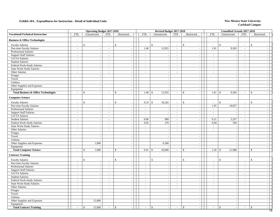### **Exhibit 10A. Expenditures for Instruction - Detail of Individual Units** New Mexico State University

|                                                 |                             | <b>Operating Budget 2017-2018</b> |                          |                          |                                | Revised Budget 2017-2018 |                             |                              |                          | Unaudited Actuals 2017-2018 |                          |                          |  |
|-------------------------------------------------|-----------------------------|-----------------------------------|--------------------------|--------------------------|--------------------------------|--------------------------|-----------------------------|------------------------------|--------------------------|-----------------------------|--------------------------|--------------------------|--|
| <b>Vocational/Technical Instruction</b>         | <b>FTE</b>                  | Unrestricted                      | <b>FTE</b>               | Restricted               | <b>FTE</b>                     | Unrestricted             | <b>FTE</b>                  | Restricted                   | <b>FTE</b>               | Unrestricted                | <b>FTE</b>               | Restricted               |  |
| <b>Business &amp; Office Technologies</b>       |                             |                                   |                          |                          |                                |                          |                             |                              |                          |                             |                          |                          |  |
| <b>Faculty Salaries</b>                         | $\overline{a}$              | $\mathbb S$<br>$\sim$             |                          | $\$$                     | \$<br>$\overline{\phantom{a}}$ |                          | $\overline{\phantom{a}}$    | \$                           | $\overline{a}$           | $\,$                        | $\overline{\phantom{a}}$ | $\mathsf{\$}$            |  |
| Part-time Faculty Salaries                      | $\frac{1}{2}$               | $\sim$                            | $\sim$                   |                          | 1.40                           | 12,955                   | $\overline{\phantom{a}}$    | $\sim$                       | 1.01                     | 9,303                       | $\sim$                   |                          |  |
| Professional Salaries                           | $\sim$                      | $\mathcal{L}_{\mathcal{A}}$       | $\sim$                   | $\sim$                   | $\sim$                         |                          | $\sim$                      | $\mathcal{L}_{\mathcal{A}}$  | $\sim$                   |                             | $\sim$                   |                          |  |
| <b>Support Staff Salaries</b>                   | $\sim$                      | $\sim$                            | $\sim$                   | $\sim$                   | $\sim$                         | $\overline{\phantom{a}}$ | $\sim$                      | $\mathcal{L}_{\mathcal{A}}$  | $\sim$                   | $\overline{\phantom{a}}$    | $\sim$                   |                          |  |
| GA/TA Salaries                                  | $\sim$                      | $\sim$                            | $\sim$                   | $\sim$                   | $\sim$                         |                          | $\sim$                      | $\mathcal{L}_{\mathcal{A}}$  | $\overline{\phantom{a}}$ | $\sim$                      | $\sim$                   |                          |  |
| <b>Student Salaries</b>                         | $\omega$                    | $\mathbb{Z}^2$                    | $\sim$                   | $\sim$                   | $\sim$                         | $\overline{a}$           | $\sim$                      | $\mathbb{L}^+$               | $\overline{\phantom{a}}$ | $\overline{\phantom{a}}$    | $\sim$                   | $\overline{a}$           |  |
| Federal Work-Study Salaries                     | $\mathbf{r}$                | $\overline{\phantom{a}}$          | $\sim$                   | $\sim$                   | $\overline{\phantom{a}}$       |                          | $\sim$                      | $\sim$                       | $\bar{\phantom{a}}$      |                             | $\sim$                   |                          |  |
| <b>State Work-Study Salaries</b>                | $\overline{\phantom{a}}$    | $\mathcal{L}_{\mathcal{A}}$       | $\sim$                   | $\sim$                   | $\sim$                         | $\overline{a}$           | $\sim$                      | $\mathcal{L}_{\mathcal{A}}$  | $\blacksquare$           | $\overline{\phantom{a}}$    | $\sim$                   |                          |  |
| Other Salaries                                  | $\sim$                      | $\sim$                            | $\sim$                   | $\sim$                   | $\sim$                         | $\sim$                   | $\sim$                      | $\sim$                       | $\sim$                   | $\overline{\phantom{a}}$    | $\sim$                   | $\sim$                   |  |
| Fringes                                         |                             | $\overline{\phantom{a}}$          |                          | $\sim$                   |                                |                          |                             | $\sim$                       |                          | $\overline{\phantom{a}}$    |                          |                          |  |
| Travel                                          |                             | $\sim$                            |                          | $\sim$                   |                                | $\overline{\phantom{a}}$ |                             | $\sim$                       |                          | $\overline{a}$              |                          |                          |  |
| Utilities                                       |                             | $\sim$                            |                          | $\sim$                   |                                |                          |                             | $\sim$                       |                          | $\overline{\phantom{a}}$    |                          |                          |  |
| Other Supplies and Expenses                     |                             | $\sim$                            |                          | $\sim$                   |                                | $\overline{a}$           |                             | $\sim$                       |                          | $\overline{\phantom{a}}$    |                          |                          |  |
| Equipment                                       |                             | $\sim$                            |                          | $\sim$                   |                                |                          |                             | $\sim$                       |                          |                             |                          |                          |  |
| <b>Total Business &amp; Office Technologies</b> | $\overline{\phantom{a}}$    | $\mathcal{S}$<br>$\sim$           | $\sim$                   | $\mathcal{S}$<br>$\sim$  | 1.40<br>\$                     | 12,955                   | $\sim$                      | $\mathbf{\hat{S}}$<br>$\sim$ | 1.01                     | $\mathcal{S}$<br>9,303      | $\sim$                   | $\mathbf{\hat{s}}$       |  |
| <b>Computer Science</b>                         |                             |                                   |                          |                          |                                |                          |                             |                              |                          |                             |                          |                          |  |
| <b>Faculty Salaries</b>                         | $\overline{a}$              | $\mathbb{S}$                      |                          | $\mathsf{\$}$            | $\mathbb{S}$<br>0.33           | 18,262                   | $\sim$                      | $\mathbb{S}$                 | $\overline{a}$           | $\mathbb{S}$                |                          | $\$$                     |  |
| Part-time Faculty Salaries                      | $\sim$                      | $\overline{\phantom{a}}$          | $\sim$                   | $\sim$                   | $\sim$                         |                          | $\sim$                      | $\sim$                       | 1.95                     | 18,057                      | $\sim$                   |                          |  |
| Professional Salaries                           | $\sim$                      | $\sim$                            | $\sim$                   | $\sim$                   | $\overline{\phantom{a}}$       |                          | $\sim$                      | $\overline{\phantom{a}}$     | $\sim$                   |                             | $\sim$                   |                          |  |
| <b>Support Staff Salaries</b>                   | $\sim$                      | $\sim$                            | $\sim$                   | $\sim$                   | $\mathcal{L}$                  | $\overline{\phantom{a}}$ | $\sim$                      | $\sim$                       | $\overline{\phantom{a}}$ | $\overline{\phantom{a}}$    | $\overline{\phantom{a}}$ |                          |  |
| GA/TA Salaries                                  | $\overline{\phantom{a}}$    | $\sim$                            | $\sim$                   | $\sim$                   | $\overline{\phantom{a}}$       |                          | $\sim$                      | $\sim$                       | $\overline{\phantom{a}}$ |                             | $\sim$                   |                          |  |
| <b>Student Salaries</b>                         | $\overline{a}$              | $\sim$                            | $\sim$                   | $\sim$                   | 0.06                           | 900                      | $\sim$                      | $\sim$                       | 0.21                     | 3,337                       | $\sim$                   | $\overline{a}$           |  |
| Federal Work-Study Salaries                     | $\overline{a}$              | $\mathcal{L}_{\mathcal{A}}$       | $\sim$                   | $\sim$                   | 0.02                           | 270                      | $\overline{\phantom{a}}$    | $\sim$                       | 0.04                     | 594                         | $\sim$                   |                          |  |
| <b>State Work-Study Salaries</b>                | $\sim$                      | $\sim$                            | $\sim$                   | $\sim$                   | $\sim$                         | $\overline{a}$           | $\sim$                      | $\sim$                       | $\overline{a}$           | $\overline{\phantom{a}}$    | $\sim$                   |                          |  |
| Other Salaries                                  | $\omega$                    | $\mathcal{L}$                     | $\sim$                   | $\sim$                   | $\sim$                         | $\sim$                   | $\sim$                      | $\mathcal{L}_{\mathcal{A}}$  | $\mathbb{Z}^2$           | $\sim$                      | $\sim$                   | $\sim$                   |  |
| Fringes                                         |                             | $\sim$                            |                          |                          |                                |                          |                             | $\sim$                       |                          |                             |                          |                          |  |
| Travel                                          |                             | $\sim$                            |                          | $\mathcal{L}$            |                                | $\overline{\phantom{a}}$ |                             | $\equiv$                     |                          | $\overline{\phantom{a}}$    |                          |                          |  |
| Utilities                                       |                             | $\sim$                            |                          | $\sim$                   |                                |                          |                             | $\mathcal{L}$                |                          | $\sim$                      |                          |                          |  |
| Other Supplies and Expenses                     |                             | 1,000                             |                          | $\sim$                   |                                | 6,568                    |                             | $\sim$                       |                          | $\overline{\phantom{a}}$    |                          |                          |  |
| Equipment                                       |                             |                                   |                          | $\sim$                   |                                |                          |                             | $\mathcal{L}_{\mathcal{A}}$  |                          |                             |                          |                          |  |
| <b>Total Computer Science</b>                   | $\overline{\phantom{a}}$    | \$<br>1,000                       | $\sim$                   | $\mathcal{S}$<br>$\sim$  | $\mathcal{S}$<br>0.41          | 26,000                   | $\sim$                      | $\mathbb{S}$<br>$\sim$       |                          | 21,988                      | $\overline{\phantom{a}}$ | \$                       |  |
| <b>Contract Training</b>                        |                             |                                   |                          |                          |                                |                          |                             |                              |                          |                             |                          |                          |  |
| <b>Faculty Salaries</b>                         |                             | \$<br>$\sim$                      |                          | \$                       | \$<br>$\blacksquare$           |                          |                             | \$<br>$\sim$                 |                          | \$                          |                          | $\mathbb{S}$             |  |
| Part-time Faculty Salaries                      | $\frac{1}{2}$               | $\mathcal{L}_{\mathcal{A}}$       | $\sim$                   | $\overline{\phantom{a}}$ | $\blacksquare$                 | $\overline{\phantom{a}}$ | $\sim$                      | $\sim$                       | $\blacksquare$           | $\overline{\phantom{a}}$    | $\overline{\phantom{a}}$ |                          |  |
| Professional Salaries                           | $\mathcal{L}_{\mathcal{A}}$ | $\mathbb{L}$                      | $\overline{\phantom{a}}$ | $\mathbb{Z}^2$           | $\mathcal{L}$                  |                          | $\mathcal{L}_{\mathcal{A}}$ | $\equiv$                     | $\frac{1}{2}$            | $\sim$                      | $\mathcal{L}$            |                          |  |
| <b>Support Staff Salaries</b>                   | $\mathbf{r}$                | $\sim$                            | $\sim$                   | $\sim$                   | $\overline{\phantom{a}}$       |                          | $\mathbb{Z}^2$              | $\mathcal{L}_{\mathcal{A}}$  | $\sim$                   | $\overline{\phantom{a}}$    | $\sim$                   |                          |  |
| GA/TA Salaries                                  | $\overline{\phantom{a}}$    | $\overline{\phantom{a}}$          | $\overline{\phantom{a}}$ | $\sim$                   | $\sim$                         |                          | $\sim$                      | $\sim$                       | $\sim$                   | $\overline{\phantom{a}}$    | $\sim$                   |                          |  |
| <b>Student Salaries</b>                         | $\sim$                      | $\sim$                            | $\sim$                   | $\sim$                   | $\overline{\phantom{a}}$       |                          | $\sim$                      | $\sim$                       | $\overline{\phantom{a}}$ |                             | $\sim$                   |                          |  |
| Federal Work-Study Salaries                     | $\sim$                      | $\sim$                            | $\sim$                   | $\sim$                   | $\sim$                         | $\overline{\phantom{a}}$ | $\sim$                      | $\mathcal{L}_{\mathcal{A}}$  | $\sim$                   | $\overline{\phantom{a}}$    | $\sim$                   | $\overline{\phantom{a}}$ |  |
| State Work-Study Salaries                       | $\overline{a}$              | $\sim$                            |                          |                          | $\overline{a}$                 |                          |                             | $\overline{\phantom{a}}$     | $\overline{\phantom{a}}$ |                             | $\overline{\phantom{a}}$ |                          |  |
| Other Salaries                                  | $\overline{a}$              | $\mathcal{L}$                     | $\sim$                   | $\sim$                   | $\overline{a}$                 | $\overline{\phantom{a}}$ | $\sim$                      | $\mathcal{L}$                | $\mathbb{Z}^2$           | $\sim$                      | $\sim$                   | $\sim$                   |  |
| Fringes                                         |                             | $\sim$                            |                          | $\sim$                   |                                | $\overline{\phantom{a}}$ |                             | $\sim$                       |                          | $\overline{\phantom{a}}$    |                          |                          |  |
| Travel                                          |                             | $\sim$                            |                          |                          |                                |                          |                             | $\sim$                       |                          |                             |                          |                          |  |
| Utilities                                       |                             | $\sim$                            |                          | $\sim$                   |                                | $\overline{\phantom{a}}$ |                             | $\mathbb{L}^+$               |                          | $\sim$                      |                          |                          |  |
| Other Supplies and Expenses                     |                             | 15,000                            |                          | $\sim$                   |                                | $\overline{\phantom{a}}$ |                             | $\sim$                       |                          | $\overline{\phantom{a}}$    |                          |                          |  |
| Equipment                                       |                             |                                   |                          | $\sim$                   |                                | $\overline{\phantom{a}}$ |                             | $\sim$                       |                          | $\sim$                      |                          |                          |  |
| <b>Total Contract Training</b>                  | $\omega$                    | 15,000<br>\$                      | $\sim$                   | $\mathbb{S}$<br>$\sim$   | \$<br>$\sim$                   | $\sim$                   | $\sim$                      | $\sqrt{3}$<br>$\sim$         | $\sim$                   | $\sqrt[6]{3}$<br>$\sim$     | $\mathcal{L}$            | $\mathbb{S}$<br>$\sim$   |  |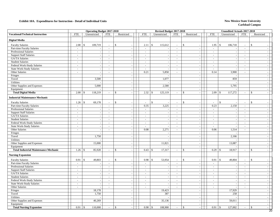### **Exhibit 10A. Expenditures for Instruction - Detail of Individual Units** New Mexico State University

|                                              |                | <b>Operating Budget 2017-2018</b> |                             |                                   |                             |              | Revised Budget 2017-2018 |                |                                           |                | <b>Unaudited Actuals 2017-2018</b> |                             |                                    |
|----------------------------------------------|----------------|-----------------------------------|-----------------------------|-----------------------------------|-----------------------------|--------------|--------------------------|----------------|-------------------------------------------|----------------|------------------------------------|-----------------------------|------------------------------------|
| <b>Vocational/Technical Instruction</b>      | <b>FTE</b>     | Unrestricted                      | FTE                         | Restricted                        | <b>FTE</b>                  |              | Unrestricted             | <b>FTE</b>     | Restricted                                | FTE            | Unrestricted                       | <b>FTE</b>                  | Restricted                         |
| <b>Digital Media</b>                         |                |                                   |                             |                                   |                             |              |                          |                |                                           |                |                                    |                             |                                    |
| <b>Faculty Salaries</b>                      | 2.00           | $\mathbf{s}$<br>109,719           | $\overline{a}$              | $\mathsf{\$}$                     | 2.11                        | $\mathbb{S}$ | 115,612                  | $\sim$         | $\mathbf{\hat{S}}$                        | 1.95           | $\mathbf{\hat{S}}$<br>106,718      | $\mathbf{r}$                | $\mathbb{S}$                       |
| Part-time Faculty Salaries                   | $\sim$         |                                   | $\mathcal{L}_{\mathcal{A}}$ | $\sim$                            | $\mathcal{L}_{\mathcal{A}}$ |              |                          | $\sim$         | $\mathbb{L}$                              | $\sim$         | $\overline{\phantom{a}}$           | $\mathcal{L}_{\mathcal{A}}$ | $\sim$                             |
| <b>Professional Salaries</b>                 | $\sim$         | $\sim$                            | $\overline{\phantom{a}}$    | $\mathcal{L}_{\mathcal{A}}$       | $\mathcal{L}_{\mathcal{A}}$ |              | $\sim$                   | $\sim$         | $\mathbb{L}$                              | $\sim$         | $\blacksquare$                     | $\overline{\phantom{a}}$    | $\sim$                             |
| <b>Support Staff Salaries</b>                | $\sim$         |                                   | $\blacksquare$              | $\sim$                            | $\overline{a}$              |              |                          | $\sim$         | $\overline{\phantom{a}}$                  | $\sim$         | $\overline{\phantom{a}}$           | $\overline{\phantom{a}}$    | $\sim$                             |
| GA/TA Salaries                               | $\sim$         |                                   | $\sim$                      | $\sim$                            | $\mathbf{r}$                |              |                          | $\sim$         | $\overline{\phantom{a}}$                  | $\sim$         | $\overline{\phantom{a}}$           | $\overline{\phantom{a}}$    | $\sim$                             |
| <b>Student Salaries</b>                      | $\sim$         | $\overline{a}$                    | $\sim$                      | $\sim$                            | $\overline{a}$              |              | $\sim$                   | $\sim$         | $\sim$                                    | $\sim$         | $\overline{\phantom{a}}$           | $\sim$                      | $\sim$                             |
| Federal Work-Study Salaries                  | $\sim$         | $\sim$                            | $\sim$                      | $\sim$                            | $\sim$                      |              |                          | $\sim$         | $\mathbb{L}$                              | $\sim$         | $\overline{\phantom{a}}$           | $\sim$                      | $\sim$                             |
| <b>State Work-Study Salaries</b>             | $\sim$         | $\overline{\phantom{a}}$          | $\sim$                      | $\sim$                            | $\sim$                      |              | $\overline{\phantom{a}}$ | $\sim$         | $\overline{\phantom{a}}$                  | $\overline{a}$ | $\sim$                             | $\sim$                      | $\sim$                             |
| Other Salaries                               | $\sim$         | $\sim$                            | $\sim$                      | $\sim$                            | 0.21                        |              | 5,850                    | $\sim$         | $\sim$                                    | 0.14           | 3,900                              | $\overline{\phantom{a}}$    | $\sim$                             |
| Fringes                                      |                |                                   |                             | $\sim$                            |                             |              |                          |                | $\blacksquare$                            |                | $\overline{\phantom{a}}$           |                             | $\sim$                             |
| Travel                                       |                | 3,500                             |                             | $\sim$                            |                             |              | 1,077                    |                | $\sim$                                    |                | 859                                |                             | $\sim$                             |
| Utilities                                    |                |                                   |                             | $\sim$                            |                             |              |                          |                | $\sim$                                    |                |                                    |                             | $\sim$                             |
| Other Supplies and Expenses                  |                | 5,000                             |                             | $\mathcal{L}_{\mathcal{A}}$       |                             |              | 2,580                    |                | $\overline{\phantom{a}}$                  |                | 5,795                              |                             | $\sim$                             |
| Equipment                                    |                |                                   |                             | $\overline{\phantom{a}}$          |                             |              |                          |                | $\overline{\phantom{a}}$                  |                |                                    |                             |                                    |
| <b>Total Digital Media</b>                   | 2.00           | 118,219<br>-\$                    | $\mathcal{L}_{\mathcal{A}}$ | \$<br>$\sim$                      | 2.32                        | \$           | 125,119                  | $\sim$         | -\$<br>$\mathcal{L}$                      |                | 117,272                            | $\mathcal{L}$               | \$<br>$\sim$                       |
| <b>Industrial Maintenance Mechanic</b>       |                |                                   |                             |                                   |                             |              |                          |                |                                           |                |                                    |                             |                                    |
| <b>Faculty Salaries</b>                      | 1.26           | $\mathbb{S}$<br>69,178            | $\overline{a}$              | $\mathsf{\$}$                     | $\overline{a}$              | \$           |                          | $\sim$         | $\mathcal{S}$<br>$\overline{\phantom{a}}$ |                | $\mathbb{S}$                       | $\overline{\phantom{a}}$    | \$                                 |
| Part-time Faculty Salaries                   | $\overline{a}$ |                                   | $\mathcal{L}$               | $\sim$                            | 0.35                        |              | 3,225                    | $\mathbb{Z}^2$ | $\overline{\phantom{a}}$                  | 0.23           | 2,150                              | $\overline{\phantom{a}}$    | $\overline{\phantom{a}}$           |
| <b>Professional Salaries</b>                 | $\sim$         | $\sim$                            | $\sim$                      | $\sim$                            | $\mathcal{L}_{\mathcal{A}}$ |              |                          | $\sim$         | $\sim$                                    | $\sim$         | $\overline{\phantom{a}}$           | $\overline{\phantom{a}}$    | $\sim$                             |
| <b>Support Staff Salaries</b>                | $\sim$         | $\overline{\phantom{a}}$          | $\sim$                      | $\overline{\phantom{a}}$          | $\sim$                      |              | $\overline{\phantom{a}}$ | $\sim$         | $\sim$                                    | $\sim$         | $\sim$                             | $\sim$                      | $\sim$                             |
| GA/TA Salaries                               | $\mathbb{Z}^2$ |                                   | $\overline{a}$              | $\overline{\phantom{a}}$          | $\overline{a}$              |              |                          | $\mathbb{Z}^2$ | $\bar{\phantom{a}}$                       | $\sim$         | $\bar{\phantom{a}}$                | $\overline{a}$              | $\mathcal{L}_{\mathcal{A}}$        |
| <b>Student Salaries</b>                      | $\sim$         | $\sim$                            | $\sim$                      | $\mathcal{L}_{\mathcal{A}}$       | $\mathbb{Z}^+$              |              |                          | $\sim$         | $\mathbb{Z}^2$                            | $\sim$         | $\sim$                             | $\mathbb{Z}^+$              | $\sim$                             |
| Federal Work-Study Salaries                  | $\sim$         | $\sim$                            | $\sim$                      | $\sim$                            | $\sim$                      |              |                          | $\sim$         | $\sim$                                    | $\sim$         | $\sim$                             | $\sim$                      | $\sim$                             |
| <b>State Work-Study Salaries</b>             | $\sim$         | $\sim$                            | $\overline{\phantom{a}}$    | $\blacksquare$                    | $\mathcal{L}_{\mathcal{A}}$ |              | $\sim$                   | $\sim$         | $\sim$                                    | $\sim$         | $\overline{\phantom{a}}$           | $\mathcal{L}_{\mathcal{A}}$ | $\sim$                             |
| Other Salaries                               | $\overline{a}$ | $\overline{a}$                    | $\sim$                      | $\sim$                            | 0.08                        |              | 2,271                    | $\mathbb{Z}^2$ | $\overline{a}$                            | 0.06           | 1,514                              | $\mathcal{L}$               | $\sim$                             |
| Fringes                                      |                |                                   |                             | $\overline{\phantom{a}}$          |                             |              |                          |                | $\sim$                                    |                |                                    |                             | $\sim$                             |
| Travel                                       |                | 1,750                             |                             | $\overline{\phantom{a}}$          |                             |              | $\overline{a}$           |                | $\overline{\phantom{a}}$                  |                | 2,166                              |                             | $\sim$                             |
| Utilities                                    |                |                                   |                             | $\sim$                            |                             |              |                          |                | $\mathbb{L}$                              |                |                                    |                             | $\sim$                             |
| Other Supplies and Expenses                  |                | 15,000                            |                             | $\blacksquare$                    |                             |              | 11,821                   |                | $\sim$                                    |                | 13,087                             |                             | $\sim$                             |
| Equipment                                    |                |                                   |                             | $\sim$                            |                             |              |                          |                | $\sim$                                    |                |                                    |                             | $\sim$                             |
| <b>Total Industrial Maintenance Mechanic</b> | 1.26           | 85,928<br>$\mathcal{S}$           | $\blacksquare$              | \$<br>$\mathcal{L}_{\mathcal{A}}$ | 0.43                        | \$           | 17,317                   | $\blacksquare$ | $\mathbf{\hat{S}}$<br>$\sim$              |                | 18,917                             | $\overline{\phantom{a}}$    | $\mathbf{s}$                       |
| <b>Nursing Expansion</b>                     |                |                                   |                             |                                   |                             |              |                          |                |                                           |                |                                    |                             |                                    |
| <b>Faculty Salaries</b>                      | 0.91           | $\mathbf{s}$<br>49,803            | $\sim$                      | $\mathbb{S}$                      | 0.98                        | $\mathbb{S}$ | 53,954                   | $\sim$         | $\mathbf{\hat{S}}$<br>÷,                  | 0.91           | $\mathbb{S}$<br>49,804             | $\overline{\phantom{a}}$    | $\mathbf{\hat{S}}$                 |
| Part-time Faculty Salaries                   | $\sim$         |                                   | $\overline{a}$              | $\sim$                            | $\mathbb{Z}^+$              |              |                          | $\sim$         | $\sim$                                    | $\sim$         |                                    | $\overline{a}$              | $\overline{\phantom{a}}$           |
| Professional Salaries                        | $\sim$         |                                   | $\sim$                      | $\sim$                            | $\overline{\phantom{a}}$    |              |                          | $\sim$         | $\overline{\phantom{a}}$                  | $\sim$         | $\sim$                             | $\sim$                      |                                    |
| <b>Support Staff Salaries</b>                | $\sim$         | $\sim$                            | $\overline{\phantom{a}}$    | $\overline{\phantom{a}}$          | $\omega_{\rm c}$            |              | $\sim$                   | $\sim$         | $\sim$                                    | $\sim$         | $\blacksquare$                     | $\sim$                      | $\sim$                             |
| GA/TA Salaries                               | $\mathbb{Z}^2$ |                                   | $\sim$                      | $\sim$                            | $\overline{\phantom{a}}$    |              |                          | $\mathbb{Z}^2$ | $\sim$                                    | $\sim$         | $\sim$                             | $\overline{\phantom{a}}$    | $\sim$                             |
| <b>Student Salaries</b>                      | $\sim$         | $\sim$                            | $\overline{a}$              | $\sim$                            | $\overline{\phantom{a}}$    |              |                          | $\sim$         | $\sim$                                    | $\sim$         | $\mathcal{L}_{\mathcal{A}}$        | $\overline{\phantom{a}}$    | $\sim$                             |
| Federal Work-Study Salaries                  | $\sim$         | $\overline{\phantom{a}}$          | $\sim$                      | $\sim$                            | $\sim$                      |              |                          | $\sim$         | $\sim$                                    | $\sim$         | $\sim$                             | $\sim$                      | $\sim$                             |
| <b>State Work-Study Salaries</b>             | $\sim$         | $\sim$                            | $\sim$                      | $\sim$                            | $\sim$                      |              |                          | $\sim$         | $\mathbb{L}$                              | $\sim$         | $\bar{\phantom{a}}$                | $\sim$                      |                                    |
| Other Salaries                               | $\sim$         | $\sim$                            | $\overline{\phantom{a}}$    | $\sim$                            | $\sim$                      |              |                          | $\sim$         | $\mathbb{L}$                              | $\sim$         | $\blacksquare$                     | $\sim$                      | $\sim$                             |
| Fringes                                      |                | 18,178                            |                             | $\sim$                            |                             |              | 19,423                   |                | $\overline{\phantom{a}}$                  |                | 17,929                             |                             | $\sim$                             |
| Travel                                       |                | 1,750                             |                             | $\overline{\phantom{a}}$          |                             |              | 387                      |                | $\overline{\phantom{a}}$                  |                | 258                                |                             |                                    |
| Utilities                                    |                |                                   |                             | $\sim$                            |                             |              |                          |                | $\mathcal{L}$                             |                |                                    |                             | $\sim$                             |
| Other Supplies and Expenses                  |                | 40,269                            |                             | $\sim$                            |                             |              | 35,136                   |                | $\overline{\phantom{a}}$                  |                | 59,011                             |                             | $\sim$                             |
| Equipment                                    |                |                                   |                             | $\sim$                            |                             |              |                          |                | $\mathbb{L}$                              |                |                                    |                             | $\sim$                             |
| <b>Total Nursing Expansion</b>               | 0.91           | 110,000<br><sup>\$</sup>          | $\sim$                      | $\mathsf{\$}$                     | 0.98                        | \$           | 108,900                  | $\sim$         | $\mathcal{S}$<br>$\overline{a}$           |                | 127,002                            | $\overline{\phantom{a}}$    | $\mathbf{\hat{S}}$<br>$\sim$<br>20 |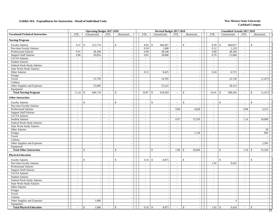### **Exhibit 10A. Expenditures for Instruction - Detail of Individual Units** New Mexico State University

|                                         |                          | <b>Operating Budget 2017-2018</b> |                             |                          |                          | Revised Budget 2017-2018       |                             |                                |                             | Unaudited Actuals 2017-2018   |                             |                    |                          |
|-----------------------------------------|--------------------------|-----------------------------------|-----------------------------|--------------------------|--------------------------|--------------------------------|-----------------------------|--------------------------------|-----------------------------|-------------------------------|-----------------------------|--------------------|--------------------------|
| <b>Vocational/Technical Instruction</b> | <b>FTE</b>               | Unrestricted                      | <b>FTE</b>                  | Restricted               | <b>FTE</b>               | Unrestricted                   | <b>FTE</b>                  | Restricted                     | <b>FTE</b>                  | Unrestricted                  | <b>FTE</b>                  | Restricted         |                          |
| <b>Nursing Program</b>                  |                          |                                   |                             |                          |                          |                                |                             |                                |                             |                               |                             |                    |                          |
| <b>Faculty Salaries</b>                 | 9.37                     | $\mathbb{S}$<br>513,774           | $\overline{\phantom{a}}$    | $\mathbf{\hat{s}}$       | 8.83                     | $\mathbf{\hat{s}}$<br>484,467  | $\sim$                      | $\mathcal{S}$                  | 8.39                        | $\mathbf{\hat{s}}$<br>460,057 | $\sim$                      | $\mathbf{\hat{S}}$ |                          |
| Part-time Faculty Salaries              | $\overline{a}$           |                                   | $\sim$                      |                          | 0.18                     | 1,680                          | $\omega$                    | $\overline{\phantom{a}}$       | 0.12                        | 1,120                         | $\mathcal{L}$               |                    |                          |
| <b>Professional Salaries</b>            | 0.91                     | 38,340                            | $\mathbb{Z}^2$              | $\sim$                   | 0.90                     | 38,340                         | $\sim$                      | $\sim$                         | $0.90\,$                    | 38,340                        | $\sim$                      |                    | $\overline{a}$           |
| <b>Support Staff Salaries</b>           | 0.96                     | 26,854                            | $\sim$                      | $\sim$                   | 0.65                     | 18,000                         | $\sim$                      | $\sim$                         | 0.76                        | 21,004                        | $\sim$                      |                    | $\sim$                   |
| GA/TA Salaries                          | $\sim$                   |                                   | $\sim$                      |                          | $\sim$                   | $\overline{\phantom{a}}$       | $\sim$                      | $\sim$                         | $\sim$                      | $\overline{\phantom{a}}$      | $\sim$                      |                    | $\overline{\phantom{a}}$ |
| <b>Student Salaries</b>                 | $\mathcal{L}$            | $\mathcal{L}_{\mathcal{A}}$       | $\sim$                      | $\overline{\phantom{a}}$ | $\mathbb{L}$             | $\sim$                         | $\overline{\phantom{a}}$    | $\blacksquare$                 | $\mathbb{L}$                | $\overline{\phantom{a}}$      | $\blacksquare$              |                    | $\overline{\phantom{a}}$ |
| Federal Work-Study Salaries             | $\blacksquare$           |                                   | $\blacksquare$              |                          | $\blacksquare$           |                                | $\overline{\phantom{a}}$    | $\overline{\phantom{a}}$       | $\mathbb{L}$                |                               | $\blacksquare$              |                    | $\overline{\phantom{a}}$ |
| <b>State Work-Study Salaries</b>        | $\overline{a}$           | $\sim$                            | $\sim$                      |                          | $\mathbb{Z}^2$           | $\sim$                         | $\sim$                      | $\mathbb{L}$                   | $\mathcal{L}$               | $\sim$                        | $\sim$                      |                    | $\overline{a}$           |
| Other Salaries                          | $\sim$                   | $\sim$                            | $\sim$                      | $\sim$                   | 0.31                     | 8,425                          | $\mathbb{Z}^+$              | $\mathcal{L}_{\mathcal{A}}$    | 0.24                        | 6,723                         | $\mathcal{L}$               |                    | $\sim$                   |
| Fringes                                 |                          | $\sim$                            |                             | $\sim$                   |                          | $\sim$                         |                             | $\sim$                         |                             | $\overline{\phantom{a}}$      |                             |                    | $\sim$                   |
| Travel                                  |                          | 15,750                            |                             | $\sim$                   |                          | 14,785                         |                             | $\mathcal{L}_{\mathcal{A}}$    |                             | 22,736                        |                             |                    | (1, 417)                 |
| <b>Utilities</b>                        |                          |                                   |                             |                          |                          |                                |                             | $\overline{\phantom{a}}$       |                             |                               |                             |                    |                          |
| Other Supplies and Expenses             |                          | 55,000                            |                             | $\sim$                   |                          | 53,232                         |                             | $\sim$                         |                             | 38,314                        |                             |                    |                          |
| Equipment                               |                          |                                   |                             | $\sim$                   |                          |                                |                             | $\sim$                         |                             |                               |                             |                    |                          |
| <b>Total Nursing Program</b>            | 11.24                    | 649,718<br>$\mathbf{\hat{s}}$     | $\sim$                      | $\mathcal{S}$<br>$\sim$  | 10.87                    | 618,929<br>$\mathbb{S}$        | $\sim$                      | $\mathbb{S}$<br>$\blacksquare$ | 10.41                       | 588,294<br>$\mathbb{S}$       | $\overline{\phantom{a}}$    | \$                 | (1, 417)                 |
| <b>Other Instruction</b>                |                          |                                   |                             |                          |                          |                                |                             |                                |                             |                               |                             |                    |                          |
| <b>Faculty Salaries</b>                 |                          | \$                                |                             | $\mathbf{\hat{s}}$       | $\overline{a}$           | \$                             |                             | $\mathbf{\hat{S}}$             |                             | $\mathbb{S}$                  | $\overline{\phantom{a}}$    | $\mathbb{S}$       |                          |
| Part-time Faculty Salaries              | $\sim$                   | $\overline{\phantom{a}}$          | $\overline{\phantom{a}}$    | $\sim$                   | $\overline{\phantom{a}}$ | $\overline{\phantom{a}}$       | $\sim$                      | $\overline{\phantom{a}}$       | $\sim$                      | $\sim$                        | $\sim$                      |                    |                          |
| Professional Salaries                   | $\sim$                   | $\overline{\phantom{a}}$          | $\sim$                      |                          | $\sim$                   | $\sim$                         | 0.09                        | 4,020                          | $\overline{\phantom{a}}$    | $\mathcal{L}_{\mathcal{A}}$   | 0.08                        |                    | 3,513                    |
| <b>Support Staff Salaries</b>           | $\overline{\phantom{a}}$ |                                   | $\overline{\phantom{a}}$    |                          | $\sim$                   | $\overline{\phantom{a}}$       | $\sim$                      |                                | $\overline{\phantom{a}}$    | $\overline{\phantom{a}}$      | $\blacksquare$              |                    |                          |
| GA/TA Salaries                          | $\mathcal{L}$            | $\sim$                            | $\sim$                      | $\sim$                   | $\sim$                   | $\sim$                         | $\sim$                      |                                | $\mathbb{Z}^2$              | $\sim$                        | $\mathcal{L}$               |                    |                          |
| <b>Student Salaries</b>                 | $\sim$                   | $\sim$                            | $\mathcal{L}_{\mathcal{A}}$ | $\sim$                   | $\sim$                   | $\sim$                         | 0.97                        | 15,510                         | $\sim$                      | $\sim$                        | 1.16                        |                    | 18,600                   |
| Federal Work-Study Salaries             | $\sim$                   | $\sim$                            | $\overline{\phantom{a}}$    | $\sim$                   | $\sim$                   | $\sim$                         | $\sim$                      | $\sim$                         | $\sim$                      | $\sim$                        | $\sim$                      |                    |                          |
| State Work-Study Salaries               | $\sim$                   | $\overline{\phantom{a}}$          | $\sim$                      | $\sim$                   | $\sim$                   | $\sim$                         | $\sim$                      | $\overline{\phantom{a}}$       | $\sim$                      | $\overline{\phantom{a}}$      | $\sim$                      |                    |                          |
| Other Salaries                          | $\overline{\phantom{a}}$ | $\mathcal{L}_{\mathcal{A}}$       | $\sim$                      | $\sim$                   | $\sim$                   | $\sim$                         | $\overline{\phantom{a}}$    | $\overline{a}$                 | $\mathcal{L}_{\mathcal{A}}$ | $\overline{\phantom{a}}$      | $\overline{\phantom{a}}$    |                    | $20\,$                   |
| Fringes                                 |                          |                                   |                             |                          |                          |                                |                             | 1,130                          |                             |                               |                             |                    | 892                      |
| Travel                                  |                          | $\mathcal{L}_{\mathcal{A}}$       |                             | $\sim$                   |                          | $\sim$                         |                             | $\overline{a}$                 |                             | $\sim$                        |                             |                    |                          |
| Utilities                               |                          | $\sim$                            |                             | $\sim$                   |                          | $\overline{a}$                 |                             | $\sim$                         |                             | $\sim$                        |                             |                    |                          |
| Other Supplies and Expenses             |                          | $\overline{\phantom{a}}$          |                             | $\sim$                   |                          | $\blacksquare$                 |                             |                                |                             | $\sim$                        |                             |                    | 2,303                    |
| Equipment                               |                          | $\overline{\phantom{a}}$          |                             | $\sim$                   |                          | $\sim$                         |                             |                                |                             | $\sim$                        |                             |                    |                          |
| <b>Total Other Instruction</b>          | $\sim$                   | \$<br>$\sim$                      | $\overline{\phantom{a}}$    | $\mathbf{\$}$            | $\sim$                   | \$<br>$\overline{\phantom{a}}$ | 1.06                        | 20,660<br>-S                   | $\sim$                      | $\mathcal{S}$<br>$\sim$       | 1.24                        | \$                 | 25,328                   |
| <b>Physical Education</b>               |                          |                                   |                             |                          |                          |                                |                             |                                |                             |                               |                             |                    |                          |
| <b>Faculty Salaries</b>                 |                          | \$                                |                             | \$                       | 0.16                     | $\mathbb{S}$<br>8,875          | $\overline{\phantom{a}}$    | \$                             |                             | $\$$                          | $\overline{\phantom{a}}$    | \$                 |                          |
| Part-time Faculty Salaries              | $\overline{a}$           | $\mathbb{Z}$                      | $\blacksquare$              |                          | $\overline{\phantom{a}}$ |                                | $\blacksquare$              | $\overline{\phantom{a}}$       | 1.02                        | 9,425                         | $\mathcal{L}_{\mathcal{A}}$ |                    |                          |
| Professional Salaries                   | $\sim$                   | $\overline{a}$                    | $\sim$                      | $\sim$                   | $\sim$                   | $\overline{\phantom{a}}$       | $\sim$                      | $\blacksquare$                 | $\mathbb{Z}^2$              |                               | $\overline{a}$              |                    | $\overline{a}$           |
| <b>Support Staff Salaries</b>           | $\sim$                   | $\sim$                            | $\sim$                      | $\overline{\phantom{a}}$ | $\sim$                   | $\sim$                         | $\sim$                      | $\sim$                         | $\mathbb{Z}^2$              | $\sim$                        | $\sim$                      |                    | $\sim$                   |
| <b>GA/TA Salaries</b>                   | $\sim$                   | $\overline{\phantom{a}}$          | $\overline{\phantom{a}}$    | $\overline{\phantom{a}}$ | $\sim$                   | $\sim$                         | $\sim$                      | $\sim$                         | $\sim$                      | $\sim$                        | $\sim$                      |                    | $\sim$                   |
| <b>Student Salaries</b>                 | $\overline{\phantom{a}}$ | $\overline{\phantom{a}}$          | $\sim$                      |                          | $\sim$                   | $\overline{\phantom{a}}$       | $\sim$                      | $\overline{\phantom{a}}$       | $\sim$                      | $\sim$                        | $\sim$                      |                    | $\sim$                   |
| Federal Work-Study Salaries             | $\overline{\phantom{a}}$ | $\overline{\phantom{a}}$          | $\sim$                      | $\overline{\phantom{a}}$ | $\sim$                   | $\overline{\phantom{a}}$       | $\overline{\phantom{a}}$    | $\overline{\phantom{a}}$       | $\sim$                      | $\overline{\phantom{a}}$      | $\sim$                      |                    | $\overline{\phantom{a}}$ |
| State Work-Study Salaries               | $\mathcal{L}$            | $\sim$                            | $\mathcal{L}_{\mathcal{A}}$ | $\sim$                   | $\sim$                   | $\sim$                         | $\sim$                      | $\sim$                         | $\mathbb{Z}^2$              | $\sim$                        | $\sim$                      |                    | $\sim$                   |
| Other Salaries                          | $\overline{\phantom{a}}$ | $\sim$                            | $\sim$                      | $\sim$                   | $\sim$                   | $\sim$                         | $\sim$                      | $\sim$                         | $\sim$                      | $\overline{\phantom{a}}$      | $\sim$                      |                    | $\sim$                   |
| Fringes                                 |                          | $\sim$                            |                             | $\sim$                   |                          | $\sim$                         |                             | $\overline{\phantom{a}}$       |                             | $\sim$                        |                             |                    | $\overline{\phantom{a}}$ |
| Travel                                  |                          | $\sim$                            |                             | $\sim$                   |                          | $\sim$                         |                             | $\sim$                         |                             | $\sim$                        |                             |                    | $\sim$                   |
| Utilities                               |                          | $\sim$                            |                             | $\sim$                   |                          | $\sim$                         |                             | $\overline{\phantom{a}}$       |                             | $\sim$                        |                             |                    | $\overline{\phantom{a}}$ |
| Other Supplies and Expenses             |                          | 1,000                             |                             | $\sim$                   |                          | $\sim$                         |                             | $\overline{\phantom{a}}$       |                             | $\overline{4}$                |                             |                    | $\overline{\phantom{a}}$ |
| Equipment                               |                          |                                   |                             | $\sim$                   |                          | $\sim$                         |                             | $\sim$                         |                             |                               |                             |                    | $\sim$                   |
| <b>Total Physical Education</b>         | $\sim$                   | 1,000<br>\$                       | $\sim$                      | \$<br>$\sim$             | 0.16                     | 8,875<br>$\mathbb{S}$          | $\mathcal{L}_{\mathcal{A}}$ | $\mathbb{S}$<br>$\sim$         | 1.02                        | 9,429<br>$\sqrt{5}$           | $\sim$                      | \$                 | $\sim$                   |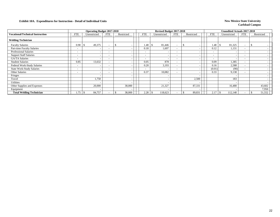|                                         |                          | <b>Operating Budget 2017-2018</b> |                          |            |                          | Revised Budget 2017-2018 |                          |                          |                          | <b>Unaudited Actuals 2017-2018</b> |                          |            |
|-----------------------------------------|--------------------------|-----------------------------------|--------------------------|------------|--------------------------|--------------------------|--------------------------|--------------------------|--------------------------|------------------------------------|--------------------------|------------|
| <b>Vocational/Technical Instruction</b> | <b>FTE</b>               | Unrestricted                      | <b>FTE</b>               | Restricted | FTE                      | Unrestricted             | <b>FTE</b>               | Restricted               | <b>FTE</b>               | Unrestricted                       | FTE                      | Restricted |
| <b>Welding Technician</b>               |                          |                                   |                          |            |                          |                          |                          |                          |                          |                                    |                          |            |
| <b>Faculty Salaries</b>                 | 0.90                     | 49,375                            |                          | S.         | 1.48                     | 81,446<br>\$             | $\overline{\phantom{0}}$ |                          | 1.48                     | 81,325<br>- 75                     | $\overline{\phantom{a}}$ |            |
| Part-time Faculty Salaries              | <b>.</b>                 | $\overline{\phantom{a}}$          |                          |            | 0.18                     | 1,697                    | $\sim$                   | $\overline{\phantom{a}}$ | 0.12                     | 1,131                              | <b>-</b>                 |            |
| <b>Professional Salaries</b>            | $\overline{\phantom{a}}$ | $\overline{\phantom{a}}$          | $\overline{\phantom{a}}$ |            | $\overline{\phantom{a}}$ |                          | $\overline{\phantom{a}}$ | $\overline{\phantom{a}}$ | $\overline{\phantom{a}}$ |                                    | $\overline{\phantom{a}}$ |            |
| <b>Support Staff Salaries</b>           | $\overline{\phantom{0}}$ | $\overline{\phantom{a}}$          | $\overline{\phantom{a}}$ |            | $\overline{\phantom{a}}$ |                          | $\overline{\phantom{0}}$ | $\overline{\phantom{a}}$ | $\overline{\phantom{a}}$ |                                    | $\overline{\phantom{a}}$ |            |
| <b>GA/TA Salaries</b>                   | $\overline{\phantom{0}}$ | $\overline{\phantom{a}}$          | $\overline{\phantom{0}}$ |            | $\overline{\phantom{a}}$ |                          | $\overline{\phantom{0}}$ | $\overline{\phantom{a}}$ | $\overline{\phantom{a}}$ |                                    | $\overline{\phantom{a}}$ |            |
| <b>Student Salaries</b>                 | 0.85                     | 13,632                            | $\overline{\phantom{0}}$ |            | 0.05                     | 878                      | $\overline{\phantom{0}}$ | $\overline{\phantom{a}}$ | 0.09                     | 1,385                              | $\overline{\phantom{0}}$ |            |
| Federal Work-Study Salaries             | $\overline{\phantom{0}}$ | $\overline{\phantom{0}}$          | $\overline{\phantom{0}}$ |            | 0.20                     | 3,193                    | $\overline{\phantom{a}}$ | $\overline{\phantom{a}}$ | 0.16                     | 2,588                              | $\overline{\phantom{a}}$ |            |
| <b>State Work-Study Salaries</b>        | $\overline{\phantom{0}}$ | $\overline{\phantom{0}}$          | $\overline{\phantom{a}}$ |            | $\overline{\phantom{a}}$ |                          | $\overline{\phantom{0}}$ | $\overline{\phantom{a}}$ | (0.01)                   | (90)                               | $\overline{\phantom{a}}$ |            |
| <b>Other Salaries</b>                   | $\overline{\phantom{a}}$ | $\overline{\phantom{a}}$          |                          |            | 0.37                     | 10,082                   | $\overline{\phantom{0}}$ | $\overline{\phantom{a}}$ | 0.33                     | 9,138                              | $\overline{\phantom{a}}$ |            |
| Fringes                                 |                          |                                   |                          |            |                          |                          |                          |                          |                          |                                    |                          |            |
| Travel                                  |                          | 1,750                             |                          |            |                          |                          |                          | 2,500                    |                          | 183                                |                          |            |
| Utilities                               |                          |                                   |                          |            |                          |                          |                          |                          |                          |                                    |                          |            |
| Other Supplies and Expenses             |                          | 20,000                            |                          | 38,000     |                          | 21,327                   |                          | 87,331                   |                          | 16,488                             |                          | 43,602     |
| Equipment                               |                          | $\overline{\phantom{a}}$          |                          |            |                          |                          |                          | $\overline{\phantom{a}}$ |                          |                                    |                          | 7,950      |
| <b>Total Welding Technician</b>         | .75                      | 84,757                            |                          | 38,000     | 2.28                     | \$<br>118,623            |                          | 89,831                   | 2.17                     | 112,148                            | $\overline{\phantom{0}}$ | 51,552     |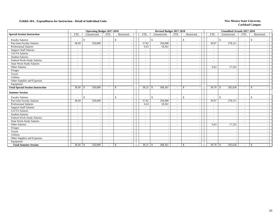|                                          |                          | <b>Operating Budget 2017-2018</b> |                          |              |                          |               | Revised Budget 2017-2018 |                          |              |                          |                          | <b>Unaudited Actuals 2017-2018</b> |                          |               |  |
|------------------------------------------|--------------------------|-----------------------------------|--------------------------|--------------|--------------------------|---------------|--------------------------|--------------------------|--------------|--------------------------|--------------------------|------------------------------------|--------------------------|---------------|--|
| <b>Special Session Instruction</b>       | <b>FTE</b>               | Unrestricted                      | <b>FTE</b>               | Restricted   | <b>FTE</b>               |               | Unrestricted             | <b>FTE</b>               |              | Restricted               | <b>FTE</b>               | Unrestricted                       | <b>FTE</b>               | Restricted    |  |
| <b>Faculty Salaries</b>                  |                          | \$.<br>$\overline{\phantom{a}}$   |                          | \$           | $\overline{\phantom{a}}$ | \$            |                          | $\sim$                   | $\mathbb{S}$ |                          |                          | $\mathbb{S}$                       | $\overline{\phantom{a}}$ | \$            |  |
| Part-time Faculty Salaries               | 38.49                    | 350,000                           |                          |              | 37.82                    |               | 350,000                  | $\sim$                   |              |                          | 30.07                    | 278,311                            | $\overline{\phantom{a}}$ |               |  |
| <b>Professional Salaries</b>             | $\overline{\phantom{a}}$ |                                   |                          |              | 0.43                     |               | 18,361                   | $\sim$                   |              |                          | $\sim$                   |                                    |                          |               |  |
| <b>Support Staff Salaries</b>            | $\overline{\phantom{a}}$ |                                   |                          |              | $\overline{\phantom{a}}$ |               |                          |                          |              |                          | $\overline{\phantom{a}}$ |                                    | $\overline{\phantom{a}}$ |               |  |
| <b>GA/TA Salaries</b>                    | $\overline{\phantom{a}}$ | $\overline{\phantom{a}}$          |                          |              | $\overline{\phantom{a}}$ |               |                          | $\overline{\phantom{a}}$ |              | $\overline{\phantom{a}}$ | $\overline{\phantom{a}}$ |                                    | $\overline{\phantom{a}}$ |               |  |
| <b>Student Salaries</b>                  | $\sim$                   |                                   |                          |              | $\sim$                   |               |                          |                          |              |                          | $\overline{\phantom{a}}$ |                                    |                          |               |  |
| Federal Work-Study Salaries              | $\overline{\phantom{a}}$ | $\overline{\phantom{a}}$          | $\overline{\phantom{0}}$ |              | $\overline{\phantom{a}}$ |               |                          | $\overline{\phantom{a}}$ |              | $\overline{\phantom{a}}$ | $\sim$                   |                                    | $\overline{\phantom{a}}$ |               |  |
| <b>State Work-Study Salaries</b>         | $\overline{\phantom{a}}$ | $\overline{\phantom{a}}$          | $\overline{\phantom{a}}$ |              | $\overline{\phantom{a}}$ |               | $\overline{\phantom{a}}$ | $\sim$                   |              | $\overline{\phantom{a}}$ | $\overline{\phantom{a}}$ |                                    | $\sim$                   |               |  |
| Other Salaries                           |                          |                                   |                          |              | $\overline{a}$           |               |                          |                          |              |                          | 0.63                     | 17,325                             | $\overline{\phantom{a}}$ |               |  |
| Fringes                                  |                          | $\overline{\phantom{a}}$          |                          |              |                          |               |                          |                          |              | $\overline{\phantom{a}}$ |                          |                                    |                          |               |  |
| Travel                                   |                          | $\overline{\phantom{a}}$          |                          |              |                          |               |                          |                          |              | $\overline{\phantom{a}}$ |                          |                                    |                          |               |  |
| Utilities                                |                          | $\overline{\phantom{a}}$          |                          |              |                          |               |                          |                          |              |                          |                          |                                    |                          |               |  |
| Other Supplies and Expenses              |                          |                                   |                          |              |                          |               |                          |                          |              |                          |                          |                                    |                          |               |  |
| Equipment                                |                          |                                   |                          |              |                          |               |                          |                          |              |                          |                          |                                    |                          |               |  |
| <b>Total Special Session Instruction</b> | 38.49                    | 350,000<br>l \$                   |                          | -\$          | 38.25                    | <sup>\$</sup> | 368,361                  | $\sim$                   | $\mathbb{S}$ | $\overline{\phantom{a}}$ | $30.70$ \$               | 295,636                            | $\sim$                   | \$            |  |
| <b>Summer Session</b>                    |                          |                                   |                          |              |                          |               |                          |                          |              |                          |                          |                                    |                          |               |  |
| <b>Faculty Salaries</b>                  | $\blacksquare$           | $\mathbf{\$}$                     | $\overline{\phantom{a}}$ | $\mathbb{S}$ | $\overline{\phantom{a}}$ | $\mathbb{S}$  |                          | $\overline{\phantom{a}}$ | $\mathbb{S}$ |                          | $\overline{\phantom{a}}$ | $\mathcal{S}$                      | $\sim$                   | $\mathbb{S}$  |  |
| Part-time Faculty Salaries               | 38.49                    | 350,000                           |                          |              | 37.82                    |               | 350,000                  | $\sim$                   |              | $\overline{\phantom{a}}$ | 30.07                    | 278,311                            | $\sim$                   |               |  |
| <b>Professional Salaries</b>             | $\sim$                   |                                   |                          |              | 0.43                     |               | 18,361                   | $\overline{\phantom{a}}$ |              |                          | $\overline{\phantom{a}}$ |                                    | $\overline{\phantom{a}}$ |               |  |
| <b>Support Staff Salaries</b>            | $\tilde{\phantom{a}}$    |                                   |                          |              |                          |               |                          |                          |              |                          | $\overline{\phantom{a}}$ |                                    |                          |               |  |
| <b>GA/TA Salaries</b>                    | $\overline{\phantom{a}}$ | $\overline{\phantom{a}}$          |                          |              | $\overline{\phantom{a}}$ |               |                          | $\sim$                   |              | $\overline{\phantom{a}}$ | $\sim$                   |                                    | $\overline{\phantom{a}}$ |               |  |
| <b>Student Salaries</b>                  | $\overline{\phantom{a}}$ | $\overline{\phantom{a}}$          |                          |              | $\overline{\phantom{a}}$ |               |                          |                          |              | $\overline{\phantom{a}}$ | $\overline{\phantom{a}}$ |                                    | $\overline{\phantom{a}}$ |               |  |
| Federal Work-Study Salaries              | $\tilde{\phantom{a}}$    |                                   |                          |              | ۰                        |               |                          | $\overline{\phantom{a}}$ |              | $\overline{\phantom{a}}$ | $\overline{\phantom{a}}$ |                                    | $\overline{\phantom{a}}$ |               |  |
| State Work-Study Salaries                | $\tilde{\phantom{a}}$    | $\overline{a}$                    |                          |              | $\overline{\phantom{a}}$ |               |                          | $\overline{\phantom{a}}$ |              | $\overline{\phantom{a}}$ | $\overline{\phantom{a}}$ |                                    | $\overline{\phantom{a}}$ |               |  |
| Other Salaries                           | $\overline{\phantom{a}}$ | $\overline{\phantom{a}}$          |                          |              | $\overline{\phantom{a}}$ |               |                          | $\sim$                   |              | $\overline{\phantom{a}}$ | 0.63                     | 17,325                             | $\overline{\phantom{a}}$ |               |  |
| Fringes                                  |                          |                                   |                          |              |                          |               |                          |                          |              |                          |                          |                                    |                          |               |  |
| Travel                                   |                          |                                   |                          |              |                          |               |                          |                          |              |                          |                          |                                    |                          |               |  |
| Utilities                                |                          | $\overline{\phantom{a}}$          |                          |              |                          |               |                          |                          |              |                          |                          |                                    |                          |               |  |
| Other Supplies and Expenses              |                          |                                   |                          |              |                          |               |                          |                          |              |                          |                          |                                    |                          |               |  |
| Equipment                                |                          |                                   |                          |              |                          |               |                          |                          |              |                          |                          |                                    |                          |               |  |
| <b>Total Summer Session</b>              |                          | 350,000                           | $\sim$                   | \$           |                          |               | 368,361                  | $\sim$                   | $\mathbb{S}$ | $\overline{\phantom{a}}$ | $30.70$ \$               | 295,636                            | $\overline{\phantom{a}}$ | $\mathcal{S}$ |  |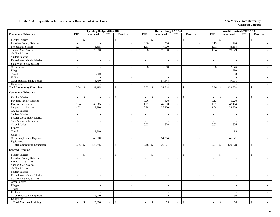|                                  |                             | <b>Operating Budget 2017-2018</b> |                          |                                           |                                          | Revised Budget 2017-2018 |                             |                                          |                             | <b>Unaudited Actuals 2017-2018</b> |                          |               |
|----------------------------------|-----------------------------|-----------------------------------|--------------------------|-------------------------------------------|------------------------------------------|--------------------------|-----------------------------|------------------------------------------|-----------------------------|------------------------------------|--------------------------|---------------|
| <b>Community Education</b>       | <b>FTE</b>                  | Unrestricted                      | <b>FTE</b>               | Restricted                                | <b>FTE</b>                               | Unrestricted             | <b>FTE</b>                  | Restricted                               | <b>FTE</b>                  | Unrestricted                       | <b>FTE</b>               | Restricted    |
| <b>Faculty Salaries</b>          | $\overline{\phantom{a}}$    | \$<br>$\overline{\phantom{a}}$    | $\sim$                   | $\mathcal{S}$                             | \$<br>$\sim$                             |                          | $\sim$                      | \$                                       | $\sim$                      | $\mathbb{S}$                       | $\overline{\phantom{a}}$ | $\mathcal{S}$ |
| Part-time Faculty Salaries       | $\sim$                      | $\sim$                            | $\sim$                   | $\sim$                                    | 0.06                                     | 520                      | $\sim$                      | $\mathbb{Z}^+$                           | 0.13                        | 1,220                              | $\sim$                   |               |
| Professional Salaries            | 1.04                        | 43,665                            | $\sim$                   | $\sim$                                    | 1.11                                     | 47,070                   | $\sim$                      | $\mathcal{L}_{\mathcal{A}}$              | 1.01                        | 43,114                             | $\sim$                   |               |
| <b>Support Staff Salaries</b>    | 1.02                        | 28,580                            | $\sim$                   | $\overline{\phantom{a}}$                  | 0.98                                     | 26,870                   | $\sim$                      | $\blacksquare$                           | 1.04                        | 28,579                             | $\sim$                   |               |
| GA/TA Salaries                   | $\omega$                    |                                   | $\overline{\phantom{a}}$ | $\sim$                                    | $\mathcal{L}$                            |                          | $\sim$                      | $\sim$                                   | $\overline{\phantom{a}}$    |                                    | $\sim$                   |               |
| <b>Student Salaries</b>          | $\omega$                    | $\sim$                            | $\mathcal{L}$            | $\sim$                                    | $\mathbb{Z}^+$                           | $\overline{\phantom{a}}$ | $\mathcal{L}_{\mathcal{A}}$ | $\blacksquare$                           | $\mathbb{L}$                |                                    | $\mathcal{L}$            |               |
| Federal Work-Study Salaries      | $\mathcal{L}_{\mathcal{A}}$ | $\sim$                            | $\sim$                   | $\sim$                                    | $\sim$                                   | $\overline{\phantom{a}}$ | $\sim$                      | $\mathcal{L}_{\mathcal{A}}$              | $\mathbf{r}$                | $\sim$                             | $\sim$                   |               |
| <b>State Work-Study Salaries</b> | $\overline{a}$              | $\mathcal{L}$                     | $\sim$                   | $\sim$                                    | $\sim$                                   |                          | $\sim$                      | $\mathbb{Z}^+$                           | $\mathcal{L}$               |                                    | $\mathcal{L}$            |               |
| Other Salaries                   | $\overline{\phantom{a}}$    | $\sim$                            | $\sim$                   | $\sim$                                    | 0.08                                     | 2,310                    | $\sim$                      | $\mathcal{L}$                            | 0.08                        | 2,246                              | $\sim$                   |               |
| Fringes                          |                             | $\overline{a}$                    |                          | $\sim$                                    |                                          | <b>.</b>                 |                             | $\mathcal{L}$                            |                             | 290                                |                          |               |
| Travel                           |                             | 3,500                             |                          | $\sim$                                    |                                          | $\overline{a}$           |                             | $\sim$                                   |                             | 88                                 |                          |               |
| <b>Utilities</b>                 |                             | $\sim$                            |                          | $\sim$                                    |                                          |                          |                             | $\mathcal{L}_{\mathcal{L}}$              |                             |                                    |                          |               |
| Other Supplies and Expenses      |                             | 76,750                            |                          | $\sim$                                    |                                          | 54,844                   |                             | $\overline{\phantom{a}}$                 |                             | 47,091                             |                          |               |
| Equipment                        |                             |                                   |                          | $\sim$                                    |                                          |                          |                             | $\mathcal{L}_{\mathcal{A}}$              |                             |                                    |                          |               |
| <b>Total Community Education</b> | 2.06                        | 152,495<br>$\mathbb{S}$           | $\sim$                   | $\mathcal{S}$                             |                                          | 131,614                  | $\sim$                      | $\mathbb{S}$<br>$\sim$                   | $2.26$ \$                   | 122,628                            | $\sim$                   | \$            |
| <b>Community Education</b>       |                             |                                   |                          |                                           |                                          |                          |                             |                                          |                             |                                    |                          |               |
| <b>Faculty Salaries</b>          |                             | $\mathbf{\hat{S}}$                |                          | $\mathbf{\hat{S}}$                        | $\mathbb{S}$<br>$\overline{\phantom{a}}$ |                          | $\sim$                      | $\mathsf{\$}$<br>$\sim$                  |                             | $\mathbf{\hat{S}}$                 | $\sim$                   | $\mathbf{s}$  |
| Part-time Faculty Salaries       | $\sim$                      | $\sim$                            | $\sim$                   | $\sim$                                    | 0.06                                     | 520                      | $\sim$                      | $\mathbb{Z}^{\mathbb{Z}}$                | 0.13                        | 1,220                              | $\sim$                   |               |
| Professional Salaries            | 1.04                        | 43,665                            | $\sim$                   | $\sim$                                    | 1.11                                     | 47,070                   | $\sim$                      | $\mathcal{L}_{\mathcal{A}}$              | 1.01                        | 43,114                             | $\sim$                   |               |
| <b>Support Staff Salaries</b>    | 1.02                        | 28,580                            | $\sim$                   | $\sim$                                    | 0.98                                     | 26,870                   | $\mathbb{Z}^+$              | $\overline{\phantom{a}}$                 | 1.04                        | 28,579                             | $\sim$                   |               |
| <b>GA/TA Salaries</b>            | $\mathbb{Z}^{\mathbb{Z}}$   |                                   | $\sim$                   |                                           | $\mathcal{L}_{\mathcal{A}}$              |                          | $\sim$                      | $\blacksquare$                           | $\frac{1}{2}$               |                                    | $\sim$                   |               |
| <b>Student Salaries</b>          | $\mathbb{Z}^{\mathbb{Z}}$   | $\sim$                            | $\mathcal{L}$            | $\sim$                                    | $\mathcal{L}$                            | $\overline{\phantom{a}}$ | $\mathbb{Z}^2$              | $\equiv$                                 | $\overline{\phantom{a}}$    | $\sim$                             | $\mathcal{L}$            |               |
| Federal Work-Study Salaries      | $\sim$                      | $\mathcal{L}_{\mathcal{A}}$       | $\overline{\phantom{a}}$ | $\sim$                                    | $\sim$                                   | $\overline{\phantom{a}}$ | $\sim$                      | $\mathcal{L}_{\mathcal{A}}$              | $\mathcal{L}_{\mathcal{A}}$ | $\overline{\phantom{a}}$           | $\sim$                   |               |
| <b>State Work-Study Salaries</b> | $\sim$                      | $\sim$                            | $\sim$                   | $\sim$                                    | $\sim$                                   | $\overline{\phantom{a}}$ | $\sim$                      | $\mathcal{L}$                            | $\sim$                      | $\sim$                             | $\sim$                   |               |
| Other Salaries                   | $\sim$                      | $\sim$                            | $\sim$                   | $\sim$                                    | 0.03                                     | 870                      | $\sim$                      | $\mathcal{L}$                            | 0.03                        | 806                                | $\sim$                   |               |
| Fringes                          |                             | $\sim$                            |                          | $\sim$                                    |                                          |                          |                             | $\sim$                                   |                             |                                    |                          |               |
| Travel                           |                             | 3,500                             |                          | $\sim$                                    |                                          | $\overline{\phantom{a}}$ |                             | $\sim$                                   |                             | 88                                 |                          |               |
| Utilities                        |                             | $\overline{\phantom{a}}$          |                          | $\sim$                                    |                                          |                          |                             | $\mathbb{Z}^2$                           |                             | $\overline{\phantom{a}}$           |                          |               |
| Other Supplies and Expenses      |                             | 45,000                            |                          | $\sim$                                    |                                          | 54,294                   |                             | $\sim$                                   |                             | 46,971                             |                          |               |
| Equipment                        |                             |                                   |                          | $\overline{a}$                            |                                          |                          |                             | $\sim$                                   |                             |                                    |                          |               |
| <b>Total Community Education</b> | 2.06                        | 120,745<br>\$                     | $\sim$                   | $\mathcal{S}$<br>$\sim$                   | $2.18$ \$                                | 129,624                  | $\overline{\phantom{a}}$    | $\mathcal{S}$<br>$\blacksquare$          | 2.21                        | 120,778<br>$\mathcal{S}$           | $\overline{\phantom{a}}$ | $\mathcal{S}$ |
| <b>Contract Training</b>         |                             |                                   |                          |                                           |                                          |                          |                             |                                          |                             |                                    |                          |               |
| <b>Faculty Salaries</b>          | $\overline{a}$              | \$<br>$\sim$                      | $\sim$                   | $\mathcal{S}$<br>$\overline{\phantom{a}}$ | \$<br>$\overline{\phantom{a}}$           |                          | $\sim$                      | $\mathbb{S}$<br>$\overline{\phantom{a}}$ | $\overline{a}$              | $\mathbb{S}$                       | $\sim$                   | $\mathbb{S}$  |
| Part-time Faculty Salaries       | $\sim$                      | $\mathcal{L}_{\mathcal{A}}$       | $\sim$                   | $\sim$                                    | $\overline{\phantom{a}}$                 |                          | $\sim$                      | $\sim$                                   | $\overline{\phantom{a}}$    | $\overline{\phantom{a}}$           | $\sim$                   |               |
| Professional Salaries            | $\omega$                    | $\mathbb{Z}^2$                    | $\mathcal{L}$            | $\sim$                                    | $\overline{\phantom{a}}$                 | $\overline{\phantom{a}}$ | $\sim$                      | $\overline{\phantom{a}}$                 | $\overline{\phantom{a}}$    | $\overline{\phantom{a}}$           | $\sim$                   |               |
| <b>Support Staff Salaries</b>    | $\overline{\phantom{a}}$    | $\sim$                            | $\sim$                   | $\sim$                                    | $\sim$                                   |                          | $\sim$                      | $\blacksquare$                           | $\sim$                      | $\overline{\phantom{a}}$           | $\sim$                   |               |
| GA/TA Salaries                   | $\overline{\phantom{a}}$    | $\sim$                            | $\overline{\phantom{a}}$ | $\sim$                                    | $\overline{\phantom{a}}$                 |                          | $\sim$                      | $\blacksquare$                           | $\overline{\phantom{a}}$    |                                    | $\sim$                   |               |
| <b>Student Salaries</b>          | $\omega$                    | $\mathcal{L}_{\mathcal{A}}$       | $\sim$                   | $\sim$                                    | $\overline{\phantom{a}}$                 |                          | $\sim$                      | $\mathcal{L}_{\mathcal{A}}$              | $\frac{1}{2}$               | $\sim$                             | $\mathcal{L}$            |               |
| Federal Work-Study Salaries      | $\sim$                      | $\mathcal{L}_{\mathcal{A}}$       | $\sim$                   | $\sim$                                    | $\sim$                                   | $\overline{\phantom{a}}$ | $\sim$                      | $\mathcal{L}_{\mathcal{A}}$              | $\overline{\phantom{a}}$    | $\sim$                             | $\sim$                   |               |
| <b>State Work-Study Salaries</b> | $\overline{a}$              | $\sim$                            | $\mathbb{Z}^2$           | $\sim$                                    | $\overline{a}$                           |                          | $\mathcal{L}$               | $\overline{a}$                           | $\sim$                      | $\overline{\phantom{a}}$           | $\mathcal{L}$            |               |
| Other Salaries                   | $\overline{\phantom{a}}$    | $\sim$                            | $\sim$                   | $\sim$                                    | $\overline{\phantom{a}}$                 | $\sim$                   | $\sim$                      | $\mathcal{L}$                            | $\sim$                      | $\overline{\phantom{a}}$           | $\sim$                   |               |
| Fringes                          |                             | $\sim$                            |                          | $\sim$                                    |                                          |                          |                             | $\sim$                                   |                             |                                    |                          |               |
| Travel                           |                             | $\overline{\phantom{a}}$          |                          | $\sim$                                    |                                          |                          |                             | $\sim$                                   |                             |                                    |                          |               |
| <b>Utilities</b>                 |                             | $\sim$                            |                          | $\sim$                                    |                                          | $\overline{\phantom{a}}$ |                             | $\sim$                                   |                             | $\sim$                             |                          | $\sim$        |
| Other Supplies and Expenses      |                             | 25,000                            |                          | $\sim$                                    |                                          | 75                       |                             | $\overline{a}$                           |                             | 50                                 |                          |               |
| Equipment                        |                             |                                   |                          | $\sim$                                    |                                          | $\overline{\phantom{a}}$ |                             | $\mathcal{L}$                            |                             | $\sim$                             |                          |               |
| <b>Total Contract Training</b>   |                             | 25,000<br>$\mathbf{\hat{S}}$      |                          | $\mathcal{S}$                             | $\mathbb{S}$                             | 75                       |                             | $\mathbb{S}$                             |                             | 50<br>\$                           |                          | \$            |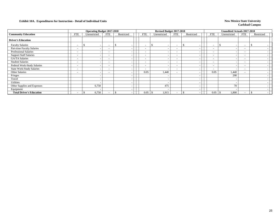|                                  |                          | <b>Operating Budget 2017-2018</b> |                          |            |                          | Revised Budget 2017-2018  |                          |                          |                          | Unaudited Actuals 2017-2018               |                          |            |
|----------------------------------|--------------------------|-----------------------------------|--------------------------|------------|--------------------------|---------------------------|--------------------------|--------------------------|--------------------------|-------------------------------------------|--------------------------|------------|
| <b>Community Education</b>       | <b>FTE</b>               | Unrestricted                      | FTE                      | Restricted | <b>FTE</b>               | Unrestricted              | FTE                      | Restricted               | <b>FTE</b>               | Unrestricted                              | <b>FTE</b>               | Restricted |
| <b>Driver's Education</b>        |                          |                                   |                          |            |                          |                           |                          |                          |                          |                                           |                          |            |
| <b>Faculty Salaries</b>          | $\overline{\phantom{a}}$ | $\overline{\phantom{a}}$<br>J.    | $\overline{\phantom{a}}$ | S.         | $\overline{\phantom{a}}$ | <sup>\$</sup><br><b>.</b> | $\overline{\phantom{0}}$ | $\overline{\phantom{0}}$ | $\overline{\phantom{a}}$ | $\mathcal{S}$<br>$\overline{\phantom{0}}$ | $\overline{\phantom{0}}$ |            |
| Part-time Faculty Salaries       | $\overline{\phantom{a}}$ | $\overline{\phantom{a}}$          | $\overline{\phantom{0}}$ |            | $\overline{\phantom{0}}$ | <b>.</b>                  | $\overline{\phantom{0}}$ | $\overline{\phantom{0}}$ | $\overline{\phantom{a}}$ |                                           | $\overline{\phantom{0}}$ |            |
| <b>Professional Salaries</b>     | $\overline{\phantom{a}}$ | $\overline{\phantom{a}}$          | $\overline{\phantom{a}}$ |            | $\overline{\phantom{a}}$ |                           | $\overline{\phantom{0}}$ |                          | $\overline{\phantom{a}}$ |                                           | $\overline{\phantom{0}}$ |            |
| <b>Support Staff Salaries</b>    | $\overline{\phantom{a}}$ | $\overline{\phantom{a}}$          | $\overline{\phantom{a}}$ |            | $\overline{\phantom{a}}$ | $\overline{\phantom{0}}$  | $\overline{\phantom{a}}$ | $\overline{\phantom{a}}$ | $\overline{\phantom{a}}$ |                                           | $\overline{\phantom{0}}$ |            |
| <b>GA/TA Salaries</b>            | $\sim$                   | $\overline{\phantom{a}}$          | $\overline{\phantom{a}}$ |            | $\overline{\phantom{a}}$ | $\overline{\phantom{0}}$  | $\sim$                   | $\overline{\phantom{a}}$ | $\overline{\phantom{a}}$ |                                           | $\overline{\phantom{0}}$ |            |
| <b>Student Salaries</b>          | $\overline{\phantom{a}}$ | $\overline{\phantom{a}}$          | $\overline{\phantom{a}}$ |            | $\overline{\phantom{a}}$ |                           | $\overline{\phantom{0}}$ | $\overline{\phantom{a}}$ | $\overline{\phantom{a}}$ |                                           | $\overline{\phantom{0}}$ |            |
| Federal Work-Study Salaries      | $\overline{\phantom{0}}$ | $\overline{\phantom{0}}$          | $\overline{\phantom{a}}$ |            | $\overline{\phantom{a}}$ | $\overline{\phantom{a}}$  | $\overline{\phantom{0}}$ | $\overline{\phantom{a}}$ | $\overline{\phantom{a}}$ | ۰                                         | $\overline{\phantom{0}}$ |            |
| <b>State Work-Study Salaries</b> | $\overline{\phantom{0}}$ | $\overline{\phantom{a}}$          | $\overline{\phantom{a}}$ |            | $\overline{\phantom{a}}$ |                           | $\overline{\phantom{0}}$ |                          | $\overline{\phantom{a}}$ |                                           | $\overline{\phantom{0}}$ |            |
| <b>Other Salaries</b>            | $\overline{\phantom{a}}$ | $\overline{\phantom{a}}$          | $\overline{\phantom{0}}$ |            | 0.05                     | 1.440                     | $\overline{\phantom{0}}$ |                          | 0.05                     | 1,440                                     | $\overline{\phantom{0}}$ |            |
| Fringes                          |                          | $\overline{\phantom{a}}$          |                          |            |                          |                           |                          | $\overline{\phantom{a}}$ |                          | 290                                       |                          |            |
| Travel                           |                          | $\overline{\phantom{0}}$          |                          |            |                          |                           |                          | $\overline{\phantom{a}}$ |                          |                                           |                          |            |
| Utilities                        |                          |                                   |                          |            |                          |                           |                          | $\overline{\phantom{a}}$ |                          |                                           |                          |            |
| Other Supplies and Expenses      |                          | 6,750                             |                          |            |                          | 475                       |                          |                          |                          | 70                                        |                          |            |
| Equipment                        |                          | $\overline{\phantom{a}}$          |                          |            |                          |                           |                          | $\overline{\phantom{a}}$ |                          |                                           |                          |            |
| <b>Total Driver's Education</b>  | $\sim$                   | 6,750                             |                          |            | 0.05                     | 1,915                     |                          |                          | 0.05                     | 1,800                                     | $\overline{\phantom{0}}$ |            |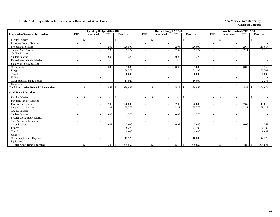|                                               |                          | <b>Operating Budget 2017-2018</b>         |                          |                |                              |              | Revised Budget 2017-2018 |                          |                          |                          | <b>Unaudited Actuals 2017-2018</b> |                          |               |  |
|-----------------------------------------------|--------------------------|-------------------------------------------|--------------------------|----------------|------------------------------|--------------|--------------------------|--------------------------|--------------------------|--------------------------|------------------------------------|--------------------------|---------------|--|
| <b>Preparation/Remedial Instruction</b>       | <b>FTE</b>               | Unrestricted                              | <b>FTE</b>               | Restricted     | <b>FTE</b>                   |              | Unrestricted             | <b>FTE</b>               | Restricted               | <b>FTE</b>               | Unrestricted                       | <b>FTE</b>               | Restricted    |  |
| <b>Faculty Salaries</b>                       |                          | <sup>\$</sup>                             |                          | -\$            | $\overline{\phantom{a}}$     | \$           |                          |                          | <sup>\$</sup>            |                          | \$                                 | $\overline{\phantom{a}}$ | \$            |  |
| Part-time Faculty Salaries                    | $\tilde{\phantom{a}}$    | $\sim$                                    |                          |                | $\overline{\phantom{a}}$     |              |                          | $\overline{\phantom{a}}$ |                          | $\overline{\phantom{a}}$ |                                    | $\overline{\phantom{a}}$ |               |  |
| <b>Professional Salaries</b>                  | $\overline{\phantom{a}}$ | $\overline{a}$                            | 2.99                     | 126,000        | $\overline{\phantom{a}}$     |              |                          | 2.96                     | 126,000                  | $\sim$                   |                                    | 2.67                     | 113.617       |  |
| <b>Support Staff Salaries</b>                 | $\overline{\phantom{a}}$ |                                           | 2.33                     | 65,277         | $\overline{\phantom{a}}$     |              |                          | 2.37                     | 65,277                   | $\overline{\phantom{a}}$ |                                    | 2.11                     | 58,113        |  |
| <b>GA/TA Salaries</b>                         | $\tilde{\phantom{a}}$    |                                           |                          |                | $\overline{\phantom{a}}$     |              |                          | $\sim$                   |                          | $\overline{\phantom{a}}$ |                                    | $\overline{\phantom{a}}$ |               |  |
| <b>Student Salaries</b>                       | $\sim$                   |                                           | 0.09                     | 1,376          | ٠                            |              |                          | 0.09                     | 1,376                    | $\overline{\phantom{a}}$ |                                    | $\overline{\phantom{a}}$ |               |  |
| Federal Work-Study Salaries                   | $\overline{\phantom{a}}$ |                                           |                          |                | $\qquad \qquad \blacksquare$ |              |                          | $\sim$                   |                          | $\overline{\phantom{a}}$ |                                    | $\overline{\phantom{a}}$ |               |  |
| <b>State Work-Study Salaries</b>              | $\tilde{\phantom{a}}$    |                                           |                          |                | ۰                            |              |                          |                          |                          | $\overline{\phantom{a}}$ |                                    | $\overline{\phantom{a}}$ |               |  |
| Other Salaries                                | $\tilde{\phantom{a}}$    |                                           | 0.07                     | 2.000          | $\overline{\phantom{a}}$     |              |                          | 0.07                     | 2.000                    | $\overline{\phantom{a}}$ |                                    | 0.05                     | 1.267         |  |
| Fringes                                       |                          |                                           |                          | 69,275         |                              |              |                          |                          | 71,195                   |                          |                                    |                          | 50,702        |  |
| Travel                                        |                          |                                           |                          | 8,000          |                              |              |                          |                          | 8,000                    |                          |                                    |                          | 8,697         |  |
| Utilities                                     |                          | $\overline{\phantom{a}}$                  |                          |                |                              |              |                          |                          |                          |                          |                                    |                          |               |  |
| Other Supplies and Expenses                   |                          |                                           |                          | 17,929         |                              |              |                          |                          | 16,009                   |                          |                                    |                          | 42,278        |  |
| Equipment                                     |                          |                                           |                          |                |                              |              |                          |                          |                          |                          |                                    |                          |               |  |
| <b>Total Preparation/Remedial Instruction</b> | $\overline{\phantom{a}}$ | $\mathbf{\$}$<br>$\overline{\phantom{a}}$ | 5.48                     | 289,857<br>-\$ | $\overline{\phantom{a}}$     | \$           |                          | 5.49                     | 289,857<br>-S            | $\overline{\phantom{a}}$ | $\mathcal{S}$                      | 4.83                     | 274,674<br>-S |  |
| <b>Adult Basic Education</b>                  |                          |                                           |                          |                |                              |              |                          |                          |                          |                          |                                    |                          |               |  |
| <b>Faculty Salaries</b>                       | $\tilde{\phantom{a}}$    | $\mathbf{\$}$<br>$\overline{\phantom{a}}$ | $\overline{\phantom{a}}$ | $\mathbb{S}$   | $\overline{\phantom{a}}$     | $\mathbb{S}$ |                          | $\overline{\phantom{a}}$ | $\mathbb{S}$             | $\overline{\phantom{a}}$ | $\mathbb{S}$                       | $\sim$                   | $\mathbb{S}$  |  |
| Part-time Faculty Salaries                    |                          |                                           |                          |                | $\qquad \qquad \blacksquare$ |              |                          |                          |                          | $\overline{\phantom{a}}$ |                                    | $\overline{\phantom{a}}$ |               |  |
| <b>Professional Salaries</b>                  | $\tilde{\phantom{a}}$    |                                           | 2.99                     | 126,000        | $\overline{a}$               |              |                          | 2.96                     | 126,000                  | $\overline{\phantom{a}}$ |                                    | 2.67                     | 113,617       |  |
| <b>Support Staff Salaries</b>                 |                          |                                           | 2.33                     | 65,277         | $\overline{\phantom{a}}$     |              |                          | 2.37                     | 65,277                   | $\overline{\phantom{a}}$ |                                    | 2.11                     | 58,113        |  |
| <b>GA/TA Salaries</b>                         | $\overline{\phantom{a}}$ |                                           |                          |                | $\overline{\phantom{a}}$     |              |                          | $\overline{\phantom{a}}$ |                          | $\overline{\phantom{a}}$ |                                    | $\overline{\phantom{a}}$ |               |  |
| <b>Student Salaries</b>                       | $\overline{\phantom{a}}$ |                                           | 0.09                     | 1,376          | $\overline{\phantom{a}}$     |              |                          | 0.09                     | 1,376                    | $\overline{\phantom{a}}$ |                                    | $\overline{\phantom{a}}$ |               |  |
| Federal Work-Study Salaries                   | $\tilde{\phantom{a}}$    |                                           |                          |                | ۰                            |              |                          | $\sim$                   |                          |                          |                                    | $\overline{\phantom{a}}$ |               |  |
| <b>State Work-Study Salaries</b>              | $\sim$                   |                                           |                          |                | $\overline{\phantom{a}}$     |              |                          | $\sim$                   |                          | $\sim$                   |                                    | $\sim$                   |               |  |
| Other Salaries                                | $\blacksquare$           |                                           | 0.07                     | 2,000          | $\overline{\phantom{0}}$     |              |                          | 0.07                     | 2,000                    | $\overline{\phantom{a}}$ |                                    | 0.05                     | 1,267         |  |
| Fringes                                       |                          |                                           |                          | 69,275         |                              |              |                          |                          | 71,195                   |                          |                                    |                          | 50,702        |  |
| Travel                                        |                          |                                           |                          | 8,000          |                              |              |                          |                          | 8,000                    |                          |                                    |                          | 8,697         |  |
| Utilities                                     |                          |                                           |                          |                |                              |              |                          |                          |                          |                          |                                    |                          |               |  |
| Other Supplies and Expenses                   |                          | $\overline{\phantom{a}}$                  |                          | 17,929         |                              |              |                          |                          | 16,009                   |                          |                                    |                          | 42,278        |  |
| Equipment                                     |                          |                                           |                          |                |                              |              |                          |                          |                          |                          |                                    |                          |               |  |
| <b>Total Adult Basic Education</b>            |                          | $\mathcal{S}$<br>$\overline{\phantom{a}}$ | $5.48$ \ \ \$            | 289,857        |                              | \$           |                          | 5.49                     | 289,857<br><sup>\$</sup> |                          | $\mathcal{S}$                      | $4.83 \t3$               | 274,674       |  |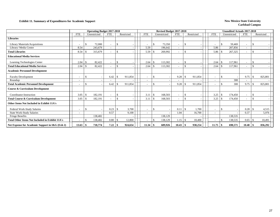### **Exhibit 11. Summary of Expenditures for Academic Support** New Mexico State University

|                                                        |                          |                    | <b>Operating Budget 2017-2018</b> |                          |                            |            |                          |      | Revised Budget 2017-2018 |            |               |            |                          |                    | <b>Unaudited Actuals 2017-2018</b> |                          |    |            |
|--------------------------------------------------------|--------------------------|--------------------|-----------------------------------|--------------------------|----------------------------|------------|--------------------------|------|--------------------------|------------|---------------|------------|--------------------------|--------------------|------------------------------------|--------------------------|----|------------|
|                                                        | <b>FTE</b>               |                    | Unrestricted                      | <b>FTE</b>               |                            | Restricted | <b>FTE</b>               |      | Unrestricted             | <b>FTE</b> |               | Restricted | <b>FTE</b>               |                    | Unrestricted                       | <b>FTE</b>               |    | Restricted |
| <b>Libraries</b>                                       |                          |                    |                                   |                          |                            |            |                          |      |                          |            |               |            |                          |                    |                                    |                          |    |            |
| Library Materials/Acquisitions                         |                          | \$.                | 72,000                            | $\blacksquare$           | \$                         |            |                          | \$   | 73,350                   |            | \$            |            |                          | \$                 | 59,469                             | $\overline{\phantom{a}}$ | -9 |            |
| Library/Media Center                                   | 8.54                     |                    | 243,679                           | $\overline{\phantom{a}}$ |                            |            | 5.59                     |      | 196,642                  |            |               |            | 5.86                     |                    | 207,856                            | $\overline{\phantom{a}}$ |    |            |
| <b>Total Libraries</b>                                 | 8.54                     | $\mathbf{\hat{S}}$ | 315,679                           | $\overline{\phantom{a}}$ | $\mathcal{S}$              |            | 5.59                     |      | 269.992                  | $\sim$     | <sup>\$</sup> |            | 5.86                     | $\mathbf{\hat{S}}$ | 267,325                            | $\overline{\phantom{a}}$ | -S |            |
| <b>Educational Media Services</b>                      |                          |                    |                                   |                          |                            |            |                          |      |                          |            |               |            |                          |                    |                                    |                          |    |            |
| Learning Technologies Center                           | 2.04                     | -\$                | 82,422                            | $\blacksquare$           | \$.                        |            | 2.64                     | £.   | 113,302                  |            | -S            |            | 2.64                     | \$                 | 117,961                            | $\overline{\phantom{a}}$ | -8 |            |
| <b>Total Educational Media Services</b>                | 2.04                     | <sup>\$</sup>      | 82,422                            | $\overline{\phantom{a}}$ | \$                         |            | 2.64                     | \$   | 113,302                  |            | $\mathcal{S}$ |            | 2.64                     | \$                 | 117,961                            | $\overline{\phantom{a}}$ | \$ |            |
| <b>Academic Personnel Development</b>                  |                          |                    |                                   |                          |                            |            |                          |      |                          |            |               |            |                          |                    |                                    |                          |    |            |
| <b>Faculty Development</b>                             |                          | \$                 |                                   | 6.42                     | S.                         | 911,854    | ٠                        | £.   |                          | 9.28       | -8            | 911,854    |                          | \$                 |                                    | 9.75                     |    | 825,801    |
| Roundup                                                |                          |                    |                                   |                          |                            |            |                          |      |                          |            |               |            |                          |                    | 300                                |                          |    |            |
| <b>Total Academic Personnel Development</b>            | $\blacksquare$           | \$                 |                                   | 6.42                     | S                          | 911,854    | ٠                        | \$   |                          | 9.28       |               | 911,854    |                          | \$                 | 300                                | 9.75                     |    | 825,801    |
| <b>Course &amp; Curriculum Development</b>             |                          |                    |                                   |                          |                            |            |                          |      |                          |            |               |            |                          |                    |                                    |                          |    |            |
| Coordinator-Instruction                                | 3.05                     | -\$                | 182,191                           | $\blacksquare$           | <sup>\$</sup>              |            | 3.11                     | . \$ | 168,503                  |            | <sup>\$</sup> |            | 3.25                     | \$                 | 174,450                            |                          | -8 |            |
| <b>Total Course &amp; Curriculum Development</b>       | 3.05                     |                    | 182,191                           | $\overline{\phantom{a}}$ | <sup>\$</sup>              |            | 3.11                     |      | 168,503                  |            | <sup>\$</sup> |            | 3.25                     |                    | 174,450                            |                          | -S |            |
| Other Items Not Included in Exhibit 11A's              |                          |                    |                                   |                          |                            |            |                          |      |                          |            |               |            |                          |                    |                                    |                          |    |            |
| Federal Work-Study Salaries                            | $\overline{\phantom{a}}$ | $\cdot$ \$         |                                   | 0.23                     | -\$                        | 3,700      | $\overline{\phantom{a}}$ | \$.  |                          | 0.11       | l \$          | 1.700      | $\blacksquare$           | \$                 |                                    | 0.28                     |    | 4,515      |
| <b>State Work-Study Salaries</b>                       | $\overline{\phantom{a}}$ |                    |                                   | 0.57                     |                            | 9,100      | ٠                        |      |                          | 1.04       |               | 16,700     | $\overline{\phantom{a}}$ |                    |                                    | 0.37                     |    | 5,976      |
| <b>Fringe Benefits</b>                                 |                          |                    | 138,482                           |                          |                            |            |                          |      | 138,129                  |            |               |            |                          |                    | 138,535                            |                          |    |            |
| <b>Total Other Items Not Included in Exhibit 11A's</b> |                          |                    | 138,482                           | 0.80                     | $\overline{\phantom{0}}$ 5 | 12,800     |                          |      | 138,129                  | 1.15       | l \$          | 18,400     |                          |                    | 138,535                            | 0.65                     |    | 10,491     |
| Net Expense for Academic Support in I&G (Exh 2)        |                          |                    | 718,774                           |                          |                            | 924,654    | 11.34                    |      | 689.926                  |            |               | 930,254    | 11.75                    | \$                 | 698,571                            | $10.40$ \$               |    | 836,292    |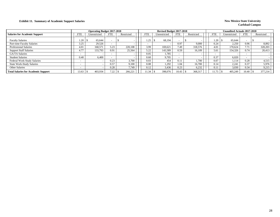### **Exhibit 11. Summary of Academic Support Salaries New Mexico State University New Mexico State University**

|                                            |            | <b>Operating Budget 2017-2018</b> |            |            |            | <b>Revised Budget 2017-2018</b> |            |            |            | <b>Unaudited Actuals 2017-2018</b> |            |            |
|--------------------------------------------|------------|-----------------------------------|------------|------------|------------|---------------------------------|------------|------------|------------|------------------------------------|------------|------------|
| <b>Salaries for Academic Support</b>       | <b>FTE</b> | Unrestricted                      | <b>FTE</b> | Restricted | <b>FTE</b> | Unrestricted                    | <b>FTE</b> | Restricted | <b>FTE</b> | Unrestricted                       | <b>FTE</b> | Restricted |
| <b>Faculty Salaries</b>                    | . 20       | 65.644                            |            |            | 1.25       | 68.194                          |            |            | 1.20       | 65.644                             |            |            |
| Part-time Faculty Salaries                 | 3.25       | 29,526                            |            |            |            |                                 | 0.97       | 9,000      | 0.24       | 2,250                              | 0.96       | 8,892      |
| <b>Professional Salaries</b>               | 4.01       | 168.57                            | 5.23       | 220.108    | 3.99       | 169.621                         | 7.49       | 318,576    | 4.01       | 170.624                            | 7.71       | 328,203    |
| <b>Support Staff Salaries</b>              | 4.77       | 133,793                           | 0.91       | 25,564     | 5.22       | 143,589                         | 0.59       | 16,109     | 5.61       | 154,326                            | 0.74       | 20,413     |
| GA/TA Salaries                             |            |                                   |            |            | 0.05       | 1,785                           |            |            |            |                                    |            |            |
| <b>Student Salaries</b>                    | 0.40       | 6.400                             |            |            | 0.60       | 9.705                           |            |            | 0.37       | 6.020                              |            |            |
| Federal Work-Study Salaries                |            |                                   | 0.23       | 3.700      | 0.03       | 454                             | 0.1        | .700       | 0.07       | 1,114                              | 0.28       | 4,515      |
| <b>State Work-Study Salaries</b>           |            |                                   | 0.57       | 9.100      | 0.08       | 1.292                           | 1.04       | 16,700     | 0.14       | 2,241                              | 0.37       | 5,976      |
| <b>Other Salaries</b>                      |            |                                   | 0.28       | 7.749      | 0.12       | 3,436                           | 0.23       | 6,232      | 0.11       | 3,030                              | 0.34       | 9,215      |
| <b>Total Salaries for Academic Support</b> | 13.63      | 403,934                           | 7.22       | 266,221    | 11.34      | 398,076                         | 10.43      | 368,317    |            | 405,249                            | 10.40      | 377,214    |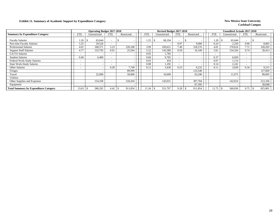### **Exhibit 11. Summary of Academic Support by Expenditure Category New Mexico State University**

|                                              |                          | <b>Operating Budget 2017-2018</b> |            |            |            | Revised Budget 2017-2018 |                          |                 |            | <b>Unaudited Actuals 2017-2018</b> |                          |            |  |
|----------------------------------------------|--------------------------|-----------------------------------|------------|------------|------------|--------------------------|--------------------------|-----------------|------------|------------------------------------|--------------------------|------------|--|
| <b>Summary by Expenditure Category</b>       | <b>FTE</b>               | Unrestricted                      | <b>FTE</b> | Restricted | <b>FTE</b> | Unrestricted             | <b>FTE</b>               | Restricted      | <b>FTE</b> | Unrestricted                       | <b>FTE</b>               | Restricted |  |
| <b>Faculty Salaries</b>                      | .20                      | 65,644                            |            |            | .25        | 68,194                   | $\overline{\phantom{0}}$ |                 | . 20       | 65,644                             | $\overline{\phantom{a}}$ |            |  |
| Part-time Faculty Salaries                   | 3.25                     | 29,526                            |            |            |            |                          | 0.97                     | 9,000           | 0.24       | 2,250                              | 0.96                     | 8,892      |  |
| <b>Professional Salaries</b>                 | 4.01                     | 168,571                           | 5.23       | 220,108    | 3.99       | 169,621                  | 7.49                     | 318,576         | 4.01       | 170,624                            | 7.71                     | 328,203    |  |
| <b>Support Staff Salaries</b>                | 4.77                     | 133,793                           | 0.91       | 25,564     | 5.22       | 143,589                  | 0.59                     | 16,109          | 5.61       | 154,326                            | 0.74                     | 20,413     |  |
| <b>GA/TA Salaries</b>                        |                          |                                   |            |            | 0.05       | 1,785                    |                          |                 |            |                                    | $\overline{\phantom{0}}$ |            |  |
| <b>Student Salaries</b>                      | 0.40                     | 6,400                             |            |            | 0.60       | 9,705                    | $\overline{\phantom{0}}$ |                 | 0.37       | 6,020                              | $\overline{\phantom{0}}$ |            |  |
| Federal Work-Study Salaries                  | -                        |                                   |            |            | 0.03       | 454                      | $\overline{\phantom{a}}$ |                 | 0.07       | 1,114                              | $\overline{\phantom{a}}$ |            |  |
| <b>State Work-Study Salaries</b>             | $\overline{\phantom{0}}$ |                                   |            |            | 0.08       | 1,292                    | $\overline{\phantom{0}}$ |                 | 0.14       | 2,241                              | $\overline{\phantom{a}}$ |            |  |
| <b>Other Salaries</b>                        | ٠                        |                                   | 0.28       | 7,749      | 0.12       | 3,436                    | 0.23                     | 6,232           | 0.11       | 3,030                              | 0.34                     | 9,215      |  |
| Fringes                                      |                          |                                   |            | 89,999     |            |                          |                          | 123,548         |            |                                    |                          | 127,669    |  |
| Travel                                       |                          | 22,000                            |            | 50,000     |            | 10.690                   |                          | 63,290          |            | 11,973                             |                          | 89,005     |  |
| <b>Utilities</b>                             |                          |                                   |            |            |            |                          |                          |                 |            |                                    |                          |            |  |
| Other Supplies and Expenses                  |                          | 154,358                           |            | 518,434    |            | 143,031                  |                          | 307,704         |            | 142,814                            |                          | 212,356    |  |
| Equipment                                    |                          |                                   |            |            |            |                          |                          | 67,395          |            |                                    |                          | 30,048     |  |
| <b>Total Summary by Expenditure Category</b> | 13.63                    | 580,292                           | 6.42       | 911,854    | 11.34      | 551,797                  | 9.28                     | 911,854<br>- 75 | 11.75      | 560,036                            | 9.75                     | 825,801    |  |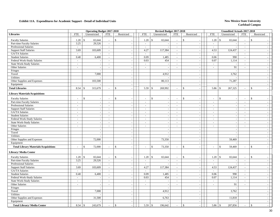|                                             |                          | <b>Operating Budget 2017-2018</b> |                          |                                         |                             | Revised Budget 2017-2018 |                          |                                |                          | <b>Unaudited Actuals 2017-2018</b> |                             |                          |
|---------------------------------------------|--------------------------|-----------------------------------|--------------------------|-----------------------------------------|-----------------------------|--------------------------|--------------------------|--------------------------------|--------------------------|------------------------------------|-----------------------------|--------------------------|
| <b>Libraries</b>                            | <b>FTE</b>               | Unrestricted                      | <b>FTE</b>               | Restricted                              | <b>FTE</b>                  | Unrestricted             | <b>FTE</b>               | Restricted                     | <b>FTE</b>               | Unrestricted                       | <b>FTE</b>                  | Restricted               |
| <b>Faculty Salaries</b>                     | 1.20                     | 65,644<br>$\mathcal{S}$           | $\sim$                   | $\mathbf S$                             | 1.20                        | 65,644<br>\$             | $\overline{\phantom{a}}$ | \$<br>$\sim$                   | $1.20 \pm$ \$            | 65,644                             | $\sim$                      | $\mathcal{S}$            |
| Part-time Faculty Salaries                  | 3.25                     | 29,526                            | $\mathbb{Z}^2$           | $\sim$                                  | $\mathbb{Z}^+$              |                          | $\overline{\phantom{a}}$ | $\sim$                         | $\sim$                   |                                    | $\overline{\phantom{a}}$    |                          |
| Professional Salaries                       | $\sim$                   |                                   | $\blacksquare$           | $\sim$                                  | $\sim$                      |                          | $\sim$                   | $\blacksquare$                 | $\blacksquare$           |                                    | $\sim$                      |                          |
| <b>Support Staff Salaries</b>               | 3.69                     | 103,609                           | $\mathcal{L}$            | $\sim$                                  | 4.27                        | 117,384                  | $\sim$                   | $\blacksquare$                 | 4.53                     | 124,437                            | $\sim$                      |                          |
| <b>GA/TA Salaries</b>                       | $\overline{a}$           |                                   | $\overline{a}$           | $\sim$                                  | $\mathcal{L}^{\mathcal{A}}$ |                          | $\sim$                   | $\sim$                         | $\sim$                   |                                    | $\sim$                      |                          |
| <b>Student Salaries</b>                     | 0.40                     | 6,400                             | $\mathbb{Z}^+$           | $\sim$                                  | 0.09                        | 1,485                    | $\sim$                   | $\sim$                         | 0.06                     | 990                                | $\mathbb{Z}^2$              |                          |
| Federal Work-Study Salaries                 | $\overline{\phantom{a}}$ |                                   | $\overline{\phantom{a}}$ | $\sim$                                  | 0.03                        | 454                      | $\overline{\phantom{a}}$ | $\blacksquare$                 | 0.07                     | 1,114                              | $\overline{\phantom{a}}$    |                          |
| <b>State Work-Study Salaries</b>            | $\sim$                   | $\sim$                            | $\sim$                   | $\sim$                                  | $\sim$                      | $\overline{\phantom{a}}$ | $\sim$                   | $\overline{\phantom{a}}$       | $\overline{\phantom{a}}$ |                                    | $\sim$                      | $\sim$                   |
| Other Salaries                              | $\overline{a}$           | $\sim$                            | $\overline{\phantom{a}}$ | $\overline{\phantom{a}}$                | $\sim$                      | $\overline{\phantom{a}}$ | $\sim$                   | $\sim$                         | $\overline{a}$           | 91                                 | $\sim$                      | $\overline{\phantom{a}}$ |
| Fringes                                     |                          |                                   |                          | $\overline{\phantom{a}}$                |                             |                          |                          | $\overline{\phantom{a}}$       |                          |                                    |                             |                          |
| Travel                                      |                          | 7,000                             |                          | $\sim$                                  |                             | 4,912                    |                          | $\overline{\phantom{a}}$       |                          | 3,762                              |                             |                          |
| Utilities                                   |                          |                                   |                          | $\sim$                                  |                             |                          |                          | $\sim$                         |                          |                                    |                             |                          |
| Other Supplies and Expenses                 |                          | 103,500                           |                          | $\sim$                                  |                             | 80,113                   |                          | $\sim$                         |                          | 71,287                             |                             |                          |
| Equipment                                   |                          |                                   |                          | $\sim$                                  |                             |                          |                          | $\mathcal{L}_{\mathcal{A}}$    |                          |                                    |                             | $\sim$                   |
| <b>Total Libraries</b>                      | 8.54                     | 315,679<br>-S                     | $\overline{a}$           | \$.                                     | 5.59                        | 269,992<br>\$            | $\sim$                   | \$<br>$\overline{a}$           | 5.86                     | 267,325<br>-\$                     | $\sim$                      | $\mathcal{S}$            |
| <b>Library Materials/Acquisitions</b>       |                          |                                   |                          |                                         |                             |                          |                          |                                |                          |                                    |                             |                          |
| <b>Faculty Salaries</b>                     |                          | $\mathbb{S}$                      |                          | \$                                      | $\overline{a}$              | \$                       | $\overline{a}$           | \$<br>$\overline{\phantom{a}}$ |                          | \$                                 |                             | $\mathbf{s}$             |
| Part-time Faculty Salaries                  | $\sim$                   | $\sim$                            | $\sim$                   | $\sim$                                  | $\sim$                      | $\overline{\phantom{a}}$ | $\sim$                   | $\mathbb{Z}^2$                 | $\sim$                   | $\sim$                             | $\sim$                      | $\sim$                   |
| <b>Professional Salaries</b>                | $\mathcal{L}$            | $\sim$                            | $\overline{\phantom{a}}$ | $\sim$                                  | $\overline{\phantom{a}}$    |                          | $\sim$                   | $\sim$                         | $\overline{\phantom{a}}$ |                                    | $\sim$                      |                          |
| <b>Support Staff Salaries</b>               | $\sim$                   | $\overline{\phantom{a}}$          | $\mathbf{r}$             | $\sim$                                  | $\overline{\phantom{a}}$    | $\overline{\phantom{a}}$ | $\sim$                   | $\blacksquare$                 | $\bar{a}$                | $\overline{a}$                     | $\sim$                      |                          |
| GA/TA Salaries                              | $\overline{a}$           | $\mathcal{L}_{\mathcal{A}}$       | $\blacksquare$           | $\sim$                                  | $\sim$                      |                          | $\sim$                   | $\overline{\phantom{a}}$       | $\overline{a}$           | $\sim$                             | $\sim$                      |                          |
| <b>Student Salaries</b>                     | $\sim$                   | $\overline{\phantom{a}}$          | $\sim$                   | $\sim$                                  | $\sim$                      |                          | $\sim$                   | $\sim$                         | $\sim$                   | $\sim$                             | $\sim$                      |                          |
| Federal Work-Study Salaries                 | $\sim$                   | $\sim$                            | $\sim$                   | $\sim$                                  | $\mathbb{L}^+$              |                          | $\sim$                   | $\sim$                         | $\sim$                   |                                    | $\sim$                      |                          |
| <b>State Work-Study Salaries</b>            | $\overline{\phantom{a}}$ | $\overline{\phantom{a}}$          | $\sim$                   | $\sim$                                  | $\overline{\phantom{a}}$    |                          | $\sim$                   | $\mathcal{L}_{\mathcal{A}}$    | $\overline{a}$           |                                    | $\overline{\phantom{a}}$    | $\sim$                   |
| Other Salaries                              | $\sim$                   | $\sim$                            | $\overline{\phantom{a}}$ | $\sim$                                  | $\sim$                      | $\overline{\phantom{a}}$ | $\sim$                   | $\mathcal{L}_{\mathcal{A}}$    | $\blacksquare$           | $\overline{\phantom{a}}$           | $\sim$                      | $\sim$                   |
| Fringes                                     |                          | $\sim$                            |                          |                                         |                             |                          |                          | $\sim$                         |                          |                                    |                             |                          |
| Travel                                      |                          | $\sim$                            |                          |                                         |                             |                          |                          | $\blacksquare$                 |                          |                                    |                             |                          |
| Utilities                                   |                          | $\overline{a}$                    |                          | $\sim$                                  |                             |                          |                          | $\blacksquare$                 |                          |                                    |                             |                          |
| Other Supplies and Expenses                 |                          | 72,000                            |                          | $\sim$                                  |                             | 73,350                   |                          | $\sim$                         |                          | 59,469                             |                             |                          |
| Equipment                                   |                          |                                   |                          | $\sim$                                  |                             |                          |                          | $\mathcal{L}_{\mathcal{A}}$    |                          |                                    |                             |                          |
| <b>Total Library Materials/Acquisitions</b> | $\overline{\phantom{a}}$ | 72,000<br>$\mathcal{S}$           | $\sim$                   | $\mathbf S$<br>$\overline{\phantom{a}}$ | $\overline{\phantom{a}}$    | $\mathbb{S}$<br>73,350   | $\overline{\phantom{a}}$ | \$<br>$\blacksquare$           | $\overline{a}$           | $\mathbf{\hat{S}}$<br>59,469       | $\mathcal{L}_{\mathcal{A}}$ | $\mathbf{\hat{s}}$       |
| <b>Library/Media Center</b>                 |                          |                                   |                          |                                         |                             |                          |                          |                                |                          |                                    |                             |                          |
| <b>Faculty Salaries</b>                     | 1.20                     | $\mathbf{\hat{S}}$<br>65,644      | $\sim$                   | $\mathbb{S}$                            | 1.20                        | \$<br>65,644             | $\sim$                   | \$                             | 1.20                     | $\vert$ \$<br>65,644               | $\sim$                      | $\mathbf S$              |
| Part-time Faculty Salaries                  | 3.25                     | 29,526                            | $\overline{\phantom{a}}$ |                                         | $\sim$                      |                          | $\sim$                   | $\sim$                         | $\overline{\phantom{a}}$ |                                    | $\overline{\phantom{a}}$    |                          |
| <b>Professional Salaries</b>                | $\sim$                   |                                   | $\sim$                   | $\sim$                                  | $\sim$                      |                          | $\sim$                   | $\mathbb{L}$                   | $\sim$                   | $\overline{\phantom{a}}$           | $\sim$                      | $\sim$                   |
| <b>Support Staff Salaries</b>               | 3.69                     | 103,609                           | $\overline{\phantom{a}}$ | $\overline{\phantom{a}}$                | 4.27                        | 117,384                  | $\sim$                   | $\blacksquare$                 | 4.53                     | 124,437                            | $\sim$                      |                          |
| GA/TA Salaries                              | $\overline{\phantom{a}}$ |                                   | $\overline{\phantom{a}}$ | $\sim$                                  | $\overline{a}$              |                          | $\overline{\phantom{a}}$ | $\blacksquare$                 | $\overline{a}$           |                                    | $\sim$                      |                          |
| <b>Student Salaries</b>                     | 0.40                     | 6,400                             | $\mathcal{L}$            | $\sim$                                  | 0.09                        | 1,485                    | $\sim$                   | $\bar{\phantom{a}}$            | 0.06                     | 990                                | $\mathbb{Z}^2$              | $\overline{\phantom{a}}$ |
| Federal Work-Study Salaries                 | $\overline{a}$           |                                   | $\overline{a}$           | $\sim$                                  | 0.03                        | 454                      | $\sim$                   | $\sim$                         | 0.07                     | 1,114                              | $\mathbb{Z}^2$              |                          |
| <b>State Work-Study Salaries</b>            | $\overline{\phantom{a}}$ | $\sim$                            | $\sim$                   | $\sim$                                  | $\sim$                      | $\overline{\phantom{a}}$ | $\sim$                   | $\blacksquare$                 | $\sim$                   |                                    | $\overline{\phantom{a}}$    |                          |
| Other Salaries                              | $\sim$                   | $\sim$                            | $\sim$                   | $\overline{\phantom{a}}$                | $\sim$                      | $\overline{\phantom{a}}$ | $\overline{\phantom{a}}$ | $\mathbb{Z}^2$                 | $\sim$                   | 91                                 | $\sim$                      | $\sim$                   |
| Fringes                                     |                          | $\sim$                            |                          | $\sim$                                  |                             |                          |                          | $\sim$                         |                          |                                    |                             |                          |
| Travel                                      |                          | 7,000                             |                          |                                         |                             | 4,912                    |                          | $\blacksquare$                 |                          | 3,762                              |                             |                          |
| Utilities                                   |                          |                                   |                          |                                         |                             |                          |                          | $\sim$                         |                          |                                    |                             |                          |
| Other Supplies and Expenses                 |                          | 31,500                            |                          | $\sim$                                  |                             | 6,763                    |                          | $\sim$                         |                          | 11,818                             |                             |                          |
| Equipment                                   |                          |                                   |                          | $\sim$                                  |                             |                          |                          | $\sim$                         |                          |                                    |                             | $\sim$                   |
| <b>Total Library/Media Center</b>           | 8.54                     | 243,679<br>-8                     |                          | $\mathbf{\hat{S}}$                      | 5.59                        | 196,642<br>\$            |                          | \$<br>$\sim$                   | 5.86                     | 207,856<br><sup>\$</sup>           |                             | $\mathbf{s}$             |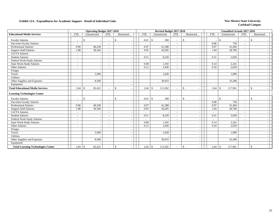|                                           |                          | <b>Operating Budget 2017-2018</b> |                          |               |                          | Revised Budget 2017-2018 |                          |                          |                          | <b>Unaudited Actuals 2017-2018</b> |                          |               |
|-------------------------------------------|--------------------------|-----------------------------------|--------------------------|---------------|--------------------------|--------------------------|--------------------------|--------------------------|--------------------------|------------------------------------|--------------------------|---------------|
| <b>Educational Media Services</b>         | <b>FTE</b>               | Unrestricted                      | <b>FTE</b>               | Restricted    | <b>FTE</b>               | Unrestricted             | <b>FTE</b>               | Restricted               | <b>FTE</b>               | Unrestricted                       | <b>FTE</b>               | Restricted    |
| <b>Faculty Salaries</b>                   |                          | \$                                |                          | $\mathcal{S}$ | 0.01                     | 300<br>\$                |                          | \$                       |                          | <sup>\$</sup>                      | $\overline{\phantom{a}}$ | -\$           |
| Part-time Faculty Salaries                |                          |                                   |                          |               | $\sim$                   |                          |                          | $\overline{\phantom{a}}$ | 0.08                     | 750                                | $\sim$                   |               |
| <b>Professional Salaries</b>              | 0.96                     | 40,238                            |                          |               | 0.97                     | 41,288                   | $\sim$                   | $\overline{\phantom{a}}$ | 0.97                     | 41,404                             | $\sim$                   |               |
| <b>Support Staff Salaries</b>             | 1.08                     | 30,184                            |                          |               | 0.95                     | 26,205                   | $\sim$                   |                          | 1.04                     | 28,700                             | $\sim$                   |               |
| <b>GA/TA Salaries</b>                     | $\sim$                   |                                   |                          |               | $\overline{a}$           |                          | $\overline{\phantom{a}}$ |                          |                          |                                    | $\sim$                   |               |
| <b>Student Salaries</b>                   | $\overline{\phantom{a}}$ |                                   |                          |               | 0.51                     | 8,220                    | $\sim$                   |                          | 0.31                     | 5,030                              | $\sim$                   |               |
| Federal Work-Study Salaries               | $\overline{\phantom{a}}$ | $\overline{\phantom{a}}$          |                          |               | $\overline{\phantom{0}}$ |                          | $\overline{\phantom{a}}$ | $\overline{\phantom{a}}$ |                          |                                    | $\overline{\phantom{0}}$ |               |
| <b>State Work-Study Salaries</b>          | $\sim$                   |                                   |                          |               | 0.08                     | 1,292                    | $\sim$                   |                          | 0.14                     | 2,241                              | $\overline{\phantom{a}}$ |               |
| Other Salaries                            |                          |                                   |                          |               | 0.12                     | 3,436                    |                          |                          | 0.10                     | 2,639                              |                          |               |
| Fringes                                   |                          |                                   |                          |               |                          |                          |                          | $\overline{\phantom{a}}$ |                          |                                    |                          |               |
| Travel                                    |                          | 3,500                             |                          |               |                          | 1,628                    |                          | $\overline{\phantom{a}}$ |                          | 1,909                              |                          |               |
| Utilities                                 |                          |                                   |                          |               |                          |                          |                          |                          |                          |                                    |                          |               |
| Other Supplies and Expenses               |                          | 8,500                             |                          |               |                          | 30,933                   |                          | $\overline{\phantom{a}}$ |                          | 35,288                             |                          |               |
| Equipment                                 |                          |                                   |                          |               |                          |                          |                          |                          |                          |                                    |                          |               |
| <b>Total Educational Media Services</b>   | 2.04                     | 82,422<br><sup>\$</sup>           |                          | \$            | 2.64                     | 113,302<br>$\mathbb{S}$  | $\overline{\phantom{a}}$ | $\mathbb{S}$             | 2.64                     | 117,961<br>-\$                     | $\overline{\phantom{a}}$ | $\mathcal{S}$ |
| <b>Learning Technologies Center</b>       |                          |                                   |                          |               |                          |                          |                          |                          |                          |                                    |                          |               |
| <b>Faculty Salaries</b>                   |                          | <sup>\$</sup>                     |                          | <sup>\$</sup> | 0.01                     | $\mathbb{S}$<br>300      |                          | \$                       | $\overline{\phantom{a}}$ | <sup>\$</sup>                      | $\overline{\phantom{a}}$ | \$            |
| Part-time Faculty Salaries                |                          |                                   |                          |               |                          |                          |                          | $\overline{\phantom{a}}$ | 0.08                     | 750                                | $\sim$                   |               |
| <b>Professional Salaries</b>              | 0.96                     | 40,238                            |                          |               | 0.97                     | 41,288                   | $\sim$                   | $\overline{\phantom{a}}$ | 0.97                     | 41,404                             | $\overline{\phantom{a}}$ |               |
| <b>Support Staff Salaries</b>             | 1.08                     | 30,184                            |                          |               | 0.95                     | 26,205                   | $\sim$                   |                          | 1.04                     | 28,700                             | $\sim$                   |               |
| <b>GA/TA Salaries</b>                     | $\overline{\phantom{a}}$ |                                   |                          |               | $\overline{\phantom{a}}$ |                          | $\overline{\phantom{a}}$ |                          |                          |                                    | $\overline{\phantom{a}}$ |               |
| <b>Student Salaries</b>                   | $\overline{\phantom{a}}$ | $\overline{\phantom{a}}$          |                          |               | 0.51                     | 8,220                    | $\sim$                   |                          | 0.31                     | 5,030                              | $\sim$                   |               |
| Federal Work-Study Salaries               | $\overline{\phantom{a}}$ | $\overline{\phantom{a}}$          | $\overline{\phantom{a}}$ |               | $\overline{\phantom{a}}$ |                          | $\overline{\phantom{a}}$ | $\overline{\phantom{a}}$ | $\overline{\phantom{a}}$ |                                    | $\overline{\phantom{a}}$ |               |
| <b>State Work-Study Salaries</b>          | $\overline{\phantom{a}}$ | $\overline{\phantom{a}}$          | ۰                        |               | 0.08                     | 1,292                    | $\sim$                   | $\overline{\phantom{a}}$ | 0.14                     | 2,241                              | $\sim$                   |               |
| Other Salaries                            |                          |                                   |                          |               | 0.12                     | 3,436                    |                          | $\overline{a}$           | 0.10                     | 2,639                              | $\sim$                   |               |
| Fringes                                   |                          |                                   |                          |               |                          |                          |                          | $\overline{\phantom{a}}$ |                          |                                    |                          |               |
| Travel                                    |                          | 3,500                             |                          |               |                          | 1.628                    |                          | $\overline{\phantom{a}}$ |                          | 1,909                              |                          |               |
| <b>Utilities</b>                          |                          |                                   |                          |               |                          |                          |                          | $\overline{\phantom{a}}$ |                          |                                    |                          |               |
| Other Supplies and Expenses               |                          | 8,500                             |                          |               |                          | 30,933                   |                          |                          |                          | 35,288                             |                          |               |
| Equipment                                 |                          |                                   |                          |               |                          |                          |                          |                          |                          |                                    |                          |               |
| <b>Total Learning Technologies Center</b> |                          | 82,422                            |                          | \$            |                          | 113,302                  |                          | $\mathbb{S}$             | 2.64                     | $\mathcal{S}$<br>117,961           |                          | \$            |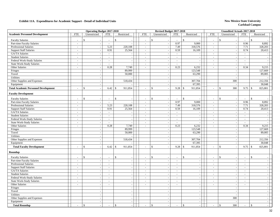|                                             |                             | <b>Operating Budget 2017-2018</b> |                             |                          |                          | Revised Budget 2017-2018       |                             |                               |                             | <b>Unaudited Actuals 2017-2018</b> |                          |                               |
|---------------------------------------------|-----------------------------|-----------------------------------|-----------------------------|--------------------------|--------------------------|--------------------------------|-----------------------------|-------------------------------|-----------------------------|------------------------------------|--------------------------|-------------------------------|
| <b>Academic Personnel Development</b>       | <b>FTE</b>                  | Unrestricted                      | <b>FTE</b>                  | Restricted               | <b>FTE</b>               | Unrestricted                   | <b>FTE</b>                  | Restricted                    | <b>FTE</b>                  | Unrestricted                       | <b>FTE</b>               | Restricted                    |
| <b>Faculty Salaries</b>                     | $\overline{\phantom{a}}$    | \$<br>$\overline{\phantom{a}}$    | $\overline{\phantom{a}}$    | $\mathbf{\hat{S}}$       | $\overline{\phantom{a}}$ | \$                             | $\overline{\phantom{a}}$    | \$                            | $\overline{\phantom{a}}$    | \$                                 | $\sim$                   | $\mathcal{S}$                 |
| Part-time Faculty Salaries                  | $\overline{a}$              | $\sim$                            | $\sim$                      |                          | $\overline{\phantom{a}}$ | $\sim$                         | 0.97                        | 9,000                         | $\sim$                      | $\overline{a}$                     | 0.96                     | 8,892                         |
| Professional Salaries                       | $\overline{\phantom{a}}$    | $\mathcal{L}_{\mathcal{A}}$       | 5.23                        | 220,108                  | $\blacksquare$           | $\overline{\phantom{a}}$       | 7.49                        | 318,576                       | $\sim$                      | $\sim$                             | 7.71                     | 328,203                       |
| <b>Support Staff Salaries</b>               | $\sim$                      | $\sim$                            | 0.91                        | 25,564                   | $\sim$                   |                                | 0.59                        | 16,109                        | $\sim$                      | $\overline{\phantom{a}}$           | 0.74                     | 20,413                        |
| GA/TA Salaries                              | $\mathbb{Z}^2$              | $\sim$                            | $\sim$                      |                          | $\overline{a}$           |                                | $\mathbb{Z}^2$              |                               | $\sim$                      | $\sim$                             | $\sim$                   |                               |
| <b>Student Salaries</b>                     | $\mathcal{L}_{\mathcal{A}}$ | $\sim$                            | $\sim$                      | $\sim$                   | $\sim$                   | $\overline{\phantom{a}}$       | $\sim$                      | $\sim$                        | $\sim$                      | $\overline{\phantom{a}}$           | $\sim$                   |                               |
| Federal Work-Study Salaries                 | $\sim$                      | $\sim$                            | $\overline{\phantom{a}}$    | $\overline{\phantom{a}}$ | $\overline{\phantom{a}}$ | $\overline{\phantom{a}}$       | $\sim$                      | $\sim$                        | $\sim$                      | $\sim$                             | $\sim$                   |                               |
| <b>State Work-Study Salaries</b>            | $\sim$                      | $\mathbb{Z}^2$                    | $\sim$                      | $\sim$                   | $\sim$                   | $\overline{a}$                 | $\sim$                      | $\sim$                        | $\sim$                      | $\sim$                             | $\sim$                   |                               |
| Other Salaries                              | $\overline{a}$              | $\sim$                            | 0.28                        | 7,749                    | $\overline{a}$           | $\overline{\phantom{a}}$       | 0.23                        | 6,232                         | $\sim$                      | $\sim$                             | 0.34                     | 9,215                         |
| Fringes                                     |                             | $\overline{\phantom{a}}$          |                             | 89,999                   |                          | $\overline{\phantom{a}}$       |                             | 123,548                       |                             | $\sim$                             |                          | 127,669                       |
| Travel                                      |                             | $\sim$                            |                             | 50,000                   |                          |                                |                             | 63,290                        |                             | $\sim$                             |                          | 89,005                        |
| Utilities                                   |                             | $\mathcal{L}$                     |                             |                          |                          | $\overline{\phantom{a}}$       |                             |                               |                             | $\sim$                             |                          |                               |
| Other Supplies and Expenses                 |                             | $\sim$                            |                             | 518,434                  |                          | $\overline{\phantom{a}}$       |                             | 307,704                       |                             | 300                                |                          | 212,356                       |
| Equipment                                   |                             | $\mathcal{L}_{\mathcal{A}}$       |                             |                          |                          |                                |                             | 67,395                        |                             | $\overline{\phantom{a}}$           |                          | 30,048                        |
| <b>Total Academic Personnel Development</b> | $\overline{a}$              | $\mathbf{\$}$<br>$\overline{a}$   | 6.42                        | 911,854<br>$\mathcal{S}$ | $\sim$                   | $\mathbb{S}$                   | 9.28                        | $\mathbb{S}$<br>911,854       | $\sim$                      | 300<br>\$                          | 9.75                     | 825,801<br><sup>\$</sup>      |
| <b>Faculty Development</b>                  |                             |                                   |                             |                          |                          |                                |                             |                               |                             |                                    |                          |                               |
| <b>Faculty Salaries</b>                     | $\overline{a}$              | \$<br>$\sim$                      |                             | \$                       | ÷.                       | \$                             |                             | $\mathbb{S}$                  |                             | $\mathbf{\hat{S}}$                 |                          | \$                            |
| Part-time Faculty Salaries                  | $\overline{\phantom{a}}$    | $\sim$                            | $\sim$                      |                          | $\overline{\phantom{a}}$ | $\overline{\phantom{a}}$       | 0.97                        | 9,000                         | $\sim$                      | $\overline{\phantom{a}}$           | 0.96                     | 8,892                         |
| Professional Salaries                       | $\overline{\phantom{a}}$    | $\blacksquare$                    | 5.23                        | 220,108                  | $\sim$                   | $\overline{a}$                 | 7.49                        | 318,576                       | $\overline{\phantom{a}}$    | $\overline{\phantom{a}}$           | 7.71                     | 328,203                       |
| <b>Support Staff Salaries</b>               | $\mathcal{L}_{\mathcal{A}}$ | $\overline{\phantom{a}}$          | 0.91                        | 25,564                   | $\blacksquare$           | $\overline{\phantom{a}}$       | 0.59                        | 16,109                        | $\mathcal{L}_{\mathcal{A}}$ | $\sim$                             | 0.74                     | 20,413                        |
| GA/TA Salaries                              | $\overline{\phantom{a}}$    | $\sim$                            | $\mathbb{Z}^2$              |                          | $\mathcal{L}$            |                                | $\mathbb{L}$                | $\sim$                        | $\sim$                      | $\sim$                             | $\mathcal{L}$            |                               |
| <b>Student Salaries</b>                     | $\sim$                      | $\blacksquare$                    | $\sim$                      | $\overline{\phantom{a}}$ | $\sim$                   | $\overline{a}$                 | $\sim$                      | $\overline{\phantom{a}}$      | $\blacksquare$              | $\sim$                             | $\sim$                   |                               |
| Federal Work-Study Salaries                 | $\sim$                      | $\sim$                            | $\sim$                      | $\sim$                   | $\sim$                   | $\overline{\phantom{a}}$       | $\mathbb{Z}^2$              | $\mathbf{r}$                  | $\sim$                      | $\overline{\phantom{a}}$           | $\sim$                   |                               |
| State Work-Study Salaries                   | $\overline{\phantom{a}}$    | $\sim$                            | $\sim$                      | $\sim$                   | $\sim$                   |                                | $\sim$                      | $\sim$                        | $\sim$                      | $\sim$                             | $\sim$                   |                               |
| Other Salaries                              | $\sim$                      | $\mathcal{L}_{\mathcal{A}}$       | 0.28                        | 7,749                    | $\mathcal{L}$            | $\overline{\phantom{a}}$       | 0.23                        | 6,232                         | $\sim$                      | $\overline{\phantom{a}}$           | 0.34                     | 9,215                         |
| Fringes                                     |                             | $\sim$                            |                             | 89,999                   |                          | $\overline{\phantom{a}}$       |                             | 123,548                       |                             | $\sim$                             |                          | 127,669                       |
| Travel                                      |                             | $\mathcal{L}_{\mathcal{A}}$       |                             | 50,000                   |                          | $\overline{a}$                 |                             | 63,290                        |                             | $\overline{\phantom{a}}$           |                          | 89,005                        |
| <b>Utilities</b>                            |                             | $\sim$                            |                             |                          |                          |                                |                             |                               |                             | $\sim$                             |                          |                               |
| Other Supplies and Expenses                 |                             | $\overline{\phantom{a}}$          |                             | 518,434                  |                          | $\overline{\phantom{a}}$       |                             | 307,704                       |                             | $\overline{\phantom{a}}$           |                          | 212,356                       |
| Equipment                                   |                             | $\sim$                            |                             |                          |                          | $\overline{a}$                 |                             | 67,395                        |                             | $\sim$                             |                          | 30,048                        |
| <b>Total Faculty Development</b>            |                             | $\mathbf S$<br>$\sim$             | 6.42                        | 911,854<br>$\mathcal{S}$ | $\sim$                   | $\mathsf{\$}$                  | 9.28                        | 911,854<br>$\mathbf{\hat{S}}$ | $\overline{\phantom{a}}$    | $\mathbb{S}$<br>$\sim$             | 9.75                     | $\mathbf{\hat{S}}$<br>825,801 |
| Roundup                                     |                             |                                   |                             |                          |                          |                                |                             |                               |                             |                                    |                          |                               |
| <b>Faculty Salaries</b>                     | $\overline{a}$              | \$<br>$\sim$                      |                             | $\mathsf{\$}$            | $\sim$                   | \$                             |                             | $\mathbb{S}$                  | $\overline{a}$              | $\mathsf{\$}$                      | $\overline{\phantom{a}}$ | $\mathbb{S}$                  |
| Part-time Faculty Salaries                  | $\sim$                      | $\mathcal{L}_{\mathcal{A}}$       | $\sim$                      | $\sim$                   | $\sim$                   |                                | $\sim$                      | $\mathcal{L}$                 | $\sim$                      | $\sim$                             | $\sim$                   |                               |
| Professional Salaries                       | $\overline{\phantom{a}}$    | $\sim$                            | $\mathcal{L}_{\mathcal{A}}$ | $\sim$                   | $\mathcal{L}$            |                                | $\mathcal{L}_{\mathcal{A}}$ | $\overline{\phantom{a}}$      | $\overline{\phantom{a}}$    | $\sim$                             | $\overline{\phantom{a}}$ |                               |
| <b>Support Staff Salaries</b>               | $\sim$                      | $\sim$                            | $\sim$                      | $\sim$                   | $\overline{\phantom{a}}$ |                                | $\sim$                      | $\blacksquare$                | $\overline{\phantom{a}}$    | $\sim$                             | $\sim$                   | $\sim$                        |
| GA/TA Salaries                              | $\mathbb{Z}^2$              | $\mathcal{L}_{\mathcal{A}}$       | $\sim$                      | $\sim$                   | $\overline{\phantom{a}}$ | $\overline{a}$                 | $\sim$                      | $\overline{\phantom{a}}$      | $\sim$                      | $\overline{\phantom{a}}$           | $\sim$                   | $\overline{\phantom{a}}$      |
| <b>Student Salaries</b>                     | $\overline{a}$              | $\sim$                            | $\overline{\phantom{a}}$    | $\overline{a}$           | $\blacksquare$           |                                | $\overline{\phantom{a}}$    | $\overline{\phantom{a}}$      | $\sim$                      | $\sim$                             | $\overline{\phantom{a}}$ | $\overline{\phantom{a}}$      |
| Federal Work-Study Salaries                 | $\mathcal{L}$               | $\blacksquare$                    | $\overline{\phantom{a}}$    | $\sim$                   | $\mathcal{L}$            | $\sim$                         | $\sim$                      | $\overline{\phantom{a}}$      | $\overline{\phantom{a}}$    | $\sim$                             | $\sim$                   | $\overline{\phantom{a}}$      |
| <b>State Work-Study Salaries</b>            | $\sim$                      | $\sim$                            | $\sim$                      | $\sim$                   | $\sim$                   | $\overline{\phantom{a}}$       | $\sim$                      | $\mathcal{L}_{\mathcal{A}}$   | $\sim$                      | $\overline{a}$                     | $\sim$                   | $\overline{\phantom{a}}$      |
| Other Salaries                              | $\mathcal{L}$               | $\sim$                            | $\sim$                      | $\sim$                   | $\mathcal{L}$            | $\sim$                         | $\sim$                      | $\mathbb{L}$                  | $\sim$                      | $\overline{\phantom{a}}$           | $\sim$                   | $\sim$                        |
| Fringes                                     |                             | $\sim$                            |                             | $\sim$                   |                          |                                |                             | $\sim$                        |                             | $\sim$                             |                          |                               |
| Travel                                      |                             | $\overline{\phantom{a}}$          |                             | $\sim$                   |                          | $\overline{\phantom{a}}$       |                             | $\overline{\phantom{a}}$      |                             | $\overline{\phantom{a}}$           |                          | $\sim$                        |
| Utilities                                   |                             | $\mathcal{L}_{\mathcal{A}}$       |                             | $\sim$                   |                          | $\overline{\phantom{a}}$       |                             | $\overline{\phantom{a}}$      |                             | $\sim$                             |                          | $\overline{\phantom{a}}$      |
| Other Supplies and Expenses                 |                             | $\sim$                            |                             | $\sim$                   |                          |                                |                             | $\bar{\phantom{a}}$           |                             | 300                                |                          | $\overline{\phantom{a}}$      |
| Equipment                                   |                             | $\sim$                            |                             | $\sim$                   |                          | $\overline{\phantom{a}}$       |                             | $\blacksquare$                |                             |                                    |                          |                               |
| <b>Total Roundup</b>                        |                             | $\mathcal{S}$<br>$\mathcal{L}$    | $\overline{a}$              | \$                       | $\sim$                   | \$<br>$\overline{\phantom{a}}$ | $\sim$                      | $\$$<br>$\sim$                |                             | \$<br>300                          | $\sim$                   | \$                            |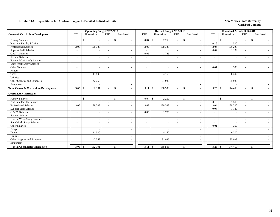|                                                  |                          | <b>Operating Budget 2017-2018</b> |                          |               |                          |                    |         | Revised Budget 2017-2018 |              |                          | <b>Unaudited Actuals 2017-2018</b> |                              |                    |  |
|--------------------------------------------------|--------------------------|-----------------------------------|--------------------------|---------------|--------------------------|--------------------|---------|--------------------------|--------------|--------------------------|------------------------------------|------------------------------|--------------------|--|
| <b>Course &amp; Curriculum Development</b>       | <b>FTE</b>               | Unrestricted                      | <b>FTE</b>               | Restricted    | <b>FTE</b>               | Unrestricted       |         | <b>FTE</b>               | Restricted   | <b>FTE</b>               | Unrestricted                       | <b>FTE</b>                   | Restricted         |  |
| <b>Faculty Salaries</b>                          |                          | \$                                | $\overline{\phantom{a}}$ | <sup>\$</sup> | 0.04                     | -\$                | 2,250   | $\overline{\phantom{a}}$ | \$           | $\overline{\phantom{a}}$ | -\$                                | $\overline{\phantom{a}}$     | <sup>\$</sup>      |  |
| Part-time Faculty Salaries                       | $\overline{\phantom{a}}$ |                                   |                          |               |                          |                    |         | $\overline{\phantom{a}}$ |              | 0.16                     | 1,500                              | $\overline{\phantom{a}}$     |                    |  |
| <b>Professional Salaries</b>                     | 3.05                     | 128,333                           | $\overline{\phantom{a}}$ |               | 3.02                     |                    | 128,333 | $\sim$                   |              | 3.04                     | 129,220                            | $\overline{\phantom{a}}$     |                    |  |
| <b>Support Staff Salaries</b>                    | $\overline{\phantom{a}}$ |                                   |                          |               | $\overline{\phantom{a}}$ |                    |         | $\sim$                   |              | 0.04                     | 1,189                              | $\overline{\phantom{a}}$     |                    |  |
| GA/TA Salaries                                   | $\tilde{\phantom{a}}$    |                                   |                          |               | 0.05                     |                    | 1,785   | $\sim$                   |              |                          |                                    |                              |                    |  |
| <b>Student Salaries</b>                          | $\overline{\phantom{a}}$ |                                   | $\overline{\phantom{a}}$ |               | $\overline{\phantom{a}}$ |                    |         | $\sim$                   |              | $\overline{\phantom{a}}$ |                                    | $\overline{\phantom{a}}$     |                    |  |
| Federal Work-Study Salaries                      | $\overline{\phantom{a}}$ |                                   | $\overline{\phantom{a}}$ |               | $\overline{\phantom{a}}$ |                    |         | $\sim$                   |              | $\overline{\phantom{a}}$ |                                    | $\overline{\phantom{a}}$     |                    |  |
| State Work-Study Salaries                        | $\overline{\phantom{a}}$ |                                   | $\overline{\phantom{a}}$ |               | $\overline{\phantom{a}}$ |                    |         | $\overline{\phantom{a}}$ |              |                          |                                    | $\overline{a}$               |                    |  |
| Other Salaries                                   |                          |                                   |                          |               |                          |                    |         | $\overline{\phantom{a}}$ |              | 0.01                     | 300                                |                              |                    |  |
| Fringes                                          |                          |                                   |                          |               |                          |                    |         |                          |              |                          |                                    |                              |                    |  |
| Travel                                           |                          | 11,500                            |                          |               |                          |                    | 4,150   |                          |              |                          | 6,302                              |                              |                    |  |
| Utilities                                        |                          |                                   |                          |               |                          |                    |         |                          |              |                          |                                    |                              |                    |  |
| Other Supplies and Expenses                      |                          | 42,358                            |                          |               |                          |                    | 31,985  |                          |              |                          | 35,939                             |                              |                    |  |
| Equipment                                        |                          |                                   |                          |               |                          |                    |         |                          |              |                          |                                    |                              |                    |  |
| <b>Total Course &amp; Curriculum Development</b> | 3.05                     | 182,191<br><sup>\$</sup>          |                          | $\mathcal{S}$ | 3.11                     | -\$                | 168,503 | $\overline{\phantom{a}}$ | \$           | 3.25                     | 174,450<br>$\mathbf{\hat{s}}$      | $\qquad \qquad \blacksquare$ | $\mathbf{\hat{S}}$ |  |
| <b>Coordinator-Instruction</b>                   |                          |                                   |                          |               |                          |                    |         |                          |              |                          |                                    |                              |                    |  |
| <b>Faculty Salaries</b>                          |                          | \$                                | $\sim$                   | $\mathcal{S}$ | 0.04                     | $\mathbf{\hat{s}}$ | 2,250   | $\overline{\phantom{a}}$ | \$           |                          | <sup>\$</sup>                      | $\sim$                       | $\mathbf{s}$       |  |
| Part-time Faculty Salaries                       | $\overline{\phantom{a}}$ |                                   | $\overline{\phantom{a}}$ |               | $\overline{\phantom{a}}$ |                    |         | $\sim$                   |              | 0.16                     | 1,500                              | $\overline{\phantom{a}}$     |                    |  |
| Professional Salaries                            | 3.05                     | 128,333                           | $\overline{\phantom{a}}$ |               | 3.02                     |                    | 128,333 | $\sim$                   |              | 3.04                     | 129,220                            | $\overline{\phantom{a}}$     |                    |  |
| <b>Support Staff Salaries</b>                    | $\overline{\phantom{a}}$ |                                   |                          |               |                          |                    |         | $\overline{\phantom{a}}$ |              | 0.04                     | 1,189                              | ٠                            |                    |  |
| <b>GA/TA Salaries</b>                            | $\overline{\phantom{a}}$ |                                   | $\overline{\phantom{a}}$ |               | 0.05                     |                    | 1,785   | $\overline{\phantom{a}}$ |              | $\overline{\phantom{a}}$ |                                    | $\overline{\phantom{a}}$     |                    |  |
| <b>Student Salaries</b>                          | $\overline{\phantom{a}}$ |                                   | $\overline{\phantom{a}}$ |               | $\overline{\phantom{a}}$ |                    |         | $\overline{\phantom{a}}$ |              | $\overline{\phantom{a}}$ |                                    | $\overline{\phantom{a}}$     |                    |  |
| Federal Work-Study Salaries                      | $\overline{\phantom{a}}$ |                                   | $\overline{\phantom{a}}$ |               | $\overline{\phantom{a}}$ |                    |         | $\sim$                   |              | $\overline{\phantom{a}}$ |                                    | $\overline{\phantom{a}}$     |                    |  |
| <b>State Work-Study Salaries</b>                 | $\overline{\phantom{a}}$ |                                   | $\overline{\phantom{a}}$ |               | $\overline{\phantom{a}}$ |                    |         | $\overline{\phantom{a}}$ |              |                          |                                    | $\overline{\phantom{a}}$     |                    |  |
| Other Salaries                                   | $\overline{\phantom{a}}$ |                                   | $\overline{\phantom{a}}$ |               | $\overline{\phantom{a}}$ |                    |         | $\overline{\phantom{a}}$ |              | 0.01                     | 300                                | $\sim$                       |                    |  |
| Fringes                                          |                          |                                   |                          |               |                          |                    |         |                          |              |                          |                                    |                              |                    |  |
| Travel                                           |                          | 11,500                            |                          |               |                          |                    | 4,150   |                          |              |                          | 6,302                              |                              |                    |  |
| <b>Utilities</b>                                 |                          |                                   |                          |               |                          |                    |         |                          |              |                          |                                    |                              |                    |  |
| Other Supplies and Expenses                      |                          | 42,358                            |                          |               |                          |                    | 31,985  |                          |              |                          | 35,939                             |                              |                    |  |
| Equipment                                        |                          |                                   |                          |               |                          |                    |         |                          |              |                          |                                    |                              |                    |  |
| <b>Total Coordinator-Instruction</b>             | 3.05                     | 182,191<br>-\$                    |                          | $\mathcal{S}$ | 3.11                     | $\mathbb{S}$       | 168,503 |                          | $\mathbb{S}$ |                          | 174,450                            | $\overline{\phantom{a}}$     | \$                 |  |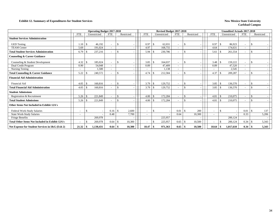#### **Exhibit 12. Summary of Expenditures for Student Services New Mexico State University New Mexico State University**

|                                                        |            |              |           | <b>Operating Budget 2017-2018</b> |                    |            |            |      | Revised Budget 2017-2018 |                          |                    |        |                          |                          | <b>Unaudited Actuals 2017-2018</b> |                          |                    |            |
|--------------------------------------------------------|------------|--------------|-----------|-----------------------------------|--------------------|------------|------------|------|--------------------------|--------------------------|--------------------|--------|--------------------------|--------------------------|------------------------------------|--------------------------|--------------------|------------|
|                                                        | <b>FTE</b> | Unrestricted |           | <b>FTE</b>                        |                    | Restricted | <b>FTE</b> |      | Unrestricted             | <b>FTE</b>               | Restricted         |        | <b>FTE</b>               |                          | Unrestricted                       | <b>FTE</b>               |                    | Restricted |
| <b>Student Services Administration</b>                 |            |              |           |                                   |                    |            |            |      |                          |                          |                    |        |                          |                          |                                    |                          |                    |            |
| <b>GED</b> Testing                                     | 1.10       | -S           | 46.192    | $\blacksquare$                    | -\$                |            | 0.97       | \$   | 62,031                   | $\overline{\phantom{a}}$ | -\$                |        | 0.97                     | -S                       | 86,923                             | $\overline{\phantom{a}}$ | -\$                |            |
| <b>TEAM Center</b>                                     | 5.69       |              | 191,024   | $\overline{\phantom{a}}$          |                    |            | 4.97       |      | 168,755                  | $\overline{\phantom{a}}$ |                    |        | 4.64                     |                          | 174,631                            |                          |                    |            |
| <b>Total Student Services Administration</b>           | 6.79       |              | 237,216   | $\overline{\phantom{a}}$          | $\mathcal{S}$      |            | 5.94       | -\$  | 230,786                  | $\overline{\phantom{a}}$ | <sup>\$</sup>      |        | 5.61                     | -8                       | 261,554                            | $\overline{\phantom{a}}$ | $\mathbf{\hat{S}}$ |            |
| <b>Counseling &amp; Career Guidance</b>                |            |              |           |                                   |                    |            |            |      |                          |                          |                    |        |                          |                          |                                    |                          |                    |            |
| Counseling & Student Development                       | 4.32       | -S           | 185.024   |                                   | \$                 |            | 3.85       | \$   | 164.037                  |                          | -\$                |        | 3.48                     | -8                       | 159,222                            |                          | $\mathcal{S}$      |            |
| Dual Credit Program                                    | 0.90       |              | 54,048    | $\overline{\phantom{a}}$          |                    |            | 0.89       |      | 47.409                   | $\sim$                   |                    |        | 0.89                     |                          | 47.520                             | $\overline{\phantom{a}}$ |                    |            |
| Nursing Testing                                        |            |              | 1,500     | $\sim$                            |                    |            |            |      | 1,138                    | $\blacksquare$           |                    |        |                          |                          | 2,545                              |                          |                    |            |
| <b>Total Counseling &amp; Career Guidance</b>          | 5.22       |              | 240.572   | $\overline{\phantom{a}}$          | \$                 |            | 4.74       |      | 212,584                  | $\overline{\phantom{a}}$ | $\mathcal{S}$      |        | 4.37                     |                          | 209,287                            | $\overline{\phantom{a}}$ | $\mathcal{S}$      |            |
| <b>Financial Aid Administration</b>                    |            |              |           |                                   |                    |            |            |      |                          |                          |                    |        |                          |                          |                                    |                          |                    |            |
| Financial Aid                                          | 4.05       | -S           | 160,816   | $\overline{a}$                    | <sup>\$</sup>      |            | 3.79       | \$   | 129,752                  | $\overline{\phantom{a}}$ | $\mathcal{S}$      |        | 3.85                     | -\$                      | 136,570                            |                          | -\$                |            |
| <b>Total Financial Aid Administration</b>              | 4.05       | -\$          | 160,816   | $\sim$                            | $\mathbf{\hat{S}}$ |            | 3.79       | \$   | 129,752                  | $\sim$                   | $\mathcal{S}$      |        | 3.85                     | -8                       | 136,570                            | $\overline{\phantom{a}}$ | $\mathcal{S}$      |            |
| <b>Student Admissions</b>                              |            |              |           |                                   |                    |            |            |      |                          |                          |                    |        |                          |                          |                                    |                          |                    |            |
| Registration & Recruitment                             | 5.26       | -\$          | 221,849   | $\overline{\phantom{a}}$          | \$                 |            | 4.00       | -\$  | 172,284                  | $\overline{\phantom{a}}$ | $\mathbf{\hat{s}}$ |        | 4.81                     | $\overline{\phantom{a}}$ | 210,075                            | $\overline{\phantom{a}}$ | $\mathbf{\hat{s}}$ |            |
| <b>Total Student Admissions</b>                        | 5.26       | -\$          | 221.849   | $\overline{\phantom{a}}$          | $\mathcal{S}$      |            | 4.00       | -\$  | 172,284                  | $\overline{\phantom{a}}$ | \$.                |        | 4.81                     | -S                       | 210,075                            | $\overline{\phantom{a}}$ | $\mathbf{s}$       |            |
| Other Items Not Included in Exhibit 12A's              |            |              |           |                                   |                    |            |            |      |                          |                          |                    |        |                          |                          |                                    |                          |                    |            |
| Federal Work-Study Salaries                            |            | $\mathbb{S}$ |           | 0.16                              | <sup>\$</sup>      | 2,600      |            | \$   |                          | 0.01                     | -\$                | 200    | $\overline{\phantom{a}}$ | -S                       |                                    | 0.01                     | $\mathbf{\hat{S}}$ | 137        |
| <b>State Work-Study Salaries</b>                       |            |              |           | 0.48                              |                    | 7,700      |            |      |                          | 0.64                     |                    | 10,300 | $\overline{\phantom{a}}$ |                          |                                    | 0.33                     |                    | 5,206      |
| <b>Fringe Benefits</b>                                 |            |              | 269,978   |                                   |                    |            |            |      | 225,957                  |                          |                    |        |                          |                          | 200,124                            |                          |                    |            |
| <b>Total Other Items Not Included in Exhibit 12A's</b> |            |              | 269,978   | 0.64                              | l \$               | 10,300     |            |      | 225,957                  | 0.65                     | -\$                | 10,500 |                          |                          | 200,124                            | 0.34                     |                    | 5,343      |
| Net Expense for Student Services in I&G (Exh 2)        | 21.32      | - \$         | 1,130,431 |                                   |                    | 10,300     | 18.47      | - \$ | 971,363                  | 0.65                     | - \$               | 10,500 | 18.64                    | -8                       | 1,017,610                          | 0.34                     | l S                | 5,343      |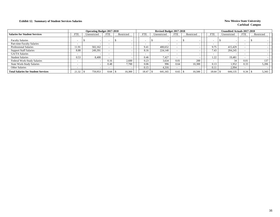## **Exhibit 12. Summary of Student Services Salaries New Mexico State University New Mexico State University**

|                                            |                          | <b>Operating Budget 2017-2018</b> |            |            |            | <b>Revised Budget 2017-2018</b> |                          |            |                          | <b>Unaudited Actuals 2017-2018</b> |            |            |
|--------------------------------------------|--------------------------|-----------------------------------|------------|------------|------------|---------------------------------|--------------------------|------------|--------------------------|------------------------------------|------------|------------|
| <b>Salaries for Student Services</b>       | <b>FTE</b>               | Unrestricted                      | <b>FTE</b> | Restricted | <b>FTE</b> | Unrestricted                    | <b>FTE</b>               | Restricted | <b>FTE</b>               | Unrestricted                       | <b>FTE</b> | Restricted |
| <b>Faculty Salaries</b>                    |                          |                                   |            |            |            |                                 | $\overline{\phantom{a}}$ |            | $\overline{\phantom{0}}$ |                                    |            |            |
| Part-time Faculty Salaries                 | $\overline{\phantom{0}}$ |                                   |            |            |            |                                 | $\overline{\phantom{a}}$ |            | $\overline{\phantom{0}}$ |                                    |            |            |
| <b>Professional Salaries</b>               | 11.91                    | 502.162                           |            |            | 9.41       | 400.652                         | $\overline{\phantom{0}}$ |            | 9.75                     | 415.429                            |            |            |
| <b>Support Staff Salaries</b>              | 8.88                     | 249.391                           |            |            | 8.16       | 224,140                         |                          |            | 7.43                     | 204.245                            |            |            |
| <b>GA/TA Salaries</b>                      | $\sim$                   |                                   |            |            |            |                                 | $\overline{\phantom{a}}$ |            |                          |                                    |            |            |
| <b>Student Salaries</b>                    | 0.53                     | 8.400                             |            |            | 0.46       | 7.427                           | $\overline{\phantom{0}}$ |            | 1.22                     | 19.481                             |            |            |
| Federal Work-Study Salaries                |                          |                                   | 0.16       | 2,600      | 0.23       | 3.634                           | 0.01                     | 200        |                          | 34                                 | 0.01       | 137        |
| <b>State Work-Study Salaries</b>           | $\overline{\phantom{a}}$ |                                   | 0.48       | 7.700      | 0.06       | 996                             | 0.64                     | 10.300     | 0.13                     | 1,952                              | 0.33       | 5,206      |
| <b>Other Salaries</b>                      | $\sim$                   |                                   |            |            | 0.15       | 4,316                           | $\overline{\phantom{0}}$ |            | 0.1                      | 2,994                              |            |            |
| <b>Total Salaries for Student Services</b> | 21.32                    | 759.953                           |            | 10,300     | 18.47      | 641,165                         | 0.65                     | 10,500     | 18.64                    | 644,135                            | 0.34       | 5,343      |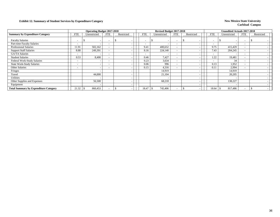## **Exhibit 12. Summary of Student Services by Expenditure Category New Mexico State University**

|                                              |                          | <b>Operating Budget 2017-2018</b> |                          |            |            | Revised Budget 2017-2018 |                          |                          |                          | Unaudited Actuals 2017-2018 |                          |            |  |
|----------------------------------------------|--------------------------|-----------------------------------|--------------------------|------------|------------|--------------------------|--------------------------|--------------------------|--------------------------|-----------------------------|--------------------------|------------|--|
| <b>Summary by Expenditure Category</b>       | <b>FTE</b>               | Unrestricted                      | <b>FTE</b>               | Restricted | <b>FTE</b> | Unrestricted             | <b>FTE</b>               | Restricted               | <b>FTE</b>               | Unrestricted                | <b>FTE</b>               | Restricted |  |
| <b>Faculty Salaries</b>                      |                          | $\overline{\phantom{a}}$          |                          | J.         |            | ъ                        | $\overline{\phantom{0}}$ |                          | $\overline{\phantom{a}}$ |                             | $\overline{\phantom{0}}$ |            |  |
| Part-time Faculty Salaries                   | $\sim$                   | $\overline{\phantom{a}}$          | $\overline{\phantom{a}}$ |            | <b>-</b>   |                          | $\overline{\phantom{0}}$ |                          | $\overline{\phantom{a}}$ |                             | $\overline{\phantom{0}}$ |            |  |
| <b>Professional Salaries</b>                 | 11.91                    | 502,162                           |                          |            | 9.41       | 400,652                  | $\overline{\phantom{0}}$ |                          | 9.75                     | 415,429                     | $\overline{\phantom{0}}$ |            |  |
| <b>Support Staff Salaries</b>                | 8.88                     | 249,391                           |                          |            | 8.16       | 224,140                  | $\overline{\phantom{a}}$ |                          | 7.43                     | 204,245                     | $\overline{\phantom{0}}$ |            |  |
| <b>GA/TA Salaries</b>                        | $\overline{\phantom{a}}$ |                                   | $\overline{\phantom{0}}$ |            |            |                          | $\overline{\phantom{a}}$ |                          | $\overline{\phantom{0}}$ |                             | $\sim$                   |            |  |
| <b>Student Salaries</b>                      | 0.53                     | 8,400                             | $\overline{\phantom{0}}$ |            | 0.46       | 7,427                    | $\overline{\phantom{a}}$ |                          | 1.22                     | 19,481                      | $\sim$                   |            |  |
| Federal Work-Study Salaries                  | $\overline{\phantom{0}}$ | $\overline{\phantom{a}}$          | $\overline{\phantom{0}}$ |            | 0.23       | 3.634                    | $\overline{\phantom{a}}$ |                          | $\overline{\phantom{0}}$ | 34                          |                          |            |  |
| <b>State Work-Study Salaries</b>             | $\overline{\phantom{0}}$ | $\overline{\phantom{a}}$          | $\overline{\phantom{0}}$ |            | 0.06       | 996                      | $\overline{\phantom{a}}$ |                          | 0.13                     | 1,952                       | $\overline{\phantom{0}}$ |            |  |
| <b>Other Salaries</b>                        | $\overline{\phantom{0}}$ | $\overline{\phantom{a}}$          | $\overline{\phantom{a}}$ |            | 0.15       | 4,316                    | $\overline{\phantom{a}}$ |                          | 0.1                      | 2,994                       | $\overline{\phantom{0}}$ |            |  |
| Fringes                                      |                          | $\overline{\phantom{a}}$          |                          |            |            | 14,919                   |                          | $\overline{\phantom{a}}$ |                          | 14,919                      |                          |            |  |
| Travel                                       |                          | 44,000                            |                          |            |            | 21,104                   |                          |                          |                          | 20,205                      |                          |            |  |
| Utilities                                    |                          |                                   |                          |            |            |                          |                          |                          |                          |                             |                          |            |  |
| Other Supplies and Expenses                  |                          | 56,500                            |                          |            |            | 68,218                   |                          |                          |                          | 138,227                     |                          |            |  |
| Equipment                                    |                          | $\overline{\phantom{a}}$          |                          |            |            |                          |                          |                          |                          |                             |                          |            |  |
| <b>Total Summary by Expenditure Category</b> | 21.32                    | 860,453                           |                          |            | 18.47      | 745,406<br>£.            | $\overline{\phantom{0}}$ |                          | 18.64                    | 817,486                     |                          |            |  |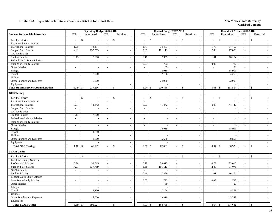|                                              |                             | <b>Operating Budget 2017-2018</b>        |                             |                          |                          | Revised Budget 2017-2018                   |                          |                                |                          | <b>Unaudited Actuals 2017-2018</b> |                             |                                          |
|----------------------------------------------|-----------------------------|------------------------------------------|-----------------------------|--------------------------|--------------------------|--------------------------------------------|--------------------------|--------------------------------|--------------------------|------------------------------------|-----------------------------|------------------------------------------|
| <b>Student Services Administration</b>       | <b>FTE</b>                  | Unrestricted                             | <b>FTE</b>                  | Restricted               | <b>FTE</b>               | Unrestricted                               | <b>FTE</b>               | Restricted                     | <b>FTE</b>               | Unrestricted                       | <b>FTE</b>                  | Restricted                               |
| <b>Faculty Salaries</b>                      | $\overline{\phantom{a}}$    | $\mathbf{\hat{S}}$                       | $\overline{\phantom{a}}$    | \$                       | $\overline{\phantom{a}}$ | $\mathcal{S}$                              |                          | \$<br>$\sim$                   | $\sim$                   | $\mathcal{S}$                      | $\overline{\phantom{a}}$    | \$                                       |
| Part-time Faculty Salaries                   | $\mathcal{L}$               |                                          | $\sim$                      | $\sim$                   | $\omega$                 |                                            | $\overline{\phantom{a}}$ | $\sim$                         | $\sim$                   |                                    | $\sim$                      | $\sim$                                   |
| Professional Salaries                        | 1.75                        | 74,457                                   | $\overline{\phantom{a}}$    | $\overline{\phantom{a}}$ | 1.75                     | 74,457                                     | $\sim$                   | $\sim$                         | 1.75                     | 74,457                             | $\overline{\phantom{a}}$    | $\blacksquare$                           |
| <b>Support Staff Salaries</b>                | 4.91                        | 137,759                                  | $\mathbb{Z}^2$              |                          | 3.68                     | 101,113                                    | $\sim$                   | $\mathcal{L}_{\mathcal{A}}$    | 2.80                     | 77,078                             | $\sim$                      | $\overline{\phantom{a}}$                 |
| GA/TA Salaries                               | $\sim$                      |                                          | $\sim$                      | $\sim$                   | $\sim$                   |                                            | $\sim$                   | $\sim$                         | $\sim$                   |                                    | $\sim$                      | $\sim$                                   |
| <b>Student Salaries</b>                      | 0.13                        | 2,000                                    | $\mathbb{Z}^2$              |                          | 0.46                     | 7,359                                      | $\sim$                   | $\mathcal{L}_{\mathcal{A}}$    | 1.01                     | 16,174                             | $\omega$                    | $\sim$                                   |
| Federal Work-Study Salaries                  | $\mathcal{L}_{\mathcal{A}}$ |                                          | $\sim$                      |                          | $\sim$                   |                                            | $\sim$                   | $\overline{\phantom{a}}$       | $\sim$                   |                                    | $\sim$                      | $\sim$                                   |
| <b>State Work-Study Salaries</b>             | $\sim$                      | $\overline{\phantom{a}}$                 | $\sim$                      | $\sim$                   | 0.05                     | 793                                        | $\sim$                   | $\sim$                         | 0.05                     | 732                                | $\sim$                      | $-1$                                     |
| Other Salaries                               | $\sim$                      | $\overline{\phantom{a}}$                 | $\overline{a}$              | $\sim$                   | $\sim$                   | 39                                         | $\sim$                   | $\sim$                         | $\sim$                   | 20                                 | $\overline{a}$              | $\sim$                                   |
| Fringes                                      |                             | $\sim$                                   |                             | $\sim$                   |                          | 14,919                                     |                          | $\sim$                         |                          | 14,919                             |                             | $\sim$                                   |
| Travel                                       |                             | 7,000                                    |                             | $\sim$                   |                          | 7,126                                      |                          | $\sim$                         |                          | 4,269                              |                             | $\overline{\phantom{a}}$                 |
| Utilities                                    |                             |                                          |                             | $\sim$                   |                          |                                            |                          | $\sim$                         |                          |                                    |                             | $\overline{\phantom{a}}$                 |
| Other Supplies and Expenses                  |                             | 16,000                                   |                             | $\overline{\phantom{a}}$ |                          | 24,980                                     |                          | $\sim$                         |                          | 73,905                             |                             | $\sim$                                   |
| Equipment                                    |                             |                                          |                             |                          |                          |                                            |                          | $\mathcal{L}_{\mathcal{A}}$    |                          |                                    |                             | $\sim$                                   |
| <b>Total Student Services Administration</b> | 6.79                        | 237,216<br><sup>\$</sup>                 | $\sim$                      | \$<br>$\sim$             | 5.94                     | 230,786<br>\$                              | $\sim$                   | \$<br>$\sim$                   | 5.61                     | 261,554<br>-\$                     | $\mathbb{Z}^2$              | $\mathbb{S}$<br>$\sim$                   |
| <b>GED Testing</b>                           |                             |                                          |                             |                          |                          |                                            |                          |                                |                          |                                    |                             |                                          |
| <b>Faculty Salaries</b>                      |                             | \$                                       | $\overline{a}$              | $\mathbf S$              |                          | $\mathcal{S}$                              |                          | $\mathbf{\hat{S}}$<br>$\sim$   | $\sim$                   | $\mathbf{\hat{s}}$                 |                             | $\mathcal{S}$                            |
| Part-time Faculty Salaries                   | $\sim$                      |                                          | $\sim$                      |                          | $\sim$                   | $\sim$                                     | $\sim$                   | $\blacksquare$                 | $\sim$                   |                                    | $\sim$                      | $\sim$                                   |
| Professional Salaries                        | 0.97                        | 41,442                                   | $\sim$                      | $\sim$                   | 0.97                     | 41,442                                     | $\sim$                   | $\sim$                         | 0.97                     | 41,442                             | $\sim$                      | $\sim$                                   |
| <b>Support Staff Salaries</b>                | $\sim$                      |                                          | $\sim$                      | $\sim$                   | $\sim$                   | $\sim$                                     | $\overline{\phantom{a}}$ | $\sim$                         | $\sim$                   |                                    | $\sim$                      | $\sim$                                   |
| GA/TA Salaries                               | $\overline{\phantom{a}}$    |                                          | $\overline{\phantom{a}}$    |                          | $\sim$                   | $\overline{\phantom{a}}$                   | $\sim$                   | $\sim$                         | $\sim$                   | $\overline{\phantom{a}}$           | $\sim$                      | $\sim$                                   |
| <b>Student Salaries</b>                      | 0.13                        | 2,000                                    | $\sim$                      | $\sim$                   | $\sim$                   | $\sim$                                     | $\sim$                   | $\sim$                         | $\sim$                   | $\overline{\phantom{a}}$           | $\sim$                      | $\sim$                                   |
| Federal Work-Study Salaries                  | $\sim$                      | $\sim$                                   | $\sim$                      | $\sim$                   | $\sim$                   | $\overline{\phantom{a}}$                   | $\sim$                   | $\sim$                         | $\sim$                   | $\overline{\phantom{a}}$           | $\sim$                      | $\sim$                                   |
| <b>State Work-Study Salaries</b>             | $\sim$                      |                                          | $\overline{\phantom{a}}$    |                          |                          |                                            | $\sim$                   | $\overline{\phantom{a}}$       | $\overline{\phantom{a}}$ |                                    | $\sim$                      | $\sim$                                   |
| Other Salaries                               | $\overline{\phantom{a}}$    | $\overline{\phantom{a}}$                 | $\mathcal{L}_{\mathcal{A}}$ | $\overline{\phantom{a}}$ | $\mathbf{r}$             | $\overline{\phantom{a}}$                   | $\mathbb{Z}^2$           | $\mathcal{L}_{\mathcal{A}}$    | $\mathcal{L}$            |                                    | $\sim$                      | $\sim$                                   |
| Fringes                                      |                             | $\overline{\phantom{a}}$                 |                             | $\sim$                   |                          | 14,919                                     |                          | $\sim$                         |                          | 14,919                             |                             | $\sim$                                   |
| Travel                                       |                             | 1,750                                    |                             | $\sim$                   |                          | $\sim$                                     |                          | $\sim$                         |                          |                                    |                             | $\sim$                                   |
| <b>Utilities</b>                             |                             |                                          |                             | $\overline{\phantom{a}}$ |                          | $\sim$                                     |                          | $\sim$                         |                          |                                    |                             | $\sim$                                   |
| Other Supplies and Expenses                  |                             | 1,000                                    |                             | $\sim$                   |                          | 5,670                                      |                          | $\sim$                         |                          | 30,562                             |                             | $\sim$                                   |
| Equipment                                    |                             |                                          |                             | $\sim$                   |                          | $\sim$                                     |                          | $\sim$                         |                          |                                    |                             | $\sim$                                   |
| <b>Total GED Testing</b>                     | 1.10                        | 46,192<br>$\mathbf{\$}$                  | $\overline{\phantom{a}}$    | $\mathbb{S}$             | 0.97                     | 62,031<br>$\mathbf{\hat{S}}$               |                          | $\mathcal{S}$<br>$\sim$        | 0.97                     | $\mathcal{S}$<br>86,923            |                             | $\mathbf{s}$                             |
| <b>TEAM Center</b>                           |                             |                                          |                             |                          |                          |                                            |                          |                                |                          |                                    |                             |                                          |
| <b>Faculty Salaries</b>                      | $\sim$                      | $\mathbb{S}$<br>$\overline{\phantom{a}}$ | $\overline{\phantom{a}}$    | \$                       | $\sim$                   | $\mathfrak{S}$<br>$\overline{\phantom{a}}$ | $\overline{\phantom{a}}$ | \$<br>$\overline{\phantom{a}}$ | $\sim$                   | $\mathcal{S}$                      | $\sim$                      | $\mathbb{S}$<br>$\overline{\phantom{a}}$ |
| Part-time Faculty Salaries                   |                             |                                          | $\overline{\phantom{a}}$    |                          |                          |                                            | $\sim$                   | $\overline{\phantom{a}}$       |                          |                                    | $\overline{\phantom{a}}$    | $\sim$                                   |
| <b>Professional Salaries</b>                 | 0.78                        | 33,015                                   | $\sim$                      |                          | 0.78                     | 33,015                                     | $\sim$                   | $\blacksquare$                 | 0.78                     | 33,015                             | $\overline{\phantom{a}}$    | $\blacksquare$                           |
| <b>Support Staff Salaries</b>                | 4.91                        | 137,759                                  | $\sim$                      | $\sim$                   | 3.68                     | 101,113                                    | $\sim$                   | $\sim$                         | 2.80                     | 77,078                             | $\sim$                      | $\sim$                                   |
| <b>GA/TA Salaries</b>                        | $\sim$                      |                                          | $\sim$                      | $\sim$                   | $\sim$                   |                                            | $\sim$                   | $\sim$                         | $\sim$                   |                                    | $\sim$                      | $\sim$                                   |
| <b>Student Salaries</b>                      | $\mathcal{L}_{\mathcal{A}}$ | $\overline{\phantom{a}}$                 | $\sim$                      | $\overline{\phantom{a}}$ | 0.46                     | 7,359                                      | $\sim$                   | $\sim$                         | 1.01                     | 16,174                             | $\mathcal{L}_{\mathcal{A}}$ | $\sim$                                   |
| Federal Work-Study Salaries                  | $\overline{\phantom{a}}$    | $\overline{\phantom{a}}$                 | $\sim$                      | $\sim$                   | $\sim$                   | $\sim$                                     | $\sim$                   | $\sim$                         | $\sim$                   |                                    | $\sim$                      | $\sim$                                   |
| <b>State Work-Study Salaries</b>             | $\sim$                      | $\overline{\phantom{a}}$                 | $\sim$                      | $\sim$                   | 0.05                     | 793                                        | $\sim$                   | $\sim$                         | 0.05                     | 732                                | $\sim$                      | $\sim$                                   |
| Other Salaries                               | $\sim$                      | $\overline{\phantom{a}}$                 | $\sim$                      | $\overline{\phantom{a}}$ |                          | 39                                         | $\sim$                   | $\overline{\phantom{a}}$       | $\sim$                   | 20                                 | $\sim$                      | $\sim$                                   |
| Fringes                                      |                             | $\sim$                                   |                             | $\sim$                   |                          | $\overline{\phantom{a}}$                   |                          | $\mathbb{L}$                   |                          |                                    |                             | $\mathbb{Z}^{\mathbb{Z}}$                |
| Travel                                       |                             | 5,250                                    |                             | $\sim$                   |                          | 7,126                                      |                          | $\sim$                         |                          | 4,269                              |                             | $\sim$                                   |
| Utilities                                    |                             |                                          |                             | $\sim$                   |                          |                                            |                          | $\sim$                         |                          |                                    |                             | $\sim$                                   |
| Other Supplies and Expenses                  |                             | 15,000                                   |                             | $\sim$                   |                          | 19,310                                     |                          | $\sim$                         |                          | 43,343                             |                             | $\sim$                                   |
| Equipment                                    |                             |                                          |                             | $\overline{\phantom{0}}$ |                          |                                            |                          | $\sim$                         |                          |                                    |                             | $\sim$                                   |
| <b>Total TEAM Center</b>                     | 5.69                        | 191,024<br>$\mathcal{S}$                 | $\mathbb{Z}^2$              | $\mathbb{S}$             | 4.97                     | 168,755<br>$\mathcal{S}$                   | $\overline{a}$           | $\mathcal{S}$<br>$\sim$        | 4.64                     | 174,631<br>$\mathcal{S}$           | $\sim$                      | $\mathcal{S}$                            |
|                                              |                             |                                          |                             |                          |                          |                                            |                          |                                |                          |                                    |                             |                                          |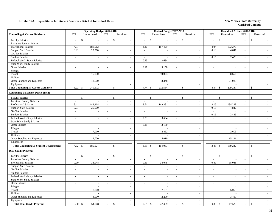|                                                   |                          | <b>Operating Budget 2017-2018</b> |                          |                          |                          | Revised Budget 2017-2018 |                          |                                                   |                          |                    | Unaudited Actuals 2017-2018 |                             |                                          |
|---------------------------------------------------|--------------------------|-----------------------------------|--------------------------|--------------------------|--------------------------|--------------------------|--------------------------|---------------------------------------------------|--------------------------|--------------------|-----------------------------|-----------------------------|------------------------------------------|
| <b>Counseling &amp; Career Guidance</b>           | <b>FTE</b>               | Unrestricted                      | <b>FTE</b>               | Restricted               | <b>FTE</b>               | Unrestricted             | <b>FTE</b>               | Restricted                                        | <b>FTE</b>               |                    | Unrestricted                | <b>FTE</b>                  | Restricted                               |
| <b>Faculty Salaries</b>                           | $\overline{\phantom{a}}$ | \$                                | $\overline{\phantom{a}}$ | \$                       | $\overline{\phantom{a}}$ | $\mathcal{S}$            |                          | \$<br>$\sim$                                      | $\sim$                   | \$                 |                             | $\sim$                      | \$                                       |
| Part-time Faculty Salaries                        | $\overline{\phantom{a}}$ |                                   | $\sim$                   | $\sim$                   | $\sim$                   | $\sim$                   | $\sim$                   | $\sim$                                            | $\sim$                   |                    |                             | $\sim$                      | $\sim$                                   |
| Professional Salaries                             | 4.31                     | 181,512                           | $\overline{\phantom{a}}$ | $\sim$                   | 4.40                     | 187,429                  | $\overline{\phantom{a}}$ | $\sim$                                            | 4.04                     |                    | 172,276                     | $\sim$                      | $\sim$                                   |
| <b>Support Staff Salaries</b>                     | 0.91                     | 25,560                            | $\blacksquare$           |                          |                          |                          |                          | $\sim$                                            | 0.18                     |                    | 4,847                       | $\sim$                      |                                          |
| GA/TA Salaries                                    | $\sim$                   |                                   | $\mathbb{L}$             |                          | $\sim$                   | $\sim$                   | $\sim$                   | $\mathcal{L}_{\mathcal{A}}$                       | $\mathcal{L}$            |                    |                             | $\sim$                      | $\mathbb{L}^+$                           |
| <b>Student Salaries</b>                           | $\sim$                   | $\overline{a}$                    | $\sim$                   | $\sim$                   | $\sim$                   | $\sim$                   | $\sim$                   | $\sim$                                            | 0.15                     |                    | 2,423                       | $\sim$                      | $\sim$                                   |
| Federal Work-Study Salaries                       | $\sim$                   | $\sim$                            | $\sim$                   | $\sim$                   | 0.23                     | 3,634                    | $\sim$                   | $\sim$                                            | $\mathcal{L}$            |                    |                             | $\sim$                      | $\sim$                                   |
| <b>State Work-Study Salaries</b>                  | $\overline{\phantom{a}}$ | $\overline{\phantom{a}}$          | $\sim$                   | $\sim$                   | $\sim$                   | $\overline{\phantom{a}}$ | $\sim$                   | $\sim$                                            | $\overline{\phantom{a}}$ |                    | $\overline{\phantom{a}}$    | $\sim$                      | $\sim$                                   |
| Other Salaries                                    | $\sim$                   | $\overline{\phantom{a}}$          | $\sim$                   | $\sim$                   | 0.11                     | 3,150                    | $\sim$                   | $\sim$                                            | $\sim$                   |                    | $\overline{\phantom{a}}$    | $\sim$                      | $\sim$                                   |
| Fringes                                           |                          | $\overline{\phantom{a}}$          |                          | $\sim$                   |                          |                          |                          | $\sim$                                            |                          |                    |                             |                             | $=$                                      |
| Travel                                            |                          | 15,000                            |                          | $\sim$                   |                          | 10,023                   |                          | $\sim$                                            |                          |                    | 8,656                       |                             | $\sim$                                   |
| <b>Utilities</b>                                  |                          |                                   |                          |                          |                          |                          |                          | $\sim$                                            |                          |                    |                             |                             | $\sim$                                   |
| Other Supplies and Expenses                       |                          | 18,500                            |                          | $\sim$                   |                          | 8,348                    |                          | $\sim$                                            |                          |                    | 21,085                      |                             | $\sim$                                   |
| Equipment                                         |                          |                                   |                          | $\sim$                   |                          |                          |                          | $\sim$                                            |                          |                    |                             |                             | $\sim$                                   |
| <b>Total Counseling &amp; Career Guidance</b>     | 5.22                     | 240,572<br>-\$                    | $\sim$                   | \$<br>$\sim$             | 4.74                     | 212,584<br>-S            | $\sim$                   | <sup>\$</sup><br>$\sim$                           | 4.37                     | -S                 | 209,287                     | $\sim$                      | <sup>\$</sup><br>$\sim$                  |
| <b>Counseling &amp; Student Development</b>       |                          |                                   |                          |                          |                          |                          |                          |                                                   |                          |                    |                             |                             |                                          |
| <b>Faculty Salaries</b>                           |                          | \$                                | $\blacksquare$           | $\mathbf S$              |                          | $\mathbf{\hat{s}}$       |                          | \$<br>$\overline{\phantom{a}}$                    | $\overline{\phantom{a}}$ | $\mathbf{\hat{s}}$ |                             |                             | $\mathbf{\hat{S}}$                       |
| Part-time Faculty Salaries                        | $\overline{a}$           |                                   | $\overline{\phantom{a}}$ |                          |                          |                          | $\overline{\phantom{a}}$ | $\sim$                                            | $\sim$                   |                    |                             | $\sim$                      | $\sim$                                   |
| Professional Salaries                             | 3.41                     | 143,464                           | $\sim$                   | $\overline{\phantom{a}}$ | 3.51                     | 149,381                  | $\sim$                   | $\sim$                                            | 3.15                     |                    | 134,228                     | $\sim$                      | $\sim$                                   |
| <b>Support Staff Salaries</b>                     | 0.91                     | 25,560                            | $\sim$                   | $\sim$                   | $\sim$                   |                          | $\sim$                   | $\sim$                                            | 0.18                     |                    | 4,847                       | $\sim$                      | $\sim$                                   |
| GA/TA Salaries                                    | $\sim$                   | $\sim$                            | $\sim$                   |                          | $\sim$                   | $\sim$                   | $\sim$                   | $\sim$                                            | $\sim$                   |                    |                             | $\sim$                      | $\sim$                                   |
| <b>Student Salaries</b>                           | $\overline{\phantom{a}}$ |                                   | $\overline{\phantom{a}}$ |                          | $\sim$                   | $\overline{\phantom{a}}$ | $\sim$                   | $\sim$                                            | 0.15                     |                    | 2,423                       | $\sim$                      | $\sim$                                   |
| Federal Work-Study Salaries                       | $\overline{\phantom{a}}$ | $\overline{\phantom{a}}$          | $\sim$                   | $\sim$                   | 0.23                     | 3,634                    | $\sim$                   | $\sim$                                            | $\sim$                   |                    | $\overline{\phantom{a}}$    | $\sim$                      | $\sim$ 1                                 |
| <b>State Work-Study Salaries</b>                  | $\sim$                   | $\overline{\phantom{a}}$          | $\overline{\phantom{a}}$ | $\sim$                   | $\sim$                   | $\sim$                   | $\sim$                   | $\sim$                                            | $\overline{\phantom{a}}$ |                    | ÷.                          | $\sim$                      | $\sim$                                   |
| Other Salaries                                    | $\sim$                   | $\sim$                            | $\blacksquare$           | $\sim$                   | 0.11                     | 3,150                    | $\mathbb{Z}^2$           | $\sim$                                            | $\sim$                   |                    | $\overline{\phantom{a}}$    | $\overline{a}$              | $\sim$                                   |
| Fringes                                           |                          |                                   |                          |                          |                          |                          |                          | $\sim$                                            |                          |                    |                             |                             | $\sim$                                   |
| Travel                                            |                          | 7,000                             |                          | $\overline{\phantom{a}}$ |                          | 2,862                    |                          | $\sim$                                            |                          |                    | 2,603                       |                             | $\sim$                                   |
| Utilities                                         |                          |                                   |                          | $\sim$                   |                          |                          |                          | $\sim$                                            |                          |                    |                             |                             | $\sim$                                   |
| Other Supplies and Expenses                       |                          | 9,000                             |                          |                          |                          | 5,010                    |                          | $\sim$                                            |                          |                    | 15,121                      |                             | $\sim$                                   |
| Equipment                                         |                          |                                   |                          | $\sim$                   |                          |                          |                          | $\sim$                                            |                          |                    |                             |                             | $\sim$                                   |
| <b>Total Counseling &amp; Student Development</b> | 4.32                     | 185,024<br>$\mathcal{S}$          | $\mathbb{L}$             | $\mathbb{S}$             | 3.85                     | 164,037<br>\$            | $\sim$                   | $\mathbf{\hat{S}}$<br>$\mathcal{L}_{\mathcal{A}}$ | 3.48                     | $\mathcal{S}$      | 159,222                     | $\sim$                      | $\mathbf{s}$                             |
| <b>Dual Credit Program</b>                        |                          |                                   |                          |                          |                          |                          |                          |                                                   |                          |                    |                             |                             |                                          |
| <b>Faculty Salaries</b>                           | $\overline{\phantom{a}}$ | $\mathsf{\$}$                     | $\sim$                   | \$                       | $\overline{\phantom{a}}$ | $\frac{1}{2}$            | $\overline{\phantom{a}}$ | \$<br>$\sim$                                      | $\overline{\phantom{a}}$ | \$                 |                             | $\sim$                      | $\mathbb{S}$<br>$\overline{\phantom{a}}$ |
| Part-time Faculty Salaries                        | $\overline{a}$           |                                   | $\overline{\phantom{a}}$ | $\overline{\phantom{a}}$ | $\overline{\phantom{a}}$ |                          | $\overline{\phantom{a}}$ | $\sim$                                            | $\overline{\phantom{a}}$ |                    |                             | $\overline{\phantom{a}}$    | $\sim$                                   |
| Professional Salaries                             | 0.90                     | 38,048                            | $\blacksquare$           |                          | 0.89                     | 38,048                   | $\overline{\phantom{a}}$ | $\omega$                                          | 0.89                     |                    | 38,048                      | $\mathcal{L}_{\mathcal{A}}$ | $\overline{\phantom{a}}$                 |
| <b>Support Staff Salaries</b>                     | $\sim$                   |                                   | $\mathbb{Z}^2$           |                          | $\sim$                   |                          | $\sim$                   | $\mathbb{Z}^2$                                    | $\mathbb{Z}^2$           |                    |                             | $\omega$                    | $\sim$                                   |
| GA/TA Salaries                                    | $\sim$                   |                                   | $\sim$                   |                          | $\sim$                   |                          | $\sim$                   | $\overline{\phantom{a}}$                          | $\mathcal{L}$            |                    |                             | $\sim$                      | $\sim$                                   |
| <b>Student Salaries</b>                           | $\sim$                   | $\overline{\phantom{a}}$          | $\sim$                   | $\sim$                   | $\sim$                   |                          | $\sim$                   | $\sim$                                            | $\sim$                   |                    |                             | $\sim$                      | $\sim$                                   |
| Federal Work-Study Salaries                       | $\sim$                   |                                   | $\sim$                   |                          | $\sim$                   |                          | $\overline{\phantom{a}}$ | $\overline{\phantom{a}}$                          | $\sim$                   |                    |                             | $\sim$                      | $\sim$                                   |
| <b>State Work-Study Salaries</b>                  | $\overline{\phantom{a}}$ | $\overline{\phantom{a}}$          | $\sim$                   | $\sim$                   | $\sim$                   | $\sim$                   | $\sim$                   | $\sim$                                            | $\sim$                   |                    | $\overline{\phantom{a}}$    | $\sim$                      | $\sim$                                   |
| Other Salaries                                    | $\overline{\phantom{a}}$ | $\overline{\phantom{a}}$          | $\overline{a}$           | $\sim$                   | $\sim$                   | $\sim$                   | $\overline{\phantom{a}}$ | $\sim$                                            | $\sim$                   |                    | $\overline{\phantom{a}}$    | $\sim$                      | $\sim$                                   |
| Fringes                                           |                          |                                   |                          | $\sim$                   |                          | $\sim$                   |                          | $\sim$                                            |                          |                    |                             |                             | $\sim$                                   |
| Travel                                            |                          | 8,000                             |                          |                          |                          | 7,161                    |                          | $\sim$                                            |                          |                    | 6,053                       |                             | $\sim$                                   |
| Utilities                                         |                          |                                   |                          | $\overline{\phantom{a}}$ |                          |                          |                          | $\mathcal{L}_{\mathcal{A}}$                       |                          |                    |                             |                             | $\sim$                                   |
| Other Supplies and Expenses                       |                          | 8,000                             |                          | $\sim$                   |                          | 2,200                    |                          | $\sim$                                            |                          |                    | 3,419                       |                             | $\sim$                                   |
| Equipment                                         |                          |                                   |                          | $\sim$                   |                          |                          |                          | $\sim$                                            |                          |                    |                             |                             | $\sim$                                   |
| <b>Total Dual Credit Program</b>                  | 0.90                     | 54,048<br>$\mathcal{S}$           |                          | $\mathbb{S}$             | 0.89                     | $\mathcal{S}$<br>47,409  |                          | $\mathcal{S}$                                     | 0.89                     | $\mathcal{S}$      | 47,520                      |                             | $\mathcal{S}$                            |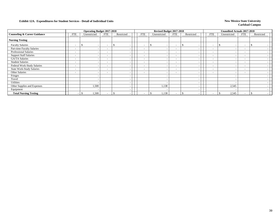|                                         |                          | <b>Operating Budget 2017-2018</b> |                          |               |                          | Revised Budget 2017-2018 |                          |            |                          | Unaudited Actuals 2017-2018 |                          |            |  |
|-----------------------------------------|--------------------------|-----------------------------------|--------------------------|---------------|--------------------------|--------------------------|--------------------------|------------|--------------------------|-----------------------------|--------------------------|------------|--|
| <b>Counseling &amp; Career Guidance</b> | <b>FTE</b>               | Unrestricted                      | <b>FTE</b>               | Restricted    | FTE                      | Unrestricted             | FTE                      | Restricted | FTE                      | Unrestricted                | <b>FTE</b>               | Restricted |  |
| <b>Nursing Testing</b>                  |                          |                                   |                          |               |                          |                          |                          |            |                          |                             |                          |            |  |
| <b>Faculty Salaries</b>                 | $\overline{\phantom{a}}$ | s                                 | $\overline{\phantom{a}}$ | <sup>\$</sup> | $\overline{\phantom{0}}$ | -S                       | $\overline{\phantom{a}}$ | S.         | $\overline{\phantom{a}}$ |                             | $\overline{\phantom{0}}$ |            |  |
| Part-time Faculty Salaries              | $\overline{\phantom{a}}$ |                                   | $\overline{\phantom{a}}$ | -             | $\overline{\phantom{0}}$ |                          | $\overline{\phantom{0}}$ |            | $\overline{\phantom{0}}$ | ۰.                          | $\overline{\phantom{a}}$ |            |  |
| <b>Professional Salaries</b>            | $\overline{\phantom{a}}$ |                                   | $\overline{\phantom{a}}$ |               |                          |                          | $\overline{\phantom{0}}$ |            | $\overline{\phantom{0}}$ |                             | $\overline{\phantom{a}}$ |            |  |
| <b>Support Staff Salaries</b>           | $\overline{\phantom{a}}$ |                                   | $\overline{\phantom{a}}$ |               | $\sim$                   |                          | $\overline{\phantom{0}}$ |            | $\overline{\phantom{0}}$ |                             | $\sim$                   |            |  |
| <b>GA/TA Salaries</b>                   | $\overline{\phantom{a}}$ |                                   | $\overline{\phantom{a}}$ |               | $\overline{\phantom{0}}$ |                          | $\overline{\phantom{a}}$ |            | $\overline{\phantom{a}}$ |                             | $-$                      |            |  |
| <b>Student Salaries</b>                 | $\overline{\phantom{a}}$ |                                   | $\overline{\phantom{a}}$ |               | $\overline{\phantom{0}}$ |                          | $\overline{\phantom{0}}$ |            | $\overline{\phantom{0}}$ |                             | $\overline{\phantom{0}}$ |            |  |
| Federal Work-Study Salaries             | $\overline{\phantom{a}}$ |                                   | $\overline{\phantom{a}}$ |               | $\overline{\phantom{0}}$ |                          | $\overline{\phantom{a}}$ |            | $\overline{\phantom{0}}$ |                             | $-$                      |            |  |
| <b>State Work-Study Salaries</b>        | $\overline{\phantom{a}}$ |                                   | $\overline{\phantom{a}}$ |               |                          |                          | $\overline{\phantom{a}}$ |            | $\overline{\phantom{0}}$ |                             | $\overline{\phantom{a}}$ |            |  |
| Other Salaries                          | $\overline{\phantom{a}}$ |                                   | $\overline{\phantom{a}}$ |               |                          |                          | $\overline{\phantom{0}}$ |            | $\overline{\phantom{a}}$ |                             | $\overline{\phantom{a}}$ |            |  |
| Fringes                                 |                          |                                   |                          |               |                          |                          |                          |            |                          |                             |                          |            |  |
| Travel                                  |                          |                                   |                          |               |                          |                          |                          |            |                          |                             |                          |            |  |
| Utilities                               |                          |                                   |                          |               |                          |                          |                          |            |                          |                             |                          |            |  |
| Other Supplies and Expenses             |                          | 1,500                             |                          |               |                          | 1,138                    |                          |            |                          | 2,545                       |                          |            |  |
| Equipment                               |                          |                                   |                          |               |                          |                          |                          |            |                          |                             |                          |            |  |
| <b>Total Nursing Testing</b>            | <b>.</b>                 | 1,500                             | $\overline{\phantom{a}}$ | \$            |                          | 1,138                    |                          |            | $\overline{\phantom{0}}$ | 2,545                       | $\overline{\phantom{0}}$ |            |  |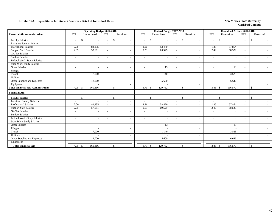|                                           |                          | <b>Operating Budget 2017-2018</b> |                          |               |            | Revised Budget 2017-2018      |                          |                          |                          | <b>Unaudited Actuals 2017-2018</b> |                          |                    |  |
|-------------------------------------------|--------------------------|-----------------------------------|--------------------------|---------------|------------|-------------------------------|--------------------------|--------------------------|--------------------------|------------------------------------|--------------------------|--------------------|--|
| <b>Financial Aid Administration</b>       | <b>FTE</b>               | Unrestricted                      | ${\rm FTE}$              | Restricted    | <b>FTE</b> | Unrestricted                  | <b>FTE</b>               | Restricted               | <b>FTE</b>               | Unrestricted                       | <b>FTE</b>               | Restricted         |  |
| <b>Faculty Salaries</b>                   | $\overline{\phantom{a}}$ | \$                                | $\overline{\phantom{a}}$ | <sup>\$</sup> |            | -\$                           | $\overline{\phantom{a}}$ | <sup>\$</sup>            | $\overline{\phantom{a}}$ | <sup>\$</sup>                      | $\overline{\phantom{a}}$ | <sup>\$</sup>      |  |
| Part-time Faculty Salaries                | $\sim$                   |                                   | $\overline{\phantom{a}}$ |               |            |                               | $\overline{\phantom{a}}$ |                          | $\sim$                   |                                    | $\overline{\phantom{a}}$ |                    |  |
| Professional Salaries                     | 2.00                     | 84,135                            | $\overline{\phantom{a}}$ |               | 1.26       | 53,470                        | $\overline{\phantom{a}}$ |                          | 1.36                     | 57,854                             | $\overline{\phantom{a}}$ |                    |  |
| <b>Support Staff Salaries</b>             | 2.05                     | 57,681                            | $\overline{\phantom{a}}$ |               | 2.53       | 69,529                        | $\overline{\phantom{a}}$ |                          | 2.49                     | 68,529                             | $\overline{\phantom{a}}$ |                    |  |
| GA/TA Salaries                            | $\sim$                   |                                   | $\overline{\phantom{a}}$ |               |            |                               | $\overline{\phantom{a}}$ |                          | $\sim$                   |                                    | $\overline{\phantom{a}}$ |                    |  |
| <b>Student Salaries</b>                   | $\blacksquare$           |                                   | $\overline{\phantom{a}}$ |               |            |                               | $\overline{\phantom{a}}$ |                          | $\sim$                   |                                    | $\overline{\phantom{a}}$ |                    |  |
| Federal Work-Study Salaries               | $\overline{\phantom{a}}$ |                                   | $\overline{\phantom{a}}$ |               |            |                               | $\overline{\phantom{a}}$ |                          | $\sim$                   |                                    | $\overline{\phantom{a}}$ |                    |  |
| <b>State Work-Study Salaries</b>          | $\overline{\phantom{a}}$ |                                   | $\overline{\phantom{a}}$ |               |            |                               | $\overline{\phantom{a}}$ |                          | $\overline{\phantom{a}}$ |                                    |                          |                    |  |
| Other Salaries                            | $\blacksquare$           |                                   | $\overline{\phantom{a}}$ |               |            | 13                            | $\overline{\phantom{a}}$ |                          | $\overline{\phantom{a}}$ | 13                                 | $\overline{\phantom{a}}$ |                    |  |
| Fringes                                   |                          |                                   |                          |               |            |                               |                          |                          |                          |                                    |                          |                    |  |
| Travel                                    |                          | 7,000                             |                          |               |            | 1,140                         |                          |                          |                          | 3,528                              |                          |                    |  |
| Utilities                                 |                          |                                   |                          |               |            |                               |                          |                          |                          |                                    |                          |                    |  |
| Other Supplies and Expenses               |                          | 12,000                            |                          |               |            | 5,600                         |                          |                          |                          | 6,646                              |                          |                    |  |
| Equipment                                 |                          |                                   |                          |               |            |                               |                          |                          |                          |                                    |                          |                    |  |
| <b>Total Financial Aid Administration</b> | 4.05                     | 160,816<br>-\$                    | $\overline{\phantom{a}}$ | \$            | 3.79       | 129,752<br>-\$                | $\overline{\phantom{a}}$ | $\mathcal{S}$            | 3.85                     | 136,570<br>-\$                     | $\overline{\phantom{a}}$ | $\mathbf{\$}$      |  |
| <b>Financial Aid</b>                      |                          |                                   |                          |               |            |                               |                          |                          |                          |                                    |                          |                    |  |
| <b>Faculty Salaries</b>                   | $\overline{\phantom{a}}$ | $\mathbf{\hat{S}}$                | $\overline{\phantom{a}}$ | \$            |            | $\mathcal{S}$                 | $\overline{\phantom{a}}$ | $\mathbb{S}$             | $\sim$                   | $\mathcal{S}$                      | $\overline{\phantom{a}}$ | \$                 |  |
| Part-time Faculty Salaries                | $\sim$                   |                                   | $\overline{\phantom{a}}$ |               |            |                               | $\sim$                   |                          | $\sim$                   |                                    | $\overline{\phantom{a}}$ |                    |  |
| <b>Professional Salaries</b>              | 2.00                     | 84,135                            | $\overline{\phantom{a}}$ |               | 1.26       | 53,470                        | $\overline{\phantom{a}}$ |                          | 1.36                     | 57,854                             | $\sim$                   |                    |  |
| <b>Support Staff Salaries</b>             | 2.05                     | 57,681                            | $\overline{\phantom{a}}$ |               | 2.53       | 69,529                        | $\overline{\phantom{0}}$ |                          | 2.49                     | 68,529                             | $\sim$                   |                    |  |
| <b>GA/TA Salaries</b>                     | $\sim$                   |                                   | $\overline{\phantom{a}}$ |               |            |                               | $\overline{\phantom{0}}$ |                          | $\sim$                   |                                    |                          |                    |  |
| <b>Student Salaries</b>                   | $\overline{\phantom{a}}$ |                                   | $\overline{\phantom{a}}$ |               |            |                               | $\overline{\phantom{a}}$ |                          | $\sim$                   |                                    |                          |                    |  |
| Federal Work-Study Salaries               | $\overline{\phantom{a}}$ |                                   | $\overline{\phantom{a}}$ |               |            |                               | $\overline{\phantom{a}}$ |                          | $\sim$                   |                                    | $\overline{\phantom{a}}$ |                    |  |
| <b>State Work-Study Salaries</b>          | $\overline{\phantom{0}}$ |                                   | $\overline{\phantom{a}}$ |               |            |                               | ۰                        |                          | $\overline{\phantom{a}}$ |                                    | $\overline{\phantom{a}}$ |                    |  |
| Other Salaries                            | $\blacksquare$           |                                   | $\overline{\phantom{a}}$ |               |            | 13                            | $\overline{\phantom{a}}$ |                          | $\overline{\phantom{a}}$ | 13                                 | $\overline{\phantom{a}}$ |                    |  |
| Fringes                                   |                          |                                   |                          |               |            |                               |                          | $\overline{\phantom{a}}$ |                          |                                    |                          |                    |  |
| Travel                                    |                          | 7,000                             |                          |               |            | 1,140                         |                          |                          |                          | 3,528                              |                          |                    |  |
| Utilities                                 |                          |                                   |                          |               |            |                               |                          |                          |                          |                                    |                          |                    |  |
| Other Supplies and Expenses               |                          | 12,000                            |                          |               |            | 5,600                         |                          |                          |                          | 6,646                              |                          |                    |  |
| Equipment                                 |                          |                                   |                          |               |            |                               |                          |                          |                          |                                    |                          |                    |  |
| <b>Total Financial Aid</b>                | 4.05                     | 5 <sup>5</sup><br>160,816         | $\overline{\phantom{a}}$ | $\mathbb{S}$  | 3.79       | 129,752<br>$\mathbf{\hat{s}}$ | $\overline{\phantom{0}}$ | <sup>\$</sup>            | 3.85                     | $\mathbf{\hat{S}}$<br>136,570      | $\overline{\phantom{a}}$ | $\mathbf{\hat{S}}$ |  |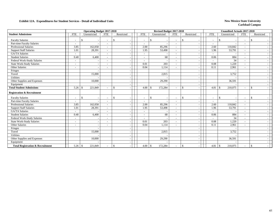|                                             |                          | <b>Operating Budget 2017-2018</b> |                          |               |            |      | Revised Budget 2017-2018 |                          |                                                |                          | <b>Unaudited Actuals 2017-2018</b> |                          |               |
|---------------------------------------------|--------------------------|-----------------------------------|--------------------------|---------------|------------|------|--------------------------|--------------------------|------------------------------------------------|--------------------------|------------------------------------|--------------------------|---------------|
| <b>Student Admissions</b>                   | <b>FTE</b>               | Unrestricted                      | <b>FTE</b>               | Restricted    | <b>FTE</b> |      | Unrestricted             | <b>FTE</b>               | Restricted                                     | <b>FTE</b>               | Unrestricted                       | <b>FTE</b>               | Restricted    |
| <b>Faculty Salaries</b>                     |                          | \$                                | $\overline{\phantom{a}}$ | \$            |            |      | -S                       |                          | <sup>\$</sup>                                  | $\overline{\phantom{a}}$ | S.                                 | $\overline{\phantom{a}}$ | -S            |
| Part-time Faculty Salaries                  | $\blacksquare$           |                                   | $\overline{\phantom{a}}$ |               |            |      |                          |                          |                                                | $\overline{\phantom{a}}$ |                                    | $\overline{\phantom{a}}$ |               |
| <b>Professional Salaries</b>                | 3.85                     | 162,058                           | $\sim$                   |               |            | 2.00 | 85,296                   |                          | $\overline{\phantom{a}}$                       | 2.60                     | 110,842                            | $\sim$                   |               |
| <b>Support Staff Salaries</b>               | 1.01                     | 28,391                            | $\overline{\phantom{a}}$ |               |            | 1.95 | 53,498                   | $\sim$                   | $\overline{\phantom{a}}$                       | 1.96                     | 53,791                             | $\overline{\phantom{a}}$ |               |
| GA/TA Salaries                              | $\overline{\phantom{a}}$ |                                   | $\overline{\phantom{a}}$ |               |            |      |                          | $\overline{\phantom{a}}$ |                                                | $\overline{\phantom{a}}$ |                                    | $\overline{\phantom{a}}$ |               |
| <b>Student Salaries</b>                     | 0.40                     | 6,400                             | $\overline{\phantom{a}}$ |               |            |      | 68                       | $\overline{\phantom{0}}$ |                                                | 0.06                     | 884                                | $\overline{\phantom{a}}$ |               |
| Federal Work-Study Salaries                 | $\overline{\phantom{a}}$ |                                   | $\overline{\phantom{a}}$ |               |            |      |                          |                          |                                                |                          | 34                                 |                          |               |
| <b>State Work-Study Salaries</b>            | $\overline{\phantom{a}}$ |                                   | $\overline{\phantom{a}}$ |               |            | 0.01 | 203                      | $\sim$                   | $\overline{\phantom{a}}$                       | 0.08                     | 1,220                              | $\sim$                   |               |
| <b>Other Salaries</b>                       | $\blacksquare$           |                                   | $\overline{\phantom{a}}$ |               |            | 0.04 | 1,114                    |                          |                                                | 0.11                     | 2,961                              | $\overline{\phantom{a}}$ |               |
| Fringes                                     |                          |                                   |                          |               |            |      |                          |                          |                                                |                          |                                    |                          |               |
| Travel                                      |                          | 15,000                            |                          |               |            |      | 2,815                    |                          | $\overline{\phantom{a}}$                       |                          | 3,752                              |                          |               |
| Utilities                                   |                          |                                   |                          |               |            |      |                          |                          | $\overline{\phantom{a}}$                       |                          |                                    |                          |               |
| Other Supplies and Expenses                 |                          | 10,000                            |                          |               |            |      | 29,290                   |                          |                                                |                          | 36,591                             |                          |               |
| Equipment                                   |                          |                                   |                          |               |            |      |                          |                          |                                                |                          |                                    |                          |               |
| <b>Total Student Admissions</b>             | 5.26                     | 221,849<br>-\$                    | $\overline{\phantom{a}}$ | <sup>\$</sup> |            | 4.00 | 172,284<br>-\$           |                          | $\mathbf{\$}$<br>$\overline{\phantom{a}}$      | 4.81                     | 210,075<br>-S                      | $\overline{\phantom{a}}$ | $\mathcal{S}$ |
| <b>Registration &amp; Recruitment</b>       |                          |                                   |                          |               |            |      |                          |                          |                                                |                          |                                    |                          |               |
| <b>Faculty Salaries</b>                     |                          | <sup>\$</sup>                     | $\blacksquare$           | <sup>\$</sup> |            |      | <sup>\$</sup>            |                          | \$                                             | $\overline{\phantom{a}}$ | $\mathcal{S}$                      | $\overline{\phantom{a}}$ | <sup>\$</sup> |
| Part-time Faculty Salaries                  | $\overline{\phantom{a}}$ |                                   | $\overline{\phantom{a}}$ |               |            |      |                          |                          |                                                |                          |                                    | $\overline{\phantom{a}}$ |               |
| Professional Salaries                       | 3.85                     | 162,058                           | $\overline{\phantom{a}}$ |               |            | 2.00 | 85,296                   | $\overline{\phantom{a}}$ |                                                | 2.60                     | 110,842                            | $\sim$                   |               |
| <b>Support Staff Salaries</b>               | 1.01                     | 28,391                            | $\overline{\phantom{a}}$ |               |            | 1.95 | 53,498                   | $\overline{\phantom{0}}$ |                                                | 1.96                     | 53,791                             | $\overline{\phantom{a}}$ |               |
| <b>GA/TA Salaries</b>                       |                          |                                   | $\overline{\phantom{a}}$ |               |            |      |                          |                          |                                                |                          |                                    |                          |               |
| <b>Student Salaries</b>                     | 0.40                     | 6,400                             | $\overline{\phantom{a}}$ |               |            |      | 68                       |                          |                                                | 0.06                     | 884                                | $\overline{\phantom{a}}$ |               |
| Federal Work-Study Salaries                 | $\sim$                   |                                   | $\overline{\phantom{a}}$ |               |            |      |                          |                          |                                                | $\sim$                   | 34                                 | $\sim$                   |               |
| <b>State Work-Study Salaries</b>            | $\sim$                   |                                   | $\overline{\phantom{a}}$ |               |            | 0.01 | 203                      |                          |                                                | 0.08                     | 1,220                              | $\sim$                   |               |
| Other Salaries                              |                          |                                   | $\overline{\phantom{a}}$ |               |            | 0.04 | 1,114                    |                          | $\overline{\phantom{a}}$                       | 0.11                     | 2,961                              | $\overline{\phantom{a}}$ |               |
| Fringes                                     |                          |                                   |                          |               |            |      |                          |                          | $\overline{\phantom{a}}$                       |                          |                                    |                          |               |
| Travel                                      |                          | 15,000                            |                          |               |            |      | 2,815                    |                          |                                                |                          | 3,752                              |                          |               |
| <b>Utilities</b>                            |                          |                                   |                          |               |            |      |                          |                          |                                                |                          |                                    |                          |               |
| Other Supplies and Expenses                 |                          | 10,000                            |                          |               |            |      | 29,290                   |                          |                                                |                          | 36,591                             |                          |               |
| Equipment                                   |                          |                                   |                          |               |            |      |                          |                          | $\overline{\phantom{a}}$                       |                          |                                    |                          |               |
| <b>Total Registration &amp; Recruitment</b> | 5.26                     | \$<br>221,849                     | $\overline{\phantom{a}}$ | $\sqrt{5}$    |            | 4.00 | 172,284<br>-\$           |                          | $\mathbf{\hat{S}}$<br>$\overline{\phantom{a}}$ | 4.81                     | 210,075<br>$\mathcal{S}$           | $\overline{\phantom{a}}$ | $\mathcal{S}$ |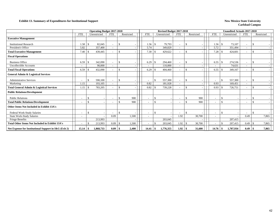#### **Exhibit 13. Summary of Expenditures for Institutional Support** New Mexico State University

|                                                        |                          | <b>Operating Budget 2017-2018</b> |            |               |                          |     | Revised Budget 2017-2018 |            |            |        |            | <b>Unaudited Actuals 2017-2018</b> |                          |                    |       |
|--------------------------------------------------------|--------------------------|-----------------------------------|------------|---------------|--------------------------|-----|--------------------------|------------|------------|--------|------------|------------------------------------|--------------------------|--------------------|-------|
|                                                        | <b>FTE</b>               | Unrestricted                      | <b>FTE</b> | Restricted    | <b>FTE</b>               |     | Unrestricted             | <b>FTE</b> | Restricted |        | <b>FTE</b> | Unrestricted                       | <b>FTE</b>               | Restricted         |       |
| <b>Executive Management</b>                            |                          |                                   |            |               |                          |     |                          |            |            |        |            |                                    |                          |                    |       |
| <b>Institutional Research</b>                          | 1.58                     | 82,045<br>-S                      |            | <sup>\$</sup> | 1.56                     | -\$ | 79,793                   |            | £.         |        | 1.56       | 73,107<br>-\$                      |                          | \$                 |       |
| President's Office                                     | 5.82                     | 357,400                           |            |               | 5.74                     |     | 349,829                  |            |            |        | 5.72       | 351,494                            |                          |                    |       |
| <b>Total Executive Management</b>                      | 7.40                     | 439,445<br>-S                     |            | \$.           | 7.30                     |     | 429,622                  |            | -\$        |        | 7.28       | 424,601<br>-8                      |                          | \$                 |       |
| <b>Fiscal Operations</b>                               |                          |                                   |            |               |                          |     |                          |            |            |        |            |                                    |                          |                    |       |
| <b>Business Office</b>                                 | 6.59                     | 342,090<br>-S                     |            | \$.           | 6.29                     |     | 294,460                  |            | £.         |        | 6.55       | 274,536<br>-S                      | $\overline{\phantom{a}}$ | \$                 |       |
| <b>Uncollectible Accounts</b>                          |                          | 90,000                            |            |               |                          |     | 110,000                  |            |            |        |            | 74,631                             |                          |                    |       |
| <b>Total Fiscal Operations</b>                         | 6.59                     | 432,090<br>-\$                    |            | <sup>\$</sup> | 6.29                     |     | 404,460                  |            | -\$        |        | 6.55       | 349,167<br>-8                      |                          | \$                 |       |
| <b>General Admin &amp; Logistical Services</b>         |                          |                                   |            |               |                          |     |                          |            |            |        |            |                                    |                          |                    |       |
| <b>Administrative Services</b>                         | $\overline{\phantom{a}}$ | 590,100<br>$\mathcal{S}$          |            | <sup>\$</sup> |                          | -\$ | 557,300                  |            |            |        |            | $\mathcal{S}$<br>557,300           | $\overline{\phantom{a}}$ | \$                 |       |
| Marketing                                              | 1.15                     | 193,105                           |            |               | 0.82                     |     | 181,928                  |            |            |        | 0.93       | 169,451                            |                          |                    |       |
| <b>Total General Admin &amp; Logistical Services</b>   | 1.15                     | 783,205<br>-\$                    |            | £.            | 0.82                     |     | 739,228                  |            | -\$        |        | 0.93       | 726,751<br>-8                      |                          | $\mathbf{\hat{S}}$ |       |
| <b>Public Relations/Development</b>                    |                          |                                   |            |               |                          |     |                          |            |            |        |            |                                    |                          |                    |       |
| <b>Public Relations</b>                                | $\overline{\phantom{a}}$ | $\mathcal{S}$                     |            | 900<br>\$     |                          | -\$ |                          |            | £.         | 900    |            | -\$                                |                          | \$                 |       |
| <b>Total Public Relations/Development</b>              |                          | $\hat{\mathbf{S}}$                |            | 900<br>£.     |                          |     |                          |            |            | 900    |            | $\mathcal{S}$                      |                          | $\mathbb{S}$       |       |
| Other Items Not Included in Exhibit 13A's              |                          |                                   |            |               |                          |     |                          |            |            |        |            |                                    |                          |                    |       |
| Federal Work-Study Salaries                            | $\overline{\phantom{a}}$ | -\$                               |            | <sup>\$</sup> | $\sim$                   | -\$ |                          |            | -\$        |        |            | -\$                                |                          | <sup>\$</sup>      |       |
| <b>State Work-Study Salaries</b>                       | $\overline{\phantom{a}}$ |                                   | 0.09       | 1,500         | $\overline{\phantom{0}}$ |     |                          | 1.92       |            | 30,700 |            |                                    | 0.49                     |                    | 7,865 |
| Fringe Benefits                                        |                          | 213,993                           |            |               |                          |     | 203,045                  |            |            |        |            | 207,415                            |                          |                    |       |
| <b>Total Other Items Not Included in Exhibit 13A's</b> |                          | 213,993                           | 0.09       | 1,500<br>-S   |                          |     | 203,045                  | 1.92       | -\$        | 30,700 |            | 207,415<br>-\$                     | 0.49                     |                    | 7,865 |
| Net Expense for Institutional Support in I&G (Exh 2)   | 15.14                    | 1.868.733<br>-8                   | 0.09       | 2,400<br>-\$  | 14.41                    |     | 1.776.355                | 1.92       | - \$       | 31,600 | 14.76      | 1,707,934<br>-\$                   | 0.49                     |                    | 7,865 |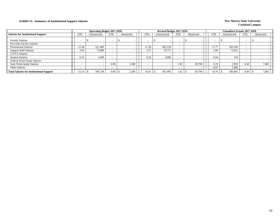## **Exhibit 13. Summary of Institutional Support Salaries New Mexico State University**

|                                                 |                          | <b>Operating Budget 2017-2018</b> |            |            |            | Revised Budget 2017-2018 |                          |            |            | <b>Unaudited Actuals 2017-2018</b> |                          |            |  |
|-------------------------------------------------|--------------------------|-----------------------------------|------------|------------|------------|--------------------------|--------------------------|------------|------------|------------------------------------|--------------------------|------------|--|
| <b>Salaries for Institutional Support</b>       | <b>FTE</b>               | Unrestricted                      | <b>FTE</b> | Restricted | <b>FTE</b> | Unrestricted             | <b>FTE</b>               | Restricted | <b>FTE</b> | Unrestricted                       | <b>FTE</b>               | Restricted |  |
| <b>Faculty Salaries</b>                         |                          | $\sim$                            |            |            |            |                          | $\overline{\phantom{a}}$ |            |            |                                    | $\overline{\phantom{0}}$ |            |  |
| Part-time Faculty Salaries                      |                          |                                   |            |            |            |                          | $\overline{\phantom{a}}$ |            |            |                                    |                          |            |  |
| <b>Professional Salaries</b>                    | 12.38                    | 521.469                           |            |            | 11.58      | 493.128                  |                          |            | 11.77      | 501.020                            |                          |            |  |
| <b>Support Staff Salaries</b>                   | 2.60                     | 72,889                            |            |            | 2.57       | 70,771                   |                          |            | 2.69       | 73,912                             | $\overline{\phantom{0}}$ |            |  |
| <b>GA/TA Salaries</b>                           |                          |                                   |            |            |            |                          |                          |            |            |                                    |                          |            |  |
| <b>Student Salaries</b>                         | 0.16                     | 2,400                             |            |            | 0.26       | 4.096                    |                          |            | 0.04       | 534                                |                          |            |  |
| <b>Federal Work-Study Salaries</b>              | $\overline{\phantom{0}}$ |                                   |            |            |            |                          |                          |            |            |                                    |                          |            |  |
| <b>State Work-Study Salaries</b>                |                          |                                   | 0.09       | 1,500      |            |                          | 1.92                     | 30,700     | 0.19       | 2,950                              | 0.49                     | 7,865      |  |
| Other Salaries                                  |                          |                                   |            |            |            |                          |                          |            | 0.07       | 1.985                              |                          |            |  |
| <b>Total Salaries for Institutional Support</b> | 15.14                    | 596,758                           |            | 1,500      | 14.41      | 567,995                  | 1.92                     | 30,700     | 14.76      | 580,401                            | 0.49                     | 7,865      |  |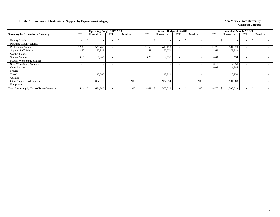## **Exhibit 13. Summary of Institutional Support by Expenditure Category New Mexico State University New Mexico State University**

|                                              |                          | <b>Operating Budget 2017-2018</b> |            |            |                          | Revised Budget 2017-2018 |                          |            |       | <b>Unaudited Actuals 2017-2018</b> |                          |            |  |
|----------------------------------------------|--------------------------|-----------------------------------|------------|------------|--------------------------|--------------------------|--------------------------|------------|-------|------------------------------------|--------------------------|------------|--|
| <b>Summary by Expenditure Category</b>       | FTE                      | Unrestricted                      | <b>FTE</b> | Restricted | <b>FTE</b>               | Unrestricted             | <b>FTE</b>               | Restricted | FTE   | Unrestricted                       | <b>FTE</b>               | Restricted |  |
| <b>Faculty Salaries</b>                      |                          | $\overline{\phantom{a}}$          |            |            |                          |                          | $\overline{\phantom{a}}$ |            |       |                                    | $\overline{\phantom{a}}$ |            |  |
| Part-time Faculty Salaries                   | $\overline{\phantom{0}}$ |                                   |            |            | -                        |                          | $\overline{\phantom{0}}$ |            |       |                                    | $\overline{\phantom{a}}$ |            |  |
| <b>Professional Salaries</b>                 | 12.38                    | 521,469                           |            |            | 11.58                    | 493,128                  |                          |            | 11.77 | 501,020                            | $\overline{\phantom{a}}$ |            |  |
| <b>Support Staff Salaries</b>                | 2.60                     | 72,889                            |            |            | 2.57                     | 70,771                   |                          |            | 2.69  | 73,912                             | $\overline{\phantom{a}}$ |            |  |
| GA/TA Salaries                               |                          |                                   |            |            |                          |                          | -                        |            |       |                                    | $\overline{\phantom{0}}$ |            |  |
| <b>Student Salaries</b>                      | 0.16                     | 2,400                             |            |            | 0.26                     | 4,096                    |                          |            | 0.04  | 534                                | $\overline{\phantom{0}}$ |            |  |
| Federal Work-Study Salaries                  | $\overline{\phantom{a}}$ |                                   |            |            | $\overline{\phantom{0}}$ |                          | $\overline{\phantom{0}}$ |            |       |                                    | $\overline{\phantom{a}}$ |            |  |
| <b>State Work-Study Salaries</b>             | $\overline{\phantom{0}}$ |                                   |            |            | $\overline{\phantom{0}}$ |                          | $\overline{\phantom{0}}$ |            | 0.19  | 2,950                              | $\overline{\phantom{a}}$ |            |  |
| Other Salaries                               | $\overline{\phantom{0}}$ |                                   |            |            | $\overline{\phantom{a}}$ |                          | $\overline{\phantom{a}}$ |            | 0.07  | 1,985                              | $\overline{\phantom{a}}$ |            |  |
| Fringes                                      |                          |                                   |            |            |                          |                          |                          |            |       |                                    |                          |            |  |
| Travel                                       |                          | 43,065                            |            |            |                          | 32,991                   |                          |            |       | 18,230                             |                          |            |  |
| <b>Utilities</b>                             |                          |                                   |            |            |                          |                          |                          |            |       |                                    |                          |            |  |
| Other Supplies and Expenses                  |                          | 1,014,917                         |            | 900        |                          | 972,324                  |                          | 900        |       | 901,888                            |                          |            |  |
| Equipment                                    |                          |                                   |            |            |                          |                          |                          |            |       |                                    |                          |            |  |
| <b>Total Summary by Expenditure Category</b> | 15.14                    | 1,654,740<br>\$                   |            | 900        | 14.41                    | 1,573,310                |                          | 900        | 14.76 | 1,500,519                          | $\overline{\phantom{a}}$ |            |  |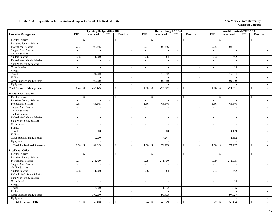|                                                          |                          | <b>Operating Budget 2017-2018</b> |                          |                                          |                             | Revised Budget 2017-2018       |                             |                                          |                             | <b>Unaudited Actuals 2017-2018</b>        |                             |                                          |
|----------------------------------------------------------|--------------------------|-----------------------------------|--------------------------|------------------------------------------|-----------------------------|--------------------------------|-----------------------------|------------------------------------------|-----------------------------|-------------------------------------------|-----------------------------|------------------------------------------|
| <b>Executive Management</b>                              | <b>FTE</b>               | Unrestricted                      | <b>FTE</b>               | Restricted                               | <b>FTE</b>                  | Unrestricted                   | <b>FTE</b>                  | Restricted                               | <b>FTE</b>                  | Unrestricted                              | <b>FTE</b>                  | Restricted                               |
| <b>Faculty Salaries</b>                                  | $\overline{\phantom{a}}$ | \$                                | $\overline{a}$           | $\mathcal{S}$                            | $\sim$                      | \$                             | $\sim$                      | $\mathbf S$                              | $\sim$                      | $\mathcal{S}$                             | $\overline{\phantom{a}}$    | \$                                       |
| Part-time Faculty Salaries                               | $\overline{a}$           |                                   | $\sim$                   |                                          | $\sim$                      | $\overline{a}$                 | $\sim$                      | $\sim$                                   | $\sim$                      |                                           | $\sim$                      |                                          |
| <b>Professional Salaries</b>                             | 7.32                     | 308,245                           | $\sim$                   | $\overline{\phantom{a}}$                 | 7.24                        | 308,246                        | $\overline{\phantom{a}}$    | $\overline{\phantom{a}}$                 | 7.25                        | 308,631                                   | $\sim$                      |                                          |
| <b>Support Staff Salaries</b>                            | $\sim$                   |                                   | $\overline{\phantom{a}}$ | $\sim$                                   | $\sim$                      | $\overline{\phantom{a}}$       | $\sim$                      | $\overline{\phantom{a}}$                 | $\sim$                      | $\sim$                                    | $\sim$                      | $\sim$                                   |
| GA/TA Salaries                                           | $\sim$                   | $\overline{\phantom{a}}$          | $\sim$                   |                                          | $\sim$                      | $\overline{\phantom{a}}$       | $\sim$                      |                                          | $\sim$                      | $\sim$                                    |                             | $\sim$                                   |
| <b>Student Salaries</b>                                  | 0.08                     | 1,200                             | $\overline{\phantom{a}}$ | $\sim$<br>$\sim$                         | 0.06                        | 884                            | $\sim$                      | $\sim$<br>$\sim$                         | 0.03                        | 442                                       | $\sim$<br>$\sim$            |                                          |
|                                                          |                          |                                   |                          |                                          |                             |                                |                             |                                          |                             |                                           |                             | $\overline{a}$                           |
| Federal Work-Study Salaries<br>State Work-Study Salaries | $\mathcal{L}$            | $\sim$                            | $\sim$                   | $\sim$                                   | $\mathcal{L}$               | $\sim$                         | $\mathcal{L}_{\mathcal{A}}$ | $\sim$                                   | $\mathbb{Z}^2$              | $\sim$<br>$\sim$                          | $\overline{\phantom{a}}$    | $\overline{\phantom{a}}$                 |
| Other Salaries                                           | $\mathcal{L}$            | $\sim$                            | $\mathbb{Z}^2$           |                                          | $\mathcal{L}_{\mathcal{A}}$ | $\overline{a}$                 | $\mathcal{L}_{\mathcal{A}}$ | $\overline{a}$                           | $\sim$                      |                                           | $\mathcal{L}_{\mathcal{A}}$ | $\overline{\phantom{a}}$                 |
|                                                          | $\overline{\phantom{a}}$ | $\overline{\phantom{a}}$          | $\sim$                   | $\sim$                                   | $\sim$                      | $\overline{\phantom{a}}$       | $\sim$                      | $\blacksquare$                           | $\sim$                      | 35                                        | $\sim$                      | $\sim$                                   |
| Fringes                                                  |                          | $\overline{a}$                    |                          | $\sim$                                   |                             | $\overline{a}$                 |                             | $\sim$                                   |                             | $\overline{a}$                            |                             | $\overline{\phantom{a}}$                 |
| Travel                                                   |                          | 21,000                            |                          | $\sim$                                   |                             | 17,812                         |                             | $\sim$                                   |                             | 15,504                                    |                             | $\overline{\phantom{a}}$                 |
| Utilities                                                |                          |                                   |                          | $\sim$                                   |                             |                                |                             | $\sim$                                   |                             |                                           |                             |                                          |
| Other Supplies and Expenses                              |                          | 109,000                           |                          | $\sim$                                   |                             | 102,680                        |                             | $\overline{\phantom{a}}$                 |                             | 99,989                                    |                             | $\sim$                                   |
| Equipment                                                |                          |                                   |                          | $\sim$                                   |                             |                                |                             | $\sim$                                   |                             |                                           |                             | $\sim$                                   |
| <b>Total Executive Management</b>                        | 7.40                     | 439,445<br>$\mathbf{\hat{s}}$     | $\sim$                   | $\mathbf{\hat{S}}$                       | 7.30                        | $\mathbb{S}$<br>429,622        | $\sim$                      | $\mathbb{S}$<br>$\overline{a}$           | 7.28                        | $\vert$ \$<br>424,601                     | $\overline{\phantom{a}}$    | $\mathbf S$                              |
| <b>Institutional Research</b>                            |                          |                                   |                          |                                          |                             |                                |                             |                                          |                             |                                           |                             |                                          |
| <b>Faculty Salaries</b>                                  | $\overline{\phantom{a}}$ | \$<br>$\overline{\phantom{a}}$    | $\overline{\phantom{a}}$ | $\mathbb{S}$<br>$\overline{\phantom{a}}$ | $\sim$                      | \$<br>$\overline{\phantom{a}}$ | $\sim$                      | \$<br>$\overline{\phantom{a}}$           | $\sim$                      | $\mathcal{S}$<br>$\overline{\phantom{a}}$ | $\sim$                      | \$<br>$\sim$                             |
| Part-time Faculty Salaries                               | $\sim$                   | $\overline{a}$                    | $\sim$                   | $\overline{\phantom{a}}$                 | $\sim$                      | $\sim$                         | $\sim$                      | $\sim$                                   | $\sim$                      | $\overline{\phantom{a}}$                  | $\sim$                      | $\sim$                                   |
| Professional Salaries                                    | 1.58                     | 66,545                            | $\sim$                   |                                          | 1.56                        | 66,546                         | $\sim$                      | $\overline{\phantom{a}}$                 | 1.56                        | 66,546                                    | $\sim$                      | $\sim$                                   |
| <b>Support Staff Salaries</b>                            | $\overline{\phantom{a}}$ |                                   | $\sim$                   | $\sim$                                   | $\mathcal{L}_{\mathcal{A}}$ |                                | $\overline{\phantom{a}}$    | $\overline{\phantom{a}}$                 | $\sim$                      | $\overline{\phantom{a}}$                  | $\sim$                      |                                          |
| GA/TA Salaries                                           | $\overline{\phantom{a}}$ | $\sim$                            | $\sim$                   | $\sim$                                   | $\sim$                      | $\sim$                         | $\sim$                      | $\overline{a}$                           | $\mathbb{Z}^2$              | $\sim$                                    | $\mathcal{L}$               | $\sim$                                   |
| <b>Student Salaries</b>                                  | $\sim$                   | $\overline{\phantom{a}}$          | $\sim$                   | $\sim$                                   | $\overline{\phantom{a}}$    | $\sim$                         | $\sim$                      | $\overline{\phantom{a}}$                 | $\sim$                      | $\overline{\phantom{a}}$                  | $\sim$                      | $\overline{\phantom{a}}$                 |
| Federal Work-Study Salaries                              | $\sim$                   | $\sim$                            | $\sim$                   | $\sim$                                   | $\sim$                      | $\sim$                         | $\sim$                      | $\sim$                                   | $\sim$                      | $\sim$                                    | $\sim$                      | $\sim$                                   |
| <b>State Work-Study Salaries</b>                         | $\overline{a}$           | $\overline{\phantom{a}}$          | $\sim$                   | $\sim$                                   | $\sim$                      | $\overline{\phantom{a}}$       | $\sim$                      | $\sim$                                   | $\sim$                      | $\sim$                                    | $\sim$                      | $\overline{\phantom{a}}$                 |
| Other Salaries                                           | $\sim$                   | $\sim$                            | $\overline{\phantom{a}}$ | $\sim$                                   | $\overline{\phantom{a}}$    | $\overline{\phantom{a}}$       | $\sim$                      | $\sim$                                   | $\sim$                      | $\sim$                                    | $\sim$                      |                                          |
| Fringes                                                  |                          | $\sim$                            |                          | $\sim$                                   |                             | $\sim$                         |                             | $\sim$                                   |                             | $\sim$                                    |                             | $\sim$                                   |
| Travel                                                   |                          | 6,500                             |                          | $\sim$                                   |                             | 6,000                          |                             | $\sim$                                   |                             | 4,199                                     |                             | $\sim$                                   |
| Utilities                                                |                          |                                   |                          | $\sim$                                   |                             |                                |                             | $\sim$                                   |                             |                                           |                             | $\overline{\phantom{a}}$                 |
| Other Supplies and Expenses                              |                          | 9,000                             |                          | $\overline{\phantom{a}}$                 |                             | 7,247                          |                             | $\mathcal{L}_{\mathcal{A}}$              |                             | 2,362                                     |                             | $\sim$                                   |
| Equipment                                                |                          |                                   |                          |                                          |                             |                                |                             | $\overline{\phantom{a}}$                 |                             |                                           |                             | $\sim$                                   |
|                                                          |                          |                                   |                          |                                          |                             |                                |                             |                                          |                             |                                           |                             |                                          |
| <b>Total Institutional Research</b>                      | 1.58                     | 82,045<br>$\mathcal{S}$           | $\sim$                   | $\mathbf{\hat{S}}$<br>$\sim$             | 1.56                        | \$<br>79,793                   | $\sim$                      | $\mathbf{\hat{S}}$<br>$\sim$             | 1.56                        | $\mathbf{\hat{S}}$<br>73,107              | $\sim$                      | $\mathbb{S}$<br>$\overline{a}$           |
| <b>President's Office</b>                                |                          |                                   |                          |                                          |                             |                                |                             |                                          |                             |                                           |                             |                                          |
| <b>Faculty Salaries</b>                                  | $\overline{\phantom{a}}$ | $\mathbb{S}$<br>$\sim$            | $\mathbb{L}$             | $\mathbb{S}$                             | $\blacksquare$              | \$<br>$\overline{\phantom{a}}$ | $\sim$                      | $\mathbb{S}$<br>$\overline{\phantom{a}}$ | $\mathcal{L}_{\mathcal{A}}$ | $\mathcal{S}$<br>$\sim$                   | $\sim$                      | $\mathbb{S}$<br>$\overline{\phantom{a}}$ |
| Part-time Faculty Salaries                               | $\sim$                   | $\overline{\phantom{a}}$          | $\sim$                   | $\overline{\phantom{a}}$                 | $\sim$                      | $\overline{\phantom{a}}$       | $\sim$                      | $\blacksquare$                           | $\sim$                      |                                           | $\sim$                      | $\sim$                                   |
| <b>Professional Salaries</b>                             | 5.74                     | 241,700                           | $\sim$                   | $\sim$                                   | 5.68                        | 241,700                        | $\sim$                      | $\sim$                                   | 5.69                        | 242,085                                   | $\sim$                      |                                          |
| <b>Support Staff Salaries</b>                            | $\sim$                   |                                   | $\sim$                   | $\sim$                                   | $\sim$                      |                                | $\sim$                      | $\sim$                                   | $\sim$                      | $\overline{\phantom{a}}$                  | $\sim$                      | $\sim$                                   |
| GA/TA Salaries                                           | $\mathcal{L}$            |                                   | $\overline{\phantom{a}}$ | $\sim$                                   | $\sim$                      |                                | $\sim$                      | $\overline{\phantom{a}}$                 | $\sim$                      |                                           | $\sim$                      | $\sim$                                   |
| <b>Student Salaries</b>                                  | 0.08                     | 1,200                             | $\sim$                   | $\sim$                                   | 0.06                        | 884                            | $\overline{\phantom{a}}$    | $\overline{\phantom{a}}$                 | 0.03                        | 442                                       | $\sim$                      | $\sim$                                   |
| Federal Work-Study Salaries                              | $\sim$                   | $\overline{\phantom{a}}$          | $\sim$                   | $\sim$                                   | $\sim$                      | $\overline{\phantom{a}}$       | $\sim$                      | $\mathcal{L}_{\mathcal{A}}$              | $\sim$                      | $\sim$                                    | $\sim$                      | $\sim$                                   |
| State Work-Study Salaries                                | $\sim$                   | $\overline{\phantom{a}}$          | $\sim$                   | $\sim$                                   | $\sim$                      | $\sim$                         | $\sim$                      | $\sim$                                   | $\sim$                      | $\sim$                                    | $\sim$                      | $\sim$                                   |
| Other Salaries                                           | $\overline{\phantom{a}}$ | $\overline{\phantom{a}}$          | $\sim$                   | $\sim$                                   | $\sim$                      | $\overline{\phantom{a}}$       | $\sim$                      | $\sim$                                   | $\sim$                      | 35                                        | $\sim$                      | $\overline{\phantom{a}}$                 |
| Fringes                                                  |                          |                                   |                          | $\sim$                                   |                             | $\overline{\phantom{a}}$       |                             | $\overline{\phantom{a}}$                 |                             |                                           |                             |                                          |
| Travel                                                   |                          | 14,500                            |                          | $\sim$                                   |                             | 11,812                         |                             | $\overline{a}$                           |                             | 11,305                                    |                             |                                          |
| Utilities                                                |                          |                                   |                          | $\sim$                                   |                             |                                |                             | $\blacksquare$                           |                             |                                           |                             | $\overline{\phantom{a}}$                 |
| Other Supplies and Expenses                              |                          | 100,000                           |                          | $\sim$                                   |                             | 95,433                         |                             | $\sim$                                   |                             | 97,627                                    |                             | $\sim$                                   |
| Equipment                                                |                          |                                   |                          | $\sim$                                   |                             |                                |                             | $\sim$                                   |                             |                                           |                             | $\sim$                                   |
| <b>Total President's Office</b>                          | 5.82                     | 357,400<br>$\mathbb{S}$           |                          | $\mathcal{S}$                            | 5.74                        | $\mathbb{S}$<br>349,829        |                             | $\mathcal{S}$                            | 5.72                        | $\mathbf{\hat{s}}$<br>351,494             |                             | $\mathbb{S}$                             |
|                                                          |                          |                                   |                          |                                          |                             |                                |                             |                                          |                             |                                           |                             |                                          |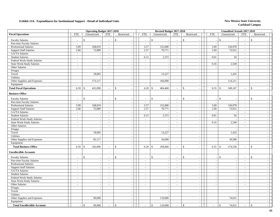|                                     |                          | <b>Operating Budget 2017-2018</b> |                |                         |                          | Revised Budget 2017-2018 |                             |                                           |                          | <b>Unaudited Actuals 2017-2018</b> |                             |                          |  |
|-------------------------------------|--------------------------|-----------------------------------|----------------|-------------------------|--------------------------|--------------------------|-----------------------------|-------------------------------------------|--------------------------|------------------------------------|-----------------------------|--------------------------|--|
| <b>Fiscal Operations</b>            | <b>FTE</b>               | Unrestricted                      | <b>FTE</b>     | Restricted              | <b>FTE</b>               | Unrestricted             | <b>FTE</b>                  | Restricted                                | <b>FTE</b>               | Unrestricted                       | <b>FTE</b>                  | Restricted               |  |
| <b>Faculty Salaries</b>             | $\sim$                   | $\mathbb{S}$<br>$\sim$            | $\sim$         | $\mathcal{S}$           | $\sim$                   | \$                       | $\sim$                      | $\mathbb{S}$                              |                          | $\mathcal{S}$                      | $\overline{\phantom{a}}$    | $\mathbb{S}$             |  |
| Part-time Faculty Salaries          | $\overline{\phantom{a}}$ | $\overline{\phantom{a}}$          | $\sim$         | $\sim$                  | $\sim$                   | $\sim$                   | $\sim$                      | $\overline{\phantom{a}}$                  |                          | $\sim$                             | $\sim$                      |                          |  |
| <b>Professional Salaries</b>        | 3.99                     | 168,019                           | $\sim$         | $\sim$                  | 3.57                     | 152,000                  | $\mathbb{L}^{\mathbb{N}}$   | $\blacksquare$                            | 3.69                     | 156,978                            | $\mathcal{L}_{\mathcal{A}}$ |                          |  |
| <b>Support Staff Salaries</b>       | 2.60                     | 72,889                            | $\sim$         |                         | 2.57                     | 70,771                   | $\mathcal{L}_{\mathcal{A}}$ | $\sim$                                    | 2.69                     | 73,912                             | $\overline{\phantom{a}}$    |                          |  |
| <b>GA/TA Salaries</b>               | $\equiv$                 | $\overline{\phantom{a}}$          | $\blacksquare$ | $\sim$                  | $\mathbb{Z}^2$           |                          | $\overline{\phantom{a}}$    | $\overline{\phantom{a}}$                  |                          |                                    | $\blacksquare$              |                          |  |
| <b>Student Salaries</b>             | $\sim$                   | $\sim$                            | $\sim$         | $\sim$                  | 0.15                     | 2,372                    | $\sim$                      | $\sim$                                    | 0.01                     | 92                                 | $\sim$                      | $\overline{\phantom{a}}$ |  |
| Federal Work-Study Salaries         | $\sim$                   | $\overline{a}$                    | $\sim$         | $\sim$                  | $\sim$                   |                          | $\sim$                      | $\sim$                                    |                          |                                    | $\sim$                      |                          |  |
| <b>State Work-Study Salaries</b>    | $\sim$                   | $\overline{\phantom{a}}$          | $\sim$         | $\sim$                  | $\sim$                   | $\sim$                   | $\sim$                      | $\overline{\phantom{a}}$                  | 0.16                     | 2,549                              | $\sim$                      |                          |  |
| Other Salaries                      | $\overline{\phantom{a}}$ | $\sim$                            | $\sim$         | $\sim$                  | $\overline{\phantom{a}}$ | $\overline{\phantom{a}}$ | $\sim$                      | $\overline{\phantom{a}}$                  |                          | $\overline{\phantom{a}}$           | $\sim$                      | $\overline{\phantom{a}}$ |  |
| Fringes                             |                          | $\sim$                            |                | $\sim$                  |                          | $\overline{\phantom{a}}$ |                             | $\sim$                                    |                          | $\sim$                             |                             | $\overline{\phantom{a}}$ |  |
| Travel                              |                          | 18,065                            |                |                         |                          | 13,227                   |                             | $\sim$                                    |                          | 1,425                              |                             |                          |  |
| Utilities                           |                          |                                   |                | $\sim$                  |                          |                          |                             | $\mathcal{L}$                             |                          |                                    |                             |                          |  |
| Other Supplies and Expenses         |                          | 173,117                           |                | $\sim$                  |                          | 166,090                  |                             | $\sim$                                    |                          | 114,211                            |                             |                          |  |
| Equipment                           |                          |                                   |                | $\sim$                  |                          |                          |                             | $\sim$                                    |                          |                                    |                             | $\sim$                   |  |
| <b>Total Fiscal Operations</b>      | 6.59                     | 432,090<br>$\mathcal{S}$          |                | $\mathcal{S}$           | 6.29                     | \$<br>404,460            |                             | $\mathcal{S}$<br>$\overline{\phantom{a}}$ | 6.55                     | 349,167<br>$\mathbf{\hat{s}}$      | $\sim$                      | $\mathcal{S}$            |  |
| <b>Business Office</b>              |                          |                                   |                |                         |                          |                          |                             |                                           |                          |                                    |                             |                          |  |
| <b>Faculty Salaries</b>             | $\overline{a}$           | $\mathbb{S}$                      | $\sim$         | $\mathcal{S}$           | $\overline{a}$           | $\mathbb{S}$             | $\sim$                      | $\mathbb{S}$                              | $\overline{\phantom{a}}$ | $\mathcal{S}$                      | $\mathbb{Z}^2$              | $\mathbb{S}$             |  |
| Part-time Faculty Salaries          | $\sim$                   | $\sim$                            | $\sim$         | $\sim$                  | $\sim$                   |                          | $\sim$                      | $\sim$                                    |                          |                                    | $\sim$                      |                          |  |
| <b>Professional Salaries</b>        | 3.99                     | 168,019                           | $\sim$         | $\sim$                  | 3.57                     | 152,000                  | $\sim$                      | $\blacksquare$                            | 3.69                     | 156,978                            | $\sim$                      | $\overline{\phantom{a}}$ |  |
| <b>Support Staff Salaries</b>       | 2.60                     | 72,889                            | $\sim$         | $\sim$                  | 2.57                     | 70,771                   | $\mathcal{L}^{\pm}$         | $\sim$                                    | 2.69                     | 73,912                             | $\sim$                      | $\sim$                   |  |
| GA/TA Salaries                      | $\sim$                   | $\sim$                            | $\sim$         | $\sim$                  | $\sim$                   |                          | $\sim$                      | $\sim$                                    |                          |                                    | $\sim$                      | $\overline{\phantom{a}}$ |  |
| <b>Student Salaries</b>             | $\overline{\phantom{a}}$ | $\overline{\phantom{a}}$          | $\sim$         |                         | 0.15                     | 2,372                    | $\overline{\phantom{a}}$    | $\blacksquare$                            | 0.01                     | 92                                 | $\mathcal{L}$               |                          |  |
| Federal Work-Study Salaries         | $\omega$                 | $\sim$                            | $\sim$         | $\sim$                  | $\sim$                   |                          | $\mathcal{L}_{\mathcal{A}}$ | $\overline{\phantom{a}}$                  |                          |                                    | $\overline{\phantom{a}}$    | $\overline{\phantom{a}}$ |  |
| <b>State Work-Study Salaries</b>    | $\omega$                 | $\overline{a}$                    | $\mathcal{L}$  | $\sim$                  | $\sim$                   |                          | $\sim$                      | $\sim$                                    | 0.16                     | 2,549                              | $\sim$                      |                          |  |
| Other Salaries                      | $\overline{a}$           | $\sim$                            | $\sim$         | $\sim$                  | $\mathcal{L}$            | ÷.                       | $\sim$                      | $\sim$                                    |                          |                                    | $\overline{a}$              |                          |  |
| Fringes                             |                          | $\sim$                            |                | $\sim$                  |                          |                          |                             | $\sim$                                    |                          |                                    |                             |                          |  |
| Travel                              |                          | 18,065                            |                | $\sim$                  |                          | 13,227                   |                             | $\sim$                                    |                          | 1,425                              |                             | $\sim$                   |  |
| Utilities                           |                          |                                   |                | $\sim$                  |                          |                          |                             | $\overline{a}$                            |                          |                                    |                             |                          |  |
| Other Supplies and Expenses         |                          | 83,117                            |                |                         |                          | 56,090                   |                             | $\blacksquare$                            |                          | 39,580                             |                             |                          |  |
| Equipment                           |                          |                                   |                | $\sim$                  |                          |                          |                             | $\blacksquare$                            |                          |                                    |                             | $\sim$                   |  |
| <b>Total Business Office</b>        | 6.59                     | 342,090<br>\$                     | $\sim$         | $\mathcal{S}$<br>$\sim$ | 6.29                     | \$<br>294,460            | $\sim$                      | $\mathbf{s}$<br>$\sim$                    | 6.55                     | \$<br>274,536                      | $\sim$                      | $\mathbf{\hat{S}}$       |  |
| <b>Uncollectible Accounts</b>       |                          |                                   |                |                         |                          |                          |                             |                                           |                          |                                    |                             |                          |  |
| <b>Faculty Salaries</b>             |                          | $\mathbf{s}$                      |                | $\mathcal{S}$           |                          | $\mathsf{\$}$            |                             | $\mathbb{S}$                              |                          | $\mathcal{S}$                      |                             | $\mathbb{S}$             |  |
| Part-time Faculty Salaries          | $\overline{a}$           | $\mathbb{L}$                      | $\sim$         | $\sim$                  | $\sim$                   | $\overline{\phantom{a}}$ | $\sim$                      | $\sim$                                    |                          | $\sim$                             | $\sim$                      | $\sim$                   |  |
| Professional Salaries               | $\omega$                 | $\sim$                            | $\sim$         | $\sim$                  | $\sim$                   | $\overline{a}$           | $\mathcal{L}^{\pm}$         | $\sim$                                    | $\overline{a}$           | $\sim$                             | $\sim$                      | $\sim$                   |  |
| <b>Support Staff Salaries</b>       | $\sim$                   | $\sim$                            | $\sim$         | $\sim$                  | $\overline{a}$           |                          | $\sim$                      | $\sim$                                    |                          | $\sim$                             | $\sim$                      |                          |  |
| GA/TA Salaries                      | $\sim$                   | $\sim$                            | $\sim$         | $\sim$                  | $\sim$                   | $\sim$                   | $\sim$                      | $\overline{\phantom{a}}$                  | $\sim$                   | $\sim$                             | $\sim$                      | $\sim$                   |  |
| <b>Student Salaries</b>             | $\sim$                   | $\sim$                            | $\sim$         | $\sim$                  | $\sim$                   | $\overline{\phantom{a}}$ | $\sim$                      | $\sim$                                    | $\overline{\phantom{a}}$ | $\overline{\phantom{a}}$           | $\sim$                      | $\overline{\phantom{a}}$ |  |
| Federal Work-Study Salaries         | $\overline{\phantom{a}}$ | $\mathcal{L}_{\mathcal{A}}$       | $\sim$         | $\sim$                  | $\overline{\phantom{a}}$ | $\sim$                   | $\sim$                      | $\sim$                                    |                          | $\sim$                             | $\mathcal{L}$               | $\overline{\phantom{a}}$ |  |
| State Work-Study Salaries           | $\overline{\phantom{a}}$ |                                   |                |                         | $\sim$                   |                          | $\overline{\phantom{a}}$    | $\overline{\phantom{a}}$                  |                          |                                    | $\sim$                      |                          |  |
| Other Salaries                      | $\omega$                 | $\mathcal{L}_{\mathcal{A}}$       | $\sim$         | $\sim$                  | $\mathcal{L}$            | $\overline{\phantom{a}}$ | $\sim$                      | $\overline{\phantom{a}}$                  |                          | $\sim$                             | $\sim$                      | $\sim$                   |  |
| Fringes                             |                          | $\sim$                            |                | $\sim$                  |                          | $\overline{\phantom{a}}$ |                             | $\overline{a}$                            |                          | $\overline{a}$                     |                             |                          |  |
| Travel                              |                          | $\sim$                            |                | $\sim$                  |                          | $\overline{\phantom{a}}$ |                             | $\sim$                                    |                          | $\sim$                             |                             |                          |  |
| Utilities                           |                          | $\sim$                            |                | $\sim$                  |                          | $\overline{\phantom{a}}$ |                             | $\overline{\phantom{a}}$                  |                          | $\sim$                             |                             | $\sim$                   |  |
| Other Supplies and Expenses         |                          | 90,000                            |                | $\sim$                  |                          | 110,000                  |                             | $\overline{\phantom{a}}$                  |                          | 74,631                             |                             | $\overline{\phantom{a}}$ |  |
| Equipment                           |                          | $\overline{a}$                    |                | $\sim$ 1                |                          |                          |                             | $\mathcal{L}_{\mathcal{A}}$               |                          |                                    |                             | $\sim$                   |  |
| <b>Total Uncollectible Accounts</b> |                          | $\mathsf{I}$<br>90,000            | $\sim$         | $\mathbf{\hat{S}}$      | $\mathcal{L}$            | $\mathbf{s}$<br>110,000  | $\mathcal{L}$               | $\mathcal{S}$<br>$\mathcal{L}$            | $\sim$                   | $\mathbf{\hat{S}}$<br>74,631       | $\overline{\phantom{a}}$    | $\mathbf{s}$             |  |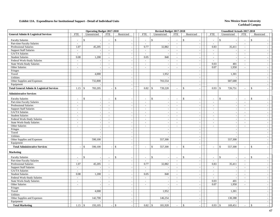|                                                      |                             | <b>Operating Budget 2017-2018</b> |                          |                          |                             |      | Revised Budget 2017-2018 |                             |                                |                          | <b>Unaudited Actuals 2017-2018</b> |                          |                          |  |
|------------------------------------------------------|-----------------------------|-----------------------------------|--------------------------|--------------------------|-----------------------------|------|--------------------------|-----------------------------|--------------------------------|--------------------------|------------------------------------|--------------------------|--------------------------|--|
| <b>General Admin &amp; Logistical Services</b>       | <b>FTE</b>                  | Unrestricted                      | <b>FTE</b>               | Restricted               | <b>FTE</b>                  |      | Unrestricted             | <b>FTE</b>                  | Restricted                     | <b>FTE</b>               | Unrestricted                       | <b>FTE</b>               | Restricted               |  |
| <b>Faculty Salaries</b>                              | $\overline{\phantom{a}}$    | \$<br>$\overline{a}$              | $\overline{\phantom{a}}$ | \$                       | $\mathcal{L}_{\mathcal{A}}$ |      | \$                       | $\overline{\phantom{a}}$    | \$<br>$\overline{\phantom{a}}$ | $\bar{a}$                | \$                                 | $\overline{\phantom{a}}$ | $\mathbf{\hat{s}}$       |  |
| Part-time Faculty Salaries                           |                             |                                   | $\bar{\phantom{a}}$      |                          | $\sim$                      |      |                          | $\sim$                      | $\blacksquare$                 | $\sim$                   |                                    | $\sim$                   |                          |  |
| <b>Professional Salaries</b>                         | 1.07                        | 45,205                            | $\overline{\phantom{a}}$ | $\sim$                   |                             | 0.77 | 32,882                   | $\mathcal{L}_{\mathcal{A}}$ | $\sim$                         | 0.83                     | 35,411                             | $\mathbb{Z}^2$           |                          |  |
| <b>Support Staff Salaries</b>                        | $\sim$                      |                                   | $\mathbb{L}^+$           | $\sim$                   | $\sim$                      |      |                          | $\sim$                      | $\sim$                         | $\sim$                   |                                    | $\sim$                   |                          |  |
| GA/TA Salaries                                       | $\mathbb{Z}^2$              |                                   | $\mathbf{r}$             | $\overline{\phantom{a}}$ | $\mathbb{Z}^+$              |      |                          | $\sim$                      | $\sim$                         | $\mathcal{L}$            |                                    | $\mathbb{Z}^2$           |                          |  |
| <b>Student Salaries</b>                              | 0.08                        | 1,200                             | $\mathbb{L}^+$           | $\sim$                   |                             | 0.05 | 840                      | $\sim$                      | $\sim$                         | $\sim$                   |                                    | $\sim$                   |                          |  |
| Federal Work-Study Salaries                          | $\sim$                      |                                   | $\sim$                   | $\sim$                   | $\sim$                      |      | $\overline{\phantom{a}}$ | $\sim$                      | $\mathcal{L}_{\mathcal{A}}$    | $\sim$                   |                                    | $\sim$                   |                          |  |
| <b>State Work-Study Salaries</b>                     | $\sim$                      | $\sim$                            | $\sim$                   | $\sim$                   | $\sim$                      |      | $\overline{a}$           | $\sim$                      | $\sim$                         | 0.03                     | 401                                | $\sim$                   |                          |  |
| Other Salaries                                       | $\sim$                      | $\overline{\phantom{a}}$          | $\sim$                   |                          | $\overline{a}$              |      |                          | $\sim$                      | $\blacksquare$                 | 0.07                     | 1,950                              | $\sim$                   |                          |  |
| Fringes                                              |                             |                                   |                          |                          |                             |      |                          |                             | $\sim$                         |                          |                                    |                          |                          |  |
| Travel                                               |                             | 4,000                             |                          | $\sim$                   |                             |      | 1,952                    |                             | $\sim$                         |                          | 1,301                              |                          |                          |  |
| <b>Utilities</b>                                     |                             |                                   |                          | $\sim$                   |                             |      |                          |                             | $\sim$                         |                          |                                    |                          |                          |  |
| Other Supplies and Expenses                          |                             | 732,800                           |                          | $\sim$                   |                             |      | 703,554                  |                             | $\mathcal{L}_{\mathcal{A}}$    |                          | 687,688                            |                          |                          |  |
| Equipment                                            |                             |                                   |                          | $\sim$                   |                             |      |                          |                             | $\mathcal{L}$                  |                          |                                    |                          |                          |  |
| <b>Total General Admin &amp; Logistical Services</b> | 1.15                        | 783,205<br>$\mathcal{S}$          | $\overline{a}$           | $\mathbb{S}$             |                             | 0.82 | 739,228<br>\$            | $\sim$                      | \$<br>$\overline{a}$           | 0.93                     | 726,751<br>\$                      | $\sim$                   | \$                       |  |
| <b>Administrative Services</b>                       |                             |                                   |                          |                          |                             |      |                          |                             |                                |                          |                                    |                          |                          |  |
| <b>Faculty Salaries</b>                              | $\overline{\phantom{a}}$    | \$                                |                          | $\mathbb{S}$             | $\overline{a}$              |      | \$                       | $\sim$                      | \$<br>$\sim$                   | $\overline{a}$           | \$                                 |                          | \$                       |  |
| Part-time Faculty Salaries                           | $\sim$                      | $\blacksquare$                    | $\sim$                   | $\sim$                   | $\sim$                      |      | $\overline{\phantom{a}}$ | $\sim$                      | $\mathbb{L}$                   | $\overline{\phantom{a}}$ |                                    | $\overline{a}$<br>$\sim$ |                          |  |
| <b>Professional Salaries</b>                         | $\sim$                      | $\sim$                            | $\sim$                   |                          | $\sim$                      |      |                          | $\sim$                      | $\blacksquare$                 | $\sim$                   |                                    | $\overline{\phantom{a}}$ |                          |  |
| <b>Support Staff Salaries</b>                        | $\overline{\phantom{a}}$    | $\sim$                            | $\blacksquare$           |                          | $\sim$                      |      |                          | $\sim$                      | $\overline{\phantom{a}}$       | $\bar{a}$                | $\overline{\phantom{a}}$           | $\sim$                   |                          |  |
| GA/TA Salaries                                       | $\mathcal{L}_{\mathcal{A}}$ | $\overline{\phantom{a}}$          | $\bar{\mathcal{L}}$      | $\mathcal{L}$            | $\mathcal{L}$               |      |                          | $\mathcal{L}_{\mathcal{A}}$ | $\sim$                         | $\frac{1}{2}$            |                                    | $\mathbb{Z}^2$           |                          |  |
| <b>Student Salaries</b>                              | $\sim$                      | $\sim$                            | $\sim$                   | $\sim$                   | $\sim$                      |      | $\overline{\phantom{a}}$ | $\sim$                      | $\sim$                         | $\overline{a}$           | $\sim$                             | $\sim$                   |                          |  |
| Federal Work-Study Salaries                          | $\sim$                      | $\sim$                            | $\sim$                   | $\sim$                   | $\sim$                      |      |                          | $\sim$                      | $\sim$                         | $\sim$                   |                                    | $\sim$                   |                          |  |
| <b>State Work-Study Salaries</b>                     | $\overline{\phantom{a}}$    | $\overline{\phantom{a}}$          | $\sim$                   | $\overline{\phantom{a}}$ | $\overline{\phantom{a}}$    |      | $\overline{\phantom{a}}$ | $\overline{\phantom{a}}$    | $\sim$                         | $\bar{a}$                |                                    | $\overline{\phantom{a}}$ | $\overline{\phantom{a}}$ |  |
| Other Salaries                                       | $\sim$                      | $\sim$                            | $\sim$                   | $\sim$                   | $\sim$                      |      | $\overline{\phantom{a}}$ | $\sim$                      | $\mathbb{L}$                   | $\sim$                   |                                    | $\overline{a}$<br>$\sim$ | $\sim$                   |  |
| Fringes                                              |                             | $\overline{\phantom{a}}$          |                          | $\sim$                   |                             |      |                          |                             | $\sim$                         |                          | $\overline{\phantom{a}}$           |                          |                          |  |
| Travel                                               |                             | $\overline{\phantom{a}}$          |                          |                          |                             |      |                          |                             | $\overline{\phantom{a}}$       |                          |                                    |                          |                          |  |
| Utilities                                            |                             |                                   |                          | $\overline{\phantom{a}}$ |                             |      |                          |                             | $\overline{\phantom{a}}$       |                          |                                    |                          |                          |  |
| Other Supplies and Expenses                          |                             | 590,100                           |                          | $\sim$                   |                             |      | 557,300                  |                             | $\sim$                         |                          | 557,300                            |                          |                          |  |
| Equipment                                            |                             |                                   |                          | $\sim$                   |                             |      |                          |                             | $\sim$                         |                          |                                    |                          |                          |  |
| <b>Total Administrative Services</b>                 |                             | 590,100<br>$\mathcal{L}$          | ÷,                       | \$                       | $\sim$                      |      | 557,300<br>\$            | $\sim$                      | \$<br>$\sim$                   | $\bar{a}$                | 557,300<br>$\mathcal{S}$           | $\sim$                   | $\mathcal{S}$            |  |
| <b>Marketing</b>                                     |                             |                                   |                          |                          |                             |      |                          |                             |                                |                          |                                    |                          |                          |  |
| <b>Faculty Salaries</b>                              | $\overline{a}$              | \$                                | $\sim$                   | $\mathbb{S}$             | $\overline{a}$              |      | $\mathbb{S}$             | $\sim$                      | \$                             | $\overline{a}$           | $\mathbb{S}$                       | $\overline{\phantom{a}}$ | $\mathbb{S}$             |  |
| Part-time Faculty Salaries                           | $\overline{\phantom{a}}$    | $\overline{a}$                    | $\sim$                   | $\sim$                   | $\sim$                      |      |                          | $\overline{\phantom{a}}$    | $\sim$                         | $\sim$                   |                                    | $\sim$                   |                          |  |
| <b>Professional Salaries</b>                         | 1.07                        | 45,205                            | $\sim$                   | $\sim$                   |                             | 0.77 | 32,882                   | $\sim$                      | $\mathbb{Z}^2$                 | 0.83                     | 35,411                             | $\sim$                   | $\sim$                   |  |
| <b>Support Staff Salaries</b>                        | $\sim$                      | $\overline{a}$                    | $\sim$                   | $\sim$                   | $\sim$                      |      |                          | $\sim$                      | $\overline{\phantom{a}}$       | $\overline{\phantom{a}}$ |                                    | $\sim$                   |                          |  |
| GA/TA Salaries                                       | $\blacksquare$              |                                   | $\blacksquare$           | $\overline{\phantom{a}}$ | $\overline{\phantom{a}}$    |      | $\overline{\phantom{a}}$ | $\sim$                      | $\overline{\phantom{a}}$       | $\blacksquare$           | $\overline{\phantom{a}}$           | $\overline{\phantom{a}}$ | $\overline{\phantom{a}}$ |  |
| <b>Student Salaries</b>                              | 0.08                        | 1,200                             | $\mathbf{r}$             |                          |                             | 0.05 | 840                      | $\overline{\phantom{a}}$    | $\blacksquare$                 | $\overline{a}$           |                                    | $\sim$                   |                          |  |
| Federal Work-Study Salaries                          | $\sim$                      |                                   | $\overline{a}$           | $\sim$                   | $\overline{a}$              |      |                          | $\sim$                      | $\blacksquare$                 | $\sim$                   |                                    | $\sim$                   |                          |  |
| <b>State Work-Study Salaries</b>                     | $\mathbb{Z}^2$              | $\sim$                            | $\sim$                   | $\sim$                   | $\mathbb{Z}^+$              |      | $\sim$                   | $\sim$                      | $\sim$                         | 0.03                     | 401                                | $\mathbb{Z}^2$           |                          |  |
| Other Salaries                                       | $\sim$                      | $\overline{a}$                    | $\sim$                   | $\sim$                   | $\overline{a}$              |      |                          | $\sim$                      | $\mathcal{L}_{\mathcal{A}}$    | 0.07                     | 1,950                              | $\sim$                   |                          |  |
| Fringes                                              |                             | $\sim$                            |                          | $\sim$                   |                             |      | $\overline{\phantom{a}}$ |                             | $\mathbb{Z}^2$                 |                          |                                    |                          | $\sim$                   |  |
| Travel                                               |                             | 4,000                             |                          | $\sim$                   |                             |      | 1,952                    |                             | $\sim$                         |                          | 1,301                              |                          |                          |  |
| Utilities                                            |                             |                                   |                          | $\sim$                   |                             |      |                          |                             | $\overline{\phantom{a}}$       |                          |                                    |                          |                          |  |
| Other Supplies and Expenses                          |                             | 142,700                           |                          |                          |                             |      | 146,254                  |                             | $\sim$                         |                          | 130,388                            |                          |                          |  |
| Equipment                                            |                             |                                   |                          | $\sim$                   |                             |      |                          |                             | $\blacksquare$                 |                          |                                    |                          |                          |  |
|                                                      |                             |                                   |                          |                          |                             |      |                          |                             |                                |                          |                                    |                          |                          |  |
| <b>Total Marketing</b>                               | 1.15                        | 193,105<br>-\$                    |                          | $\sqrt[6]{3}$            |                             | 0.82 | \$<br>181,928            | $\sim$                      | \$<br>$\sim$                   | 0.93                     | $\mathcal{S}$<br>169,451           | $\sim$                   | $\mathcal{S}$            |  |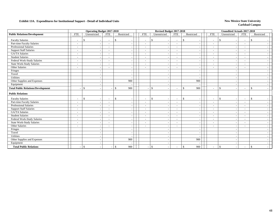|                                           |                          | <b>Operating Budget 2017-2018</b> |                                                      |                     |                          | Revised Budget 2017-2018                 |                          |                                          |                          |               | <b>Unaudited Actuals 2017-2018</b>        |  |
|-------------------------------------------|--------------------------|-----------------------------------|------------------------------------------------------|---------------------|--------------------------|------------------------------------------|--------------------------|------------------------------------------|--------------------------|---------------|-------------------------------------------|--|
| <b>Public Relations/Development</b>       | <b>FTE</b>               | Unrestricted                      | <b>FTE</b>                                           | Restricted          | <b>FTE</b>               | Unrestricted                             | <b>FTE</b>               | Restricted                               | <b>FTE</b>               | Unrestricted  | <b>FTE</b><br>Restricted                  |  |
| <b>Faculty Salaries</b>                   | $\overline{\phantom{a}}$ | \$                                | $\overline{\phantom{a}}$<br>$\overline{\phantom{a}}$ | \$                  | $\overline{\phantom{a}}$ | \$                                       | $\overline{\phantom{a}}$ | $\mathbb{S}$                             | $\overline{\phantom{a}}$ | $\mathbb{S}$  | $\mathcal{S}$<br>$\overline{\phantom{a}}$ |  |
| Part-time Faculty Salaries                | $\overline{a}$           |                                   | $\overline{\phantom{a}}$<br>$\overline{\phantom{a}}$ |                     | $\overline{\phantom{a}}$ |                                          | $\overline{\phantom{a}}$ | $\overline{\phantom{a}}$                 | $\overline{\phantom{a}}$ |               | $\overline{\phantom{a}}$                  |  |
| Professional Salaries                     | $\overline{\phantom{a}}$ |                                   | $\overline{\phantom{a}}$<br>$\sim$                   |                     | $\overline{\phantom{a}}$ | $\overline{\phantom{a}}$                 | $\sim$                   | $\overline{\phantom{a}}$                 | $\overline{\phantom{a}}$ |               | $\overline{\phantom{a}}$                  |  |
| <b>Support Staff Salaries</b>             | $\overline{\phantom{a}}$ |                                   | $\sim$<br>$\overline{\phantom{0}}$                   |                     | $\sim$                   | $\overline{\phantom{a}}$                 | $\overline{\phantom{a}}$ | $\sim$                                   | $\blacksquare$           |               | $\overline{\phantom{a}}$                  |  |
| <b>GA/TA Salaries</b>                     | $\overline{\phantom{a}}$ |                                   | $\sim$<br>۰                                          |                     | $\sim$                   |                                          | $\sim$                   | $\overline{\phantom{a}}$                 | $\overline{\phantom{a}}$ |               | $\overline{\phantom{a}}$                  |  |
| <b>Student Salaries</b>                   | $\overline{\phantom{a}}$ |                                   | $\overline{\phantom{a}}$<br>$\overline{\phantom{a}}$ |                     | $\overline{\phantom{a}}$ |                                          | $\sim$                   | $\overline{\phantom{a}}$                 | $\overline{\phantom{a}}$ |               | $\overline{\phantom{a}}$                  |  |
| Federal Work-Study Salaries               | $\overline{\phantom{a}}$ |                                   | $\overline{\phantom{a}}$<br>$\overline{\phantom{a}}$ |                     | $\overline{\phantom{a}}$ |                                          | $\sim$                   | $\overline{\phantom{a}}$                 | $\overline{\phantom{a}}$ |               | $\overline{\phantom{a}}$                  |  |
| <b>State Work-Study Salaries</b>          | $\overline{\phantom{a}}$ |                                   | $\overline{\phantom{a}}$<br>$\overline{a}$           |                     | $\sim$                   |                                          | $\sim$                   | $\overline{\phantom{a}}$                 | $\overline{\phantom{a}}$ |               | $\overline{a}$                            |  |
| Other Salaries                            | $\overline{\phantom{a}}$ |                                   | $\overline{\phantom{a}}$<br>$\sim$                   |                     | $\sim$                   |                                          | $\overline{\phantom{0}}$ | $\overline{\phantom{a}}$                 | $\overline{\phantom{a}}$ |               |                                           |  |
| Fringes                                   |                          |                                   | $\overline{\phantom{a}}$                             |                     |                          |                                          |                          | $\overline{\phantom{a}}$                 |                          |               |                                           |  |
| Travel                                    |                          |                                   | $\overline{\phantom{a}}$                             |                     |                          |                                          |                          | $\overline{\phantom{a}}$                 |                          |               |                                           |  |
| Utilities                                 |                          |                                   | $\overline{\phantom{a}}$                             |                     |                          |                                          |                          | $\overline{\phantom{a}}$                 |                          |               |                                           |  |
| Other Supplies and Expenses               |                          |                                   | $\overline{\phantom{a}}$                             | 900                 |                          |                                          |                          | 900                                      |                          |               |                                           |  |
| Equipment                                 |                          |                                   | $\overline{\phantom{a}}$                             |                     |                          |                                          |                          |                                          |                          |               |                                           |  |
| <b>Total Public Relations/Development</b> |                          | $\mathbf{\$}$                     | $\overline{a}$                                       | 900<br>\$           | $\sim$                   | $\mathbb{S}$<br>$\overline{\phantom{a}}$ | $\overline{\phantom{a}}$ | 900<br>\$                                | $\overline{\phantom{a}}$ | $\mathbb{S}$  | $\mathbf{s}$<br>$\overline{\phantom{a}}$  |  |
| <b>Public Relations</b>                   |                          |                                   |                                                      |                     |                          |                                          |                          |                                          |                          |               |                                           |  |
| <b>Faculty Salaries</b>                   | $\overline{\phantom{a}}$ | <sup>\$</sup>                     | $\sim$<br>$\overline{\phantom{a}}$                   | \$                  | $\overline{\phantom{a}}$ | \$                                       | $\overline{\phantom{a}}$ | $\mathbb{S}$<br>$\overline{\phantom{a}}$ | $\overline{\phantom{a}}$ | \$            | \$<br>$\sim$                              |  |
| Part-time Faculty Salaries                | $\overline{\phantom{a}}$ |                                   | $\overline{\phantom{a}}$<br>$\overline{\phantom{a}}$ |                     | $\overline{\phantom{a}}$ |                                          | $\overline{\phantom{a}}$ | $\overline{\phantom{a}}$                 | $\overline{\phantom{a}}$ |               | $\overline{\phantom{a}}$                  |  |
| Professional Salaries                     | $\overline{\phantom{a}}$ |                                   | $\overline{\phantom{a}}$<br>$\overline{\phantom{a}}$ |                     | $\overline{\phantom{a}}$ |                                          | $\overline{\phantom{a}}$ | $\overline{\phantom{a}}$                 | $\overline{\phantom{a}}$ |               | $\overline{\phantom{a}}$                  |  |
| <b>Support Staff Salaries</b>             | $\overline{\phantom{a}}$ |                                   | $\overline{\phantom{a}}$<br>$\overline{\phantom{0}}$ |                     | $\overline{\phantom{a}}$ |                                          | $\overline{\phantom{a}}$ | $\overline{\phantom{a}}$                 | $\overline{\phantom{a}}$ |               | $\overline{\phantom{a}}$                  |  |
| GA/TA Salaries                            | $\overline{\phantom{a}}$ |                                   | $\overline{\phantom{a}}$<br>$\overline{\phantom{a}}$ |                     | $\sim$                   | $\sim$                                   | $\sim$                   | $\overline{\phantom{a}}$                 | $\sim$                   |               | $\overline{\phantom{0}}$                  |  |
| <b>Student Salaries</b>                   | $\overline{\phantom{a}}$ |                                   | $\overline{\phantom{a}}$<br>$\overline{\phantom{a}}$ |                     | $\overline{\phantom{a}}$ | $\overline{\phantom{a}}$                 | $\sim$                   | $\overline{\phantom{a}}$                 | $\sim$                   |               | $\overline{\phantom{a}}$                  |  |
| Federal Work-Study Salaries               | $\overline{\phantom{a}}$ |                                   | $\overline{\phantom{a}}$<br>$\overline{\phantom{a}}$ |                     | $\overline{\phantom{a}}$ | $\overline{\phantom{a}}$                 | $\sim$                   | $\overline{\phantom{a}}$                 | $\overline{\phantom{a}}$ |               | $\overline{\phantom{0}}$                  |  |
| <b>State Work-Study Salaries</b>          | $\overline{\phantom{a}}$ |                                   | $\overline{\phantom{a}}$<br>$\overline{\phantom{a}}$ |                     | $\overline{\phantom{a}}$ | $\overline{\phantom{a}}$                 | $\sim$                   | $\overline{\phantom{a}}$                 | $\overline{\phantom{a}}$ |               | $\overline{\phantom{0}}$                  |  |
| Other Salaries                            |                          |                                   | $\sim$<br>$\blacksquare$                             |                     | $\sim$                   |                                          | $\overline{a}$           | $\overline{\phantom{a}}$                 | $\overline{\phantom{a}}$ |               |                                           |  |
| Fringes                                   |                          |                                   | $\overline{\phantom{a}}$                             |                     |                          |                                          |                          | $\overline{\phantom{a}}$                 |                          |               |                                           |  |
| Travel                                    |                          |                                   | $\sim$                                               |                     |                          |                                          |                          | $\overline{\phantom{a}}$                 |                          |               |                                           |  |
| <b>Utilities</b>                          |                          |                                   | $\overline{\phantom{a}}$                             |                     |                          |                                          |                          | $\overline{\phantom{a}}$                 |                          |               |                                           |  |
| Other Supplies and Expenses               |                          |                                   | $\sim$                                               | 900                 |                          |                                          |                          | 900                                      |                          |               |                                           |  |
| Equipment                                 |                          |                                   | $\overline{a}$                                       |                     |                          |                                          |                          |                                          |                          |               |                                           |  |
| <b>Total Public Relations</b>             |                          | $\mathbb{S}$                      | $\overline{\phantom{a}}$<br>$\overline{\phantom{a}}$ | $\mathbb{S}$<br>900 | $\overline{\phantom{a}}$ | \$<br>$\overline{\phantom{a}}$           | $\sim$                   | $\mathbb{S}$<br>900                      | $\overline{\phantom{a}}$ | $\mathcal{S}$ | \$<br>$\overline{\phantom{a}}$            |  |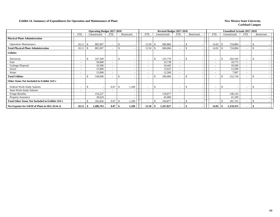#### **Exhibit 14. Summary of Expenditures for Operation and Maintenance of Plant New Mexico State University New Mexico State University**

|                                                 |                          | <b>Operating Budget 2017-2018</b> |                                  |               |       |                          |    | Revised Budget 2017-2018 |                          |            |            |     | <b>Unaudited Actuals 2017-2018</b> |                          |               |   |
|-------------------------------------------------|--------------------------|-----------------------------------|----------------------------------|---------------|-------|--------------------------|----|--------------------------|--------------------------|------------|------------|-----|------------------------------------|--------------------------|---------------|---|
|                                                 | <b>FTE</b>               | Unrestricted                      | <b>FTE</b>                       | Restricted    |       | <b>FTE</b>               |    | Unrestricted             | <b>FTE</b>               | Restricted | <b>FTE</b> |     | Unrestricted                       | <b>FTE</b>               | Restricted    |   |
| <b>Physical Plant Administration</b>            |                          |                                   |                                  |               |       |                          |    |                          |                          |            |            |     |                                    |                          |               |   |
| <b>Operation/Maintenance</b>                    | 18.11                    | 885,907<br>-\$                    | -                                | S             |       | 13.50                    |    | 686,866                  |                          |            | 14.02      |     | 724,884                            | $\overline{\phantom{0}}$ |               |   |
| <b>Total Physical Plant Administration</b>      | 18.11                    | 885,907<br>\$                     | $\overline{\phantom{a}}$         | S             |       | 13.50                    |    | 686,866                  | $\overline{\phantom{0}}$ |            | 14.02      |     | 724,884                            | $\overline{\phantom{0}}$ | -S            |   |
| <b>Utilities</b>                                |                          |                                   |                                  |               |       |                          |    |                          |                          |            |            |     |                                    |                          |               |   |
| Electricity                                     | $\overline{\phantom{a}}$ | 247,500<br>\$                     | $\overline{\phantom{a}}$         | <sup>\$</sup> |       | $\overline{\phantom{a}}$ | č. | 225,776                  | $\sim$                   |            |            | -\$ | 202,593                            | $\overline{\phantom{0}}$ | $\mathcal{S}$ |   |
| Fuel                                            | $\overline{\phantom{a}}$ | 50,000                            | $\overline{\phantom{a}}$         |               |       | $\overline{\phantom{a}}$ |    | 33,738                   |                          |            |            |     | 18,775                             |                          |               |   |
| Garbage Disposal                                | $\overline{\phantom{a}}$ | 10,500                            | $\overline{\phantom{a}}$         |               |       | $\overline{\phantom{a}}$ |    | 10,445                   |                          |            |            |     | 10,506                             |                          |               |   |
| Sewer                                           | $\overline{\phantom{a}}$ | 15,000                            | $\overline{\phantom{0}}$         |               |       | $\overline{\phantom{a}}$ |    | 13,625                   | $\sim$                   |            | $\sim$     |     | 12,949                             |                          |               |   |
| Water                                           | $\overline{\phantom{a}}$ | 15,000                            | $\overline{\phantom{a}}$         |               |       | $\overline{\phantom{0}}$ |    | 12,500                   | $\overline{\phantom{a}}$ |            |            |     | 7,907                              |                          |               |   |
| <b>Total Utilities</b>                          | $\overline{\phantom{0}}$ | 338,000<br>\$                     |                                  | \$            |       |                          |    | 296,084                  |                          |            |            |     | 252,730                            | $\overline{\phantom{0}}$ |               |   |
| Other Items Not Included in Exhibit 14A's       |                          |                                   |                                  |               |       |                          |    |                          |                          |            |            |     |                                    |                          |               |   |
| Federal Work-Study Salaries                     | $\overline{\phantom{a}}$ | \$                                | 0.07<br>$\overline{\phantom{a}}$ | -S            | 1,100 | $\overline{\phantom{a}}$ | .S |                          |                          |            |            |     |                                    | $\overline{\phantom{0}}$ | $\mathcal{S}$ |   |
| <b>State Work-Study Salaries</b>                | $\overline{\phantom{a}}$ |                                   | $\overline{\phantom{0}}$         |               |       |                          |    |                          |                          |            |            |     |                                    |                          |               |   |
| Fringe Benefits                                 |                          | 154,227                           |                                  |               |       |                          |    | 139,877                  |                          |            |            |     | 140,142                            |                          |               |   |
| Property Insurance                              |                          | 28,629                            |                                  |               |       |                          |    | 45,000                   |                          |            |            |     | 41,599                             |                          |               |   |
| Total Other Items Not Included in Exhibit 14A's | $\overline{\phantom{a}}$ | 182,856<br><sup>\$</sup>          | 0.07                             | -S            | 1,100 |                          |    | 184,877                  |                          |            |            |     | 181,741                            | $\overline{\phantom{a}}$ | $\mathcal{S}$ |   |
| Net Expense for O&M of Plant in $I\&G$ (Exh 2)  | 18.11                    | 1,406,763<br>-\$                  | 0.07                             | - \$          | 1,100 | 13.50                    | -S | 1,167,827                |                          |            | 14.02      | \$  | 1,159,355                          |                          |               | ۰ |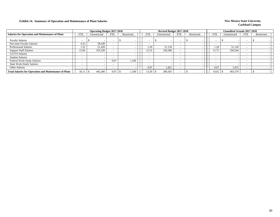## **Exhibit 14. Summary of Operation and Maintenance of Plant Salaries New Mexico State University New Mexico State University**

|                                                              |                          | <b>Operating Budget 2017-2018</b> |                          |            |                          | Revised Budget 2017-2018 |            |            |            | Unaudited Actuals 2017-2018 |            |            |
|--------------------------------------------------------------|--------------------------|-----------------------------------|--------------------------|------------|--------------------------|--------------------------|------------|------------|------------|-----------------------------|------------|------------|
| <b>Salaries for Operation and Maintenance of Plant</b>       | <b>FTE</b>               | Unrestricted                      | <b>FTE</b>               | Restricted | <b>FTE</b>               | Unrestricted             | <b>FTE</b> | Restricted | <b>FTE</b> | Unrestricted                | <b>FTE</b> | Restricted |
| <b>Faculty Salaries</b>                                      |                          |                                   | $\overline{\phantom{0}}$ |            |                          |                          |            |            |            |                             |            |            |
| Part-time Faculty Salaries                                   | 4.23                     | 38,438                            |                          |            | $\overline{\phantom{0}}$ |                          |            |            |            |                             |            |            |
| <b>Professional Salaries</b>                                 | 1.22                     | 51,420                            |                          |            | 1.20                     | 51,120                   |            |            | 1.20       | 51,120                      |            |            |
| <b>Support Staff Salaries</b>                                | 12.66                    | 355,528                           |                          |            | 12.23                    | 336,360                  |            |            | 12.75      | 350,544                     |            |            |
| GA/TA Salaries                                               | $\overline{\phantom{0}}$ |                                   | $\overline{\phantom{0}}$ |            | $\overline{\phantom{0}}$ |                          |            |            |            |                             |            |            |
| <b>Student Salaries</b>                                      |                          |                                   |                          |            |                          |                          |            |            |            |                             |            |            |
| Federal Work-Study Salaries                                  | $\overline{\phantom{0}}$ |                                   | 0.07                     | 1.100      | $\overline{\phantom{0}}$ |                          |            |            |            |                             |            |            |
| <b>State Work-Study Salaries</b>                             | -                        |                                   | $\overline{\phantom{0}}$ |            | $\overline{\phantom{0}}$ |                          |            |            |            |                             |            |            |
| Other Salaries                                               | $\overline{\phantom{a}}$ |                                   | <b>.</b>                 |            | 0.07                     | 1,821                    |            |            | 0.07       | 1,915                       |            |            |
| <b>Total Salaries for Operation and Maintenance of Plant</b> | 18.11                    | 445,386                           | 0.07                     | 1,100      | 13.50                    | 389,301                  |            |            | 14.02      | 403,579                     |            |            |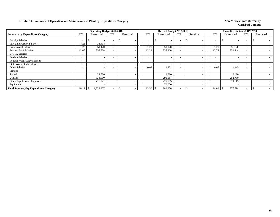## **Exhibit 14. Summary of Operation and Maintenance of Plant by Expenditure Category New Mexico State University**

|                                              |                          | <b>Operating Budget 2017-2018</b> |                          |            |                          | Revised Budget 2017-2018 |                          |            |                          | <b>Unaudited Actuals 2017-2018</b> |     |            |
|----------------------------------------------|--------------------------|-----------------------------------|--------------------------|------------|--------------------------|--------------------------|--------------------------|------------|--------------------------|------------------------------------|-----|------------|
| <b>Summary by Expenditure Category</b>       | <b>FTE</b>               | Unrestricted                      | <b>FTE</b>               | Restricted | FTE                      | Unrestricted             | <b>FTE</b>               | Restricted | <b>FTE</b>               | Unrestricted                       | FTE | Restricted |
| <b>Faculty Salaries</b>                      |                          |                                   | $\overline{\phantom{0}}$ |            | $\overline{\phantom{0}}$ | $\overline{\phantom{0}}$ |                          |            |                          |                                    |     |            |
| Part-time Faculty Salaries                   | 4.23                     | 38,438                            | $\overline{\phantom{a}}$ |            | $\overline{\phantom{a}}$ | $\overline{\phantom{0}}$ | $\overline{\phantom{0}}$ |            | $\overline{\phantom{0}}$ |                                    |     |            |
| Professional Salaries                        | 1.22                     | 51,420                            | $\overline{\phantom{a}}$ |            | 1.20                     | 51,120                   |                          |            | 1.20                     | 51,120                             |     |            |
| <b>Support Staff Salaries</b>                | 12.66                    | 355,528                           | $\overline{\phantom{a}}$ |            | 12.23                    | 336,360                  |                          |            | 12.75                    | 350,544                            |     |            |
| <b>GA/TA Salaries</b>                        |                          |                                   | $\overline{\phantom{a}}$ |            | $\overline{\phantom{0}}$ |                          |                          |            |                          |                                    |     |            |
| <b>Student Salaries</b>                      |                          |                                   | $\overline{\phantom{a}}$ |            | $\overline{\phantom{a}}$ |                          |                          |            |                          |                                    |     |            |
| Federal Work-Study Salaries                  | $\overline{\phantom{0}}$ |                                   | $\overline{\phantom{0}}$ |            | $\overline{\phantom{0}}$ |                          | $\overline{\phantom{0}}$ |            | $\sim$                   |                                    |     |            |
| <b>State Work-Study Salaries</b>             | $\overline{\phantom{0}}$ |                                   | $\overline{\phantom{0}}$ |            | $\overline{\phantom{a}}$ |                          | $\overline{\phantom{0}}$ |            | $\overline{\phantom{0}}$ |                                    |     |            |
| Other Salaries                               | $\overline{\phantom{a}}$ |                                   | $\overline{\phantom{a}}$ |            | 0.07                     | 1,821                    |                          |            | 0.07                     | 1,915                              |     |            |
| Fringes                                      |                          |                                   |                          |            |                          |                          |                          |            |                          |                                    |     |            |
| Travel                                       |                          | 24,500                            |                          |            |                          | 1,910                    |                          |            |                          | 2,190                              |     |            |
| <b>Utilities</b>                             |                          | 338,000                           |                          |            |                          | 296,084                  |                          |            |                          | 252,730                            |     |            |
| Other Supplies and Expenses                  |                          | 416,021                           |                          |            |                          | 225,655                  |                          |            |                          | 319,115                            |     |            |
| Equipment                                    |                          |                                   |                          |            |                          | 70,000                   |                          |            |                          |                                    |     |            |
| <b>Total Summary by Expenditure Category</b> | 18.11                    | 1,223,907<br>-\$                  | $\overline{\phantom{a}}$ |            | 13.50                    | 982,950                  |                          |            | 14.02                    | 977,614                            |     |            |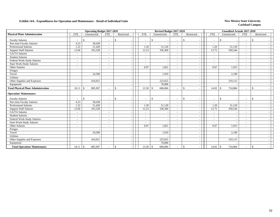## **Exhibit 14A. Expenditures for Operation and Maintenance - Detail of Individual Units** New Mexico State University

|                                            |                          | <b>Operating Budget 2017-2018</b> |                          |               |                          | Revised Budget 2017-2018 |                          |                                 |                          | <b>Unaudited Actuals 2017-2018</b> |                          |              |
|--------------------------------------------|--------------------------|-----------------------------------|--------------------------|---------------|--------------------------|--------------------------|--------------------------|---------------------------------|--------------------------|------------------------------------|--------------------------|--------------|
| <b>Physical Plant Administration</b>       | <b>FTE</b>               | Unrestricted                      | <b>FTE</b>               | Restricted    | <b>FTE</b>               | Unrestricted             | <b>FTE</b>               | Restricted                      | <b>FTE</b>               | Unrestricted                       | <b>FTE</b>               | Restricted   |
| <b>Faculty Salaries</b>                    |                          | \$.                               | $\overline{\phantom{0}}$ | $\mathcal{S}$ | $\overline{a}$           | \$.                      | $\overline{\phantom{a}}$ | $\mathbb{S}$                    | $\overline{\phantom{a}}$ | <sup>\$</sup>                      | $\overline{\phantom{a}}$ | \$           |
| Part-time Faculty Salaries                 | 4.23                     | 38,438                            |                          |               |                          |                          | $\overline{\phantom{a}}$ |                                 |                          |                                    |                          |              |
| <b>Professional Salaries</b>               | 1.22                     | 51,420                            | $\overline{\phantom{a}}$ |               | 1.20                     | 51,120                   | $\sim$                   |                                 | 1.20                     | 51,120                             | $\overline{\phantom{a}}$ |              |
| <b>Support Staff Salaries</b>              | 12.66                    | 355,528                           | $\sim$                   |               | 12.23                    | 336,360                  | $\sim$                   | $\overline{\phantom{0}}$        | 12.75                    | 350,544                            | $\overline{\phantom{a}}$ |              |
| <b>GA/TA Salaries</b>                      |                          |                                   |                          |               |                          |                          | $\overline{\phantom{a}}$ |                                 | $\overline{a}$           |                                    |                          |              |
| <b>Student Salaries</b>                    | $\overline{\phantom{a}}$ |                                   |                          |               |                          |                          | $\sim$                   |                                 | $\sim$                   |                                    |                          |              |
| Federal Work-Study Salaries                | $\overline{\phantom{a}}$ |                                   |                          |               | $\overline{\phantom{a}}$ |                          | $\sim$                   |                                 | $\overline{\phantom{a}}$ |                                    | $\overline{\phantom{a}}$ |              |
| <b>State Work-Study Salaries</b>           | $\overline{\phantom{a}}$ |                                   | $\overline{\phantom{0}}$ |               | $\overline{\phantom{a}}$ |                          | $\sim$                   | $\overline{\phantom{a}}$        | $\overline{a}$           |                                    | ÷                        |              |
| Other Salaries                             | $\sim$                   |                                   |                          |               | 0.07                     | 1,821                    | $\overline{\phantom{a}}$ |                                 | 0.07                     | 1,915                              |                          |              |
| Fringes                                    |                          |                                   |                          |               |                          |                          |                          |                                 |                          |                                    |                          |              |
| Travel                                     |                          | 24,500                            |                          |               |                          | 1,910                    |                          |                                 |                          | 2,190                              |                          |              |
| <b>Utilities</b>                           |                          |                                   |                          |               |                          |                          |                          | $\overline{\phantom{0}}$        |                          |                                    |                          |              |
| Other Supplies and Expenses                |                          | 416,021                           |                          |               |                          | 225,655                  |                          |                                 |                          | 319,115                            |                          |              |
| Equipment                                  |                          |                                   |                          |               |                          | 70,000                   |                          |                                 |                          |                                    |                          |              |
| <b>Total Physical Plant Administration</b> | 18.11                    | 885,907<br>-\$                    |                          | \$            | 13.50                    | 686,866<br><sup>\$</sup> | $\overline{\phantom{a}}$ | $\mathbb{S}$                    | 14.02                    | 724,884<br>$\mathbf{\$}$           |                          | $\mathbf{s}$ |
| <b>Operation/Maintenance</b>               |                          |                                   |                          |               |                          |                          |                          |                                 |                          |                                    |                          |              |
| <b>Faculty Salaries</b>                    |                          | \$                                | $\overline{\phantom{a}}$ | $\mathbb{S}$  | $\overline{\phantom{a}}$ | \$.                      | $\overline{\phantom{a}}$ | $\frac{1}{2}$<br>$\overline{a}$ | $\overline{\phantom{a}}$ | \$                                 | $\overline{\phantom{a}}$ | \$           |
| Part-time Faculty Salaries                 | 4.23                     | 38,438                            | $\sim$                   |               |                          |                          | $\overline{\phantom{a}}$ |                                 |                          |                                    |                          |              |
| <b>Professional Salaries</b>               | 1.22                     | 51,420                            | $\overline{\phantom{a}}$ |               | 1.20                     | 51,120                   | $\sim$                   | $\overline{\phantom{a}}$        | 1.20                     | 51,120                             | $\overline{\phantom{a}}$ |              |
| <b>Support Staff Salaries</b>              | 12.66                    | 355,528                           | ۰                        |               | 12.23                    | 336,360                  | $\sim$                   | $\overline{\phantom{a}}$        | 12.75                    | 350,544                            | $\tilde{\phantom{a}}$    |              |
| <b>GA/TA Salaries</b>                      | $\overline{\phantom{a}}$ |                                   |                          |               |                          |                          | $\overline{\phantom{a}}$ |                                 | $\sim$                   |                                    |                          |              |
| <b>Student Salaries</b>                    | $\overline{\phantom{a}}$ |                                   | $\overline{\phantom{a}}$ |               | $\overline{\phantom{a}}$ |                          | $\sim$                   |                                 | $\sim$                   |                                    | $\overline{\phantom{a}}$ |              |
| Federal Work-Study Salaries                | $\overline{\phantom{a}}$ |                                   | $\overline{\phantom{a}}$ |               | $\overline{\phantom{a}}$ | $\overline{\phantom{a}}$ | $\sim$                   | $\overline{\phantom{0}}$        | $\overline{\phantom{a}}$ |                                    | $\tilde{\phantom{a}}$    |              |
| <b>State Work-Study Salaries</b>           | $\overline{\phantom{a}}$ |                                   | ۰                        |               | $\overline{\phantom{a}}$ |                          | $\sim$                   | $\overline{\phantom{0}}$        | $\overline{\phantom{a}}$ |                                    | $\overline{\phantom{a}}$ |              |
| Other Salaries                             |                          |                                   |                          |               | 0.07                     | 1,821                    | $\sim$                   |                                 | 0.07                     | 1,915                              | L,                       |              |
| Fringes                                    |                          |                                   |                          |               |                          |                          |                          |                                 |                          |                                    |                          |              |
| Travel                                     |                          | 24,500                            |                          |               |                          | 1,910                    |                          | $\overline{\phantom{a}}$        |                          | 2,190                              |                          |              |
| <b>Utilities</b>                           |                          |                                   |                          |               |                          |                          |                          | $\overline{\phantom{a}}$        |                          |                                    |                          |              |
| Other Supplies and Expenses                |                          | 416,021                           |                          |               |                          | 225,655                  |                          |                                 |                          | 319,115                            |                          |              |
| Equipment                                  |                          |                                   |                          |               |                          | 70,000                   |                          |                                 |                          |                                    |                          |              |
| <b>Total Operation/Maintenance</b>         | 18.11                    | 885,907<br>$\vert$ \$             |                          | $\mathbb{S}$  | 13.50                    | \$<br>686,866            | $\overline{\phantom{a}}$ | $\mathbb{S}$                    | 14.02                    | 724,884<br>$\mathbb{S}$            | $\overline{a}$           | \$           |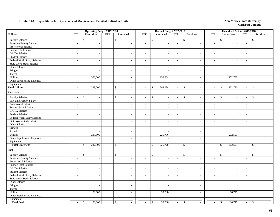## **Exhibit 14A. Expenditures for Operation and Maintenance - Detail of Individual Units** New Mexico State University

|                                  |                          |               | <b>Operating Budget 2017-2018</b> |                             |                                |                          | Revised Budget 2017-2018 |                             |                                           |                          |                          | <b>Unaudited Actuals 2017-2018</b> |                          |                                                |
|----------------------------------|--------------------------|---------------|-----------------------------------|-----------------------------|--------------------------------|--------------------------|--------------------------|-----------------------------|-------------------------------------------|--------------------------|--------------------------|------------------------------------|--------------------------|------------------------------------------------|
| <b>Utilities</b>                 | <b>FTE</b>               |               | Unrestricted                      | <b>FTE</b>                  | Restricted                     | <b>FTE</b>               | Unrestricted             | <b>FTE</b>                  | Restricted                                | <b>FTE</b>               |                          | Unrestricted                       | ${\rm FTE}$              | Restricted                                     |
| <b>Faculty Salaries</b>          | $\overline{\phantom{a}}$ | \$            |                                   | $\overline{a}$              | \$                             | $\overline{\phantom{a}}$ | \$                       | $\sim$                      | \$<br>$\overline{\phantom{a}}$            | $\overline{\phantom{a}}$ |                          | \$                                 | $\sim$                   | $\mathbb{S}$                                   |
| Part-time Faculty Salaries       | $\sim$                   |               | $\overline{\phantom{a}}$          | $\overline{\phantom{a}}$    |                                | $\sim$                   | $\overline{\phantom{a}}$ | $\sim$                      | $\sim$                                    | $\overline{\phantom{a}}$ |                          | $\overline{\phantom{a}}$           | $\overline{\phantom{a}}$ |                                                |
| <b>Professional Salaries</b>     | $\overline{\phantom{a}}$ |               | $\sim$                            | $\overline{\phantom{a}}$    |                                | $\blacksquare$           | $\sim$                   | $\overline{\phantom{a}}$    | $\blacksquare$                            | $\sim$                   |                          | $\sim$                             | $\sim$                   |                                                |
| <b>Support Staff Salaries</b>    | $\sim$                   |               | $\sim$                            | $\blacksquare$              |                                | $\overline{\phantom{a}}$ | $\overline{\phantom{a}}$ | $\overline{\phantom{a}}$    | $\blacksquare$                            |                          | $\sim$                   | $\overline{\phantom{a}}$           | $\sim$                   |                                                |
| <b>GA/TA Salaries</b>            | $\sim$                   |               | $\mathcal{L}$                     | $\sim$                      |                                | $\sim$                   | $\sim$                   | $\sim$                      | $\mathbb{L}$                              | $\sim$                   |                          | $\sim$                             | $\sim$                   |                                                |
| <b>Student Salaries</b>          | $\sim$                   |               | $\sim$                            | $\sim$                      |                                | $\sim$                   | $\overline{\phantom{a}}$ | $\mathcal{L}^{\mathcal{A}}$ | $\overline{a}$                            |                          | $\sim$                   | $\overline{\phantom{a}}$           | $\sim$                   |                                                |
| Federal Work-Study Salaries      | $\sim$                   |               | $\overline{\phantom{a}}$          | $\overline{\phantom{a}}$    |                                | $\sim$                   | $\overline{\phantom{a}}$ | $\mathcal{L}_{\mathcal{A}}$ | $\sim$                                    |                          | $\sim$                   | $\sim$                             | $\sim$                   | $\sim$                                         |
| <b>State Work-Study Salaries</b> | $\sim$                   |               | $\sim$                            | $\overline{\phantom{a}}$    | $\sim$                         | $\sim$                   | $\sim$                   | $\mathcal{L}_{\mathcal{A}}$ | $\sim$                                    |                          | $\sim$                   | $\sim$                             | $\sim$                   |                                                |
| Other Salaries                   | $\overline{\phantom{a}}$ |               | $\sim$                            | $\overline{\phantom{a}}$    | $\overline{a}$                 | $\overline{\phantom{a}}$ | $\sim$                   | $\overline{\phantom{a}}$    | $\mathbb{Z}^2$                            | $\sim$                   |                          | $\sim$                             | $\overline{\phantom{a}}$ | $\sim$                                         |
| Fringes                          |                          |               | $\sim$                            |                             | $\sim$                         |                          | $\overline{\phantom{a}}$ |                             | $\mathbb{L}$                              |                          |                          | $\overline{\phantom{a}}$           |                          | $\sim$                                         |
| Travel                           |                          |               | $\sim$                            |                             | $\overline{\phantom{a}}$       |                          | $\overline{\phantom{a}}$ |                             | $\mathbb{L}$                              |                          |                          |                                    |                          | $\sim$                                         |
| Utilities                        |                          |               | 338,000                           |                             | $\overline{\phantom{a}}$       |                          | 296,084                  |                             | $\mathbb{Z}^2$                            |                          |                          | 252,730                            |                          | $\sim$                                         |
| Other Supplies and Expenses      |                          |               | $\sim$                            |                             |                                |                          |                          |                             | $\blacksquare$                            |                          |                          |                                    |                          |                                                |
| Equipment                        |                          |               | $\overline{a}$                    |                             |                                |                          |                          |                             | $\sim$                                    |                          |                          |                                    |                          |                                                |
| <b>Total Utilities</b>           | $\overline{\phantom{a}}$ | <sup>\$</sup> | 338,000                           | $\blacksquare$              | <sup>\$</sup><br>$\sim$        | $\overline{\phantom{a}}$ | 296,084<br>\$            | $\overline{\phantom{a}}$    | \$<br>$\mathbb{L}$                        | $\sim$                   |                          | 252,730<br><sup>\$</sup>           | $\sim$                   | $\mathbf{\hat{s}}$<br>$\overline{\phantom{a}}$ |
| Electricity                      |                          |               |                                   |                             |                                |                          |                          |                             |                                           |                          |                          |                                    |                          |                                                |
| <b>Faculty Salaries</b>          | $\overline{\phantom{a}}$ | \$            |                                   | ٠                           | \$                             | $\overline{a}$           | $\$$                     | $\sim$                      | \$<br>$\overline{\phantom{a}}$            |                          |                          | $\mathbb S$                        |                          | $\mathbb{S}$                                   |
| Part-time Faculty Salaries       | $\overline{\phantom{a}}$ |               | $\sim$                            | $\overline{\phantom{a}}$    | $\overline{\phantom{a}}$       | $\sim$                   | $\overline{\phantom{a}}$ | $\mathbb{L}^+$              | $\sim$                                    | $\overline{\phantom{a}}$ |                          | $\sim$                             | $\overline{\phantom{a}}$ | $\overline{\phantom{a}}$                       |
| <b>Professional Salaries</b>     | $\sim$                   |               | $\sim$                            | $\overline{a}$              |                                | $\overline{\phantom{a}}$ | $\overline{\phantom{a}}$ | $\overline{\phantom{a}}$    | $\sim$                                    | $\overline{\phantom{a}}$ |                          | $\overline{\phantom{a}}$           | $\overline{\phantom{a}}$ |                                                |
| <b>Support Staff Salaries</b>    | $\overline{\phantom{a}}$ |               | $\overline{\phantom{a}}$          | $\blacksquare$              |                                | $\sim$                   | $\overline{\phantom{a}}$ | $\sim$                      | $\overline{\phantom{a}}$                  |                          | $\sim$                   | $\overline{\phantom{a}}$           | $\sim$                   | $\sim$                                         |
| GA/TA Salaries                   | $\sim$                   |               | $\mathbb{Z}^2$                    | $\overline{\phantom{a}}$    | J.                             | $\sim$                   | $\overline{\phantom{a}}$ | $\omega$                    | $\mathbb{L}$                              | $\sim$                   |                          | $\sim$                             | $\sim$                   | $\sim$                                         |
| <b>Student Salaries</b>          | $\sim$                   |               | $\sim$                            | $\sim$                      | $\overline{a}$                 | $\sim$                   | $\overline{\phantom{a}}$ | $\sim$                      | $\overline{\phantom{a}}$                  | $\sim$                   |                          | $\sim$                             | $\sim$                   | $\sim$                                         |
| Federal Work-Study Salaries      | $\sim$                   |               | $\sim$                            | $\overline{\phantom{a}}$    | $\overline{a}$                 | $\sim$                   | $\overline{\phantom{a}}$ | $\mathcal{L}_{\mathcal{A}}$ | $\sim$                                    |                          | $\sim$                   | $\overline{\phantom{a}}$           | $\sim$                   |                                                |
| <b>State Work-Study Salaries</b> | $\sim$                   |               | $\sim$                            | $\overline{a}$              | $\overline{\phantom{a}}$       | $\sim$                   | $\overline{\phantom{a}}$ | $\sim$                      | $\sim$                                    | $\sim$                   |                          | $\overline{a}$                     | $\overline{\phantom{a}}$ | $\overline{\phantom{a}}$                       |
| Other Salaries                   | $\sim$                   |               | $\overline{\phantom{a}}$          | $\overline{\phantom{a}}$    | $\overline{\phantom{a}}$       | $\sim$                   | $\overline{\phantom{a}}$ | $\overline{\phantom{a}}$    | $\mathbb{Z}^+$                            |                          | $\sim$                   | $\overline{\phantom{a}}$           | $\sim$                   | $\overline{\phantom{a}}$                       |
| Fringes                          |                          |               | $\sim$                            |                             | $\sim$                         |                          | $\sim$                   |                             | $\mathbb{Z}^2$                            |                          |                          | $\sim$                             |                          | $\overline{\phantom{a}}$                       |
| Travel                           |                          |               | $\sim$                            |                             | $\overline{\phantom{a}}$       |                          | $\overline{\phantom{a}}$ |                             | $\mathbb{Z}^2$                            |                          |                          | $\overline{a}$                     |                          | $\sim$                                         |
| Utilities                        |                          |               | 247,500                           |                             | $\overline{\phantom{a}}$       |                          | 225,776                  |                             | $\overline{\phantom{a}}$                  |                          |                          | 202,593                            |                          | $\sim$                                         |
| Other Supplies and Expenses      |                          |               | $\sim$                            |                             |                                |                          |                          |                             | $\sim$                                    |                          |                          |                                    |                          |                                                |
| Equipment                        |                          |               | $\sim$                            |                             |                                |                          |                          |                             | $\blacksquare$                            |                          |                          |                                    |                          |                                                |
| <b>Total Electricity</b>         | $\overline{\phantom{a}}$ | \$            | 247,500                           | $\mathcal{L}_{\mathcal{A}}$ | <sup>\$</sup><br>$\sim$        | $\sim$                   | 225,776<br>\$            | $\overline{\phantom{a}}$    | <sup>\$</sup><br>$\overline{\phantom{a}}$ |                          | $\sim$                   | 202,593<br><sup>\$</sup>           | $\overline{\phantom{a}}$ | $\mathcal{S}$<br>$\sim$                        |
| <b>Fuel</b>                      |                          |               |                                   |                             |                                |                          |                          |                             |                                           |                          |                          |                                    |                          |                                                |
|                                  |                          |               |                                   |                             |                                |                          |                          |                             |                                           |                          |                          |                                    |                          |                                                |
| <b>Faculty Salaries</b>          | $\overline{\phantom{a}}$ | \$            | $\overline{\phantom{a}}$          | $\sim$                      | \$                             | $\sim$                   | $\$$                     | $\overline{\phantom{a}}$    | \$<br>$\overline{\phantom{a}}$            | $\overline{\phantom{a}}$ |                          | $\mathbb S$<br>$\sim$              | $\overline{\phantom{a}}$ | $\mathbb{S}$                                   |
| Part-time Faculty Salaries       | $\overline{\phantom{a}}$ |               | $\sim$                            | $\overline{\phantom{a}}$    |                                | $\sim$                   | $\sim$                   | $\sim$                      | $\mathcal{L}_{\mathcal{A}}$               | $\overline{\phantom{a}}$ |                          | $\sim$                             | $\overline{\phantom{a}}$ | $\sim$                                         |
| Professional Salaries            | $\sim$                   |               | $\overline{\phantom{a}}$          | $\blacksquare$              |                                | $\sim$                   | $\overline{\phantom{a}}$ | $\sim$                      | $\blacksquare$                            | $\overline{\phantom{a}}$ |                          | $\overline{\phantom{a}}$           | $\overline{\phantom{a}}$ |                                                |
| <b>Support Staff Salaries</b>    | $\overline{\phantom{a}}$ |               |                                   | $\overline{\phantom{a}}$    |                                | $\overline{\phantom{a}}$ |                          | $\mathcal{L}_{\mathcal{A}}$ | $\sim$                                    | $\sim$                   |                          | $\sim$                             | $\sim$                   |                                                |
| GA/TA Salaries                   | $\sim$                   |               | $\sim$                            | $\sim$                      | $\sim$                         | $\sim$                   | $\overline{\phantom{a}}$ | $\overline{\phantom{a}}$    | $\overline{\phantom{a}}$                  |                          | $\sim$                   | $\overline{\phantom{a}}$           | $\overline{\phantom{a}}$ | $\sim$                                         |
| <b>Student Salaries</b>          | $\sim$                   |               | $\sim$                            | $\overline{\phantom{a}}$    | $\sim$                         | $\sim$                   | $\overline{\phantom{a}}$ | $\mathcal{L}_{\mathcal{A}}$ | $\sim$                                    | $\sim$                   |                          | $\sim$                             | $\sim$                   | $\overline{\phantom{a}}$                       |
| Federal Work-Study Salaries      | $\sim$                   |               | $\sim$                            | $\overline{\phantom{a}}$    | $\overline{\phantom{a}}$       | $\sim$                   | $\overline{\phantom{a}}$ | $\overline{\phantom{a}}$    | $\sim$                                    | $\sim$                   |                          | $\sim$                             | $\sim$                   | $\overline{\phantom{a}}$                       |
| <b>State Work-Study Salaries</b> | $\overline{\phantom{a}}$ |               | $\sim$                            | $\overline{\phantom{a}}$    | $\sim$                         | $\sim$                   | $\sim$                   | $\sim$                      | $\mathcal{L}_{\mathcal{A}}$               | $\sim$                   |                          | $\overline{\phantom{a}}$           | $\sim$                   |                                                |
| Other Salaries                   | $\sim$                   |               | $\sim$                            | $\sim$                      | $\sim$                         | $\sim$                   | $\sim$                   | $\sim$                      | $\overline{\phantom{a}}$                  | $\sim$                   |                          | $\sim$                             | $\sim$                   |                                                |
| Fringes                          |                          |               | $\sim$                            |                             | $\sim$                         |                          | $\overline{\phantom{a}}$ |                             | $\sim$                                    |                          |                          | $\sim$                             |                          | $\sim$                                         |
| Travel                           |                          |               | $\sim$                            |                             | $\overline{\phantom{a}}$       |                          | $\overline{\phantom{a}}$ |                             | $\mathbb{Z}^2$                            |                          |                          |                                    |                          | $\sim$                                         |
| Utilities                        |                          |               | 50,000                            |                             | $\overline{a}$                 |                          | 33,738                   |                             | $\sim$                                    |                          |                          | 18,775                             |                          | $\sim$                                         |
| Other Supplies and Expenses      |                          |               | $\overline{\phantom{a}}$          |                             | $\overline{\phantom{a}}$       |                          |                          |                             | $\sim$                                    |                          |                          |                                    |                          |                                                |
| Equipment                        |                          |               |                                   |                             |                                |                          |                          |                             | $\sim$                                    |                          |                          |                                    |                          |                                                |
| <b>Total Fuel</b>                | $\overline{\phantom{a}}$ | $\mathbb{S}$  | 50,000                            | $\sim$                      | \$<br>$\overline{\phantom{a}}$ | $\omega$                 | $\mathbb{S}$<br>33,738   | $\mathbb{Z}^+$              | \$<br>$\sim$                              |                          | $\overline{\phantom{a}}$ | $\mathcal{S}$<br>18,775            | $\overline{\phantom{a}}$ | -\$                                            |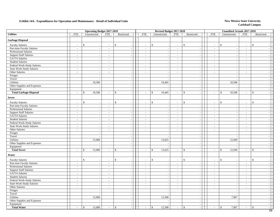## **Exhibit 14A. Expenditures for Operation and Maintenance - Detail of Individual Units** New Mexico State University

|                                  |                             | <b>Operating Budget 2017-2018</b>        |                          |                                 |                             |                              | Revised Budget 2017-2018                    |                                                |                          | <b>Unaudited Actuals 2017-2018</b>             |                             |                                  |
|----------------------------------|-----------------------------|------------------------------------------|--------------------------|---------------------------------|-----------------------------|------------------------------|---------------------------------------------|------------------------------------------------|--------------------------|------------------------------------------------|-----------------------------|----------------------------------|
| <b>Utilities</b>                 | <b>FTE</b>                  | Unrestricted                             | <b>FTE</b>               | Restricted                      | FTE                         | Unrestricted                 | <b>FTE</b>                                  | Restricted                                     | <b>FTE</b>               | Unrestricted                                   | <b>FTE</b>                  | Restricted                       |
| <b>Garbage Disposal</b>          |                             |                                          |                          |                                 |                             |                              |                                             |                                                |                          |                                                |                             |                                  |
| <b>Faculty Salaries</b>          | $\sim$                      | $\mathbb{S}$                             |                          | $\mathbf{\hat{S}}$              |                             | $\mathbf{s}$                 | $\overline{\phantom{a}}$<br>$\sim$          | $\mathbf{\hat{S}}$<br>$\overline{\phantom{a}}$ | $\sim$                   | $\mathbf{\hat{S}}$<br>$\overline{\phantom{a}}$ | $\sim$                      | $\mathbf{\hat{s}}$               |
| Part-time Faculty Salaries       | $\sim$                      | $\overline{a}$                           | $\sim$                   | $\sim$                          | $\sim$                      |                              | $\sim$<br>$\sim$                            | $\sim$                                         | $\sim$                   | $\sim$                                         | $\sim$                      | $\sim$                           |
| Professional Salaries            | $\sim$                      | $\overline{\phantom{a}}$                 | $\sim$                   | $\sim$                          | $\sim$                      |                              | $\sim$                                      | $\sim$                                         | $\sim$                   | $\overline{\phantom{a}}$                       | $\sim$                      | $\overline{\phantom{a}}$         |
| <b>Support Staff Salaries</b>    | $\overline{\phantom{a}}$    | $\sim$                                   | $\sim$                   | $\overline{\phantom{a}}$        | $\sim$                      |                              | $\sim$<br>$\sim$                            | $\sim$                                         | $\overline{\phantom{a}}$ | $\sim$                                         | $\sim$                      | $\overline{\phantom{a}}$         |
| GA/TA Salaries                   | $\overline{\phantom{a}}$    | $\sim$                                   | $\sim$                   | $\overline{\phantom{a}}$        | $\overline{\phantom{a}}$    |                              | $\sim$<br>$\overline{\phantom{a}}$          | $\sim$                                         | $\overline{\phantom{a}}$ | $\overline{\phantom{a}}$                       | $\overline{\phantom{a}}$    | $\sim$                           |
| <b>Student Salaries</b>          | $\mathcal{L}_{\mathcal{A}}$ | $\overline{a}$                           | $\overline{\phantom{a}}$ | $\mathbb{L}$                    | $\overline{\phantom{a}}$    |                              | $\mathbb{L}^{\mathbb{N}}$<br>$\overline{a}$ | $\mathbb{L}$                                   | $\mathcal{L}$            | $\overline{a}$                                 | $\mathcal{L}$               | $\sim$                           |
| Federal Work-Study Salaries      | $\sim$                      | $\mathbb{Z}^2$                           | $\sim$                   | $\sim$                          | $\sim$                      |                              | $\mathcal{L}^{\pm}$<br>$\sim$               | $\sim$                                         | $\sim$                   | $\overline{\phantom{a}}$                       | $\sim$                      | $\mathbb{Z}^2$                   |
| <b>State Work-Study Salaries</b> | $\overline{\phantom{a}}$    | $\sim$                                   | $\mathcal{L}$            | $\sim$                          | $\sim$                      |                              | $\mathcal{L}$                               | $\sim$                                         | $\sim$                   | $\overline{\phantom{a}}$                       | $\blacksquare$              | $\sim$                           |
| Other Salaries                   | $\mathcal{L}_{\mathcal{A}}$ | $\sim$                                   | $\overline{\phantom{a}}$ | $\sim$                          | $\mathcal{L}_{\mathcal{A}}$ |                              | $\sim$<br>$\sim$                            | $\sim$                                         | $\overline{\phantom{a}}$ | $\sim$                                         | $\sim$                      | $\mathcal{L}$                    |
| Fringes                          |                             | $\overline{\phantom{a}}$                 |                          | $\overline{\phantom{a}}$        |                             |                              | $\overline{\phantom{a}}$                    | $\sim$                                         |                          | $\overline{\phantom{a}}$                       |                             | $\overline{\phantom{a}}$         |
| Travel                           |                             |                                          |                          | $\overline{\phantom{a}}$        |                             |                              | $\overline{a}$                              | $\sim$                                         |                          | $\overline{\phantom{a}}$                       |                             | $\sim$                           |
| Utilities                        |                             | 10,500                                   |                          | $\mathbb{Z}^+$                  |                             | 10,445                       |                                             | $\mathbb{Z}^+$                                 |                          | 10,506                                         |                             | $\sim$                           |
| Other Supplies and Expenses      |                             | $\overline{a}$                           |                          | $\sim$                          |                             |                              | $\sim$                                      | $\sim$                                         |                          |                                                |                             | $\sim$                           |
| Equipment                        |                             |                                          |                          | $\sim$                          |                             |                              | $\overline{\phantom{a}}$                    | $\overline{a}$                                 |                          | $\sim$                                         |                             | $\overline{\phantom{a}}$         |
| <b>Total Garbage Disposal</b>    | $\sim$                      | 10,500<br><sup>\$</sup>                  | $\sim$                   | $\mathbf{\$}$<br>$\mathbb{Z}^+$ | $\sim$                      | 10,445<br><sup>\$</sup>      | $\sim$                                      | $\mathcal{S}$<br>$\sim$                        | $\overline{\phantom{a}}$ | 10,506<br>\$                                   | $\sim$                      | <sup>\$</sup><br>$\mathbb{Z}^2$  |
| <b>Sewer</b>                     |                             |                                          |                          |                                 |                             |                              |                                             |                                                |                          |                                                |                             |                                  |
| <b>Faculty Salaries</b>          | $\overline{a}$              | \$<br>$\overline{\phantom{a}}$           |                          | $\mathbf{\hat{S}}$              | $\sim$                      | $\mathbb{S}$                 | $\sim$                                      | $\mathbb{S}$<br>$\overline{\phantom{a}}$       |                          | $\mathcal{S}$<br>$\overline{\phantom{a}}$      | $\sim$                      | $\mathbb{S}$                     |
| Part-time Faculty Salaries       | $\sim$                      | $\sim$                                   | $\sim$                   | $\sim$                          | $\sim$                      |                              | $\sim$<br>$\sim$                            | $\sim$                                         | $\sim$                   | $\overline{\phantom{a}}$                       | $\overline{\phantom{a}}$    | $\sim$                           |
| Professional Salaries            | $\overline{\phantom{a}}$    | $\overline{\phantom{a}}$                 | $\sim$                   | $\mathcal{L}$                   | $\sim$                      |                              | $\sim$<br>$\sim$                            | $\sim$                                         | $\sim$                   | $\overline{\phantom{a}}$                       | $\mathcal{L}$               | $\sim$                           |
| <b>Support Staff Salaries</b>    | $\overline{\phantom{a}}$    | $\sim$                                   | $\sim$                   | $\sim$                          | $\sim$                      |                              | $\sim$<br>$\sim$                            | $\sim$                                         | $\mathcal{L}$            | $\sim$                                         | $\sim$                      | $\overline{\phantom{a}}$         |
| GA/TA Salaries                   | $\sim$                      | $\sim$                                   | $\sim$                   | $\sim$                          | $\sim$                      |                              | $\sim$<br>$\sim$                            | $\sim$                                         | $\sim$                   | $\sim$                                         | $\sim$                      | $\sim$                           |
| <b>Student Salaries</b>          | $\overline{\phantom{a}}$    | $\overline{\phantom{a}}$                 | $\overline{\phantom{a}}$ | $\sim$                          | $\sim$                      |                              | $\overline{\phantom{a}}$                    | $\sim$                                         | $\overline{\phantom{a}}$ | $\overline{\phantom{a}}$                       | $\overline{\phantom{a}}$    | $\overline{\phantom{a}}$         |
| Federal Work-Study Salaries      | $\sim$                      | $\sim$                                   | $\sim$                   | $\sim$                          | $\sim$                      |                              | $\sim$<br>$\overline{\phantom{a}}$          | $\sim$                                         | $\overline{\phantom{a}}$ | $\sim$                                         | $\sim$                      | $\mathbb{Z}^2$                   |
| State Work-Study Salaries        | $\blacksquare$              | $\overline{a}$                           | $\overline{\phantom{a}}$ | $\overline{\phantom{a}}$        | $\sim$                      |                              | $\sim$<br>$\overline{\phantom{a}}$          | $\overline{\phantom{a}}$                       | $\overline{\phantom{a}}$ | $\overline{a}$                                 | $\overline{\phantom{a}}$    | $\mathcal{L}$                    |
| Other Salaries                   | $\mathcal{L}_{\mathcal{A}}$ | $\mathcal{L}_{\mathcal{A}}$              | $\mathcal{L}$            | $\mathbb{L}$                    | $\mathcal{L}$               |                              | $\mathcal{L}_{\mathcal{A}}$<br>$\sim$       | $\overline{\phantom{a}}$                       | $\mathcal{L}$            | $\overline{\phantom{a}}$                       | $\mathcal{L}_{\mathcal{A}}$ | $\sim$                           |
| Fringes                          |                             | $\overline{a}$                           |                          | $\sim$                          |                             |                              | $\sim$                                      | $\sim$                                         |                          | $\sim$                                         |                             | $\sim$                           |
| Travel                           |                             | $\sim$                                   |                          | $\sim$                          |                             |                              | $\sim$                                      | $\sim$                                         |                          | $\sim$                                         |                             | $\overline{\phantom{a}}$         |
| Utilities                        |                             | 15,000                                   |                          | $\sim$                          |                             | 13,625                       |                                             | $\sim$                                         |                          | 12,949                                         |                             | $\sim$                           |
| Other Supplies and Expenses      |                             | $\sim$                                   |                          | $\mathbb{L}^{\mathbb{N}}$       |                             |                              | $\overline{\phantom{a}}$                    | $\overline{a}$                                 |                          | $\overline{\phantom{a}}$                       |                             | $\sim$                           |
| Equipment                        |                             |                                          |                          | $\sim$                          |                             |                              | $\sim$                                      | $\sim$                                         |                          |                                                |                             | $\sim$                           |
| <b>Total Sewer</b>               | $\sim$                      | 15,000<br>\$                             | $\sim$                   | \$<br>$\sim$                    | $\sim$                      | 13,625<br>$\mathbb{S}$       | $\sim$                                      | \$<br>$\sim$                                   | $\sim$                   | 12,949<br>\$                                   | $\sim$                      | \$<br>$\blacksquare$             |
| Water                            |                             |                                          |                          |                                 |                             |                              |                                             |                                                |                          |                                                |                             |                                  |
| <b>Faculty Salaries</b>          |                             | $\mathbb{S}$<br>$\overline{\phantom{a}}$ |                          | $\mathbf{\hat{S}}$              |                             | $\mathbb{S}$                 | $\sim$<br>$\sim$                            | $\mathbf{\hat{S}}$<br>$\sim$                   |                          | $\mathbf{s}$<br>$\overline{\phantom{a}}$       | $\sim$                      | $\mathbf{\hat{S}}$               |
| Part-time Faculty Salaries       | $\sim$                      | $\sim$                                   | $\sim$                   | $\sim$                          | $\sim$                      |                              | $\sim$<br>$\sim$                            | $\sim$                                         | $\sim$                   | $\overline{\phantom{a}}$                       | $\sim$                      | $\sim$                           |
| <b>Professional Salaries</b>     | $\sim$                      | $\sim$                                   | $\sim$                   | $\sim$                          | $\sim$                      |                              | $\mathcal{L}^{\pm}$<br>$\sim$               | $\sim$                                         | $\sim$                   | $\sim$                                         | $\sim$                      | $\sim$                           |
| <b>Support Staff Salaries</b>    | $\overline{\phantom{a}}$    | $\blacksquare$                           | $\sim$                   | $\sim$                          | $\sim$                      |                              | $\sim$<br>$\overline{\phantom{a}}$          | $\sim$                                         | $\blacksquare$           | $\overline{\phantom{a}}$                       | $\sim$                      | $\blacksquare$                   |
| GA/TA Salaries                   | $\sim$                      | $\overline{\phantom{a}}$                 | $\sim$                   | $\mathbb{Z}^+$                  | $\sim$                      |                              | $\sim$<br>$\overline{\phantom{a}}$          | $\sim$                                         | $\sim$                   | $\overline{\phantom{a}}$                       | $\sim$                      | $\mathbb{Z}^2$                   |
| <b>Student Salaries</b>          | $\bar{\phantom{a}}$         | $\overline{a}$                           | $\blacksquare$           | $\mathbb{L}$                    | $\sim$                      |                              | $\blacksquare$<br>$\sim$                    | $\mathbb{L}$                                   | $\mathcal{L}$            | $\overline{a}$                                 | $\blacksquare$              | $\sim$                           |
| Federal Work-Study Salaries      | $\blacksquare$              | $\mathcal{L}_{\mathcal{A}}$              | $\sim$                   | $\mathbb{Z}^+$                  | $\sim$                      |                              | $\sim$<br>$\overline{\phantom{a}}$          | $\overline{\phantom{a}}$                       | $\sim$                   | $\sim$                                         | $\sim$                      | $\overline{\phantom{a}}$         |
| <b>State Work-Study Salaries</b> | $\sim$                      | $\sim$                                   | $\mathcal{L}$            | $\sim$                          | $\sim$                      |                              | $\sim$<br>$\mathcal{L}^{\pm}$               | $\sim$                                         | $\sim$                   | $\sim$                                         | $\sim$                      | $\sim$                           |
| Other Salaries                   | $\blacksquare$              | $\sim$                                   | $\overline{\phantom{a}}$ | $\sim$                          | $\overline{\phantom{a}}$    |                              | $\sim$<br>$\overline{\phantom{a}}$          | $\sim$                                         | $\overline{\phantom{a}}$ | $\overline{\phantom{a}}$                       | $\overline{\phantom{a}}$    | $\overline{\phantom{a}}$         |
| Fringes                          |                             | $\overline{\phantom{a}}$                 |                          | $\sim$                          |                             |                              | $\overline{\phantom{a}}$                    | $\sim$                                         |                          | $\overline{\phantom{a}}$                       |                             | $\mathbb{Z}^2$                   |
| Travel                           |                             |                                          |                          | $\sim$                          |                             |                              | $\sim$                                      | $\sim$                                         |                          |                                                |                             | $\mathcal{L}$                    |
| Utilities                        |                             | 15,000                                   |                          | $\mathbb{L}$                    |                             | 12,500                       |                                             | $\sim$                                         |                          | 7,907                                          |                             | $\mathcal{L}_{\mathcal{A}}$      |
| Other Supplies and Expenses      |                             | $\overline{\phantom{a}}$                 |                          | $\sim$                          |                             |                              | $\sim$                                      | $\sim$                                         |                          |                                                |                             | $\sim$                           |
| Equipment                        |                             | $\sim$                                   |                          | $\sim$                          |                             |                              |                                             | $\sim$                                         |                          | $\sim$                                         |                             | $\overline{\phantom{a}}$         |
| <b>Total Water</b>               | $\sim$                      | $\mathbf{\hat{S}}$<br>15,000             | $\sim$                   | $\mathbf{\$}$<br>$\sim$         | $\sim$                      | $\mathbf{\hat{S}}$<br>12,500 | $\sim$                                      | \$<br>$\sim$                                   | $\mathcal{L}$            | 7,907<br>\$                                    | $\sim$                      | <sup>\$</sup><br>$\sim$<br>$E^A$ |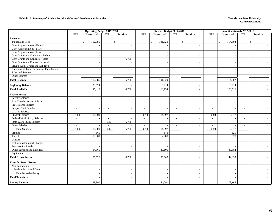#### **Exhibit 15. Summary of Student Social and Cultural Development Activities New Mexico State University New Mexico State University**

|                                        |                          | <b>Operating Budget 2017-2018</b> |                          |                          |                          | Revised Budget 2017-2018 |                          |                          |                          | <b>Unaudited Actuals 2017-2018</b> |            |                |  |
|----------------------------------------|--------------------------|-----------------------------------|--------------------------|--------------------------|--------------------------|--------------------------|--------------------------|--------------------------|--------------------------|------------------------------------|------------|----------------|--|
|                                        | <b>FTE</b>               | Unrestricted                      | <b>FTE</b>               | Restricted               | <b>FTE</b>               | Unrestricted             | <b>FTE</b>               | Restricted               | <b>FTE</b>               | Unrestricted                       | <b>FTE</b> | Restricted     |  |
| <b>Revenues:</b>                       |                          |                                   |                          |                          |                          |                          |                          |                          |                          |                                    |            |                |  |
| Tuition and Fees                       |                          | \$<br>112,386                     |                          | $\mathbb{S}$             |                          | $\mathbf{s}$<br>101,820  |                          | $\mathbb{S}$<br>$\sim$   |                          | 114,602<br>$\mathbb{S}$            |            | $\mathbb{S}$   |  |
| Govt Appropriations - Federal          |                          |                                   |                          |                          |                          |                          |                          | $\overline{\phantom{a}}$ |                          |                                    |            |                |  |
| Govt Appropriations - State            |                          | $\sim$                            |                          | $\sim$                   |                          |                          |                          | $\sim$                   |                          |                                    |            |                |  |
| Govt Appropriations - Local            |                          | $\overline{\phantom{a}}$          |                          | $\overline{\phantom{a}}$ |                          |                          |                          | $\overline{a}$           |                          |                                    |            |                |  |
| Govt Grants and Contracts - Federal    |                          |                                   |                          |                          |                          |                          |                          | $\sim$                   |                          |                                    |            |                |  |
| Govt Grants and Contracts - State      |                          | $\sim$                            |                          | 6,700                    |                          |                          |                          | $\overline{\phantom{a}}$ |                          |                                    |            |                |  |
| Govt Grants and Contracts - Local      |                          |                                   |                          |                          |                          |                          |                          | $\sim$                   |                          | $\overline{\phantom{a}}$           |            |                |  |
| Private Gifts, Grants and Contracts    |                          | $\overline{\phantom{a}}$          |                          | $\overline{\phantom{a}}$ |                          |                          |                          | $\sim$                   |                          | $\overline{\phantom{a}}$           |            |                |  |
| Endowment, Land, Permanent Fund Income |                          |                                   |                          |                          |                          |                          |                          | $\overline{\phantom{a}}$ |                          |                                    |            |                |  |
| Sales and Services                     |                          |                                   |                          |                          |                          |                          |                          |                          |                          |                                    |            |                |  |
| Other Sources                          |                          |                                   |                          |                          |                          |                          |                          | $\overline{\phantom{a}}$ |                          |                                    |            |                |  |
| <b>Total Revenue</b>                   |                          | 112,386                           |                          | 6,700                    |                          | 101,820                  |                          | $\overline{a}$           |                          | 114,602                            |            |                |  |
| <b>Beginning Balance</b>               |                          | 33,024                            |                          |                          |                          | 8,914                    |                          |                          |                          | 8,914                              |            |                |  |
| <b>Total Available</b>                 |                          | 145,410                           |                          | 6,700                    |                          | 110,734                  |                          |                          |                          | 123,516                            |            |                |  |
| <b>Expenditures:</b>                   |                          |                                   |                          |                          |                          |                          |                          |                          |                          |                                    |            |                |  |
| <b>Faculty Salaries</b>                | $\sim$                   |                                   | $\sim$                   |                          | $\sim$                   |                          | $\overline{a}$           | $\overline{\phantom{a}}$ | $\sim$                   |                                    | $\sim$     |                |  |
| Part-Time Instructor Salaries          | $\overline{a}$           |                                   |                          |                          | $\sim$                   |                          | $\blacksquare$           | $\overline{\phantom{a}}$ | $\overline{\phantom{a}}$ |                                    | $\sim$     |                |  |
| Professional Salaries                  | $\blacksquare$           |                                   | $\overline{\phantom{a}}$ | $\sim$                   | $\overline{\phantom{a}}$ | $\sim$                   | $\overline{\phantom{a}}$ | $\sim$                   | $\sim$                   | $\sim$                             | $\sim$     | $\sim$         |  |
| <b>Support Staff Salaries</b>          | $\sim$                   |                                   | $\overline{\phantom{a}}$ | $\overline{\phantom{a}}$ | $\sim$                   |                          | $\sim$                   | $\sim$                   | $\sim$                   |                                    | $\sim$     |                |  |
| <b>GA/TA Salaries</b>                  | $\sim$                   |                                   | $\overline{\phantom{a}}$ |                          | $\overline{\phantom{a}}$ |                          | $\overline{\phantom{a}}$ | $\overline{\phantom{a}}$ | $\sim$                   |                                    | $\sim$     |                |  |
| <b>Student Salaries</b>                | 1.00                     | 16,000                            | $\overline{\phantom{a}}$ |                          | 0.90                     | 14,397                   | $\mathbf{r}$             | $\overline{\phantom{a}}$ | 0.80                     | 12,817                             | $\sim$     |                |  |
| Federal Work-Study Salaries            | $\overline{\phantom{a}}$ |                                   |                          |                          | $\sim$                   |                          | $\sim$                   | $\sim$                   | $\sim$                   | $\overline{\phantom{a}}$           | $\sim$     |                |  |
| <b>State Work-Study Salaries</b>       | $\sim$                   |                                   | 0.42                     | 6,700                    | $\mathcal{L}$            | $\overline{a}$           | $\sim$                   | $\overline{\phantom{a}}$ | $\sim$                   | $\sim$                             | $\sim$     |                |  |
| Other Salaries                         | $\sim$                   |                                   | $\sim$                   |                          | $\overline{a}$           | $\sim$                   | $\overline{\phantom{a}}$ | $\blacksquare$           | $\sim$                   | $\sim$                             | $\sim$     |                |  |
| <b>Total Salaries</b>                  | 1.00                     | 16,000                            | 0.42                     | 6,700                    | 0.90                     | 14,397                   | ÷.                       | $\blacksquare$           | 0.80                     | 12,817                             | $\sim$     |                |  |
| Fringes                                |                          | 160                               |                          |                          |                          | 146                      |                          | $\overline{\phantom{a}}$ |                          | 129                                |            |                |  |
| Travel                                 |                          | 15,000                            |                          | $\overline{a}$           |                          | 2,000                    |                          | $\sim$                   |                          | 520                                |            | $\overline{a}$ |  |
| Utilities                              |                          |                                   |                          |                          |                          |                          |                          | $\sim$                   |                          |                                    |            |                |  |
| <b>Institutional Support Charges</b>   |                          |                                   |                          |                          |                          |                          |                          | $\overline{\phantom{a}}$ |                          |                                    |            |                |  |
| Purchase for Resale                    |                          |                                   |                          | $\overline{\phantom{a}}$ |                          |                          |                          | $\sim$                   |                          |                                    |            |                |  |
| Other Supplies and Expenses            |                          | 64,360                            |                          | $\overline{\phantom{a}}$ |                          | 40,100                   |                          | $\sim$                   |                          | 30,884                             |            |                |  |
| Equipment                              |                          |                                   |                          |                          |                          |                          |                          | $\overline{\phantom{a}}$ |                          |                                    |            |                |  |
| <b>Total Expenditures</b>              |                          | 95,520                            |                          | 6,700                    |                          | 56,643                   |                          |                          |                          | 44,350                             |            |                |  |
| <b>Transfer To or (From):</b>          |                          |                                   |                          |                          |                          |                          |                          |                          |                          |                                    |            |                |  |
| Non-Mandatory                          |                          |                                   |                          |                          |                          |                          |                          |                          |                          |                                    |            |                |  |
| Student Social and Cultural            |                          |                                   |                          | $\overline{\phantom{a}}$ |                          |                          |                          | $\sim$                   |                          |                                    |            |                |  |
| <b>Total Non-Mandatory</b>             |                          |                                   |                          |                          |                          |                          |                          |                          |                          |                                    |            |                |  |
| <b>Total Transfers</b>                 |                          |                                   |                          |                          |                          |                          |                          |                          |                          |                                    |            |                |  |
| <b>Ending Balance</b>                  |                          | 49,890                            |                          |                          |                          | 54,091                   |                          |                          |                          | 79,166                             |            |                |  |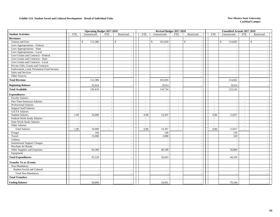#### **Exhibit 15A. Student Social and Cultural Development - Detail of Individual Units New Mexico State University**

|                                        |                          | <b>Operating Budget 2017-2018</b> |                          |                    |                          |                          | Revised Budget 2017-2018 |                          | <b>Unaudited Actuals 2017-2018</b> |                          |                          |  |
|----------------------------------------|--------------------------|-----------------------------------|--------------------------|--------------------|--------------------------|--------------------------|--------------------------|--------------------------|------------------------------------|--------------------------|--------------------------|--|
| <b>Student Activities</b>              | <b>FTE</b>               | Unrestricted                      | <b>FTE</b>               | Restricted         | <b>FTE</b>               | Unrestricted             | <b>FTE</b><br>Restricted | <b>FTE</b>               | Unrestricted                       | <b>FTE</b>               | Restricted               |  |
| <b>Revenues:</b>                       |                          |                                   |                          |                    |                          |                          |                          |                          |                                    |                          |                          |  |
| Tuition and Fees                       |                          | 112,386<br>$\mathbb{S}$           |                          | $\mathbf{\hat{S}}$ |                          | \$<br>101,820            | $\mathcal{S}$            | \$                       | 114,602                            |                          | $\mathbb{S}$             |  |
| Govt Appropriations - Federal          |                          |                                   |                          |                    |                          |                          |                          |                          |                                    |                          |                          |  |
| Govt Appropriations - State            |                          |                                   |                          |                    |                          | $\overline{\phantom{a}}$ |                          |                          |                                    |                          |                          |  |
| Govt Appropriations - Local            |                          |                                   |                          |                    |                          |                          |                          |                          |                                    |                          |                          |  |
| Govt Grants and Contracts - Federal    |                          |                                   |                          |                    |                          |                          |                          |                          |                                    |                          |                          |  |
| Govt Grants and Contracts - State      |                          |                                   |                          |                    |                          |                          |                          |                          |                                    |                          |                          |  |
| Govt Grants and Contracts - Local      |                          |                                   |                          |                    |                          |                          |                          |                          |                                    |                          |                          |  |
| Private Gifts, Grants and Contracts    |                          |                                   |                          |                    |                          | $\overline{\phantom{a}}$ |                          |                          |                                    |                          |                          |  |
| Endowment, Land, Permanent Fund Income |                          |                                   |                          |                    |                          |                          |                          |                          |                                    |                          |                          |  |
| Sales and Services                     |                          |                                   |                          |                    |                          |                          |                          |                          |                                    |                          |                          |  |
| Other Sources                          |                          |                                   |                          |                    |                          |                          |                          |                          |                                    |                          |                          |  |
| <b>Total Revenue</b>                   |                          | 112,386                           |                          |                    |                          | 101,820                  |                          |                          | 114,602                            |                          |                          |  |
| <b>Beginning Balance</b>               |                          | 33,024                            |                          |                    |                          | 8,914                    |                          |                          | 8,914                              |                          |                          |  |
| <b>Total Available</b>                 |                          | 145,410                           |                          |                    |                          | 110,734                  |                          |                          | 123,516                            |                          |                          |  |
| <b>Expenditures:</b>                   |                          |                                   |                          |                    |                          |                          |                          |                          |                                    |                          |                          |  |
| <b>Faculty Salaries</b>                | $\sim$                   |                                   |                          |                    | $\sim$                   |                          | $\sim$                   | $\sim$                   |                                    | $\sim$                   | $\sim$                   |  |
| Part-Time Instructor Salaries          |                          |                                   |                          |                    | $\sim$                   |                          | $\sim$                   | $\sim$                   |                                    | $\sim$                   |                          |  |
| Professional Salaries                  | $\overline{\phantom{a}}$ |                                   |                          |                    | $\overline{\phantom{a}}$ | $\overline{\phantom{a}}$ | $\overline{\phantom{a}}$ | $\overline{a}$           |                                    | $\sim$                   | $\overline{\phantom{a}}$ |  |
| <b>Support Staff Salaries</b>          | $\overline{\phantom{a}}$ |                                   |                          |                    | $\sim$                   | $\overline{\phantom{a}}$ | $\sim$                   | $\overline{\phantom{a}}$ |                                    | $\overline{\phantom{a}}$ |                          |  |
| <b>GA/TA Salaries</b>                  | $\overline{\phantom{a}}$ |                                   |                          |                    | $\sim$                   |                          | $\overline{\phantom{a}}$ | $\sim$                   |                                    | $\sim$                   |                          |  |
| <b>Student Salaries</b>                | 1.00                     | 16,000                            | $\sim$                   |                    | 0.90                     | 14,397                   | $\sim$                   | 0.80                     | 12,817                             | $\sim$                   | $\sim$                   |  |
| Federal Work-Study Salaries            |                          |                                   |                          |                    | $\sim$                   |                          | $\overline{\phantom{a}}$ |                          |                                    |                          |                          |  |
| <b>State Work-Study Salaries</b>       | $\overline{\phantom{a}}$ |                                   | $\overline{\phantom{a}}$ |                    | $\sim$                   | $\overline{a}$           | $\sim$                   | $\sim$                   | $\overline{a}$                     | $\overline{\phantom{a}}$ |                          |  |
| Other Salaries                         |                          |                                   |                          |                    | $\sim$                   |                          | $\blacksquare$           | $\sim$                   |                                    | $\overline{\phantom{a}}$ |                          |  |
| <b>Total Salaries</b>                  | 1.00                     | 16,000                            | $\overline{\phantom{a}}$ |                    | 0.90                     | 14,397                   | $\overline{\phantom{a}}$ | 0.80                     | 12,817                             | $\overline{a}$           |                          |  |
| Fringes                                |                          | 160                               |                          |                    |                          | 146                      |                          |                          | 129                                |                          |                          |  |
| Travel                                 |                          | 15,000                            |                          |                    |                          | 2,000                    | $\overline{\phantom{a}}$ |                          | 520                                |                          | $\overline{\phantom{a}}$ |  |
| Utilities                              |                          |                                   |                          |                    |                          |                          |                          |                          |                                    |                          |                          |  |
| <b>Institutional Support Charges</b>   |                          |                                   |                          |                    |                          |                          |                          |                          |                                    |                          |                          |  |
| Purchase for Resale                    |                          |                                   |                          |                    |                          |                          |                          |                          |                                    |                          |                          |  |
| Other Supplies and Expenses            |                          | 64,360                            |                          |                    |                          | 40,100                   |                          |                          | 30,884                             |                          | $\overline{\phantom{a}}$ |  |
| Equipment                              |                          |                                   |                          |                    |                          |                          |                          |                          |                                    |                          |                          |  |
| <b>Total Expenditures</b>              |                          | 95,520                            |                          |                    |                          | 56,643                   |                          |                          | 44,350                             |                          |                          |  |
| <b>Transfer To or (From):</b>          |                          |                                   |                          |                    |                          |                          |                          |                          |                                    |                          |                          |  |
| Non-Mandatory                          |                          |                                   |                          |                    |                          |                          |                          |                          |                                    |                          |                          |  |
| Student Social and Cultural            |                          |                                   |                          |                    |                          | $\overline{\phantom{a}}$ |                          |                          |                                    |                          |                          |  |
| <b>Total Non-Mandatory</b>             |                          |                                   |                          |                    |                          |                          |                          |                          |                                    |                          |                          |  |
| <b>Total Transfers</b>                 |                          |                                   |                          |                    |                          |                          |                          |                          |                                    |                          |                          |  |
| <b>Ending Balance</b>                  |                          | 49,890                            |                          |                    |                          | 54,091                   |                          |                          | 79,166                             |                          |                          |  |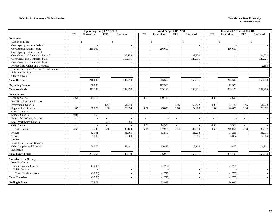|                                        |                          | <b>Operating Budget 2017-2018</b> |              |                |                          | Revised Budget 2017-2018                 |                          |                          |                          | <b>Unaudited Actuals 2017-2018</b> |                          |             |  |
|----------------------------------------|--------------------------|-----------------------------------|--------------|----------------|--------------------------|------------------------------------------|--------------------------|--------------------------|--------------------------|------------------------------------|--------------------------|-------------|--|
|                                        | <b>FTE</b>               | Unrestricted                      | <b>FTE</b>   | Restricted     | <b>FTE</b>               | Unrestricted                             | <b>FTE</b>               | Restricted               | <b>FTE</b>               | Unrestricted                       | <b>FTE</b>               | Restricted  |  |
| <b>Revenues:</b>                       |                          |                                   |              |                |                          |                                          |                          |                          |                          |                                    |                          |             |  |
| Tuition and Fees                       |                          | $\mathcal{S}$                     | $\mathbb{S}$ |                |                          | $\mathbf{s}$<br>$\overline{\phantom{a}}$ |                          | $\mathbf{\hat{S}}$       |                          | $\mathbf{\hat{S}}$                 |                          | $\mathbf S$ |  |
| Govt Appropriations - Federal          |                          |                                   |              |                |                          |                                          |                          |                          |                          |                                    |                          |             |  |
| Govt Appropriations - State            |                          | 216,600                           |              |                |                          | 216,600                                  |                          | $\sim$                   |                          | 216,600                            |                          |             |  |
| Govt Appropriations - Local            |                          |                                   |              |                |                          |                                          |                          |                          |                          |                                    |                          |             |  |
| Govt Grants and Contracts - Federal    |                          | $\overline{\phantom{a}}$          |              | 32,159         |                          | $\sim$                                   |                          | 33,320                   |                          |                                    |                          | 24,604      |  |
| Govt Grants and Contracts - State      |                          |                                   |              | 150,811        |                          | $\overline{\phantom{a}}$                 |                          | 120,611                  |                          |                                    |                          | 125,526     |  |
| Govt Grants and Contracts - Local      |                          |                                   |              |                |                          | $\overline{\phantom{a}}$                 |                          |                          |                          |                                    |                          |             |  |
| Private Gifts, Grants and Contracts    |                          | $\overline{\phantom{a}}$          |              |                |                          | $\overline{\phantom{a}}$                 |                          | $\overline{\phantom{a}}$ |                          |                                    |                          | 2,168       |  |
| Endowment, Land, Permanent Fund Income |                          |                                   |              |                |                          | $\overline{\phantom{a}}$                 |                          |                          |                          |                                    |                          |             |  |
| Sales and Services                     |                          |                                   |              |                |                          |                                          |                          |                          |                          |                                    |                          |             |  |
| Other Sources                          |                          | $\overline{\phantom{a}}$          |              |                |                          | $\overline{\phantom{a}}$                 |                          |                          |                          |                                    |                          |             |  |
| <b>Total Revenue</b>                   |                          | 216,600                           |              | 182,970        |                          | 216,600                                  |                          | 153,931                  |                          | 216,600                            |                          | 152,298     |  |
| <b>Beginning Balance</b>               |                          | 156,633                           |              |                |                          | 172,520                                  |                          |                          |                          | 172,520                            |                          |             |  |
| <b>Total Available</b>                 |                          | 373,233                           |              | 182,970        |                          | 389,120                                  |                          | 153,931                  |                          | 389,120                            |                          | 152,298     |  |
| <b>Expenditures:</b>                   |                          |                                   |              |                |                          |                                          |                          |                          |                          |                                    |                          |             |  |
| <b>Faculty Salaries</b>                | 2.63                     | 144,118                           | $\sim$       |                | 3.63                     | 199,140                                  | $\sim$                   |                          | 3.33                     | 182,603                            | $\sim$                   |             |  |
| Part-Time Instructor Salaries          | $\sim$                   |                                   |              |                | $\sim$                   |                                          | $\sim$                   |                          |                          |                                    |                          |             |  |
| <b>Professional Salaries</b>           | $\sim$                   | $\sim$                            | 1.47         | 61,770         | $\sim$                   | $\sim$                                   | 1.46                     | 62,422                   | (0.05)                   | (2,130)                            | 1.45                     | 61,770      |  |
| <b>Support Staff Salaries</b>          | 1.02                     | 28,622                            | 0.96         | 26,854         | 0.87                     | 23,870                                   | 0.88                     | 24,268                   | 1.04                     | 28,621                             | 0.98                     | 26,872      |  |
| <b>GA/TA Salaries</b>                  | $\sim$                   |                                   | $\sim$       |                | $\sim$                   |                                          | $\sim$                   |                          | $\sim$                   |                                    | $\sim$                   |             |  |
| <b>Student Salaries</b>                | 0.03                     | 500                               | $\sim$       |                |                          | $\overline{\phantom{a}}$                 | $\sim$                   | $\overline{\phantom{a}}$ | $\sim$                   |                                    | $\sim$                   |             |  |
| Federal Work-Study Salaries            | $\overline{\phantom{a}}$ |                                   | $\sim$       |                | $\overline{\phantom{a}}$ | $\overline{\phantom{a}}$                 | $\overline{\phantom{a}}$ |                          | $\overline{\phantom{a}}$ |                                    | $\overline{\phantom{a}}$ |             |  |
| <b>State Work-Study Salaries</b>       | $\sim$                   | $\overline{\phantom{a}}$          | 0.03         | 500            | $\sim$                   |                                          | $\sim$                   |                          | $\overline{\phantom{a}}$ |                                    | $\sim$                   |             |  |
| Other Salaries                         | $\sim$                   | $\overline{\phantom{a}}$          | $\sim$       |                | 0.54                     | 14,944                                   | $\sim$                   | $\overline{a}$           | 0.36                     | 9,962                              | $\overline{\phantom{a}}$ |             |  |
| <b>Total Salaries</b>                  | 3.68                     | 173,240                           | 2.46         | 89,124         | 5.04                     | 237,954                                  | 2.34                     | 86,690                   | 4.68                     | 219,056                            | 2.43                     | 88,642      |  |
| Fringes                                |                          | 62,191                            |              | 31,905         |                          | 83,547                                   |                          | 31,208                   |                          | 77,266                             |                          | 31,911      |  |
| Travel                                 |                          | 7,000                             |              | 9,500          |                          | $\overline{\phantom{a}}$                 |                          | 6,885                    |                          | 3,054                              |                          | 7,004       |  |
| Utilities                              |                          |                                   |              |                |                          | $\overline{\phantom{a}}$                 |                          |                          |                          |                                    |                          |             |  |
| <b>Institutional Support Charges</b>   |                          |                                   |              |                |                          |                                          |                          |                          |                          |                                    |                          |             |  |
| Other Supplies and Expenses            |                          | 30,823                            |              | 52,441         |                          | 15,422                                   |                          | 29,148                   |                          | 5,423                              |                          | 24,741      |  |
| Equipment                              |                          |                                   |              |                |                          |                                          |                          |                          |                          |                                    |                          |             |  |
| <b>Total Expenditures</b>              |                          | 273,254                           |              | 182,970        |                          | 336,923                                  |                          | 153,931                  |                          | 304,799                            |                          | 152,298     |  |
| <b>Transfer To or (From):</b>          |                          |                                   |              |                |                          |                                          |                          |                          |                          |                                    |                          |             |  |
| Non-Mandatory                          |                          |                                   |              |                |                          |                                          |                          |                          |                          |                                    |                          |             |  |
| <b>Instruction and General</b>         |                          | (3,000)                           |              |                |                          | (1,776)                                  |                          |                          |                          | (1,776)                            |                          |             |  |
| <b>Public Service</b>                  |                          |                                   |              | $\blacksquare$ |                          |                                          |                          | $\sim$                   |                          |                                    |                          |             |  |
| Total Non-Mandatory                    |                          | (3,000)                           |              |                |                          | (1,776)                                  |                          |                          |                          | (1,776)                            |                          |             |  |
| <b>Total Transfers</b>                 |                          | (3,000)                           |              |                |                          | (1,776)                                  |                          |                          |                          | (1,776)                            |                          |             |  |
| <b>Ending Balance</b>                  |                          | 102,979                           |              |                |                          | 53,973                                   |                          |                          |                          | 86,097                             |                          |             |  |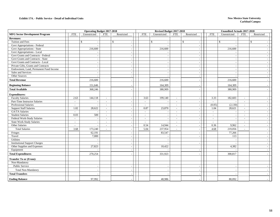|                                        |                          |              | <b>Operating Budget 2017-2018</b> | Revised Budget 2017-2018   |                          |                          |                | Unaudited Actuals 2017-2018 |                          |              |
|----------------------------------------|--------------------------|--------------|-----------------------------------|----------------------------|--------------------------|--------------------------|----------------|-----------------------------|--------------------------|--------------|
| <b>MFG Sector Development Program</b>  | <b>FTE</b>               | Unrestricted | <b>FTE</b><br>Restricted          | <b>FTE</b><br>Unrestricted | <b>FTE</b>               | Restricted               | <b>FTE</b>     | Unrestricted                | <b>FTE</b>               | Restricted   |
| <b>Revenues:</b>                       |                          |              |                                   |                            |                          |                          |                |                             |                          |              |
| Tuition and Fees                       |                          | $\mathbb{S}$ | $\mathbb{S}$                      | $\mathbb{S}$               |                          | $\mathbb{S}$             |                | $\mathbb{S}$                |                          | $\mathbb{S}$ |
| Govt Appropriations - Federal          |                          |              |                                   |                            |                          | $\overline{\phantom{a}}$ |                |                             |                          |              |
| Govt Appropriations - State            |                          | 216,600      |                                   | 216,600                    |                          | $\overline{\phantom{a}}$ |                | 216,600                     |                          |              |
| Govt Appropriations - Local            |                          |              |                                   |                            |                          | $\overline{\phantom{a}}$ |                |                             |                          |              |
| Govt Grants and Contracts - Federal    |                          |              |                                   |                            |                          | $\overline{\phantom{a}}$ |                |                             |                          |              |
| Govt Grants and Contracts - State      |                          |              |                                   |                            |                          | $\overline{\phantom{a}}$ |                |                             |                          | $\sim$       |
| Govt Grants and Contracts - Local      |                          |              |                                   |                            |                          | $\overline{a}$           |                |                             |                          |              |
| Private Gifts, Grants and Contracts    |                          |              |                                   |                            |                          | $\overline{\phantom{a}}$ |                |                             |                          |              |
| Endowment, Land, Permanent Fund Income |                          |              |                                   |                            |                          | $\overline{a}$           |                |                             |                          |              |
| Sales and Services                     |                          |              |                                   |                            |                          | $\overline{\phantom{a}}$ |                |                             |                          |              |
| Other Sources                          |                          |              |                                   |                            |                          | $\overline{\phantom{a}}$ |                |                             |                          |              |
| <b>Total Revenue</b>                   |                          | 216,600      |                                   | 216,600                    |                          | . —                      |                | 216,600                     |                          |              |
| <b>Beginning Balance</b>               |                          | 151,646      |                                   | 164,309                    |                          |                          |                | 164,309                     |                          |              |
| <b>Total Available</b>                 |                          | 368,246      |                                   | 380,909                    |                          |                          |                | 380,909                     |                          |              |
| <b>Expenditures:</b>                   |                          |              |                                   |                            |                          |                          |                |                             |                          |              |
| <b>Faculty Salaries</b>                | 2.63                     | 144,118      | $\sim$                            | 3.63<br>199,140            | $\sim$                   | $\overline{\phantom{a}}$ | 3.33           | 182,603                     | $\overline{a}$           |              |
| Part-Time Instructor Salaries          | $\sim$                   |              | $\sim$                            | $\sim$                     | $\sim$                   | $\overline{\phantom{a}}$ | $\sim$         |                             | $\overline{a}$           | $\sim$       |
| <b>Professional Salaries</b>           | $\blacksquare$           |              | $\overline{\phantom{a}}$          | $\overline{\phantom{a}}$   | $\overline{\phantom{a}}$ | $\overline{a}$           | (0.05)         | (2,130)                     | $\overline{\phantom{a}}$ |              |
| <b>Support Staff Salaries</b>          | 1.02                     | 28,622       | $\sim$                            | 0.87<br>23,870             | $\sim$                   | $\overline{\phantom{a}}$ | 1.04           | 28,621                      | $\sim$                   | $\sim$       |
| GA/TA Salaries                         | $\sim$                   |              | $\sim$                            | $\sim$                     | $\sim$                   |                          | $\sim$         |                             | $\overline{a}$           |              |
| <b>Student Salaries</b>                | 0.03                     | 500          | $\sim$                            | $\overline{\phantom{a}}$   | $\sim$                   | $\overline{\phantom{a}}$ | $\sim$         |                             | $\overline{a}$           |              |
| Federal Work-Study Salaries            | $\overline{\phantom{a}}$ |              | $\sim$                            | $\sim$                     | $\sim$                   | $\overline{\phantom{a}}$ | $\overline{a}$ |                             | ٠                        |              |
| <b>State Work-Study Salaries</b>       | $\sim$                   |              | $\sim$                            | $\sim$                     | $\sim$                   | $\overline{\phantom{a}}$ | $\overline{a}$ |                             | ÷,                       |              |
| Other Salaries                         | $\sim$                   |              | $\overline{\phantom{a}}$          | 0.54<br>14,944             | $\overline{\phantom{a}}$ | $\overline{\phantom{a}}$ | 0.36           | 9,962                       | ÷                        |              |
| <b>Total Salaries</b>                  | 3.68                     | 173,240      | $\sim$                            | 5.04<br>237,954            | $\sim$                   |                          | 4.68           | 219,056                     | $\overline{a}$           |              |
| Fringes                                |                          | 62,191       |                                   | 83,547                     |                          | $\overline{\phantom{a}}$ |                | 77,266                      |                          |              |
| Travel                                 |                          | 7,000        |                                   |                            |                          |                          |                | 113                         |                          |              |
| Utilities                              |                          |              |                                   |                            |                          |                          |                |                             |                          | $\sim$       |
| <b>Institutional Support Charges</b>   |                          |              |                                   |                            |                          |                          |                |                             |                          |              |
| Other Supplies and Expenses            |                          | 27,823       |                                   | 10,422                     |                          |                          |                | 4,382                       |                          |              |
| Equipment                              |                          |              | $\overline{\phantom{a}}$          |                            |                          | $\overline{\phantom{a}}$ |                |                             |                          | $\sim$       |
| <b>Total Expenditures</b>              |                          | 270,254      |                                   | 331,923                    |                          |                          |                | 300,817                     |                          |              |
| <b>Transfer To or (From):</b>          |                          |              |                                   |                            |                          |                          |                |                             |                          |              |
| Non-Mandatory                          |                          |              |                                   |                            |                          |                          |                |                             |                          |              |
| Public Service                         |                          |              |                                   |                            |                          |                          |                |                             |                          |              |
| Total Non-Mandatory                    |                          |              |                                   |                            |                          |                          |                |                             |                          |              |
| <b>Total Transfers</b>                 |                          |              |                                   |                            |                          |                          |                |                             |                          |              |
| <b>Ending Balance</b>                  |                          | 97,992       |                                   | 48,986                     |                          |                          |                | 80,092                      |                          |              |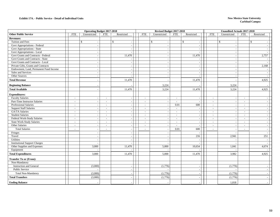#### **Exhibit 17A. - Public Service - Detail of Individual Units**

#### **New Mexico State University Carlsbad Campu**<sup>s</sup>

|                                        | <b>Operating Budget 2017-2018</b> |                          |                          |                          |                          | Revised Budget 2017-2018 |                          |                              |                          | <b>Unaudited Actuals 2017-2018</b> |                          |                          |  |
|----------------------------------------|-----------------------------------|--------------------------|--------------------------|--------------------------|--------------------------|--------------------------|--------------------------|------------------------------|--------------------------|------------------------------------|--------------------------|--------------------------|--|
| <b>Other Public Service</b>            | <b>FTE</b>                        | Unrestricted             | <b>FTE</b>               | Restricted               | <b>FTE</b>               | Unrestricted             | <b>FTE</b>               | Restricted                   | <b>FTE</b>               | Unrestricted                       | <b>FTE</b>               | Restricted               |  |
| <b>Revenues:</b>                       |                                   |                          |                          |                          |                          |                          |                          |                              |                          |                                    |                          |                          |  |
| Tuition and Fees                       |                                   | $\mathbb{S}$             |                          | $\mathbb{S}$             |                          | \$<br>$\sim$             |                          | $\mathbf{\hat{S}}$<br>$\sim$ |                          | $\mathbb{S}$                       |                          | $\mathbf{\hat{S}}$       |  |
| Govt Appropriations - Federal          |                                   |                          |                          |                          |                          | $\overline{\phantom{a}}$ |                          |                              |                          |                                    |                          |                          |  |
| Govt Appropriations - State            |                                   |                          |                          |                          |                          | $\overline{\phantom{a}}$ |                          | $\overline{\phantom{a}}$     |                          |                                    |                          | $\overline{\phantom{a}}$ |  |
| Govt Appropriations - Local            |                                   |                          |                          |                          |                          | $\overline{\phantom{a}}$ |                          | $\overline{\phantom{a}}$     |                          |                                    |                          |                          |  |
| Govt Grants and Contracts - Federal    |                                   |                          |                          | 11,470                   |                          | $\overline{\phantom{a}}$ |                          | 11,470                       |                          |                                    |                          | 2,757                    |  |
| Govt Grants and Contracts - State      |                                   |                          |                          |                          |                          | $\overline{\phantom{a}}$ |                          |                              |                          |                                    |                          |                          |  |
| Govt Grants and Contracts - Local      |                                   |                          |                          |                          |                          | $\overline{\phantom{a}}$ |                          | $\overline{\phantom{a}}$     |                          |                                    |                          |                          |  |
| Private Gifts, Grants and Contracts    |                                   | $\overline{\phantom{a}}$ |                          | $\sim$                   |                          | $\overline{\phantom{a}}$ |                          | $\overline{\phantom{a}}$     |                          | $\overline{\phantom{a}}$           |                          | 2,168                    |  |
| Endowment, Land, Permanent Fund Income |                                   |                          |                          |                          |                          | $\overline{\phantom{a}}$ |                          | $\sim$                       |                          |                                    |                          |                          |  |
| Sales and Services                     |                                   |                          |                          |                          |                          |                          |                          | $\overline{a}$               |                          |                                    |                          |                          |  |
| Other Sources                          |                                   | <b>.</b>                 |                          |                          |                          | $\overline{\phantom{a}}$ |                          | $\overline{\phantom{a}}$     |                          |                                    |                          |                          |  |
| <b>Total Revenue</b>                   |                                   |                          |                          | 11,470                   |                          |                          |                          | 11,470                       |                          |                                    |                          | 4,925                    |  |
| <b>Beginning Balance</b>               |                                   |                          |                          |                          |                          | 3,224                    |                          |                              |                          | 3,224                              |                          |                          |  |
| <b>Total Available</b>                 |                                   |                          |                          | 11,470                   |                          | 3,224                    |                          | 11,470                       |                          | 3,224                              |                          | 4,925                    |  |
| <b>Expenditures:</b>                   |                                   |                          |                          |                          |                          |                          |                          |                              |                          |                                    |                          |                          |  |
| <b>Faculty Salaries</b>                | $\overline{\phantom{a}}$          |                          | $\sim$                   |                          | $\sim$                   | $\overline{a}$           | $\sim$                   |                              | $\overline{\phantom{a}}$ |                                    | $\sim$                   |                          |  |
| Part-Time Instructor Salaries          | $\blacksquare$                    |                          | $\overline{\phantom{a}}$ |                          | $\sim$                   | $\overline{a}$           | $\sim$                   |                              | $\sim$                   |                                    | $\sim$                   |                          |  |
| <b>Professional Salaries</b>           | $\sim$                            | . .                      | $\sim$                   | $\overline{\phantom{a}}$ | $\sim$                   | $\sim$                   | 0.01                     | 600                          | $\sim$                   | $\overline{\phantom{a}}$           | $\sim$                   | $\overline{a}$           |  |
| <b>Support Staff Salaries</b>          | $\overline{\phantom{a}}$          |                          | $\sim$                   |                          | $\overline{\phantom{a}}$ | $\overline{a}$           | $\sim$                   | $\sim$                       | $\overline{\phantom{a}}$ | $\overline{\phantom{a}}$           | $\sim$                   | $\overline{a}$           |  |
| GA/TA Salaries                         | $\sim$                            |                          | $\sim$                   |                          | $\sim$                   | $\overline{\phantom{a}}$ | $\sim$                   | $\overline{\phantom{a}}$     | $\sim$                   |                                    | $\sim$                   | $\overline{\phantom{a}}$ |  |
| <b>Student Salaries</b>                | $\overline{\phantom{a}}$          | $\overline{\phantom{a}}$ | $\sim$                   |                          | $\sim$                   | $\overline{\phantom{a}}$ | $\sim$                   | $\overline{\phantom{a}}$     | $\sim$                   | $\overline{\phantom{a}}$           | $\sim$                   | $\sim$                   |  |
| Federal Work-Study Salaries            | $\overline{\phantom{a}}$          |                          | $\sim$                   |                          | $\overline{\phantom{a}}$ | $\overline{\phantom{a}}$ | $\sim$                   | $\overline{\phantom{a}}$     | $\overline{\phantom{a}}$ |                                    | $\overline{\phantom{a}}$ | $\overline{a}$           |  |
| <b>State Work-Study Salaries</b>       | $\sim$                            |                          | $\sim$                   |                          | $\sim$                   |                          | $\sim$                   | $\sim$                       | $\sim$                   |                                    | $\sim$                   | $\sim$                   |  |
| <b>Other Salaries</b>                  | $\sim$                            | $\overline{\phantom{a}}$ | $\sim$                   |                          | $\sim$                   | $\overline{\phantom{a}}$ | $\overline{\phantom{a}}$ | $\sim$                       | $\overline{\phantom{a}}$ | $\overline{\phantom{a}}$           | $\sim$                   | $\sim$                   |  |
| <b>Total Salaries</b>                  | $\blacksquare$                    |                          | $\overline{\phantom{a}}$ |                          | $\overline{a}$           |                          | 0.01                     | 600                          | $\overline{\phantom{a}}$ |                                    | $\sim$                   | $\sim$                   |  |
| Fringes                                |                                   |                          |                          |                          |                          |                          |                          |                              |                          |                                    |                          |                          |  |
| Travel                                 |                                   | $\overline{\phantom{a}}$ |                          | $\overline{\phantom{a}}$ |                          | $\overline{\phantom{a}}$ |                          | 216                          |                          | 2,941                              |                          | 251                      |  |
| Utilities                              |                                   |                          |                          |                          |                          | $\overline{\phantom{a}}$ |                          | $\overline{\phantom{a}}$     |                          |                                    |                          |                          |  |
| <b>Institutional Support Charges</b>   |                                   |                          |                          |                          |                          |                          |                          |                              |                          |                                    |                          |                          |  |
| Other Supplies and Expenses            |                                   | 3,000                    |                          | 11,470                   |                          | 5,000                    |                          | 10,654                       |                          | 1,041                              |                          | 4,674                    |  |
| Equipment                              |                                   |                          |                          |                          |                          | $\overline{\phantom{a}}$ |                          | $\sim$                       |                          |                                    |                          |                          |  |
| <b>Total Expenditures</b>              |                                   | 3,000                    |                          | 11,470                   |                          | 5,000                    |                          | 11,470                       |                          | 3,982                              |                          | 4,925                    |  |
| <b>Transfer To or (From):</b>          |                                   |                          |                          |                          |                          |                          |                          |                              |                          |                                    |                          |                          |  |
| Non-Mandatory                          |                                   |                          |                          |                          |                          |                          |                          |                              |                          |                                    |                          |                          |  |
| <b>Instruction and General</b>         |                                   | (3,000)                  |                          |                          |                          | (1,776)                  |                          | $\overline{\phantom{a}}$     |                          | (1,776)                            |                          | $\overline{\phantom{a}}$ |  |
| Public Service                         |                                   |                          |                          | $\overline{\phantom{a}}$ |                          |                          |                          | $\sim$                       |                          |                                    |                          | $\sim$                   |  |
| <b>Total Non-Mandatory</b>             |                                   | (3,000)                  |                          |                          |                          | (1,776)                  |                          | $\overline{\phantom{a}}$     |                          | (1,776)                            |                          |                          |  |
| <b>Total Transfers</b>                 |                                   | (3,000)                  |                          |                          |                          | (1,776)                  |                          |                              |                          | (1,776)                            |                          |                          |  |
| <b>Ending Balance</b>                  |                                   |                          |                          |                          |                          |                          |                          |                              |                          | 1,018                              |                          |                          |  |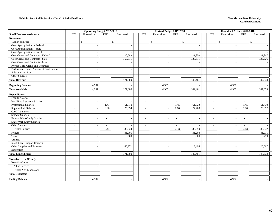|                                        | <b>Operating Budget 2017-2018</b> |                          |                          |              | Revised Budget 2017-2018 |                          |                          |                          | <b>Unaudited Actuals 2017-2018</b> |              |                          |              |
|----------------------------------------|-----------------------------------|--------------------------|--------------------------|--------------|--------------------------|--------------------------|--------------------------|--------------------------|------------------------------------|--------------|--------------------------|--------------|
| <b>Small Business Assistance</b>       | <b>FTE</b>                        | Unrestricted             | <b>FTE</b>               | Restricted   | <b>FTE</b>               | Unrestricted             | <b>FTE</b>               | Restricted               | <b>FTE</b>                         | Unrestricted | <b>FTE</b>               | Restricted   |
| <b>Revenues:</b>                       |                                   |                          |                          |              |                          |                          |                          |                          |                                    |              |                          |              |
| Tuition and Fees                       |                                   | \$                       |                          | $\mathbb{S}$ |                          | \$                       |                          | $\mathbb{S}$<br>$\sim$   |                                    | $\mathbb{S}$ |                          | $\mathbb{S}$ |
| Govt Appropriations - Federal          |                                   |                          |                          |              |                          |                          |                          | $\overline{\phantom{a}}$ |                                    |              |                          |              |
| Govt Appropriations - State            |                                   |                          |                          |              |                          | $\overline{\phantom{a}}$ |                          | $\sim$                   |                                    |              |                          |              |
| Govt Appropriations - Local            |                                   |                          |                          |              |                          |                          |                          | $\overline{\phantom{a}}$ |                                    |              |                          |              |
| Govt Grants and Contracts - Federal    |                                   |                          |                          | 20,689       |                          |                          |                          | 21,850                   |                                    |              |                          | 21,847       |
| Govt Grants and Contracts - State      |                                   |                          |                          | 150,311      |                          |                          |                          | 120,611                  |                                    |              |                          | 125,526      |
| Govt Grants and Contracts - Local      |                                   |                          |                          |              |                          |                          |                          |                          |                                    |              |                          |              |
| Private Gifts, Grants and Contracts    |                                   |                          |                          |              |                          |                          |                          | $\overline{\phantom{a}}$ |                                    |              |                          |              |
| Endowment, Land, Permanent Fund Income |                                   |                          |                          |              |                          |                          |                          | $\sim$                   |                                    |              |                          |              |
| Sales and Services                     |                                   |                          |                          |              |                          |                          |                          | $\sim$                   |                                    |              |                          |              |
| Other Sources                          |                                   |                          |                          |              |                          |                          |                          | $\overline{\phantom{a}}$ |                                    |              |                          |              |
| <b>Total Revenue</b>                   |                                   |                          |                          | 171,000      |                          |                          |                          | 142,461                  |                                    |              |                          | 147,373      |
| <b>Beginning Balance</b>               |                                   | 4,987                    |                          |              |                          | 4,987                    |                          |                          |                                    | 4,987        |                          |              |
| <b>Total Available</b>                 |                                   | 4,987                    |                          | 171,000      |                          | 4,987                    |                          | 142,461                  |                                    | 4,987        |                          | 147,373      |
| <b>Expenditures:</b>                   |                                   |                          |                          |              |                          |                          |                          |                          |                                    |              |                          |              |
| <b>Faculty Salaries</b>                | $\sim$                            |                          | $\overline{\phantom{a}}$ |              | $\sim$                   |                          | $\sim$                   | $\overline{\phantom{a}}$ | $\overline{a}$                     |              | $\sim$                   |              |
| Part-Time Instructor Salaries          | $\overline{\phantom{a}}$          | $\overline{\phantom{a}}$ | $\sim$                   |              | $\sim$                   | $\overline{\phantom{a}}$ | $\sim$                   | $\overline{a}$           | $\overline{\phantom{a}}$           | $\sim$       | $\overline{\phantom{a}}$ |              |
| <b>Professional Salaries</b>           | $\overline{\phantom{a}}$          |                          | 1.47                     | 61,770       | $\sim$                   |                          | 1.45                     | 61,822                   | $\overline{\phantom{a}}$           |              | 1.45                     | 61,770       |
| <b>Support Staff Salaries</b>          | $\sim$                            |                          | 0.96                     | 26,854       | $\sim$                   |                          | 0.88                     | 24,268                   | $\overline{\phantom{a}}$           |              | 0.98                     | 26,872       |
| GA/TA Salaries                         | $\sim$                            |                          | $\sim$                   |              | $\sim$                   |                          | $\sim$                   |                          | $\overline{\phantom{a}}$           |              | $\sim$                   |              |
| <b>Student Salaries</b>                | $\overline{\phantom{a}}$          |                          | $\sim$                   |              | $\blacksquare$           |                          | $\overline{\phantom{a}}$ |                          | $\overline{\phantom{a}}$           |              | $\overline{\phantom{a}}$ |              |
| Federal Work-Study Salaries            | $\overline{\phantom{a}}$          |                          | $\overline{\phantom{a}}$ |              | $\overline{\phantom{a}}$ |                          | $\overline{\phantom{a}}$ | $\overline{\phantom{a}}$ | $\sim$                             |              | $\sim$                   |              |
| <b>State Work-Study Salaries</b>       | $\sim$                            |                          | $\sim$                   |              | $\sim$                   |                          | $\sim$                   | $\overline{a}$           | $\overline{a}$                     |              | $\sim$                   |              |
| <b>Other Salaries</b>                  | $\overline{\phantom{a}}$          |                          | $\overline{\phantom{a}}$ |              |                          |                          | $\overline{\phantom{a}}$ | $\overline{\phantom{a}}$ | $\overline{\phantom{a}}$           |              | $\overline{\phantom{a}}$ |              |
| <b>Total Salaries</b>                  | $\overline{a}$                    |                          | 2.43                     | 88,624       |                          |                          | 2.33                     | 86,090                   | $\overline{a}$                     |              | 2.43                     | 88,642       |
| Fringes                                |                                   |                          |                          | 31,905       |                          |                          |                          | 31,208                   |                                    |              |                          | 31,911       |
| Travel                                 |                                   |                          |                          | 9,500        |                          |                          |                          | 6,669                    |                                    |              |                          | 6,753        |
| Utilities                              |                                   |                          |                          |              |                          |                          |                          |                          |                                    |              |                          |              |
| <b>Institutional Support Charges</b>   |                                   |                          |                          |              |                          |                          |                          | $\sim$                   |                                    |              |                          |              |
| Other Supplies and Expenses            |                                   |                          |                          | 40,971       |                          |                          |                          | 18,494                   |                                    |              |                          | 20,067       |
| Equipment                              |                                   | $\overline{\phantom{a}}$ |                          |              |                          | $\overline{\phantom{a}}$ |                          |                          |                                    |              |                          |              |
| <b>Total Expenditures</b>              |                                   |                          |                          | 171,000      |                          |                          |                          | 142,461                  |                                    |              |                          | 147,373      |
| <b>Transfer To or (From):</b>          |                                   |                          |                          |              |                          |                          |                          |                          |                                    |              |                          |              |
| Non-Mandatory                          |                                   |                          |                          |              |                          |                          |                          |                          |                                    |              |                          |              |
| Public Service                         |                                   |                          |                          |              |                          |                          |                          | $\overline{\phantom{a}}$ |                                    |              |                          |              |
| Total Non-Mandatory                    |                                   |                          |                          |              |                          |                          |                          |                          |                                    |              |                          |              |
| <b>Total Transfers</b>                 |                                   |                          |                          |              |                          |                          |                          |                          |                                    |              |                          |              |
| <b>Ending Balance</b>                  |                                   | 4,987                    |                          |              |                          | 4,987                    |                          |                          |                                    | 4,987        |                          |              |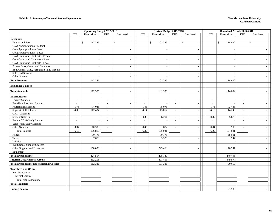#### **Exhibit 18. Summary of Internal Service Departments New Mexico State University**

|                                                   | <b>Operating Budget 2017-2018</b> |                          |                             | Revised Budget 2017-2018 |                          |                          |                             | <b>Unaudited Actuals 2017-2018</b>          |                          |               |                |            |  |
|---------------------------------------------------|-----------------------------------|--------------------------|-----------------------------|--------------------------|--------------------------|--------------------------|-----------------------------|---------------------------------------------|--------------------------|---------------|----------------|------------|--|
|                                                   | <b>FTE</b>                        | Unrestricted             | <b>FTE</b>                  | Restricted               | <b>FTE</b>               | Unrestricted             | <b>FTE</b>                  | Restricted                                  | FTE                      | Unrestricted  | <b>FTE</b>     | Restricted |  |
| <b>Revenues:</b>                                  |                                   |                          |                             |                          |                          |                          |                             |                                             |                          |               |                |            |  |
| Tuition and Fees                                  |                                   | 112,386<br>\$            |                             | $\frac{1}{2}$            |                          | 101,386<br>\$            |                             | $\mathbb{S}$<br>$\mathcal{L}_{\mathcal{A}}$ |                          | 114,602<br>\$ |                | $\$\,$     |  |
| Govt Appropriations - Federal                     |                                   |                          |                             |                          |                          |                          |                             | $\sim$                                      |                          |               |                |            |  |
| Govt Appropriations - State                       |                                   |                          |                             |                          |                          |                          |                             | $\sim$                                      |                          |               |                |            |  |
| Govt Appropriations - Local                       |                                   |                          |                             |                          |                          |                          |                             | $\sim$                                      |                          |               |                |            |  |
| Govt Grants and Contracts - Federal               |                                   |                          |                             |                          |                          |                          |                             | $\sim$                                      |                          |               |                |            |  |
| Govt Grants and Contracts - State                 |                                   |                          |                             |                          |                          |                          |                             | $\overline{a}$                              |                          |               |                |            |  |
| Govt Grants and Contracts - Local                 |                                   | $\overline{a}$           |                             | $\overline{\phantom{a}}$ |                          |                          |                             | $\sim$                                      |                          | $\sim$        |                |            |  |
| Private Gifts, Grants and Contracts               |                                   |                          |                             |                          |                          |                          |                             | $\sim$                                      |                          |               |                |            |  |
| Endowment, Land, Permanent Fund Income            |                                   |                          |                             |                          |                          |                          |                             | $\sim$                                      |                          |               |                |            |  |
| Sales and Services                                |                                   |                          |                             | $\overline{\phantom{a}}$ |                          |                          |                             | $\overline{a}$                              |                          |               |                |            |  |
| Other Sources                                     |                                   |                          |                             |                          |                          |                          |                             | $\sim$                                      |                          |               |                |            |  |
| <b>Total Revenue</b>                              |                                   | 112,386                  |                             |                          |                          | 101,386                  |                             | $\sim$                                      |                          | 114,602       |                |            |  |
| <b>Beginning Balance</b>                          |                                   |                          |                             |                          |                          |                          |                             | $\sim$                                      |                          |               |                |            |  |
| <b>Total Available</b>                            |                                   | 112,386                  |                             |                          |                          | 101,386                  |                             | $\sim$                                      |                          | 114,602       |                |            |  |
|                                                   |                                   |                          |                             |                          |                          |                          |                             |                                             |                          |               |                |            |  |
| <b>Expenditures:</b>                              |                                   |                          |                             |                          |                          |                          |                             |                                             |                          |               |                |            |  |
| <b>Faculty Salaries</b>                           | $\sim$                            |                          | $\mathcal{L}_{\mathcal{A}}$ |                          | $\overline{\phantom{a}}$ | $\sim$                   | $\overline{\phantom{a}}$    | $\sim$                                      | $\overline{\phantom{a}}$ |               | $\mathbb{L}^+$ |            |  |
| Part-Time Instructor Salaries                     | $\sim$                            |                          | $\sim$                      |                          | $\sim$                   | $\sim$                   | $\sim$                      | $\sim$                                      | $\sim$                   |               | $\sim$         |            |  |
| <b>Professional Salaries</b>                      | 1.76                              | 74,085                   | $\mathbb{L}$                |                          | 1.83                     | 78,078                   | $\mathcal{L}_{\mathcal{A}}$ | $\sim$                                      | 1.73                     | 73,485        | $\mathcal{L}$  |            |  |
| <b>Support Staff Salaries</b>                     | 4.00                              | 112,434                  | $\sim$                      |                          | 4.14                     | 113,867                  | $\sim$                      | $\overline{\phantom{a}}$                    | 4.15                     | 114,248       | $\sim$         |            |  |
| GA/TA Salaries                                    | $\sim$                            |                          | $\overline{\phantom{a}}$    |                          | $\sim$                   |                          | $\overline{\phantom{a}}$    | $\sim$                                      | $\mathcal{L}$            |               | $\sim$         |            |  |
| <b>Student Salaries</b>                           | $\sim$                            | $\overline{\phantom{a}}$ | $\sim$                      | $\overline{\phantom{a}}$ | 0.39                     | 6,204                    | $\sim$                      | $\sim$                                      | 0.37                     | 5,870         | $\sim$         |            |  |
| Federal Work-Study Salaries                       | $\sim$                            |                          | $\overline{\phantom{a}}$    |                          | $\sim$                   | $\overline{\phantom{a}}$ | $\sim$                      | $\overline{\phantom{a}}$                    | $\sim$                   |               | $\sim$         |            |  |
| <b>State Work-Study Salaries</b>                  | $\sim$                            |                          | $\sim$                      |                          | $\sim$                   |                          | $\sim$                      | $\sim$                                      | $\sim$                   |               | $\sim$         |            |  |
| Other Salaries                                    | 0.37                              | 10,300                   | $\sim$                      |                          | 0.03                     | 882                      | $\sim$                      | $\sim$                                      | 0.04                     | 998           | $\sim$         |            |  |
| <b>Total Salaries</b>                             | 6.13                              | 196,819                  | $\sim$                      |                          | 6.39                     | 199,031                  | $\sim$                      | $\sim$                                      | 6.29                     | 194,601       |                |            |  |
| Fringes                                           |                                   | 70,775                   |                             |                          |                          | 70,775                   |                             | $\sim$                                      |                          | 68,001        |                |            |  |
| Travel                                            |                                   | 7,000                    |                             | $\overline{\phantom{a}}$ |                          | 3,520                    |                             | $\sim$                                      |                          | 947           |                |            |  |
| Utilities                                         |                                   |                          |                             |                          |                          |                          |                             | $\overline{\phantom{a}}$                    |                          |               |                |            |  |
| <b>Institutional Support Charges</b>              |                                   |                          |                             |                          |                          |                          |                             | $\sim$                                      |                          |               |                |            |  |
| Other Supplies and Expenses                       |                                   | 150,000                  |                             | $\sim$                   |                          | 225,463                  |                             | $\sim$                                      |                          | 176,947       |                |            |  |
| Equipment                                         |                                   |                          |                             | $\sim$                   |                          |                          |                             | $\sim$                                      |                          |               |                |            |  |
| <b>Total Expenditures</b>                         |                                   | 424,594                  |                             |                          |                          | 498,789                  |                             | $\overline{\phantom{a}}$                    |                          | 440,496       |                |            |  |
| <b>Internal Departmental Credits</b>              |                                   | (312, 208)               |                             |                          |                          | (397, 403)               |                             | $\overline{\phantom{a}}$                    |                          | (349, 877)    |                |            |  |
| <b>Total Expenditures net of Internal Credits</b> |                                   | 112,386                  |                             |                          |                          | 101,386                  |                             | $\sim$                                      |                          | 90,619        |                |            |  |
| <b>Transfer To or (From):</b>                     |                                   |                          |                             |                          |                          |                          |                             |                                             |                          |               |                |            |  |
| Non-Mandatory                                     |                                   |                          |                             |                          |                          |                          |                             |                                             |                          |               |                |            |  |
| <b>Internal Service</b>                           |                                   |                          |                             |                          |                          |                          |                             | $\overline{\phantom{a}}$                    |                          |               |                |            |  |
| <b>Total Non-Mandatory</b>                        |                                   |                          |                             |                          |                          |                          |                             | $\sim$                                      |                          |               |                |            |  |
| <b>Total Transfers</b>                            |                                   |                          |                             |                          |                          |                          |                             | $\sim$                                      |                          |               |                |            |  |
| <b>Ending Balance</b>                             |                                   |                          |                             |                          |                          |                          |                             |                                             |                          | 23,983        |                |            |  |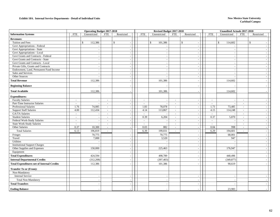#### **Exhibit 18A. Internal Service Departments - Detail of Individual Units New Mexico State University New Mexico State University**

|                                                   | <b>Operating Budget 2017-2018</b> |                          |                             |                          | Revised Budget 2017-2018 |                          |                          |                          | <b>Unaudited Actuals 2017-2018</b> |                          |                          |              |
|---------------------------------------------------|-----------------------------------|--------------------------|-----------------------------|--------------------------|--------------------------|--------------------------|--------------------------|--------------------------|------------------------------------|--------------------------|--------------------------|--------------|
| <b>Information Systems</b>                        | <b>FTE</b>                        | Unrestricted             | <b>FTE</b>                  | Restricted               | <b>FTE</b>               | Unrestricted             | <b>FTE</b>               | Restricted               | <b>FTE</b>                         | Unrestricted             | <b>FTE</b>               | Restricted   |
| <b>Revenues:</b>                                  |                                   |                          |                             |                          |                          |                          |                          |                          |                                    |                          |                          |              |
| Tuition and Fees                                  |                                   | $\mathbb{S}$<br>112,386  |                             | $\mathbf{\hat{S}}$       |                          | $\mathbb{S}$<br>101,386  |                          | $\mathbf{\$}$<br>$\sim$  | \$                                 | 114,602                  |                          | $\mathbb{S}$ |
| Govt Appropriations - Federal                     |                                   |                          |                             |                          |                          |                          |                          | $\sim$                   |                                    |                          |                          |              |
| Govt Appropriations - State                       |                                   |                          |                             |                          |                          |                          |                          | $\sim$                   |                                    |                          |                          |              |
| Govt Appropriations - Local                       |                                   |                          |                             |                          |                          |                          |                          | $\sim$                   |                                    |                          |                          |              |
| Govt Grants and Contracts - Federal               |                                   |                          |                             |                          |                          |                          |                          | $\sim$                   |                                    |                          |                          |              |
| Govt Grants and Contracts - State                 |                                   |                          |                             |                          |                          |                          |                          | $\sim$                   |                                    |                          |                          |              |
| Govt Grants and Contracts - Local                 |                                   | $\overline{\phantom{a}}$ |                             | $\overline{\phantom{a}}$ |                          | $\overline{\phantom{a}}$ |                          | $\sim$                   |                                    |                          |                          |              |
| Private Gifts, Grants and Contracts               |                                   |                          |                             | $\sim$                   |                          | $\overline{\phantom{a}}$ |                          | $\sim$                   |                                    |                          |                          |              |
| Endowment, Land, Permanent Fund Income            |                                   |                          |                             |                          |                          |                          |                          | $\sim$                   |                                    |                          |                          |              |
| Sales and Services                                |                                   |                          |                             |                          |                          |                          |                          | $\sim$                   |                                    |                          |                          |              |
| Other Sources                                     |                                   |                          |                             |                          |                          |                          |                          | $\sim$                   |                                    |                          |                          |              |
| <b>Total Revenue</b>                              |                                   | 112,386                  |                             |                          |                          | 101,386                  |                          |                          |                                    | 114,602                  |                          |              |
| <b>Beginning Balance</b>                          |                                   |                          |                             |                          |                          |                          |                          |                          |                                    |                          |                          |              |
| <b>Total Available</b>                            |                                   | 112,386                  |                             |                          |                          | 101,386                  |                          |                          |                                    | 114,602                  |                          |              |
| <b>Expenditures:</b>                              |                                   |                          |                             |                          |                          |                          |                          |                          |                                    |                          |                          |              |
| <b>Faculty Salaries</b>                           | $\sim$                            |                          | $\sim$                      | $\sim$                   | $\sim$                   | $\sim$                   | $\sim$                   | $\sim$                   | $\sim$                             | $\overline{\phantom{a}}$ | $\overline{\phantom{a}}$ |              |
| Part-Time Instructor Salaries                     | $\sim$                            |                          | $\sim$                      |                          | $\mathbb{L}^+$           |                          | $\sim$                   | $\sim$                   | $\overline{\phantom{a}}$           |                          | $\sim$                   |              |
| <b>Professional Salaries</b>                      | 1.76                              | 74,085                   | $\sim$                      | $\overline{\phantom{a}}$ | 1.83                     | 78,078                   | $\sim$                   | $\sim$                   | 1.73                               | 73,485                   | $\sim$                   |              |
| <b>Support Staff Salaries</b>                     | 4.00                              | 112,434                  | $\mathcal{L}_{\mathcal{A}}$ |                          | 4.14                     | 113,867                  | $\sim$                   | $\sim$                   | 4.15                               | 114,248                  | $\overline{\phantom{a}}$ |              |
| GA/TA Salaries                                    | $\overline{a}$                    |                          | $\sim$                      |                          | $\sim$                   |                          | $\sim$                   | $\sim$                   | $\mathbb{Z}^+$                     |                          | $\overline{\phantom{a}}$ |              |
| <b>Student Salaries</b>                           | $\mathcal{L}_{\mathcal{A}}$       | $\overline{\phantom{a}}$ | $\mathcal{L}_{\mathcal{A}}$ | $\sim$                   | 0.39                     | 6,204                    | $\sim$                   | $\sim$                   | 0.37                               | 5,870                    | $\overline{\phantom{a}}$ |              |
| Federal Work-Study Salaries                       | $\sim$                            |                          | $\sim$                      |                          | $\sim$                   |                          | $\overline{\phantom{a}}$ | $\sim$                   | $\sim$                             |                          | $\overline{\phantom{a}}$ |              |
| <b>State Work-Study Salaries</b>                  | $\overline{a}$                    |                          | $\sim$                      |                          | $\sim$                   |                          | $\sim$                   | $\sim$                   | $\overline{a}$                     |                          | $\overline{a}$           |              |
| Other Salaries                                    | 0.37                              | 10,300                   | $\sim$                      |                          | 0.03                     | 882                      | $\sim$                   | $\sim$                   | 0.04                               | 998                      | $\sim$                   |              |
| <b>Total Salaries</b>                             | 6.13                              | 196,819                  | $\sim$                      |                          | 6.39                     | 199,031                  | $\sim$                   | $\sim$                   | 6.29                               | 194,601                  | $\overline{a}$           |              |
| Fringes                                           |                                   | 70,775                   |                             |                          |                          | 70,775                   |                          | $\sim$                   |                                    | 68,001                   |                          |              |
| Travel                                            |                                   | 7,000                    |                             | $\sim$                   |                          | 3,520                    |                          | $\sim$                   |                                    | 947                      |                          |              |
| Utilities                                         |                                   |                          |                             |                          |                          |                          |                          | $\sim$                   |                                    |                          |                          |              |
| <b>Institutional Support Charges</b>              |                                   |                          |                             |                          |                          |                          |                          | $\sim$                   |                                    |                          |                          |              |
| Other Supplies and Expenses                       |                                   | 150,000                  |                             | $\overline{a}$           |                          | 225,463                  |                          | $\sim$                   |                                    | 176,947                  |                          |              |
| Equipment                                         |                                   |                          |                             | $\overline{\phantom{0}}$ |                          |                          |                          | $\sim$                   |                                    |                          |                          |              |
| <b>Total Expenditures</b>                         |                                   | 424,594                  |                             |                          |                          | 498,789                  |                          | $\overline{\phantom{a}}$ |                                    | 440,496                  |                          |              |
| <b>Internal Departmental Credits</b>              |                                   | (312, 208)               |                             |                          |                          | (397, 403)               |                          |                          |                                    | (349, 877)               |                          |              |
| <b>Total Expenditures net of Internal Credits</b> |                                   | 112,386                  |                             |                          |                          | 101,386                  |                          |                          |                                    | 90,619                   |                          |              |
| <b>Transfer To or (From):</b>                     |                                   |                          |                             |                          |                          |                          |                          |                          |                                    |                          |                          |              |
| Non-Mandatory                                     |                                   |                          |                             |                          |                          |                          |                          |                          |                                    |                          |                          |              |
| <b>Internal Service</b>                           |                                   |                          |                             |                          |                          |                          |                          | $\sim$                   |                                    |                          |                          |              |
| <b>Total Non-Mandatory</b>                        |                                   |                          |                             |                          |                          |                          |                          | $\sim$                   |                                    |                          |                          |              |
| <b>Total Transfers</b>                            |                                   |                          |                             |                          |                          |                          |                          |                          |                                    |                          |                          |              |
| <b>Ending Balance</b>                             |                                   |                          |                             |                          |                          |                          |                          |                          |                                    | 23,983                   |                          |              |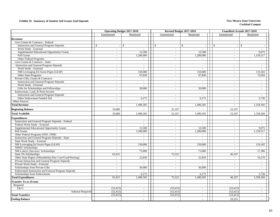#### **Exhibit 19. Summary of Student Aid Grants And Stipends New Mexico State University**

|                                                           |                              | <b>Operating Budget 2017-2018</b>         | Revised Budget 2017-2018    |                         |                                          | <b>Unaudited Actuals 2017-2018</b> |
|-----------------------------------------------------------|------------------------------|-------------------------------------------|-----------------------------|-------------------------|------------------------------------------|------------------------------------|
|                                                           | Unrestricted                 | Restricted                                | Unrestricted                | Restricted              | Unrestricted                             | Restricted                         |
| <b>Revenues</b>                                           |                              |                                           |                             |                         |                                          |                                    |
| Govt Grants & Contracts - Federal:                        |                              |                                           |                             |                         |                                          |                                    |
| <b>Instruction and General Program Stipends</b>           | <sup>\$</sup>                | <sup>\$</sup><br>$\overline{\phantom{a}}$ | $\mathbb{S}$<br>$\sim$      | $\mathcal{S}$<br>$\sim$ | $\mathbb{S}$<br>$\overline{\phantom{a}}$ | $\mathbb{S}$                       |
| Work Study - External                                     | $\overline{\phantom{a}}$     | $\sim$                                    | $\overline{\phantom{a}}$    | $\sim$                  | $\sim$                                   | $\sim$                             |
| Supplemental Educational Opportunity Grants               | $\overline{\phantom{a}}$     | 12,500                                    | $\overline{\phantom{a}}$    | 12,500                  | $\sim$                                   | 9,075                              |
| Pell Grants                                               | $\overline{\phantom{a}}$     | 1,200,000                                 | $\overline{\phantom{a}}$    | 1,200,000               | $\overline{\phantom{a}}$                 | 1,159,517                          |
| Other Federal Programs                                    | $\qquad \qquad \blacksquare$ |                                           | $\overline{\phantom{a}}$    |                         | $\sim$                                   |                                    |
| Govt Grants & Contracts - State:                          |                              |                                           |                             |                         |                                          |                                    |
| <b>Instruction and General Program Stipends</b>           | $\sim$                       | $\sim$                                    | $\sim$                      | $\overline{a}$          | $\sim$                                   | $\sim$                             |
| Work Study - External                                     | $\sim$                       | $\sim$                                    | $\sim$                      |                         | $\sim$                                   | $\sim$                             |
| NM Leveraging Ed Assist Prgm (LEAP)                       | $\overline{\phantom{a}}$     | 150,000                                   | $\sim$                      | 150,000                 | $\sim$                                   | 110,182                            |
| Other State Programs                                      | $\sim$                       | 97,830                                    | $\sim$                      | 97,830                  | $\sim$                                   | 73,656                             |
| Private Gifts, Grants & Contracts:                        |                              |                                           |                             |                         |                                          |                                    |
| <b>Instruction and General Program Stipends</b>           | $\sim$                       | $\sim$                                    | $\sim$                      |                         | $\sim$                                   | $\sim$                             |
| Work Study - External                                     | $\overline{\phantom{a}}$     | $\overline{a}$                            | $\sim$                      |                         | $\sim$                                   | $\sim$                             |
| Gifts for Scholarships and Fellowships                    | $\overline{\phantom{a}}$     | 30,000                                    | $\sim$                      | 30,000                  | $\sim$                                   | $\sim$                             |
| Endowment, Land, & Perm Income                            |                              |                                           |                             |                         |                                          |                                    |
| <b>Instruction and General Program Stipends</b>           | $\overline{\phantom{a}}$     | $\blacksquare$                            | $\overline{\phantom{a}}$    | $\sim$                  | $\sim$                                   | $\sim$                             |
| Other Endowment Funded Aid                                | $\sim$                       | 6,175                                     | $\sim$                      | 6,175                   | $\sim$                                   | 5,736                              |
| Other Sources                                             | $\sim$                       |                                           | $\sim$                      |                         | $\sim$                                   |                                    |
| <b>Total Revenue</b>                                      | $\overline{a}$               | 1,496,505                                 | $\sim$                      | 1,496,505               | $\sim$                                   | 1,358,166                          |
|                                                           |                              |                                           |                             |                         |                                          |                                    |
| <b>Beginning Balance</b>                                  | 10,000                       |                                           | 22,107                      |                         | 22,107                                   |                                    |
| <b>Total Available</b>                                    | 10,000                       | 1,496,505                                 | 22,107                      | 1,496,505               | 22,107                                   | 1,358,166                          |
| <b>Expenditures</b>                                       |                              |                                           |                             |                         |                                          |                                    |
| <b>Instruction and General Program Stipends - Federal</b> | $\sim$                       | $\sim$                                    | $\sim$                      | $\sim$                  | $\sim$                                   | $\sim$                             |
| Federal Work Study - External                             | $\sim$                       |                                           | $\sim$                      |                         | $\sim$                                   | $\sim$                             |
| Supplemental Educational Opportunity Grants               | $\overline{\phantom{a}}$     | 12,500                                    | $\mathcal{L}_{\mathcal{A}}$ | 12.500                  | $\sim$                                   | 9.075                              |
| Pell Grants                                               | $\mathbf{r}$                 | 1,200,000                                 | $\mathcal{L}$               | 1,200,000               | $\sim$                                   | 1,159,517                          |
| Other Federal Programs (NSF, ONR)                         | $\sim$                       | $\overline{\phantom{a}}$                  | $\mathcal{L}$               |                         | $\sim$                                   | $\overline{a}$                     |
| <b>Instruction and General Program Stipends - State</b>   | $\overline{\phantom{a}}$     | $\sim$                                    | $\sim$                      | $\sim$                  | $\sim$                                   | $\sim$                             |
| State Work Study - External                               | $\overline{\phantom{a}}$     | $\sim$                                    | $\sim$                      | $\sim$                  | $\sim$                                   | $\sim$                             |
| NM Leveraging Ed Assist Prgm (LEAP)                       | $\overline{\phantom{a}}$     | 150,000                                   | $\sim$                      | 150,000                 | $\sim$                                   | 110,182                            |
| <b>NMSU</b> Scholarships                                  | $\overline{\phantom{a}}$     |                                           | $\mathcal{L}_{\mathcal{A}}$ |                         | $\sim$                                   |                                    |
| NM Lottery (Success) Scholarships                         |                              | 75,000                                    |                             | 75,000                  |                                          | 57,386                             |
| State 3% Scholarships                                     | 63,415                       |                                           | 75,522                      |                         | 46,167                                   |                                    |
| Other State Prgms (Affordability/Day Care/Grad/Nursing)   | $\overline{\phantom{a}}$     | 22,830                                    | $\sim$                      | 22,830                  | $\sim$                                   | 16,270                             |
| Private Instruction and General Program Stipends          | $\sim$                       | $\sim$                                    | $\sim$                      | $\sim$                  | $\sim$                                   | $\sim$                             |
| Private Work Study - External                             | $\overline{\phantom{a}}$     | $\sim$                                    | $\overline{\phantom{a}}$    | $\sim$                  | $\sim$                                   | $\sim$                             |
| Scholarships from Private Gifts                           | $\overline{\phantom{a}}$     | 30,000                                    | $\sim$                      | 30,000                  | $\sim$                                   | $\sim$                             |
| <b>Endowment Instruction and General Program Stipends</b> | $\sim$                       |                                           | $\mathcal{L}_{\mathcal{A}}$ |                         | $\sim$                                   | $\sim$                             |
| Scholarships from Endowments                              |                              | 6,175                                     | $\overline{\phantom{a}}$    | 6,175                   |                                          | 5,736                              |
| <b>Total Expenditures</b>                                 | 63,415                       | 1,496,505                                 | 75,522                      | 1,496,505               | 46,167                                   | 1,358,166                          |
| <b>Transfer To or (From)</b>                              |                              |                                           |                             |                         |                                          |                                    |
| Required                                                  |                              |                                           |                             |                         |                                          |                                    |
| I & G                                                     | (53, 415)                    | $\overline{\phantom{a}}$                  | (53, 415)                   | $\sim$                  | (53, 415)                                | $\overline{\phantom{a}}$           |
| <b>Subtotal Required</b>                                  | (53, 415)                    | $\sim$                                    | (53, 415)                   | $\sim$                  | (53, 415)                                | $\sim$                             |
| <b>Total Transfers</b>                                    | (53, 415)                    | $\sim$                                    | (53, 415)                   |                         | (53, 415)                                | $\overline{\phantom{a}}$           |
|                                                           |                              |                                           |                             |                         |                                          |                                    |
| <b>Ending Balance</b>                                     |                              |                                           |                             |                         | 29,355                                   |                                    |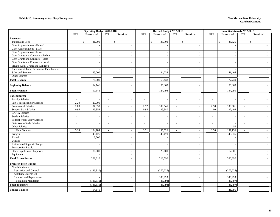#### **Exhibit 20. Summary of Auxiliary Enterprises New Mexico State University**

|                                        | <b>Operating Budget 2017-2018</b> |                          |                          |                          | Revised Budget 2017-2018 |                          |                             |                                          | <b>Unaudited Actuals 2017-2018</b> |                          |                          |                          |  |
|----------------------------------------|-----------------------------------|--------------------------|--------------------------|--------------------------|--------------------------|--------------------------|-----------------------------|------------------------------------------|------------------------------------|--------------------------|--------------------------|--------------------------|--|
|                                        | <b>FTE</b>                        | Unrestricted             | <b>FTE</b>               | Restricted               | <b>FTE</b>               | Unrestricted             | ${\rm FTE}$                 | Restricted                               | <b>FTE</b>                         | Unrestricted             | <b>FTE</b>               | Restricted               |  |
| <b>Revenues:</b>                       |                                   |                          |                          |                          |                          |                          |                             |                                          |                                    |                          |                          |                          |  |
| Tuition and Fees                       |                                   | 41,000<br>\$             |                          | $\mathbb{S}$<br>$\sim$   |                          | 33,700<br>\$             |                             | $\mathbb{S}$<br>$\overline{\phantom{a}}$ |                                    | $\mathbb{S}$<br>36,325   |                          | $\mathbb{S}$             |  |
| Govt Appropriations - Federal          |                                   |                          |                          | $\sim$                   |                          |                          |                             | $\blacksquare$                           |                                    |                          |                          |                          |  |
| Govt Appropriations - State            |                                   |                          |                          | $\sim$                   |                          |                          |                             | $\sim$                                   |                                    |                          |                          |                          |  |
| Govt Appropriations - Local            |                                   | $\overline{\phantom{a}}$ |                          | $\sim$                   |                          |                          |                             | $\sim$                                   |                                    | $\overline{\phantom{a}}$ |                          |                          |  |
| Govt Grants and Contracts - Federal    |                                   |                          |                          | $\sim$                   |                          |                          |                             | $\sim$                                   |                                    | . –                      |                          |                          |  |
| Govt Grants and Contracts - State      |                                   | $\sim$                   |                          | $\sim$                   |                          | $\overline{a}$           |                             | $\sim$                                   |                                    | $\sim$                   |                          | $\sim$                   |  |
| Govt Grants and Contracts - Local      |                                   |                          |                          |                          |                          |                          |                             | $\sim$                                   |                                    |                          |                          |                          |  |
| Private Gifts, Grants and Contracts    |                                   |                          |                          |                          |                          |                          |                             | $\sim$                                   |                                    |                          |                          |                          |  |
| Endowment, Land, Permanent Fund Income |                                   |                          |                          | $\sim$                   |                          | $\overline{a}$           |                             | $\sim$                                   |                                    |                          |                          |                          |  |
| Sales and Services                     |                                   | 35,000                   |                          |                          |                          | 34,738                   |                             |                                          |                                    | 41,405                   |                          |                          |  |
| Other Sources                          |                                   |                          |                          | $\sim$                   |                          |                          |                             | $\overline{\phantom{a}}$                 |                                    |                          |                          |                          |  |
| <b>Total Revenue</b>                   |                                   | 76,000                   |                          |                          |                          | 68,438                   |                             |                                          |                                    | 77,730                   |                          |                          |  |
| <b>Beginning Balance</b>               |                                   | 14,146                   |                          |                          |                          | 56,360                   |                             |                                          |                                    | 56,360                   |                          |                          |  |
| <b>Total Available</b>                 |                                   | 90,146                   |                          |                          |                          | 124,798                  |                             |                                          |                                    | 134,090                  |                          |                          |  |
| <b>Expenditures:</b>                   |                                   |                          |                          |                          |                          |                          |                             |                                          |                                    |                          |                          |                          |  |
| <b>Faculty Salaries</b>                | $\sim$                            |                          | $\sim$                   |                          | $\sim$                   |                          | $\sim$                      | $\overline{\phantom{a}}$                 | $\sim$                             |                          | $\sim$                   |                          |  |
| Part-Time Instructor Salaries          | 2.20                              | 20,000                   | $\sim$                   | $\sim$                   | $\overline{\phantom{a}}$ |                          | $\mathbb{Z}^2$              | $\sim$                                   | $\mathbb{Z}^2$                     |                          | $\sim$                   |                          |  |
| Professional Salaries                  | 2.08                              | 87,330                   | $\overline{\phantom{a}}$ | $\sim$                   | 2.57                     | 109,546                  | $\mathcal{L}_{\mathcal{A}}$ | $\sim$                                   | 2.58                               | 109,601                  | $\sim$                   | $\sim$                   |  |
| <b>Support Staff Salaries</b>          | 0.96                              | 26,854                   | $\overline{\phantom{a}}$ |                          | 0.94                     | 25,980                   | $\overline{\phantom{a}}$    | $\sim$                                   | 1.00                               | 27,498                   | $\sim$                   |                          |  |
| GA/TA Salaries                         | $\sim$                            |                          |                          |                          | $\overline{\phantom{a}}$ |                          | $\overline{a}$              | $\overline{\phantom{a}}$                 | $\mathbb{L}$                       |                          | $\sim$                   | $\sim$                   |  |
| <b>Student Salaries</b>                | $\overline{\phantom{a}}$          |                          |                          | $\sim$                   | $\overline{a}$           |                          | $\overline{\phantom{a}}$    | $\sim$                                   | $\sim$                             | $\overline{\phantom{a}}$ | $\sim$                   | $\overline{\phantom{a}}$ |  |
| Federal Work-Study Salaries            | $\overline{\phantom{a}}$          | $\overline{\phantom{a}}$ | $\overline{\phantom{a}}$ | $\sim$                   | $\sim$                   | $\overline{\phantom{a}}$ | $\overline{\phantom{a}}$    | $\sim$                                   | $\sim$                             | $\sim$                   | $\sim$                   | $\sim$                   |  |
| State Work-Study Salaries              | $\sim$                            | $\overline{\phantom{a}}$ | $\sim$                   | $\sim$                   | $\sim$                   | $\overline{a}$           | $\sim$                      | $\sim$                                   | $\sim$                             | $\overline{\phantom{a}}$ | $\overline{\phantom{a}}$ | $\sim$                   |  |
| Other Salaries                         | $\sim$                            |                          | $\sim$                   | $\sim$                   | $\sim$                   |                          | $\sim$                      | $\sim$                                   | $\sim$                             | 57                       | $\sim$                   |                          |  |
| <b>Total Salaries</b>                  | 5.24                              | 134,184                  | $\overline{\phantom{a}}$ | $\overline{\phantom{a}}$ | 3.51                     | 135,526                  | $\blacksquare$              | $\overline{\phantom{a}}$                 | 3.58                               | 137,156                  | $\sim$                   |                          |  |
| Fringes                                |                                   | 45,126                   |                          | $\sim$                   |                          | 49,470                   |                             | $\sim$                                   |                                    | 45,835                   |                          | $\sim$                   |  |
| Travel                                 |                                   | 3,500                    |                          | $\sim$                   |                          |                          |                             | $\sim$                                   |                                    |                          |                          | $\sim$                   |  |
| Utilities                              |                                   |                          |                          | $\sim$                   |                          |                          |                             | $\sim$                                   |                                    |                          |                          |                          |  |
| <b>Institutional Support Charges</b>   |                                   |                          |                          | $\sim$                   |                          |                          |                             | $\sim$                                   |                                    |                          |                          |                          |  |
| <b>Purchase for Resale</b>             |                                   |                          |                          |                          |                          |                          |                             | $\overline{\phantom{a}}$                 |                                    |                          |                          |                          |  |
| Other Supplies and Expenses            |                                   | 80,000                   |                          | $\sim$                   |                          | 28,600                   |                             | $\overline{\phantom{a}}$                 |                                    | 17,901                   |                          |                          |  |
| Equipment                              |                                   |                          |                          |                          |                          |                          |                             | $\sim$                                   |                                    |                          |                          |                          |  |
| <b>Total Expenditures</b>              |                                   | 262,810                  |                          |                          |                          | 213,596                  |                             |                                          |                                    | 200,892                  |                          |                          |  |
| <b>Transfer To or (From):</b>          |                                   |                          |                          |                          |                          |                          |                             |                                          |                                    |                          |                          |                          |  |
| Non-Mandatory                          |                                   |                          |                          |                          |                          |                          |                             |                                          |                                    |                          |                          |                          |  |
| <b>Instruction and General</b>         |                                   | (186, 810)               |                          | $\sim$                   |                          | (272, 726)               |                             | $\overline{a}$                           |                                    | (272, 725)               |                          |                          |  |
| <b>Auxiliary Enterprises</b>           |                                   |                          |                          | $\sim$                   |                          |                          |                             |                                          |                                    |                          |                          |                          |  |
| Renewal and Replacement                |                                   |                          |                          | $\overline{\phantom{a}}$ |                          | 183,928                  |                             | $\overline{\phantom{a}}$                 |                                    | 183,928                  |                          |                          |  |
| <b>Total Non-Mandatory</b>             |                                   | (186, 810)               |                          | $\sim$                   |                          | (88,798)                 |                             | $\sim$                                   |                                    | (88,797)                 |                          | $\sim$                   |  |
| <b>Total Transfers</b>                 |                                   | (186, 810)               |                          |                          |                          | (88, 798)                |                             |                                          |                                    | (88, 797)                |                          |                          |  |
| <b>Ending Balance</b>                  |                                   | 14,146                   |                          |                          |                          |                          |                             |                                          |                                    | 21,995                   |                          |                          |  |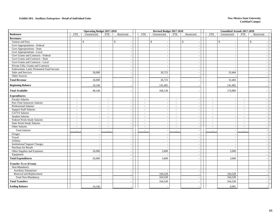#### **Exhibit 20A. Auxiliary Enterprises - Detail of Individual Units New Mexico State University**

|                                        | <b>Operating Budget 2017-2018</b> |                          |                          |                          | Revised Budget 2017-2018 |                          |                          |                                | <b>Unaudited Actuals 2017-2018</b> |                          |            |            |                          |
|----------------------------------------|-----------------------------------|--------------------------|--------------------------|--------------------------|--------------------------|--------------------------|--------------------------|--------------------------------|------------------------------------|--------------------------|------------|------------|--------------------------|
| <b>Bookstore</b>                       | <b>FTE</b>                        | Unrestricted             | <b>FTE</b>               | Restricted               | <b>FTE</b>               | Unrestricted             | <b>FTE</b>               | Restricted                     | <b>FTE</b>                         | Unrestricted             | <b>FTE</b> | Restricted |                          |
| <b>Revenues:</b>                       |                                   |                          |                          |                          |                          |                          |                          |                                |                                    |                          |            |            |                          |
| Tuition and Fees                       |                                   | \$                       | $\mathbb{S}$             |                          |                          | \$                       |                          | \$<br>$\overline{\phantom{a}}$ |                                    | $\mathbb{S}$             |            | \$         |                          |
| Govt Appropriations - Federal          |                                   | $\overline{\phantom{a}}$ |                          | $\overline{\phantom{a}}$ |                          | $\overline{a}$           |                          | $\sim$                         |                                    | $\overline{\phantom{a}}$ |            |            |                          |
| Govt Appropriations - State            |                                   | $\sim$                   |                          | $\sim$                   |                          |                          |                          | $\sim$                         |                                    |                          |            |            |                          |
| Govt Appropriations - Local            |                                   |                          |                          |                          |                          |                          |                          | $\overline{\phantom{a}}$       |                                    |                          |            |            |                          |
| Govt Grants and Contracts - Federal    |                                   | $\sim$                   |                          |                          |                          |                          |                          | $\sim$                         |                                    | $\overline{\phantom{a}}$ |            |            |                          |
| Govt Grants and Contracts - State      |                                   |                          |                          |                          |                          |                          |                          | $\overline{\phantom{a}}$       |                                    |                          |            |            |                          |
| Govt Grants and Contracts - Local      |                                   | $\overline{\phantom{a}}$ |                          | $\overline{\phantom{a}}$ |                          | $\overline{\phantom{a}}$ |                          | $\sim$                         |                                    | $\overline{\phantom{a}}$ |            |            | $\sim$                   |
| Private Gifts, Grants and Contracts    |                                   | $\sim$                   |                          | $\sim$                   |                          |                          |                          | $\overline{\phantom{a}}$       |                                    |                          |            |            |                          |
| Endowment, Land, Permanent Fund Income |                                   |                          |                          |                          |                          |                          |                          | $\overline{\phantom{a}}$       |                                    |                          |            |            |                          |
| Sales and Services                     |                                   | 26,000                   |                          | $\sim$                   |                          | 26,723                   |                          | $\overline{\phantom{a}}$       |                                    | 33,404                   |            |            |                          |
| Other Sources                          |                                   |                          |                          |                          |                          |                          |                          | $\overline{\phantom{a}}$       |                                    |                          |            |            |                          |
| <b>Total Revenue</b>                   |                                   | 26,000                   |                          |                          |                          | 26,723                   |                          | $\overline{a}$                 |                                    | 33,404                   |            |            |                          |
| <b>Beginning Balance</b>               |                                   | 14,146                   |                          |                          |                          | 141,405                  |                          |                                |                                    | 141,405                  |            |            |                          |
| <b>Total Available</b>                 |                                   | 40,146                   |                          |                          |                          | 168,128                  |                          |                                |                                    | 174,809                  |            |            |                          |
| <b>Expenditures:</b>                   |                                   |                          |                          |                          |                          |                          |                          |                                |                                    |                          |            |            |                          |
| <b>Faculty Salaries</b>                | $\overline{\phantom{a}}$          | $\overline{a}$           | $\overline{\phantom{a}}$ |                          | $\blacksquare$           |                          | $\overline{\phantom{a}}$ | $\overline{\phantom{a}}$       | $\sim$                             | $\overline{\phantom{a}}$ | $\sim$     |            |                          |
| Part-Time Instructor Salaries          | $\overline{\phantom{a}}$          | $\sim$                   | $\overline{\phantom{a}}$ | $\overline{\phantom{a}}$ | $\sim$                   | $\overline{\phantom{a}}$ | $\sim$                   | $\sim$                         | $\sim$                             | $\sim$                   | $\sim$     |            | $\sim$                   |
| Professional Salaries                  | $\overline{\phantom{a}}$          | $\sim$                   | $\sim$                   | $\overline{\phantom{a}}$ | $\sim$                   |                          | $\sim$                   | $\overline{\phantom{a}}$       | $\sim$                             | $\sim$                   | $\sim$     |            | $\sim$                   |
| <b>Support Staff Salaries</b>          | $\sim$                            | $\overline{\phantom{a}}$ | $\overline{\phantom{a}}$ |                          | $\sim$                   |                          | $\sim$                   | $\sim$                         | $\sim$                             | $\overline{\phantom{a}}$ | $\sim$     |            |                          |
| <b>GA/TA Salaries</b>                  | $\blacksquare$                    | $\overline{\phantom{a}}$ | $\sim$                   |                          | $\sim$                   | $\overline{a}$           | $\sim$                   | $\overline{\phantom{a}}$       | $\sim$                             | $\overline{\phantom{a}}$ | $\sim$     |            | $\sim$                   |
| <b>Student Salaries</b>                | $\overline{a}$                    |                          | $\overline{\phantom{a}}$ |                          | $\overline{a}$           |                          | ÷.                       | $\overline{\phantom{a}}$       | $\sim$                             | $\overline{\phantom{a}}$ | $\sim$     |            |                          |
| Federal Work-Study Salaries            | $\overline{a}$                    | $\overline{\phantom{a}}$ | $\sim$                   | $\overline{\phantom{a}}$ | $\sim$                   | $\overline{\phantom{a}}$ | $\sim$                   | $\sim$                         | $\sim$                             | $\overline{\phantom{a}}$ | $\sim$     |            | $\sim$                   |
| <b>State Work-Study Salaries</b>       | $\sim$                            | $\sim$                   | $\overline{\phantom{a}}$ |                          | $\sim$                   |                          | $\sim$                   | $\overline{\phantom{a}}$       | $\sim$                             | $\sim$                   | $\sim$     |            | $\sim$                   |
| Other Salaries                         | $\sim$                            | $\overline{\phantom{a}}$ | $\sim$                   |                          | $\overline{a}$           |                          | $\sim$                   | $\sim$                         | $\sim$                             | $\sim$                   | $\sim$     |            |                          |
| <b>Total Salaries</b>                  | $\overline{a}$                    | $\sim$                   | $\overline{\phantom{a}}$ |                          |                          | L,                       | $\overline{a}$           | $\sim$                         | $\sim$                             | $\overline{\phantom{a}}$ | $\sim$     |            | $\sim$                   |
| Fringes                                |                                   | $\sim$                   |                          |                          |                          |                          |                          | $\sim$                         |                                    | $\overline{\phantom{a}}$ |            |            |                          |
| Travel                                 |                                   | $\overline{\phantom{a}}$ |                          | $\overline{\phantom{a}}$ |                          |                          |                          | $\overline{\phantom{a}}$       |                                    | $\overline{\phantom{a}}$ |            |            |                          |
| Utilities                              |                                   | $\overline{\phantom{a}}$ |                          | $\overline{\phantom{a}}$ |                          | $\overline{a}$           |                          | $\sim$                         |                                    | $\overline{\phantom{a}}$ |            |            | $\sim$                   |
| <b>Institutional Support Charges</b>   |                                   |                          |                          | $\overline{\phantom{a}}$ |                          |                          |                          | $\overline{\phantom{a}}$       |                                    | $\overline{\phantom{a}}$ |            |            | $\overline{\phantom{a}}$ |
| Purchase for Resale                    |                                   |                          |                          | $\overline{\phantom{a}}$ |                          |                          |                          | $\sim$                         |                                    |                          |            |            | $\sim$                   |
| Other Supplies and Expenses            |                                   | 26,000                   |                          | $\sim$                   |                          | 3,600                    |                          | $\overline{\phantom{a}}$       |                                    | 3,600                    |            |            |                          |
| Equipment                              |                                   |                          |                          |                          |                          |                          |                          | $\overline{\phantom{a}}$       |                                    |                          |            |            |                          |
| <b>Total Expenditures</b>              |                                   | 26,000                   |                          |                          |                          | 3,600                    |                          | $\overline{a}$                 |                                    | 3,600                    |            |            |                          |
| <b>Transfer To or (From):</b>          |                                   |                          |                          |                          |                          |                          |                          |                                |                                    |                          |            |            |                          |
| Non-Mandatory                          |                                   |                          |                          |                          |                          |                          |                          |                                |                                    |                          |            |            |                          |
| <b>Auxiliary Enterprises</b>           |                                   | $\overline{\phantom{a}}$ |                          |                          |                          |                          |                          | $\overline{a}$                 |                                    |                          |            |            |                          |
| Renewal and Replacement                |                                   |                          |                          | $\overline{\phantom{a}}$ |                          | 164,528                  |                          | $\overline{\phantom{a}}$       |                                    | 164,528                  |            |            | $\sim$                   |
| <b>Total Non-Mandatory</b>             |                                   | $\overline{\phantom{a}}$ |                          | $\overline{\phantom{a}}$ |                          | 164,528                  |                          | $\overline{\phantom{a}}$       |                                    | 164,528                  |            |            | $\sim$                   |
| <b>Total Transfers</b>                 |                                   |                          |                          |                          |                          | 164,528                  |                          | $\overline{a}$                 |                                    | 164,528                  |            |            |                          |
| <b>Ending Balance</b>                  |                                   | 14,146                   |                          |                          |                          |                          |                          |                                |                                    | 6,681                    |            |            |                          |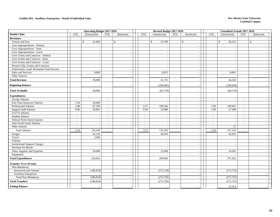#### **Exhibit 20A. Auxiliary Enterprises - Detail of Individual Units New Mexico State University**

|                                        |                          | <b>Operating Budget 2017-2018</b> |                          |                          |                          |              | Revised Budget 2017-2018 |                          |                          |                | <b>Unaudited Actuals 2017-2018</b> |                          |            |        |
|----------------------------------------|--------------------------|-----------------------------------|--------------------------|--------------------------|--------------------------|--------------|--------------------------|--------------------------|--------------------------|----------------|------------------------------------|--------------------------|------------|--------|
| <b>Health Clinic</b>                   | <b>FTE</b>               | Unrestricted                      | <b>FTE</b>               | Restricted               | <b>FTE</b>               |              | Unrestricted             | <b>FTE</b>               | Restricted               | <b>FTE</b>     | Unrestricted                       | <b>FTE</b>               | Restricted |        |
| <b>Revenues:</b>                       |                          |                                   |                          |                          |                          |              |                          |                          |                          |                |                                    |                          |            |        |
| Tuition and Fees                       |                          | \$<br>41,000                      |                          | $\mathbb{S}$             |                          | $\mathbb{S}$ | 33,700                   |                          | $\mathbb{S}$             |                | 36,325<br>$\mathbb{S}$             |                          | \$         |        |
| Govt Appropriations - Federal          |                          |                                   |                          | $\sim$                   |                          |              |                          |                          | $\sim$                   |                |                                    |                          |            |        |
| <b>Govt Appropriations - State</b>     |                          |                                   |                          | $\sim$                   |                          |              |                          |                          | $\sim$                   |                |                                    |                          |            |        |
| Govt Appropriations - Local            |                          |                                   |                          |                          |                          |              |                          |                          | $\sim$                   |                |                                    |                          |            |        |
| Govt Grants and Contracts - Federal    |                          | $\overline{\phantom{a}}$          |                          | $\overline{a}$           |                          |              |                          |                          | $\sim$                   |                | $\overline{\phantom{a}}$           |                          |            |        |
| Govt Grants and Contracts - State      |                          |                                   |                          |                          |                          |              |                          |                          | $\sim$                   |                |                                    |                          |            |        |
| Govt Grants and Contracts - Local      |                          | $\sim$                            |                          | $\overline{\phantom{a}}$ |                          |              |                          |                          | $\overline{\phantom{a}}$ |                | $\overline{\phantom{a}}$           |                          |            | $\sim$ |
| Private Gifts, Grants and Contracts    |                          | $\overline{a}$                    |                          | $\sim$                   |                          |              |                          |                          | $\sim$                   |                |                                    |                          |            |        |
| Endowment, Land, Permanent Fund Income |                          |                                   |                          |                          |                          |              |                          |                          | $\overline{\phantom{a}}$ |                |                                    |                          |            |        |
| Sales and Services                     |                          | 9,000                             |                          | $\overline{\phantom{a}}$ |                          |              | 8,015                    |                          | $\overline{\phantom{a}}$ |                | 8,001                              |                          |            |        |
| Other Sources                          |                          |                                   |                          |                          |                          |              |                          |                          | $\overline{\phantom{a}}$ |                |                                    |                          |            |        |
| <b>Total Revenue</b>                   |                          | 50,000                            |                          |                          |                          |              | 41,715                   |                          | $\overline{\phantom{a}}$ |                | 44,326                             |                          |            |        |
| <b>Beginning Balance</b>               |                          |                                   |                          |                          |                          |              | (104, 445)               |                          |                          |                | (104, 445)                         |                          |            |        |
| <b>Total Available</b>                 |                          | 50,000                            |                          |                          |                          |              | (62,730)                 |                          |                          |                | (60, 119)                          |                          |            |        |
| <b>Expenditures:</b>                   |                          |                                   |                          |                          |                          |              |                          |                          |                          |                |                                    |                          |            |        |
| <b>Faculty Salaries</b>                |                          |                                   |                          | $\overline{\phantom{a}}$ | $\overline{a}$           |              |                          |                          | $\overline{\phantom{a}}$ | $\sim$         |                                    | $\sim$                   |            |        |
| Part-Time Instructor Salaries          | 2.20                     | 20,000                            | $\overline{a}$           | $\sim$                   | $\sim$                   |              |                          | $\overline{\phantom{a}}$ | $\sim$                   | $\sim$         | $\overline{\phantom{a}}$           | $\sim$                   |            | $\sim$ |
| Professional Salaries                  | 2.08                     | 87,330                            | $\sim$                   | $\overline{a}$           | 2.57                     |              | 109,546                  | $\sim$                   | $\sim$                   | 2.58           | 109,601                            | $\sim$                   |            | $\sim$ |
| <b>Support Staff Salaries</b>          | 0.96                     | 26,854                            | $\sim$                   | $\sim$                   | 0.94                     |              | 25,980                   | $\mathbb{Z}^2$           | $\sim$                   | 1.00           | 27,498                             | $\overline{\phantom{a}}$ |            |        |
| GA/TA Salaries                         | $\sim$                   |                                   | $\overline{\phantom{a}}$ |                          | $\sim$                   |              |                          | $\blacksquare$           | $\overline{\phantom{a}}$ | $\sim$         |                                    | $\sim$                   |            | $\sim$ |
| <b>Student Salaries</b>                | $\overline{a}$           |                                   |                          |                          | $\overline{\phantom{a}}$ |              |                          | $\overline{\phantom{a}}$ | $\overline{\phantom{a}}$ | $\mathbb{Z}^2$ |                                    | $\sim$                   |            |        |
| Federal Work-Study Salaries            | $\overline{\phantom{a}}$ |                                   |                          | $\overline{\phantom{a}}$ | $\overline{\phantom{a}}$ |              | $\overline{\phantom{a}}$ | $\overline{\phantom{a}}$ | $\sim$                   | $\sim$         | $\overline{\phantom{a}}$           | $\sim$                   |            | $\sim$ |
| <b>State Work-Study Salaries</b>       | $\overline{\phantom{a}}$ |                                   |                          |                          | $\overline{\phantom{a}}$ |              |                          | $\blacksquare$           | $\sim$                   | $\sim$         |                                    | $\overline{\phantom{a}}$ |            | $\sim$ |
| Other Salaries                         | $\sim$                   |                                   | $\sim$                   | $\overline{\phantom{a}}$ | $\sim$                   |              |                          | $\overline{a}$           | $\sim$                   | $\sim$         | 57                                 | $\overline{\phantom{a}}$ |            | $\sim$ |
| <b>Total Salaries</b>                  | 5.24                     | 134,184                           |                          | $\sim$                   | 3.51                     |              | 135,526                  | $\sim$                   | $\sim$                   | 3.58           | 137,156                            | $\sim$                   |            | $\sim$ |
| Fringes                                |                          | 45,126                            |                          | $\overline{a}$           |                          |              | 49,470                   |                          | $\overline{\phantom{a}}$ |                | 45,835                             |                          |            | $\sim$ |
| Travel                                 |                          | 3,500                             |                          | $\overline{a}$           |                          |              |                          |                          | $\sim$                   |                |                                    |                          |            |        |
| Utilities                              |                          |                                   |                          | $\overline{a}$           |                          |              |                          |                          | $\overline{\phantom{a}}$ |                |                                    |                          |            | $\sim$ |
| <b>Institutional Support Charges</b>   |                          |                                   |                          | $\overline{a}$           |                          |              |                          |                          | $\sim$                   |                |                                    |                          |            |        |
| Purchase for Resale                    |                          |                                   |                          | $\overline{\phantom{a}}$ |                          |              |                          |                          | $\sim$                   |                |                                    |                          |            | $\sim$ |
| Other Supplies and Expenses            |                          | 54,000                            |                          |                          | $\sim$                   |              | 25,000                   |                          | $\sim$                   |                | 14,301                             |                          |            | $\sim$ |
| Equipment                              |                          |                                   |                          | $\overline{\phantom{a}}$ |                          |              |                          |                          | $\overline{\phantom{a}}$ |                |                                    |                          |            |        |
| <b>Total Expenditures</b>              |                          | 236,810                           |                          |                          |                          |              | 209,996                  |                          | $\overline{a}$           |                | 197,292                            |                          |            |        |
| <b>Transfer To or (From):</b>          |                          |                                   |                          |                          |                          |              |                          |                          |                          |                |                                    |                          |            |        |
| Non-Mandatory                          |                          |                                   |                          |                          |                          |              |                          |                          |                          |                |                                    |                          |            |        |
| <b>Instruction and General</b>         |                          | (186, 810)                        |                          |                          |                          |              | (272, 726)               |                          | $\overline{\phantom{a}}$ |                | (272, 725)                         |                          |            |        |
| <b>Auxiliary Enterprises</b>           |                          |                                   |                          |                          |                          |              |                          |                          | $\overline{a}$           |                |                                    |                          |            |        |
| <b>Total Non-Mandatory</b>             |                          | (186, 810)                        |                          | $\overline{\phantom{a}}$ |                          |              | (272, 726)               |                          | $\blacksquare$           |                | (272, 725)                         |                          |            |        |
| <b>Total Transfers</b>                 |                          | (186, 810)                        |                          |                          |                          |              | (272, 726)               |                          |                          |                | (272, 725)                         |                          |            |        |
| <b>Ending Balance</b>                  |                          |                                   |                          |                          |                          |              |                          |                          |                          |                | 15,314                             |                          |            |        |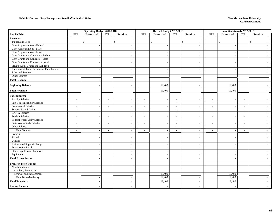#### **Exhibit 20A. Auxiliary Enterprises - Detail of Individual Units New Mexico State University**

|                                        | <b>Operating Budget 2017-2018</b> |                          |                          |                          | Revised Budget 2017-2018 |                          |                          |                | <b>Unaudited Actuals 2017-2018</b> |            |                          |            |                          |
|----------------------------------------|-----------------------------------|--------------------------|--------------------------|--------------------------|--------------------------|--------------------------|--------------------------|----------------|------------------------------------|------------|--------------------------|------------|--------------------------|
| Pay To Print                           | <b>FTE</b>                        | Unrestricted             | <b>FTE</b>               | Restricted               |                          | <b>FTE</b>               | Unrestricted             | <b>FTE</b>     | Restricted                         | <b>FTE</b> | Unrestricted             | <b>FTE</b> | Restricted               |
| <b>Revenues:</b>                       |                                   |                          |                          |                          |                          |                          |                          |                |                                    |            |                          |            |                          |
| Tuition and Fees                       |                                   | \$                       |                          | \$                       |                          |                          | \$                       |                | \$<br>$\overline{\phantom{a}}$     |            | $\mathcal{S}$            |            | $\mathbb{S}$             |
| Govt Appropriations - Federal          |                                   | $\overline{\phantom{a}}$ |                          | $\overline{\phantom{a}}$ |                          |                          | $\overline{\phantom{a}}$ |                | $\overline{\phantom{a}}$           |            | $\overline{\phantom{a}}$ |            | $\sim$                   |
| Govt Appropriations - State            |                                   |                          |                          | $\sim$                   |                          |                          |                          |                | $\sim$                             |            |                          |            |                          |
| Govt Appropriations - Local            |                                   |                          |                          |                          |                          |                          |                          |                | $\overline{\phantom{a}}$           |            |                          |            |                          |
| Govt Grants and Contracts - Federal    |                                   | $\sim$                   |                          | $\sim$                   |                          |                          |                          |                | $\overline{\phantom{a}}$           |            | $\sim$                   |            | $\sim$                   |
| Govt Grants and Contracts - State      |                                   | $\sim$                   |                          |                          |                          |                          |                          |                | $\overline{\phantom{a}}$           |            | $\sim$                   |            | $\sim$                   |
| Govt Grants and Contracts - Local      |                                   | $\overline{\phantom{a}}$ |                          | $\overline{\phantom{a}}$ |                          |                          | $\overline{\phantom{a}}$ |                | $\sim$                             |            | $\sim$                   |            | $\overline{a}$           |
| Private Gifts, Grants and Contracts    |                                   | $\sim$                   |                          | $\sim$                   |                          |                          |                          |                | $\sim$                             |            |                          |            | $\sim$                   |
| Endowment, Land, Permanent Fund Income |                                   | $\sim$                   |                          |                          |                          |                          |                          |                | $\overline{\phantom{a}}$           |            | . —                      |            | $\overline{\phantom{a}}$ |
| Sales and Services                     |                                   | $\sim$                   |                          | $\sim$                   |                          |                          |                          |                | $\sim$                             |            | $\sim$                   |            | $\sim$                   |
| Other Sources                          |                                   |                          |                          |                          |                          |                          |                          |                | $\sim$                             |            |                          |            | $\sim$                   |
| <b>Total Revenue</b>                   |                                   |                          |                          |                          |                          |                          |                          |                | $\overline{a}$                     |            |                          |            |                          |
| <b>Beginning Balance</b>               |                                   |                          |                          |                          |                          |                          | 19,400                   |                |                                    |            | 19,400                   |            |                          |
| <b>Total Available</b>                 |                                   |                          |                          |                          |                          |                          | 19,400                   |                |                                    |            | 19,400                   |            |                          |
| <b>Expenditures:</b>                   |                                   |                          |                          |                          |                          |                          |                          |                |                                    |            |                          |            |                          |
| <b>Faculty Salaries</b>                | $\sim$                            | $\overline{\phantom{a}}$ | $\overline{\phantom{a}}$ |                          |                          | $\sim$                   | $\overline{a}$           | ÷.             | $\overline{\phantom{a}}$           | $\sim$     | $\sim$                   | $\sim$     | $\sim$                   |
| Part-Time Instructor Salaries          | $\overline{\phantom{a}}$          | $\overline{\phantom{a}}$ | $\overline{\phantom{a}}$ | $\sim$                   |                          | $\sim$                   | $\sim$                   | $\sim$         | $\sim$                             | $\sim$     | $\sim$                   | $\sim$     | $\sim$                   |
| Professional Salaries                  | $\blacksquare$                    |                          |                          |                          |                          | $\overline{\phantom{a}}$ |                          | $\blacksquare$ | $\sim$                             | $\sim$     | $\overline{\phantom{a}}$ | $\sim$     | $\sim$                   |
| <b>Support Staff Salaries</b>          | $\overline{a}$                    |                          | $\sim$                   |                          |                          | $\sim$                   |                          | $\sim$         | $\sim$                             | $\sim$     | $\overline{\phantom{a}}$ | $\sim$     | $\overline{\phantom{a}}$ |
| GA/TA Salaries                         | $\blacksquare$                    | $\overline{a}$           | $\overline{a}$           |                          |                          | $\overline{\phantom{a}}$ | $\overline{a}$           | $\blacksquare$ | $\overline{\phantom{a}}$           | $\sim$     | $\overline{\phantom{a}}$ | $\sim$     | $\overline{\phantom{a}}$ |
| <b>Student Salaries</b>                | $\sim$                            |                          |                          |                          |                          | $\sim$                   |                          | $\overline{a}$ | $\overline{\phantom{a}}$           | $\sim$     | $\sim$                   | $\sim$     | $\sim$                   |
| Federal Work-Study Salaries            | $\sim$                            | $\overline{\phantom{a}}$ | $\sim$                   | $\overline{\phantom{a}}$ |                          | $\sim$                   | $\sim$                   | $\sim$         | $\sim$                             | $\sim$     | $\sim$                   | $\sim$     | $\sim$                   |
| <b>State Work-Study Salaries</b>       | $\sim$                            | $\overline{a}$           | $\sim$                   | $\sim$                   |                          | $\sim$                   |                          | $\sim$         | $\sim$                             | $\sim$     | $\overline{\phantom{a}}$ | $\sim$     | $\sim$                   |
| Other Salaries                         | $\sim$                            |                          | $\overline{a}$           |                          |                          | $\overline{\phantom{a}}$ | $\overline{\phantom{a}}$ | $\sim$         | $\overline{\phantom{a}}$           | $\sim$     |                          | $\sim$     | $\overline{\phantom{a}}$ |
| <b>Total Salaries</b>                  | $\sim$                            | $\sim$                   | $\overline{\phantom{a}}$ |                          |                          | $\sim$                   | $\sim$                   | $\overline{a}$ | $\overline{\phantom{a}}$           | $\sim$     | $\overline{\phantom{a}}$ | $\sim$     | $\sim$                   |
| Fringes                                |                                   | $\overline{\phantom{a}}$ |                          |                          |                          |                          |                          |                | $\sim$                             |            | $\overline{\phantom{a}}$ |            |                          |
| Travel                                 |                                   | $\overline{\phantom{a}}$ |                          |                          |                          |                          |                          |                | $\overline{\phantom{a}}$           |            | $\overline{\phantom{a}}$ |            | $\overline{\phantom{a}}$ |
| Utilities                              |                                   | $\sim$                   |                          |                          |                          |                          |                          |                | $\overline{\phantom{a}}$           |            | $\sim$                   |            | $\sim$                   |
| <b>Institutional Support Charges</b>   |                                   | $\overline{\phantom{a}}$ |                          | $\overline{\phantom{a}}$ |                          |                          |                          |                | $\overline{\phantom{a}}$           |            | $\overline{\phantom{a}}$ |            | $\sim$                   |
| Purchase for Resale                    |                                   | $\overline{\phantom{a}}$ |                          | $\overline{\phantom{a}}$ |                          |                          | $\overline{\phantom{a}}$ |                | $\overline{\phantom{a}}$           |            | $\sim$                   |            | $\overline{a}$           |
| Other Supplies and Expenses            |                                   |                          |                          |                          |                          |                          |                          |                | $\sim$                             |            |                          |            |                          |
| Equipment                              |                                   |                          |                          |                          |                          |                          |                          |                | $\overline{\phantom{a}}$           |            |                          |            | $\overline{\phantom{a}}$ |
| <b>Total Expenditures</b>              |                                   |                          |                          |                          |                          |                          |                          |                |                                    |            |                          |            |                          |
| <b>Transfer To or (From):</b>          |                                   |                          |                          |                          |                          |                          |                          |                |                                    |            |                          |            |                          |
| Non-Mandatory                          |                                   |                          |                          |                          |                          |                          |                          |                |                                    |            |                          |            |                          |
| <b>Auxiliary Enterprises</b>           |                                   | $\sim$                   |                          |                          |                          |                          |                          |                | $\overline{\phantom{a}}$           |            |                          |            | $\overline{\phantom{a}}$ |
| Renewal and Replacement                |                                   |                          |                          | $\sim$                   |                          |                          | 19,400                   |                | $\sim$                             |            | 19.400                   |            | $\sim$                   |
| <b>Total Non-Mandatory</b>             |                                   | $\overline{\phantom{a}}$ |                          |                          |                          |                          | 19,400                   |                | $\overline{\phantom{a}}$           |            | 19,400                   |            | $\sim$                   |
| <b>Total Transfers</b>                 |                                   |                          |                          |                          |                          |                          | 19,400                   |                | $\overline{a}$                     |            | 19,400                   |            | $\overline{\phantom{a}}$ |
| <b>Ending Balance</b>                  |                                   |                          |                          |                          |                          |                          |                          |                |                                    |            |                          |            |                          |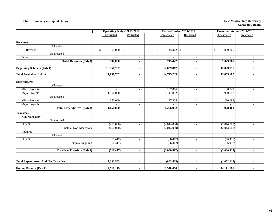## **Exhibit I. Summary of Capital Outlay** New Mexico State University

|                                             |                         | <b>Operating Budget 2017-2018</b> | Revised Budget 2017-2018 |                          | <b>Unaudited Actuals 2017-2018</b>        |                          |
|---------------------------------------------|-------------------------|-----------------------------------|--------------------------|--------------------------|-------------------------------------------|--------------------------|
|                                             | Unrestricted            | Restricted                        | Unrestricted             | Restricted               | Unrestricted                              | Restricted               |
|                                             |                         |                                   |                          |                          |                                           |                          |
| <b>Revenues</b>                             |                         |                                   |                          |                          |                                           |                          |
| Allocated                                   |                         |                                   |                          |                          |                                           |                          |
| All Revenue                                 | $\mathbb{S}$<br>500,000 | $\mathbb{S}$                      | $\mathcal{S}$<br>745,422 | $\mathbb{S}$             | $\mathbb{S}$<br>1,029,865<br>$\mathbb{S}$ |                          |
| Unallocated                                 |                         |                                   |                          |                          |                                           |                          |
| Other                                       | $\blacksquare$          | $\sim$                            | $\mathbf{r}$             | $\overline{\phantom{a}}$ |                                           |                          |
| <b>Total Revenues (Exh 1)</b>               | 500,000                 |                                   | 745,422                  | $\blacksquare$           | 1,029,865                                 |                          |
| <b>Beginning Balances (Exh 1)</b>           | 10,551,702              |                                   | 12,029,817               | $\overline{\phantom{a}}$ | 12,029,817                                |                          |
| <b>Total Available (Exh 1)</b>              | 11,051,702              | $\blacksquare$                    | 12,775,239               | $\blacksquare$           | 13,059,682                                |                          |
| <b>Expenditures</b>                         |                         |                                   |                          |                          |                                           |                          |
| Allocated                                   |                         |                                   |                          |                          |                                           |                          |
| <b>Minor Projects</b>                       |                         | $\sim$                            | 137,866                  | $\sim$                   | 138,343                                   | $\overline{\phantom{a}}$ |
| Major Projects                              | 1,500,000               | $\sim$                            | 1,111,802                | $\bar{a}$                | 900,557                                   | $\overline{\phantom{a}}$ |
| Unallocated                                 |                         |                                   |                          |                          |                                           |                          |
| <b>Minor Projects</b>                       | 350,000                 | $\sim$                            | 27,324                   | $\blacksquare$           | (10, 497)                                 | $\overline{\phantom{a}}$ |
| Major Projects                              | ÷                       | $\overline{\phantom{a}}$          |                          | $\overline{\phantom{a}}$ |                                           | $\overline{\phantom{a}}$ |
| <b>Total Expenditures</b> (Exh 1)           | 1,850,000               | $\blacksquare$                    | 1,276,992                | $\blacksquare$           | 1,028,403                                 | $\blacksquare$           |
| <b>Transfers</b>                            |                         |                                   |                          |                          |                                           |                          |
| Non-Mandatory                               |                         |                                   |                          |                          |                                           |                          |
| Unallocated                                 |                         |                                   |                          |                          |                                           |                          |
| I & G                                       | (450,000)               | $\overline{\phantom{a}}$          | (2,014,000)              | $\overline{\phantom{a}}$ | (2,014,000)                               | $\overline{\phantom{a}}$ |
| Subtotal Non-Mandatory                      | (450,000)               | $\overline{\phantom{a}}$          | (2,014,000)              | $\blacksquare$           | (2,014,000)                               | $\sim$                   |
| Required                                    |                         |                                   |                          |                          |                                           |                          |
| Allocated                                   |                         |                                   |                          |                          |                                           |                          |
| I & G                                       | (66, 417)               | $\sim$                            | (66, 417)                | ÷.                       | (66, 417)                                 | $\overline{\phantom{a}}$ |
| <b>Subtotal Required</b>                    | (66, 417)               | $\overline{\phantom{a}}$          | (66, 417)                | $\blacksquare$           | (66, 417)                                 | $\overline{\phantom{a}}$ |
|                                             |                         |                                   |                          |                          |                                           |                          |
| <b>Total Net Transfers (Exh 1)</b>          | (516, 417)              | $\blacksquare$                    | (2,080,417)              | $\blacksquare$           | (2,080,417)                               |                          |
| <b>Total Expenditures And Net Transfers</b> | 1,333,583               | $\blacksquare$                    | (803, 425)               |                          | (1,052,014)                               |                          |
| <b>Ending Balance (Exh 1)</b>               | 9,718,119               | $\blacksquare$                    | 13,578,664               | $\blacksquare$           | 14,111,696                                | $\overline{\phantom{a}}$ |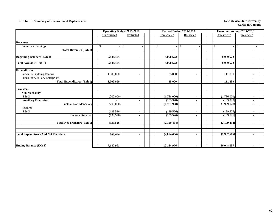## **Exhibit II. Summary of Renewals and Replacements New Mexico State University New Mexico State University**

|                                             |                | <b>Operating Budget 2017-2018</b> |                | Revised Budget 2017-2018       | <b>Unaudited Actuals 2017-2018</b>              |  |
|---------------------------------------------|----------------|-----------------------------------|----------------|--------------------------------|-------------------------------------------------|--|
|                                             | Unrestricted   | Restricted                        | Unrestricted   | Restricted                     | Unrestricted<br>Restricted                      |  |
|                                             |                |                                   |                |                                |                                                 |  |
| <b>Revenues</b>                             |                |                                   |                |                                |                                                 |  |
| <b>Investment Earnings</b>                  | $\mathbf S$    | $\mathbb{S}$                      | $\mathbb{S}$   | \$<br>$\overline{\phantom{a}}$ | $\boldsymbol{\mathsf{S}}$<br>$\mathbf{\hat{S}}$ |  |
| <b>Total Revenues (Exh 1)</b>               | $\blacksquare$ | $\blacksquare$                    | $\blacksquare$ | $\blacksquare$                 |                                                 |  |
| <b>Beginning Balances (Exh 1)</b>           | 7,848,465      |                                   | 8,050,522      |                                | 8,050,522                                       |  |
| <b>Total Available (Exh 1)</b>              | 7,848,465      | $\blacksquare$                    | 8,050,522      | $\blacksquare$                 | 8,050,522<br>٠                                  |  |
| <b>Expenditures</b>                         |                |                                   |                |                                |                                                 |  |
| Funds for Building Renewal                  | 1,000,000      | $\sim$                            | 35,000         | ٠                              | 111,839<br>$\overline{\phantom{a}}$             |  |
| Funds for Auxiliary Enterprises             |                | $\sim$                            |                | $\overline{a}$                 |                                                 |  |
| <b>Total Expenditures (Exh 1)</b>           | 1,000,000      | $\blacksquare$                    | 35,000         | $\blacksquare$                 | 111,839<br>$\blacksquare$                       |  |
|                                             |                |                                   |                |                                |                                                 |  |
| <b>Transfers</b>                            |                |                                   |                |                                |                                                 |  |
| Non-Mandatory                               |                |                                   |                |                                |                                                 |  |
| I & G                                       | (200,000)      | $\sim$                            | (1,786,000)    | $\overline{\phantom{a}}$       | (1,786,000)<br>$\overline{\phantom{a}}$         |  |
| <b>Auxiliary Enterprises</b>                |                |                                   | (183, 928)     | ÷                              | (183, 928)                                      |  |
| Subtotal Non-Mandatory                      | (200,000)      | $\overline{\phantom{a}}$          | (1,969,928)    | $\overline{\phantom{a}}$       | (1,969,928)<br>$\overline{\phantom{a}}$         |  |
| Required                                    |                |                                   |                |                                |                                                 |  |
| I & G                                       | (139, 526)     |                                   | (139, 526)     | $\overline{\phantom{a}}$       | (139, 526)                                      |  |
| Subtotal Required                           | (139, 526)     | $\overline{a}$                    | (139, 526)     | $\sim$                         | (139, 526)<br>٠                                 |  |
|                                             |                |                                   |                |                                |                                                 |  |
| <b>Total Net Transfers (Exh 1)</b>          | (339,526)      | $\blacksquare$                    | (2,109,454)    | $\blacksquare$                 | (2,109,454)<br>$\blacksquare$                   |  |
|                                             |                |                                   |                |                                |                                                 |  |
|                                             |                |                                   |                |                                |                                                 |  |
| <b>Total Expenditures And Net Transfers</b> | 660,474        | $\blacksquare$                    | (2,074,454)    | $\blacksquare$                 | (1,997,615)<br>$\blacksquare$                   |  |
|                                             |                |                                   |                |                                |                                                 |  |
| <b>Ending Balance (Exh 1)</b>               | 7,187,991      | $\blacksquare$                    | 10,124,976     | $\blacksquare$                 | 10,048,137<br>$\blacksquare$                    |  |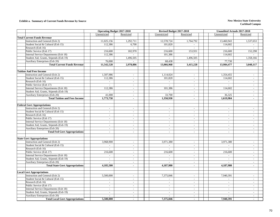#### **Exhibit a. Summary of Current Funds Revenue by Source New Mexico State University**

|                                        | <b>Operating Budget 2017-2018</b> |                          | Revised Budget 2017-2018    |                          | <b>Unaudited Actuals 2017-2018</b> |                           |
|----------------------------------------|-----------------------------------|--------------------------|-----------------------------|--------------------------|------------------------------------|---------------------------|
|                                        | Unrestricted                      | Restricted               | Unrestricted                | Restricted               | Unrestricted                       | Restricted                |
| <b>Total Current Funds Revenue</b>     |                                   |                          |                             |                          |                                    |                           |
| Instruction and General (Exh 2)        | 11,025,156                        | 1,292,711                | 12,578,724                  | 1,764,792                | 13,460,943                         | 1,537,653                 |
| Student Social & Cultural (Exh 15)     | 112,386                           | 6,700                    | 101,820                     |                          | 114,602                            |                           |
| Research (Exh 16)                      | $\sim$                            | $\sim$                   | $\sim$                      |                          | $\sim$                             |                           |
| Public Service (Exh 17)                | 216,600                           | 182,970                  | 216,600                     | 153,931                  | 216,600                            | 152,298                   |
| Internal Service Departments (Exh 18)  | 112,386                           |                          | 101,386                     |                          | 114,602                            |                           |
| Student Aid, Grants, Stipends (Exh 19) |                                   | 1,496,505                |                             | 1,496,505                |                                    | 1,358,166                 |
| Auxiliary Enterprises (Exh 20)         | 76,000                            |                          | 68,438                      |                          | 77,730                             |                           |
| <b>Total Current Funds Revenue</b>     | 11,542,528                        | 2,978,886                | 13,066,968                  | 3,415,228                | 13,984,477                         | 3,048,117                 |
|                                        |                                   |                          |                             |                          |                                    |                           |
| <b>Tuition And Fees Income</b>         |                                   |                          |                             |                          |                                    |                           |
| Instruction and General (Exh 2)        | 1,507,986                         | $\omega$                 | 1,114,024                   | $\blacksquare$           | 1,354,455                          | $\sim$                    |
| Student Social & Cultural (Exh 15)     | 112,386                           | $\sim$                   | 101,820                     | $\sim$                   | 114,602                            | $\mathbf{r}$              |
| Research (Exh 16)                      | $\sim$                            | $\sim$                   | $\mathcal{L}^{\mathcal{A}}$ | $\sim$                   | $\mathcal{L}$                      | $\overline{a}$            |
| Public Service (Exh 17)                | $\sim$                            | $\overline{\phantom{a}}$ | $\sim$                      | $\sim$                   | $\overline{\phantom{a}}$           | $\overline{\phantom{a}}$  |
| Internal Service Departments (Exh 18)  | 112,386                           | $\sim$                   | 101,386                     | $\sim$                   | 114,602                            | $\mathbb{L}^{\mathbb{N}}$ |
| Student Aid, Grants, Stipends (Exh 19) | $\sim$                            | $\sim$                   | $\sim$                      | $\sim$                   | $\sim$                             | $\mathbb{L}^{\mathbb{N}}$ |
| Auxiliary Enterprises (Exh 20)         | 41,000                            | $\sim$                   | 33,700                      | $\sim$                   | 36,325                             | $\sim$                    |
| <b>Total Tuition and Fees Income</b>   | 1,773,758                         | $\sim$                   | 1,350,930                   | $\overline{\phantom{a}}$ | 1,619,984                          | $\blacksquare$            |
|                                        |                                   |                          |                             |                          |                                    |                           |
| <b>Federal Govt Appropriations</b>     |                                   |                          |                             |                          |                                    |                           |
| Instruction and General (Exh 2)        | $\sim$                            | $\sim$                   | $\sim$                      | $\sim$                   | $\sim$                             | $\overline{\phantom{0}}$  |
| Student Social & Cultural (Exh 15)     | $\mathcal{L}$                     | $\mathcal{L}$            | $\sim$                      | $\sim$                   | $\sim$                             | $\sim$                    |
| Research (Exh 16)                      | $\sim$                            | $\sim$                   | $\sim$                      | $\sim$                   | $\sim$                             | $\sim$                    |
| Public Service (Exh 17)                | $\mathcal{L}$                     | $\mathcal{L}$            | $\overline{a}$              | $\sim$                   | $\sim$                             | $\overline{a}$            |
| Internal Service Departments (Exh 18)  | $\mathbb{L}$                      | $\mathbb{L}$             | $\blacksquare$              | $\sim$                   | $\sim$                             | $\overline{\phantom{a}}$  |
| Student Aid, Grants, Stipends (Exh 19) | $\sim$                            | $\sim$                   | $\sim$                      | $\sim$                   | $\sim$                             | $\sim$                    |
| Auxiliary Enterprises (Exh 20)         | $\sim$                            | $\sim$                   | $\sim$                      | $\sim$                   | $\sim$                             | $\sim$                    |
| <b>Total Fed Govt Appropriations</b>   | $\sim$                            | $\blacksquare$           | $\blacksquare$              | $\sim$                   | $\blacksquare$                     | $\blacksquare$            |
|                                        |                                   |                          |                             |                          |                                    |                           |
| <b>State Govt Appropriations</b>       |                                   |                          |                             |                          |                                    |                           |
| Instruction and General (Exh 2)        | 3,968,900                         | $\overline{\phantom{a}}$ | 3,971,380                   | $\overline{\phantom{a}}$ | 3,971,380                          | $\overline{\phantom{a}}$  |
| Student Social & Cultural (Exh 15)     | $\overline{\phantom{a}}$          | $\overline{\phantom{a}}$ | $\sim$                      | $\sim$                   | $\overline{\phantom{a}}$           | $\overline{\phantom{a}}$  |
| Research (Exh 16)                      |                                   | $\overline{\phantom{a}}$ |                             |                          |                                    | $\overline{a}$            |
| Public Service (Exh 17)                | 216,600                           | $\mathcal{L}$            | 216,600                     | $\blacksquare$           | 216,600                            | $\overline{a}$            |
| Internal Service Departments (Exh 18)  | $\overline{\phantom{a}}$          | $\overline{\phantom{a}}$ | $\mathbf{r}$                | $\sim$                   | $\mathbf{r}$                       | $\overline{a}$            |
| Student Aid, Grants, Stipends (Exh 19) | $\mathbb{Z}^2$                    | $\sim$                   | $\sim$                      | $\sim$                   | $\sim$                             | $\overline{\phantom{a}}$  |
| <b>Auxiliary Enterprises (Exh 20)</b>  | $\overline{a}$                    | $\sim$                   | $\overline{a}$              | $\sim$                   | $\overline{a}$                     | $\overline{\phantom{a}}$  |
| <b>Total State Govt Appropriations</b> | 4,185,500                         | $\blacksquare$           | 4,187,980                   | $\blacksquare$           | 4,187,980                          | $\mathbf{r}$              |
|                                        |                                   |                          |                             |                          |                                    |                           |
| <b>Local Govt Appropriations</b>       |                                   |                          |                             |                          |                                    |                           |
| Instruction and General (Exh 2)        | 5,500,000                         | $\mathbb{L}$             | 7,375,846                   | $\mathbb{L}$             | 7,940,391                          | $\sim$                    |
| Student Social & Cultural (Exh 15)     | $\sim$                            | $\sim$                   | $\sim$                      | $\sim$                   | $\sim$                             | $\sim$                    |
| Research (Exh 16)                      | $\sim$                            | $\sim$                   | $\sim$                      | $\sim$                   | $\sim$                             | $\overline{a}$            |
| Public Service (Exh 17)                | $\sim$                            | $\sim$                   | $\sim$                      | $\sim$                   | $\sim$                             | $\sim$                    |
| Internal Service Departments (Exh 18)  | $\overline{\phantom{a}}$          | $\omega$                 | $\overline{\phantom{a}}$    | $\sim$                   | $\sim$                             | $\overline{\phantom{a}}$  |
| Student Aid, Grants, Stipends (Exh 19) | $\sim$                            | $\sim$                   | $\overline{\phantom{a}}$    |                          | $\overline{\phantom{a}}$           | $\overline{a}$            |
| <b>Auxiliary Enterprises (Exh 20)</b>  |                                   | $\overline{\phantom{a}}$ |                             | $\sim$                   |                                    | $\overline{a}$            |
| <b>Total Local Govt Appropriations</b> | 5,500,000                         | $\sim$                   | 7,375,846                   | $\sim$                   | 7,940,391                          | $\mathbf{r}$              |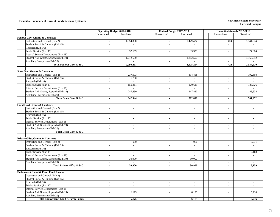#### **Exhibit a. Summary of Current Funds Revenue by Source New Mexico State University**

|                                                                                 | <b>Operating Budget 2017-2018</b> |                          | Revised Budget 2017-2018           |                                    | <b>Unaudited Actuals 2017-2018</b> |                          |
|---------------------------------------------------------------------------------|-----------------------------------|--------------------------|------------------------------------|------------------------------------|------------------------------------|--------------------------|
|                                                                                 | Unrestricted                      | Restricted               | Unrestricted                       | Restricted                         | Unrestricted                       | Restricted               |
| <b>Federal Govt Grants &amp; Contracts</b>                                      |                                   |                          |                                    |                                    |                                    |                          |
| Instruction and General (Exh 2)                                                 | $\sim$                            | 1,054,808                | $\sim$                             | 1,429,434                          | 424                                | 1,341,074                |
| Student Social & Cultural (Exh 15)                                              | $\omega$                          | $\sim$                   | $\sim$                             |                                    | $\mathbb{L}^+$                     |                          |
| Research (Exh 16)                                                               | $\sim$                            |                          | $\sim$                             |                                    | $\sim$                             |                          |
| Public Service (Exh 17)                                                         | $\sim$                            | 32,159                   | $\mathcal{L}_{\mathcal{A}}$        | 33,320                             | $\sim$                             | 24,604                   |
| Internal Service Departments (Exh 18)                                           | $\overline{\phantom{a}}$          |                          | $\overline{\phantom{a}}$           |                                    | $\overline{\phantom{a}}$           |                          |
| Student Aid, Grants, Stipends (Exh 19)                                          | $\overline{\phantom{a}}$          | 1,212,500                | $\overline{\phantom{a}}$           | 1,212,500                          | $\overline{\phantom{a}}$           | 1,168,592                |
| Auxiliary Enterprises (Exh 20)                                                  | $\mathbb{L}$                      |                          | $\overline{\phantom{a}}$           |                                    | $\blacksquare$                     |                          |
| Total Federal Govt G & C                                                        | $\blacksquare$                    | 2,299,467                | $\blacksquare$                     | 2,675,254                          | 424                                | 2,534,270                |
|                                                                                 |                                   |                          |                                    |                                    |                                    |                          |
| <b>State Govt Grants &amp; Contracts</b>                                        |                                   |                          |                                    |                                    |                                    |                          |
| Instruction and General (Exh 2)                                                 | $\sim$                            | 237,003                  | $\mathbb{L}^+$                     | 334,458                            | $\sim$                             | 192,608                  |
| Student Social & Cultural (Exh 15)                                              | $\sim$                            | 6,700                    | $\mathbb{L}^{\mathbb{N}}$          | $\sim$                             | $\sim$                             |                          |
| Research (Exh 16)                                                               | $\sim$                            | $\mathbb{Z}^2$           | $\mathbb{L}^+$                     | $\sim$                             | $\blacksquare$                     | $\sim$                   |
| Public Service (Exh 17)                                                         | $\sim$                            | 150,811                  | $\overline{\phantom{a}}$           | 120,611                            | $\overline{\phantom{a}}$           | 125,526                  |
| Internal Service Departments (Exh 18)                                           | $\sim$                            | $\mathbb{Z}^2$           | $\sim$                             | $\sim$                             | $\sim$                             |                          |
| Student Aid, Grants, Stipends (Exh 19)                                          | $\sim$                            | 247,830                  | $\sim$                             | 247,830                            | $\sim$                             | 183,838                  |
| Auxiliary Enterprises (Exh 20)                                                  | $\sim$                            |                          | $\sim$                             |                                    | $\sim$                             |                          |
| Total State Govt G & C                                                          | $\sim$                            | 642,344                  | $\blacksquare$                     | 702.899                            | $\sim$                             | 501.972                  |
|                                                                                 |                                   |                          |                                    |                                    |                                    |                          |
| <b>Local Govt Grants &amp; Contracts</b>                                        |                                   |                          |                                    |                                    |                                    |                          |
| Instruction and General (Exh 2)                                                 | $\omega$                          | $\sim$                   | $\overline{\phantom{a}}$           | $\sim$                             | $\overline{\phantom{a}}$           | $\sim$                   |
| Student Social & Cultural (Exh 15)                                              | $\mathbb{Z}^2$                    | $\mathbb{L}$             | $\blacksquare$                     | $\blacksquare$                     | $\blacksquare$                     | $\blacksquare$           |
| Research (Exh 16)                                                               | $\sim$                            | $\sim$                   | $\sim$                             | $\sim$                             | $\sim$                             | $\sim$                   |
| Public Service (Exh 17)                                                         | $\sim$                            | $\mathbb{L}$             | $\blacksquare$                     | $\blacksquare$                     | $\blacksquare$                     | $\sim$                   |
| Internal Service Departments (Exh 18)                                           | $\sim$                            | $\sim$                   | $\sim$                             | $\sim$                             | $\overline{\phantom{a}}$           | $\sim$                   |
| Student Aid, Grants, Stipends (Exh 19)                                          | $\mathcal{L}$                     | $\mathcal{L}$            | $\sim$                             | $\sim$                             | $\sim$                             | $\sim$                   |
| <b>Auxiliary Enterprises (Exh 20)</b>                                           | $\sim$                            | $\mathbb{L}$             | $\sim$                             | $\omega$                           | $\sim$                             | $\overline{\phantom{a}}$ |
| Total Local Govt G & C                                                          | $\sim$                            | $\sim$                   | $\blacksquare$                     | $\sim$                             | $\blacksquare$                     | $\sim$                   |
|                                                                                 |                                   |                          |                                    |                                    |                                    |                          |
| Private Gifts, Grants & Contracts                                               |                                   |                          |                                    |                                    |                                    |                          |
| Instruction and General (Exh 2)                                                 | $\overline{\phantom{a}}$          | 900                      | $\sim$                             | 900                                | $\sim$                             | 3,971                    |
| Student Social & Cultural (Exh 15)                                              | $\sim$                            | $\overline{\phantom{a}}$ | $\overline{\phantom{a}}$           | $\overline{\phantom{a}}$           | $\overline{\phantom{a}}$           | $\overline{\phantom{a}}$ |
| Research (Exh 16)                                                               | $\blacksquare$                    | $\sim$                   | $\sim$                             | $\sim$                             | $\sim$                             |                          |
| Public Service (Exh 17)                                                         | $\mathcal{L}$                     | $\mathbb{Z}^2$           | $\sim$                             | $\sim$                             | $\sim$                             | 2,168                    |
| Internal Service Departments (Exh 18)                                           | $\mathcal{L}$                     | $\sim$                   | $\blacksquare$                     |                                    | $\sim$                             | $\mathbf{r}$             |
| Student Aid, Grants, Stipends (Exh 19)                                          | $\mathcal{L}$                     | 30,000                   | $\sim$                             | 30,000                             | $\blacksquare$                     | $\mathcal{L}$            |
| Auxiliary Enterprises (Exh 20)                                                  | $\sim$                            |                          | $\sim$                             |                                    | $\sim$                             |                          |
| Total Private Gifts, G & C                                                      | $\mathbf{r}$                      | 30,900                   | $\blacksquare$                     | 30,900                             | $\blacksquare$                     | 6,139                    |
|                                                                                 |                                   |                          |                                    |                                    |                                    |                          |
| Endowment, Land & Perm Fund Income                                              |                                   |                          |                                    |                                    |                                    |                          |
| Instruction and General (Exh 2)                                                 |                                   |                          |                                    |                                    |                                    | $\sim$                   |
| Student Social & Cultural (Exh 15)                                              | $\sim$<br>$\sim$                  | $\blacksquare$<br>$\sim$ | $\overline{\phantom{a}}$<br>$\sim$ | $\overline{\phantom{a}}$<br>$\sim$ | $\overline{\phantom{a}}$<br>$\sim$ | $\sim$                   |
| Research (Exh 16)                                                               | $\sim$                            | $\sim$                   | $\mathcal{L}_{\mathcal{A}}$        | $\sim$                             | $\sim$                             | $\sim$                   |
| Public Service (Exh 17)                                                         |                                   |                          |                                    |                                    |                                    |                          |
|                                                                                 | $\sim$                            | $\sim$                   | $\sim$                             | $\sim$                             | $\sim$                             | $\sim$<br>$\sim$         |
| Internal Service Departments (Exh 18)<br>Student Aid, Grants, Stipends (Exh 19) | $\sim$                            | $\mathbb{L}$<br>6,175    | $\sim$                             | $\sim$                             | $\sim$                             |                          |
|                                                                                 | $\mathbb{L}$                      |                          | $\overline{\phantom{a}}$           | 6,175                              | $\overline{\phantom{a}}$           | 5,736                    |
| Auxiliary Enterprises (Exh 20)                                                  | $\overline{\phantom{a}}$          | $\mathbb{L}$             | $\overline{\phantom{a}}$           |                                    | $\overline{\phantom{a}}$           |                          |
| <b>Total Endowment, Land &amp; Perm Funds</b>                                   | $\mathbf{r}$                      | 6,175                    | $\mathbf{r}$                       | 6,175                              | $\blacksquare$                     | 5,736                    |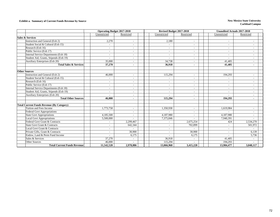#### **Exhibit a. Summary of Current Funds Revenue by Source New Mexico State University**

|                                                  | <b>Operating Budget 2017-2018</b> |                          | Revised Budget 2017-2018 |                          | <b>Unaudited Actuals 2017-2018</b> |                          |  |  |
|--------------------------------------------------|-----------------------------------|--------------------------|--------------------------|--------------------------|------------------------------------|--------------------------|--|--|
|                                                  | Unrestricted                      | Restricted               | Unrestricted             | Restricted               | Unrestricted                       | Restricted               |  |  |
| <b>Sales &amp; Services</b>                      |                                   |                          |                          |                          |                                    |                          |  |  |
| Instruction and General (Exh 2)                  | 2,270                             |                          | 2,180                    |                          | $\overline{\phantom{a}}$           |                          |  |  |
| Student Social & Cultural (Exh 15)               |                                   |                          | $\overline{\phantom{a}}$ |                          | $\overline{\phantom{a}}$           | Ξ.                       |  |  |
| Research (Exh 16)                                | $\overline{\phantom{a}}$          |                          | $\overline{\phantom{a}}$ |                          | $\overline{\phantom{a}}$           | Ξ.                       |  |  |
| Public Service (Exh 17)                          | $\overline{\phantom{a}}$          |                          | $\overline{\phantom{a}}$ |                          | $\overline{\phantom{a}}$           | $\overline{\phantom{0}}$ |  |  |
| Internal Service Departments (Exh 18)            | $\overline{\phantom{a}}$          |                          | $\overline{\phantom{a}}$ |                          | $\overline{\phantom{a}}$           | $\overline{\phantom{a}}$ |  |  |
| Student Aid, Grants, Stipends (Exh 19)           |                                   | $\overline{\phantom{a}}$ | $\overline{\phantom{a}}$ |                          |                                    | $\overline{\phantom{a}}$ |  |  |
| Auxiliary Enterprises (Exh 20)                   | 35,000                            | $\sim$                   | 34,738                   | $\overline{\phantom{a}}$ | 41.405                             | $\overline{\phantom{0}}$ |  |  |
| <b>Total Sales &amp; Services</b>                | 37,270                            | ٠                        | 36,918                   | $\overline{\phantom{a}}$ | 41,405                             | ٠                        |  |  |
|                                                  |                                   |                          |                          |                          |                                    |                          |  |  |
| <b>Other Sources</b>                             |                                   |                          |                          |                          |                                    |                          |  |  |
| Instruction and General (Exh 2)                  | 46,000                            | $\overline{\phantom{a}}$ | 115,294                  | $\sim$                   | 194,293                            | $\overline{a}$           |  |  |
| Student Social & Cultural (Exh 15)               | $\sim$                            | ٠                        |                          |                          |                                    | $\overline{\phantom{0}}$ |  |  |
| Research (Exh 16)                                | $\sim$                            | $\overline{\phantom{a}}$ | $\overline{\phantom{a}}$ |                          | $\sim$                             | $\overline{\phantom{a}}$ |  |  |
| Public Service (Exh 17)                          | $\overline{\phantom{a}}$          | $\overline{\phantom{a}}$ | $\sim$                   | $\overline{\phantom{a}}$ | $\sim$                             | $\overline{\phantom{a}}$ |  |  |
| Internal Service Departments (Exh 18)            | $\sim$                            | $\overline{\phantom{a}}$ | $\sim$                   | $\overline{\phantom{a}}$ | $\overline{\phantom{a}}$           | $\overline{\phantom{a}}$ |  |  |
| Student Aid, Grants, Stipends (Exh 19)           | $\overline{\phantom{a}}$          | $\overline{\phantom{a}}$ | $\overline{\phantom{a}}$ | $\blacksquare$           | $\overline{\phantom{a}}$           | $\overline{\phantom{0}}$ |  |  |
| Auxiliary Enterprises (Exh 20)                   | ٠                                 | ٠                        |                          |                          |                                    | ٠                        |  |  |
| <b>Total Other Sources</b>                       | 46,000                            | $\blacksquare$           | 115,294                  | $\sim$                   | 194,293                            | $\sim$                   |  |  |
|                                                  |                                   |                          |                          |                          |                                    |                          |  |  |
| <b>Total Current Funds Revenue (By Category)</b> |                                   |                          |                          |                          |                                    |                          |  |  |
| Tuition and Fees Income                          | 1,773,758                         | $\overline{a}$           | 1,350,930                |                          | 1,619,984                          | $\overline{\phantom{a}}$ |  |  |
| <b>Federal Govt Appropriations</b>               |                                   | $\overline{\phantom{a}}$ |                          | $\overline{\phantom{a}}$ |                                    | $\overline{\phantom{a}}$ |  |  |
| <b>State Govt Appropriations</b>                 | 4,185,500                         | $\overline{\phantom{a}}$ | 4,187,980                | $\overline{\phantom{a}}$ | 4,187,980                          | $\overline{\phantom{a}}$ |  |  |
| <b>Local Govt Appropriations</b>                 | 5,500,000                         | $\sim$                   | 7,375,846                |                          | 7,940,391                          | $\blacksquare$           |  |  |
| Federal Govt Grant & Contracts                   | $\overline{\phantom{a}}$          | 2,299,467                | $\overline{\phantom{a}}$ | 2,675,254                | 424                                | 2,534,270                |  |  |
| <b>State Govt Grant &amp; Contracts</b>          | $\overline{\phantom{a}}$          | 642,344                  | $\overline{\phantom{a}}$ | 702,899                  | $\sim$                             | 501,972                  |  |  |
| Local Govt Grant & Contracts                     | $\sim$                            |                          | $\overline{\phantom{a}}$ |                          | $\sim$                             |                          |  |  |
| Private Gifts, Grant & Contracts                 | $\overline{\phantom{a}}$          | 30,900                   | $\overline{\phantom{a}}$ | 30,900                   | $\overline{\phantom{a}}$           | 6,139                    |  |  |
| Endow, Land & Perm Fund Income                   |                                   | 6,175                    |                          | 6,175                    |                                    | 5,736                    |  |  |
| Sales & Services                                 | 37,270                            | $\overline{a}$           | 36,918                   |                          | 41,405                             |                          |  |  |
| <b>Other Sources</b>                             | 46,000                            |                          | 115,294                  |                          | 194,293                            |                          |  |  |
| <b>Total Current Funds Revenue</b>               | 11,542,528                        | 2,978,886                | 13,066,968               | 3,415,228                | 13,984,477                         | 3,048,117                |  |  |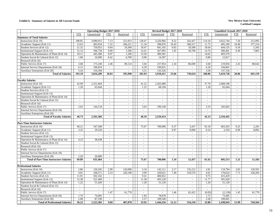#### **Exhibit b. Summary of Salaries in All Current Funds New Mexico State University**

|                                                |                             | <b>Operating Budget 2017-2018</b> |                     |                             |                          | Revised Budget 2017-2018    |                          |                |                | <b>Unaudited Actuals 2017-2018</b> |                          |                             |
|------------------------------------------------|-----------------------------|-----------------------------------|---------------------|-----------------------------|--------------------------|-----------------------------|--------------------------|----------------|----------------|------------------------------------|--------------------------|-----------------------------|
|                                                | <b>FTE</b>                  | Unrestricted                      | <b>FTE</b>          | Restricted                  | <b>FTE</b>               | Unrestricted                | <b>FTE</b>               | Restricted     | <b>FTE</b>     | Unrestricted                       | <b>FTE</b>               | Restricted                  |
| Summary of Total Salaries                      |                             |                                   |                     |                             |                          |                             |                          |                |                |                                    |                          |                             |
| Instruction (Exh 10)                           | 108.85                      | 3,090,015                         | 7.13                | 221,053                     | 128.47                   | 3,326,966                   | 8.32                     | 243,427        | 114.34         | 3,022,744                          | 7.20                     | 212,095                     |
| Academic Support (Exh 11)                      | 13.63                       | 403,934                           | 7.22                | 266,221                     | 11.34                    | 398,076                     | 10.43                    | 368,317        | 11.75          | 405,249                            | 10.40                    | 377,214                     |
| Student Services (Exh 12)                      | 21.32                       | 759,953                           | 0.64                | 10,300                      | 18.47                    | 641,165                     | 0.65                     | 10,500         | 18.64          | 644,135                            | 0.34                     | 5,343                       |
| Institutional Support (Exh 13)                 | 15.14                       | 596,758                           | 0.09                | 1,500                       | 14.41                    | 567,995                     | 1.92                     | 30,700         | 14.76          | 580,401                            | 0.49                     | 7,865                       |
| Operation & Maintenance of Plant (Exh 14)      | 18.11                       | 445,386                           | 0.07                | 1,100                       | 13.50                    | 389,301                     | $\equiv$                 | $\omega$       | 14.02          | 403,579                            | $\omega$                 | $\sim$                      |
| Student Social & Cultural (Exh 15)             | 1.00                        | 16,000                            | 0.42                | 6,700                       | 0.90                     | 14,397                      | $\sim$                   | $\sim$         | 0.80           | 12,817                             | $\omega$                 | $\sim$                      |
| Research (Exh 16)                              |                             |                                   | $\bar{\phantom{a}}$ |                             |                          |                             |                          |                |                |                                    | ÷.                       |                             |
| Public Service (Exh 17)                        | 3.68                        | 173,240                           | 2.46                | 89,124                      | 5.04                     | 237,954                     | 2.34                     | 86,690         | 4.68           | 219,056                            | 2.43                     | 88,642                      |
| Internal Service Departments (Exh 18)          | 6.13                        | 196,819                           | $\sim$              | $\sim$                      | 6.39                     | 199,031                     | $\omega$                 | $\sim$         | 6.29           | 194,601                            | $\mathbb{Z}^+$           | $\omega$                    |
| Auxiliary Enterprises (Exh 20)                 | 5.24                        | 134,184                           | $\omega$            | $\sim$                      | 3.51                     | 135,526                     | $\blacksquare$           | $\sim$         | 3.58           | 137,156                            | $\omega_{\rm c}$         | $\blacksquare$              |
| <b>Total of Salaries</b>                       | 193.10                      | 5,816,289                         | 18.03               | 595,998                     | 202.03                   | 5,910,411                   | 23.66                    | 739,634        | 188.86         | 5,619,738                          | 20.86                    | 691,159                     |
|                                                |                             |                                   |                     |                             |                          |                             |                          |                |                |                                    |                          |                             |
| <b>Faculty Salaries</b>                        |                             |                                   |                     |                             |                          |                             |                          |                |                |                                    |                          |                             |
| Instruction (Exh 10)                           | 42.90                       | 2,351,604                         | $\sim$              | $\sim$                      | 41.22                    | 2,262,080                   | $\sim$                   | $\sim$         | 37.70          | 2,068,198                          | $\mathcal{L}$            | $\sim$                      |
| Academic Support (Exh 11)                      | 1.20                        | 65,644                            | $\sim$              | $\sim$                      | 1.25                     | 68,194                      | $\omega$                 | $\omega$       | 1.20           | 65,644                             | $\omega$                 | $\sim$                      |
| Student Services (Exh 12)                      | $\sim$                      | $\sim$                            | $\sim$              | $\sim$                      | $\sim$                   | $\sim$                      | $\sim$                   | $\sim$         | $\sim$         | $\sim$                             | $\blacksquare$           | $\sim$                      |
| <b>Institutional Support (Exh 13)</b>          | $\equiv$                    | $\sim$                            | $\sim$              | $\mathcal{L}_{\mathcal{A}}$ | $\overline{a}$           | $\sim$                      | $\sim$                   | $\sim$         | $\overline{a}$ | $\blacksquare$                     | $\mathbf{r}$             | $\sim$                      |
| Operation & Maintenance of Plant (Exh 14)      | $\sim$                      | $\sim$                            | $\sim$              | $\overline{\phantom{a}}$    | $\overline{\phantom{a}}$ | $\blacksquare$              | $\sim$                   | $\sim$         | $\bar{a}$      |                                    | $\overline{a}$           | $\blacksquare$              |
| Student Social & Cultural (Exh 15)             | $\sim$                      | $\sim$                            | $\sim$              | $\sim$                      | $\overline{a}$           | $\omega$                    | $\overline{a}$           | $\overline{a}$ | $\overline{a}$ | $\overline{a}$                     | $\overline{a}$           | $\sim$                      |
| Research (Exh 16)                              | $\omega$                    | $\sim$                            | $\sim$              | $\sim$                      | $\sim$                   | $\sim$                      | $\omega$                 | $\sim$         | $\sim$         | $\overline{a}$                     | $\omega$                 | $\omega$                    |
| Public Service (Exh 17)                        | 2.63                        | 144,118                           | $\sim$              | $\blacksquare$              | 3.63                     | 199,140                     | $\blacksquare$           | $\sim$         | 3.33           | 182,603                            | $\blacksquare$           | $\blacksquare$              |
| Internal Service Departments (Exh 18)          | $\mathcal{L}_{\mathcal{A}}$ | $\sim$                            | $\sim$              | $\sim$                      | $\sim$                   | $\mathcal{L}_{\mathcal{A}}$ | $\sim$                   | $\sim$         | $\sim$         | $\sim$                             | $\sim$                   | $\sim$                      |
| Auxiliary Enterprises (Exh 20)                 |                             |                                   |                     | $\overline{\phantom{a}}$    |                          |                             |                          |                |                |                                    |                          | $\sim$                      |
| <b>Total of Faculty Salaries</b>               | 46.73                       | 2,561,366                         | $\mathbf{r}$        | $\mathbf{r}$                | 46.10                    | 2,529,414                   | $\mathbf{r}$             | $\mathbf{r}$   | 42.23          | 2,316,445                          | $\blacksquare$           | ÷.                          |
|                                                |                             |                                   |                     |                             |                          |                             |                          |                |                |                                    |                          |                             |
| <b>Part-Time Instructors Salaries</b>          |                             |                                   |                     |                             |                          |                             |                          |                |                |                                    |                          |                             |
| Instruction (Exh 10)                           | 60.21                       | 547,500                           | $\sim$              | $\sim$                      | 75.67                    | 700,096                     | 0.37                     | 3,437          | 65.18          | 603,263                            | 0.25                     | 2,291                       |
| Academic Support (Exh 11)                      | 3.25                        | 29,526                            | $\sim$              | $\omega$                    | $\sim$                   | $\sim$                      | 0.97                     | 9,000          | 0.24           | 2,250                              | 0.96                     | 8,892                       |
| Student Services (Exh 12)                      | $\mathbb{Z}^+$              | $\sim$                            | $\blacksquare$      | $\blacksquare$              | $\overline{a}$           | $\equiv$                    | $\overline{\phantom{a}}$ | $\omega$       | $\sim$         | $\overline{\phantom{a}}$           | $\overline{\phantom{a}}$ | $\omega$                    |
| Institutional Support (Exh 13)                 | $\mathcal{L}^{\mathcal{A}}$ | $\sim$                            | $\sim$              | $\mathcal{L}$               | $\overline{a}$           | $\sim$                      | $\sim$                   | $\mathcal{L}$  | $\overline{a}$ | $\sim$                             | $\omega$                 | $\mathcal{L}^{\mathcal{A}}$ |
| Operation & Maintenance of Plant (Exh 14)      | 4.23                        | 38,438                            | $\sim$              | $\overline{\phantom{a}}$    | $\overline{a}$           | $\sim$                      | $\overline{a}$           | $\overline{a}$ | $\sim$         | $\overline{a}$                     | $\overline{a}$           | $\overline{a}$              |
| Student Social & Cultural (Exh 15)             | $\blacksquare$              | $\sim$                            | $\sim$              | $\sim$                      | $\blacksquare$           | $\sim$                      | $\blacksquare$           | $\blacksquare$ | $\blacksquare$ | $\sim$                             | $\blacksquare$           | $\sim$                      |
| Research (Exh 16)                              | $\omega$                    | $\sim$                            | $\sim$              | $\omega$                    | $\overline{\phantom{a}}$ | $\sim$                      | $\sim$                   | $\sim$         | $\sim$         | $\sim$                             | $\mathcal{L}$            | $\sim$                      |
| Public Service (Exh 17)                        | $\sim$                      | $\blacksquare$                    | $\sim$              | $\blacksquare$              | $\overline{\phantom{a}}$ | $\blacksquare$              | $\sim$                   | $\blacksquare$ | $\sim$         | $\overline{\phantom{a}}$           | $\blacksquare$           | $\blacksquare$              |
| Internal Service Departments (Exh 18)          | $\mathcal{L}$               | $\overline{a}$                    | $\omega$            | $\omega$                    | $\overline{a}$           | $\omega$                    | $\sim$                   | $\mathcal{L}$  | $\mathcal{L}$  | $\overline{\phantom{a}}$           | $\omega$                 | $\omega$                    |
| Auxiliary Enterprises (Exh 20)                 | 2.20                        | 20,000                            | $\sim$              | $\mathbb{Z}^2$              | $\overline{\phantom{a}}$ | $\blacksquare$              | $\sim$                   | $\sim$         | $\sim$         | $\sim$                             | $\mathcal{L}$            | $\sim$                      |
| <b>Total of Part-Time Instructors Salaries</b> | 69.89                       | 635,464                           | $\sim$              | $\sim$                      | 75.67                    | 700,096                     | 1.34                     | 12,437         | 65.42          | 605,513                            | 1.21                     | 11,183                      |
|                                                |                             |                                   |                     |                             |                          |                             |                          |                |                |                                    |                          |                             |
| <b>Professional Salaries</b>                   |                             |                                   |                     |                             |                          |                             |                          |                |                |                                    |                          |                             |
| Instruction (Exh 10)                           | 2.86                        | 120,345                           | 2.99                | 126,000                     | 3.34                     | 142,111                     | 3.17                     | 135,212        | 2.81           | 119,794                            | 2.83                     | 120,591                     |
| Academic Support (Exh 11)                      | 4.01                        | 168,571                           | 5.23                | 220,108                     | 3.99                     | 169,621                     | 7.49                     | 318,576        | 4.01           | 170,624                            | 7.71                     | 328,203                     |
| Student Services (Exh 12)                      | 11.91                       | 502.162                           | $\sim$              | $\blacksquare$              | 9.41                     | 400.652                     | $\mathcal{L}$            | $\sim$         | 9.75           | 415.429                            | $\mathbb{Z}^+$           | $\omega$                    |
| <b>Institutional Support (Exh 13)</b>          | 12.38                       | 521,469                           | $\sim$              | $\omega$                    | 11.58                    | 493,128                     | $\blacksquare$           | $\overline{a}$ | 11.77          | 501,020                            | $\omega$                 | $\sim$                      |
| Operation & Maintenance of Plant (Exh 14)      | 1.22                        | 51,420                            | $\sim$              | $\mathbb{Z}^2$              | 1.20                     | 51,120                      | $\mathcal{L}$            | $\sim$         | 1.20           | 51,120                             | $\omega$                 | $\sim$                      |
| Student Social & Cultural (Exh 15)             | $\omega$                    |                                   | $\sim$              | $\overline{\phantom{a}}$    | $\overline{\phantom{a}}$ | $\blacksquare$              | $\sim$                   | $\sim$         | $\omega$       |                                    | ÷.                       | $\sim$                      |
| Research (Exh 16)                              | $\mathcal{L}^{\mathcal{A}}$ | $\sim$                            | $\sim$              | $\overline{a}$              | $\blacksquare$           | $\sim$                      | $\sim$                   | $\overline{a}$ | $\sim$         | $\overline{a}$                     | $\overline{a}$           | $\sim$                      |
| Public Service (Exh 17)                        | $\omega$                    | $\sim$                            | 1.47                | 61,770                      | $\sim$                   | $\mathcal{L}$               | 1.46                     | 62,422         | (0.05)         | (2, 130)                           | 1.45                     | 61,770                      |
| Internal Service Departments (Exh 18)          | 1.76                        | 74,085                            | $\sim$              | $\sim$                      | 1.83                     | 78,078                      | $\blacksquare$           | $\blacksquare$ | 1.73           | 73,485                             | $\blacksquare$           | $\blacksquare$              |
| Auxiliary Enterprises (Exh 20)                 | 2.08                        | 87,330                            | $\sim$              | $\sim$                      | 2.57                     | 109,546                     | $\sim$                   | $\sim$         | 2.58           | 109,601                            | $\sim$                   | $\sim$                      |
| <b>Total of Professional Salaries</b>          | 36.22                       | 1,525,382                         | 9.69                | 407,878                     | 33.92                    | 1,444,256                   | 12.12                    | 516,210        | 33.80          | 1,438,943                          | 11.99                    | 510,564                     |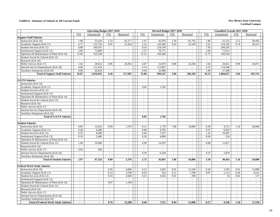#### **Exhibit b. Summary of Salaries in All Current Funds New Mexico State University**

|                                             |                             | <b>Operating Budget 2017-2018</b> |                          |                          |                          | Revised Budget 2017-2018 |                          |                          |                | <b>Unaudited Actuals 2017-2018</b> |                             |                          |
|---------------------------------------------|-----------------------------|-----------------------------------|--------------------------|--------------------------|--------------------------|--------------------------|--------------------------|--------------------------|----------------|------------------------------------|-----------------------------|--------------------------|
|                                             | <b>FTE</b>                  | Unrestricted                      | <b>FTE</b>               | Restricted               | <b>FTE</b>               | Unrestricted             | <b>FTE</b>               | Restricted               | <b>FTE</b>     | Unrestricted                       | <b>FTE</b>                  | Restricted               |
| <b>Support Staff Salaries</b>               |                             |                                   |                          |                          |                          |                          |                          |                          |                |                                    |                             |                          |
| Instruction (Exh 10)                        | 1.98                        | 55,434                            | 2.33                     | 65,277                   | 1.67                     | 45,970                   | 2.39                     | 65,792                   | 1.86           | 51,233                             | 2.12                        | 58,456                   |
| Academic Support (Exh 11)                   | 4.77                        | 133,793                           | 0.91                     | 25,564                   | 5.22                     | 143,589                  | 0.59                     | 16,109                   | 5.61           | 154,326                            | 0.74                        | 20,413                   |
| Student Services (Exh 12)                   | 8.88                        | 249,391                           | $\sim$                   | $\mathcal{L}$            | 8.16                     | 224,140                  | $\omega$                 | $\omega$                 | 7.43           | 204,245                            | $\sim$                      | $\sim$                   |
| Institutional Support (Exh 13)              | 2.60                        | 72,889                            | $\sim$                   | $\sim$                   | 2.57                     | 70,771                   | $\equiv$                 | $\sim$                   | 2.69           | 73,912                             | $\sim$                      | $\sim$                   |
| Operation & Maintenance of Plant (Exh 14)   | 12.66                       | 355,528                           | $\sim$                   | $\sim$                   | 12.23                    | 336,360                  | $\blacksquare$           | $\blacksquare$           | 12.75          | 350,544                            | $\equiv$                    | $\sim$                   |
| Student Social & Cultural (Exh 15)          | $\sim$                      | $\overline{\phantom{a}}$          | $\sim$                   | $\sim$                   | $\sim$                   | $\sim$                   | $\sim$                   | $\sim$                   | $\sim$         |                                    | $\sim$                      | $\sim$                   |
| Research (Exh 16)                           | $\omega$                    | $\sim$                            | $\overline{\phantom{a}}$ | $\overline{\phantom{a}}$ | $\bar{a}$                | $\overline{\phantom{a}}$ | $\overline{a}$           | $\mathcal{L}$            |                | $\sim$                             | $\overline{\phantom{a}}$    | $\sim$                   |
| Public Service (Exh 17)                     | 1.02                        | 28,622                            | 0.96                     | 26,854                   | 0.87                     | 23,870                   | 0.88                     | 24,268                   | 1.04           | 28,621                             | 0.98                        | 26,872                   |
| Internal Service Departments (Exh 18)       | 4.00                        | 112,434                           | $\sim$                   | $\sim$                   | 4.14                     | 113,867                  | $\sim$                   | $\sim$                   | 4.15           | 114,248                            | $\sim$                      | $\sim$                   |
| Auxiliary Enterprises (Exh 20)              | 0.96                        | 26,854                            | $\sim$                   |                          | 0.94                     | 25,980                   | $\sim$                   | $\blacksquare$           | 1.00           | 27,498                             | $\sim$                      | ÷,                       |
| <b>Total of Support Staff Salaries</b>      | 36.87                       | 1,034,945                         | 4.20                     | 117,695                  | 35.80                    | 984,547                  | 3.86                     | 106,169                  | 36.53          | 1,004,627                          | 3.84                        | 105,741                  |
|                                             |                             |                                   |                          |                          |                          |                          |                          |                          |                |                                    |                             |                          |
| <b>GA/TA Salaries</b>                       |                             |                                   |                          |                          |                          |                          |                          |                          |                |                                    |                             |                          |
| Instruction (Exh 10)                        | $\sim$                      | $\sim$                            | $\omega$                 | $\omega$                 | $\overline{a}$           | $\overline{a}$           | $\overline{a}$           | $\equiv$                 |                | $\overline{a}$                     | $\sim$                      | $\overline{a}$           |
| Academic Support (Exh 11)                   | $\sim$                      | $\sim$                            | $\sim$                   | $\sim$                   | 0.05                     | 1,785                    | $\sim$                   | $\sim$                   | $\sim$         | $\sim$                             | $\sim$                      | $\sim$                   |
| Student Services (Exh 12)                   | $\sim$                      | $\sim$                            | $\sim$                   | $\omega$                 | $\tilde{\phantom{a}}$    | $\sim$                   | $\sim$                   | $\blacksquare$           | $\sim$         | $\sim$                             | $\sim$                      | $\sim$                   |
| Institutional Support (Exh 13)              | $\mathcal{L}_{\mathcal{A}}$ | $\sim$                            | $\sim$                   | $\mathbb{L}$             | $\blacksquare$           | $\omega$                 | $\overline{a}$           | $\blacksquare$           | $\sim$         | $\blacksquare$                     | $\sim$                      | $\sim$                   |
| Operation & Maintenance of Plant (Exh 14)   | $\sim$                      | $\sim$                            | $\sim$                   | $\overline{\phantom{a}}$ | $\overline{a}$           | $\blacksquare$           | $\overline{a}$           | $\blacksquare$           | $\sim$         | $\sim$                             | $\sim$                      | $\overline{\phantom{a}}$ |
| Student Social & Cultural (Exh 15)          | $\sim$                      | $\sim$                            | $\sim$                   | $\omega$                 | $\overline{\phantom{a}}$ | $\sim$                   | $\sim$                   | $\sim$                   | $\sim$         | $\sim$                             | $\sim$                      | $\sim$                   |
| Research (Exh 16)                           | $\sim$                      | $\sim$                            | $\sim$                   | $\sim$                   | $\sim$                   | $\sim$                   | $\equiv$                 | $\equiv$                 | $\overline{a}$ | $\sim$                             | $\sim$                      | $\sim$                   |
| Public Service (Exh 17)                     | $\blacksquare$              | $\sim$                            | $\sim$                   | $\sim$                   | $\overline{\phantom{a}}$ | $\blacksquare$           | $\blacksquare$           | $\blacksquare$           | $\blacksquare$ | $\blacksquare$                     | $\blacksquare$              | $\sim$                   |
| Internal Service Departments (Exh 18)       | $\omega$                    | $\sim$                            | $\sim$                   | $\sim$                   | $\blacksquare$           | $\sim$                   | $\overline{\phantom{a}}$ | $\sim$                   | $\sim$         | $\sim$                             | $\sim$                      | $\sim$                   |
| Auxiliary Enterprises (Exh 20)              |                             |                                   |                          | $\sim$                   |                          |                          |                          | $\sim$                   |                | $\sim$                             |                             | $\sim$                   |
| <b>Total of GA/TA Salaries</b>              | $\mathbf{r}$                | $\sim$                            | $\mathbf{r}$             | $\blacksquare$           | 0.05                     | 1,785                    | $\overline{a}$           | ÷.                       | $\sim$         | $\overline{a}$                     | $\overline{a}$              | $\sim$                   |
|                                             |                             |                                   |                          |                          |                          |                          |                          |                          |                |                                    |                             |                          |
| <b>Student Salaries</b>                     |                             |                                   |                          |                          |                          |                          |                          |                          |                |                                    |                             |                          |
| Instruction (Exh 10)                        | 0.85                        | 13,632                            | 0.09                     | 1,376                    | 0.11                     | 1,778                    | 1.06                     | 16,886                   | 0.30           | 4,721                              | 1.16                        | 18,600                   |
| Academic Support (Exh 11)                   | 0.40                        | 6,400                             | $\sim$                   | $\sim$                   | 0.60                     | 9,705                    | $\sim$                   | $\sim$                   | 0.37           | 6,020                              | $\sim$                      | $\overline{\phantom{a}}$ |
| Student Services (Exh 12)                   | 0.53                        | 8,400                             | $\omega$                 | $\overline{\phantom{a}}$ | 0.46                     | 7,427                    | $\overline{\phantom{a}}$ | $\overline{\phantom{a}}$ | 1.22           | 19,481                             | $\equiv$                    | $\blacksquare$           |
| Institutional Support (Exh 13)              | 0.16                        | 2,400                             | $\sim$                   | $\mathcal{L}$            | 0.26                     | 4.096                    | $\omega$                 | $\mathbf{r}$             | 0.04           | 534                                | $\sim$                      | $\sim$                   |
| Operation & Maintenance of Plant (Exh 14)   | $\sim$                      |                                   | $\sim$                   | $\sim$                   | $\sim$                   | $\sim$                   | $\overline{a}$           | $\equiv$                 | $\overline{a}$ | $\sim$                             | $\sim$                      | $\sim$                   |
| Student Social & Cultural (Exh 15)          | 1.00                        | 16,000                            | $\omega$                 | $\blacksquare$           | 0.90                     | 14,397                   | $\blacksquare$           | $\blacksquare$           | 0.80           | 12,817                             | $\bar{\phantom{a}}$         | $\sim$                   |
| Research (Exh 16)                           | $\omega$                    |                                   | $\sim$                   | $\sim$                   | $\blacksquare$           | $\omega$                 | $\sim$                   | $\sim$                   | $\sim$         | $\sim$                             | $\mathbf{r}$                | $\sim$                   |
| Public Service (Exh 17)                     | 0.03                        | 500                               | $\blacksquare$           | $\blacksquare$           |                          | $\overline{\phantom{a}}$ | $\sim$                   | $\blacksquare$           |                |                                    | $\sim$                      | $\sim$                   |
| Internal Service Departments (Exh 18)       | $\mathbb{Z}^+$              | $\mathcal{L}^{\mathcal{A}}$       | $\omega$                 | $\omega$                 | 0.39                     | 6,204                    | $\mathbf{r}$             | $\mathbf{r}$             | 0.37           | 5,870                              | $\mathbb{Z}^+$              | $\overline{a}$           |
| Auxiliary Enterprises (Exh 20)              | $\omega$                    | $\sim$                            | $\sim$                   | $\overline{a}$           | $\mathbf{r}$             |                          | $\sim$                   | $\mathcal{L}$            |                | $\sim$                             | $\sim$                      | $\overline{a}$           |
| <b>Total of Student Salaries</b>            | 2.97                        | 47,332                            | 0.09                     | 1,376                    | 2.72                     | 43,607                   | 1.06                     | 16,886                   | 3.10           | 49,443                             | 1.16                        | 18,600                   |
|                                             |                             |                                   |                          |                          |                          |                          |                          |                          |                |                                    |                             |                          |
| <b>Federal Work Study Salaries</b>          |                             |                                   |                          |                          |                          |                          |                          |                          |                |                                    |                             |                          |
| Instruction (Exh 10)                        | $\sim$                      | $\blacksquare$                    | 0.30                     | 4,800                    | 0.22                     | 3,463                    | 0.82                     | 13,100                   | 0.20           | 3,182                              | 0.81                        | 12,898                   |
| Academic Support (Exh 11)                   | $\sim$                      | $\sim$                            | 0.23                     | 3,700                    | 0.03                     | 454                      | 0.11                     | 1,700                    | 0.07           | 1,114                              | 0.28                        | 4,515                    |
| Student Services (Exh 12)                   | $\sim$                      | $\sim$                            | 0.16                     | 2.600                    | 0.23                     | 3,634                    | 0.01                     | 200                      | $\sim$         | 34                                 | 0.01                        | 137                      |
| Institutional Support (Exh 13)              | $\sim$                      | $\sim$                            | $\omega$                 | $\sim$                   | $\sim$                   | $\mathbb{Z}^2$           | $\blacksquare$           | $\blacksquare$           | $\sim$         | $\sim$                             | $\mathcal{L}_{\mathcal{A}}$ | $\sim$                   |
| Operation & Maintenance of Plant (Exh 14)   | $\omega$                    | $\sim$                            | 0.07                     | 1,100                    | $\sim$                   | $\sim$                   | $\overline{\phantom{a}}$ | $\sim$                   | $\sim$         | $\omega$                           | $\omega$                    | $\sim$                   |
| Student Social & Cultural (Exh 15)          | $\sim$                      | $\sim$                            | $\omega$                 | $\overline{\phantom{a}}$ | $\overline{a}$           | $\omega$                 | $\overline{\phantom{a}}$ | $\mathcal{L}$            | $\sim$         | $\sim$                             | $\sim$                      | $\sim$                   |
| Research (Exh 16)                           | $\sim$                      | $\sim$                            | $\sim$                   | $\overline{a}$           | $\overline{a}$           | $\overline{a}$           | $\overline{a}$           | $\mathbf{r}$             | $\sim$         | $\sim$                             | $\overline{a}$              | $\sim$                   |
| Public Service (Exh 17)                     | $\omega$                    | $\omega$                          | $\sim$                   | $\sim$                   | $\sim$                   | $\omega$                 | $\mathcal{L}$            | $\equiv$                 | ÷.             | $\sim$                             | $\sim$                      | $\sim$                   |
| Internal Service Departments (Exh 18)       | $\blacksquare$              | $\sim$                            | $\sim$                   | $\overline{\phantom{a}}$ | $\overline{\phantom{a}}$ | $\blacksquare$           | $\blacksquare$           | $\blacksquare$           | $\sim$         | $\blacksquare$                     | $\blacksquare$              | ÷,                       |
| Auxiliary Enterprises (Exh 20)              | $\sim$                      | $\sim$                            | $\sim$                   | $\sim$                   | $\sim$                   | $\sim$                   | $\sim$                   | $\sim$                   |                | $\sim$                             | $\sim$                      | $\sim$                   |
| <b>Total of Federal Work Study Salaries</b> |                             | $\sim$                            | 0.76                     | 12,200                   | 0.48                     | 7,551                    | 0.94                     | 15,000                   | 0.27           | 4,330                              | 1.10                        | 17,550                   |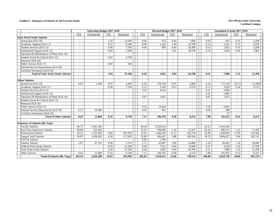#### **Exhibit b. Summary of Salaries in All Current Funds New Mexico State University**

|                                           |            | <b>Operating Budget 2017-2018</b> |                          |                          | Revised Budget 2017-2018<br><b>Unaudited Actuals 2017-2018</b> |              |                          |                          |            |                          |                          |                |
|-------------------------------------------|------------|-----------------------------------|--------------------------|--------------------------|----------------------------------------------------------------|--------------|--------------------------|--------------------------|------------|--------------------------|--------------------------|----------------|
|                                           | <b>FTE</b> | Unrestricted                      | <b>FTE</b>               | Restricted               | <b>FTE</b>                                                     | Unrestricted | <b>FTE</b>               | Restricted               | <b>FTE</b> | Unrestricted             | <b>FTE</b>               | Restricted     |
| <b>State Work Study Salaries</b>          |            |                                   |                          |                          |                                                                |              |                          |                          |            |                          |                          |                |
| Instruction (Exh 10)                      |            | $\sim$                            | 1.35                     | 21,600                   | 0.04                                                           | 674          | 0.44                     | 7,000                    | 0.05       | 843                      | 0.14                     | 2,249          |
| Academic Support (Exh 11)                 |            | $\sim$                            | 0.57                     | 9,100                    | 0.08                                                           | 1,292        | 1.04                     | 16,700                   | 0.14       | 2,241                    | 0.37                     | 5,976          |
| Student Services (Exh 12)                 |            | $\blacksquare$                    | 0.48                     | 7,700                    | 0.06                                                           | 996          | 0.64                     | 10,300                   | 0.13       | 1,952                    | 0.33                     | 5,206          |
| <b>Institutional Support (Exh 13)</b>     |            | $\sim$                            | 0.09                     | 1,500                    |                                                                | $\omega$     | 1.92                     | 30,700                   | 0.19       | 2,950                    | 0.49                     | 7,865          |
| Operation & Maintenance of Plant (Exh 14) |            | $\sim$                            | $\sim$                   | $\overline{a}$           | $\overline{a}$                                                 | $\sim$       |                          | $\sim$                   | $\sim$     | $\sim$                   | $\sim$                   | $\sim$         |
| Student Social & Cultural (Exh 15)        | $\sim$     | $\omega$                          | 0.42                     | 6,700                    | ÷,                                                             | $\sim$       | $\sim$                   | $\blacksquare$           |            | $\overline{\phantom{a}}$ | $\blacksquare$           | $\blacksquare$ |
| Research (Exh 16)                         |            | $\blacksquare$                    | $\sim$                   | $\overline{\phantom{a}}$ | $\overline{\phantom{a}}$                                       | $\sim$       | $\overline{\phantom{a}}$ | $\overline{\phantom{a}}$ |            | $\overline{\phantom{a}}$ | $\overline{\phantom{a}}$ | $\blacksquare$ |
| Public Service (Exh 17)                   |            | $\blacksquare$                    | 0.03                     | 500                      |                                                                | $\sim$       |                          | $\overline{\phantom{a}}$ |            | $\overline{\phantom{a}}$ |                          | $\sim$         |
| Internal Service Departments (Exh 18)     |            | $\blacksquare$                    | $\blacksquare$           | $\overline{\phantom{a}}$ | $\overline{\phantom{a}}$                                       | $\sim$       | $\overline{\phantom{a}}$ | $\sim$                   |            | $\overline{\phantom{a}}$ | $\sim$                   | $\blacksquare$ |
| Auxiliary Enterprises (Exh 20)            |            | $\sim$                            |                          |                          |                                                                | $\sim$       |                          |                          |            |                          |                          |                |
| <b>Total of State Work Study Salaries</b> |            | $\overline{\phantom{a}}$          | 2.94                     | 47,100                   | 0.18                                                           | 2,962        | 4.04                     | 64,700                   | 0.51       | 7.986                    | 1.33                     | 21,296         |
|                                           |            |                                   |                          |                          |                                                                |              |                          |                          |            |                          |                          |                |
| <b>Other Salaries</b>                     |            |                                   |                          |                          |                                                                |              |                          |                          |            |                          |                          |                |
| Instruction (Exh 10)                      | 0.05       | 1,500                             | 0.07                     | 2,000                    | 6.20                                                           | 170,794      | 0.07                     | 2,000                    | 6.24       | 171,510                  | (0.11)                   | (2,990)        |
| Academic Support (Exh 11)                 |            | $\sim$                            | 0.28                     | 7,749                    | 0.12                                                           | 3,436        | 0.23                     | 6,232                    | 0.11       | 3,030                    | 0.34                     | 9,215          |
| Student Services (Exh 12)                 |            | $\sim$                            | $\sim$                   | $\sim$                   | 0.15                                                           | 4,316        | $\sim$                   | $\sim$                   | 0.11       | 2,994                    | $\sim$                   |                |
| Institutional Support (Exh 13)            |            | $\blacksquare$                    | $\blacksquare$           | ÷.                       |                                                                | $\sim$       |                          | $\sim$                   | 0.07       | 1,985                    | $\overline{a}$           | $\blacksquare$ |
| Operation & Maintenance of Plant (Exh 14) |            | $\sim$                            | $\sim$                   | $\overline{\phantom{a}}$ | 0.07                                                           | 1,821        | $\overline{\phantom{a}}$ | $\sim$                   | 0.07       | 1,915                    | $\sim$                   | $\sim$         |
| Student Social & Cultural (Exh 15)        |            | $\blacksquare$                    | $\overline{\phantom{a}}$ | $\overline{\phantom{a}}$ |                                                                | $\sim$       | $\overline{\phantom{a}}$ | $\overline{\phantom{a}}$ |            | $\sim$                   |                          | $\blacksquare$ |
| Research (Exh 16)                         |            | $\sim$                            | ٠                        | $\sim$                   |                                                                | $\sim$       |                          | $\sim$                   |            |                          | $\sim$                   | $\sim$         |
| Public Service (Exh 17)                   |            | $\sim$                            | $\sim$                   | $\blacksquare$           | 0.54                                                           | 14,944       | $\sim$                   | $\sim$                   | 0.36       | 9,962                    | $\sim$                   | $\overline{a}$ |
| Internal Service Departments (Exh 18)     | 0.37       | 10,300                            | $\sim$                   |                          | 0.03                                                           | 882          | $\sim$                   |                          | 0.04       | 998                      | $\sim$                   | $\sim$         |
| <b>Auxiliary Enterprises (Exh 20)</b>     |            |                                   | $\overline{\phantom{a}}$ |                          |                                                                |              |                          |                          |            | 57                       |                          |                |
| <b>Total of Other Salaries</b>            | 0.42       | 11,800                            | 0.35                     | 9.749                    | 7.11                                                           | 196,193      | 0.30                     | 8,232                    | 7.00       | 192,451                  | 0.23                     | 6,225          |
|                                           |            |                                   |                          |                          |                                                                |              |                          |                          |            |                          |                          |                |
| <b>Summary of Salaries (By Type)</b>      |            |                                   |                          |                          |                                                                |              |                          |                          |            |                          |                          |                |
| <b>Faculty Salaries</b>                   | 46.73      | 2,561,366                         | $\sim$                   | ÷.                       | 46.10                                                          | 2,529,414    | $\sim$                   | $\sim$                   | 42.23      | 2,316,445                | $\sim$                   |                |
| Part-Time Instructors Salaries            | 69.89      | 635,464                           | $\sim$                   | ٠                        | 75.67                                                          | 700,096      | 1.34                     | 12,437                   | 65.42      | 605,513                  | 1.21                     | 11.183         |
| <b>Professional Salaries</b>              | 36.22      | 1,525,382                         | 9.69                     | 407,878                  | 33.92                                                          | 1,444,256    | 12.12                    | 516,210                  | 33.80      | 1,438,943                | 11.99                    | 510,564        |
| <b>Support Staff Salaries</b>             | 36.87      | 1,034,945                         | 4.20                     | 117,695                  | 35.80                                                          | 984,547      | 3.86                     | 106,169                  | 36.53      | 1,004,627                | 3.84                     | 105,741        |
| <b>GA/TA Salaries</b>                     |            |                                   | ÷                        |                          | 0.05                                                           | 1,785        |                          |                          |            |                          |                          |                |
| <b>Student Salaries</b>                   | 2.97       | 47,332                            | 0.09                     | 1,376                    | 2.72                                                           | 43,607       | 1.06                     | 16,886                   | 3.10       | 49,443                   | 1.16                     | 18,600         |
| Federal Work Study Salaries               | $\sim$     | $\sim$                            | 0.76                     | 12,200                   | 0.48                                                           | 7,551        | 0.94                     | 15,000                   | 0.27       | 4,330                    | 1.10                     | 17,550         |
| <b>State Work Study Salaries</b>          |            |                                   | 2.94                     | 47,100                   | 0.18                                                           | 2,962        | 4.04                     | 64,700                   | 0.51       | 7,986                    | 1.33                     | 21,296         |
| Other Salaries                            | 0.42       | 11,800                            | 0.35                     | 9,749                    | 7.11                                                           | 196,193      | 0.30                     | 8,232                    | 7.00       | 192,451                  | 0.23                     | 6,225          |
| <b>Total of Salaries (By Type)</b>        | 193.10     | 5,816,289                         | 18.03                    | 595,998                  | 202.03                                                         | 5,910,411    | 23.66                    | 739,634                  | 188.86     | 5,619,738                | 20.86                    | 691,159        |